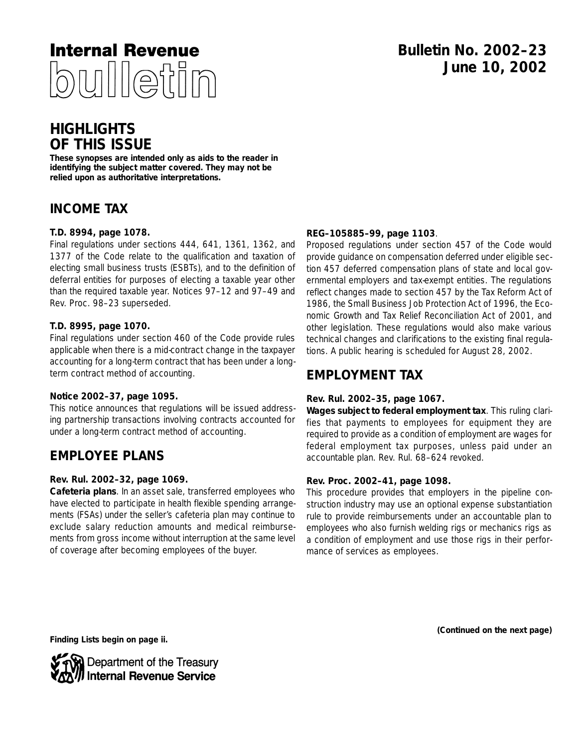

# **HIGHLIGHTS OF THIS ISSUE**

**These synopses are intended only as aids to the reader in identifying the subject matter covered. They may not be relied upon as authoritative interpretations.**

# **INCOME TAX**

## **T.D. 8994, page 1078.**

Final regulations under sections 444, 641, 1361, 1362, and 1377 of the Code relate to the qualification and taxation of electing small business trusts (ESBTs), and to the definition of deferral entities for purposes of electing a taxable year other than the required taxable year. Notices 97–12 and 97–49 and Rev. Proc. 98–23 superseded.

## **T.D. 8995, page 1070.**

Final regulations under section 460 of the Code provide rules applicable when there is a mid-contract change in the taxpayer accounting for a long-term contract that has been under a longterm contract method of accounting.

## **Notice 2002–37, page 1095.**

This notice announces that regulations will be issued addressing partnership transactions involving contracts accounted for under a long-term contract method of accounting.

# **EMPLOYEE PLANS**

## **Rev. Rul. 2002–32, page 1069.**

**Cafeteria plans**. In an asset sale, transferred employees who have elected to participate in health flexible spending arrangements (FSAs) under the seller's cafeteria plan may continue to exclude salary reduction amounts and medical reimbursements from gross income without interruption at the same level of coverage after becoming employees of the buyer.

## **REG–105885–99, page 1103**.

Proposed regulations under section 457 of the Code would provide guidance on compensation deferred under eligible section 457 deferred compensation plans of state and local governmental employers and tax-exempt entities. The regulations reflect changes made to section 457 by the Tax Reform Act of 1986, the Small Business Job Protection Act of 1996, the Economic Growth and Tax Relief Reconciliation Act of 2001, and other legislation. These regulations would also make various technical changes and clarifications to the existing final regulations. A public hearing is scheduled for August 28, 2002.

# **EMPLOYMENT TAX**

## **Rev. Rul. 2002–35, page 1067.**

**Wages subject to federal employment tax**. This ruling clarifies that payments to employees for equipment they are required to provide as a condition of employment are wages for federal employment tax purposes, unless paid under an accountable plan. Rev. Rul. 68–624 revoked.

## **Rev. Proc. 2002–41, page 1098.**

This procedure provides that employers in the pipeline construction industry may use an optional expense substantiation rule to provide reimbursements under an accountable plan to employees who also furnish welding rigs or mechanics rigs as a condition of employment and use those rigs in their performance of services as employees.

**(Continued on the next page)**

**Finding Lists begin on page ii.**

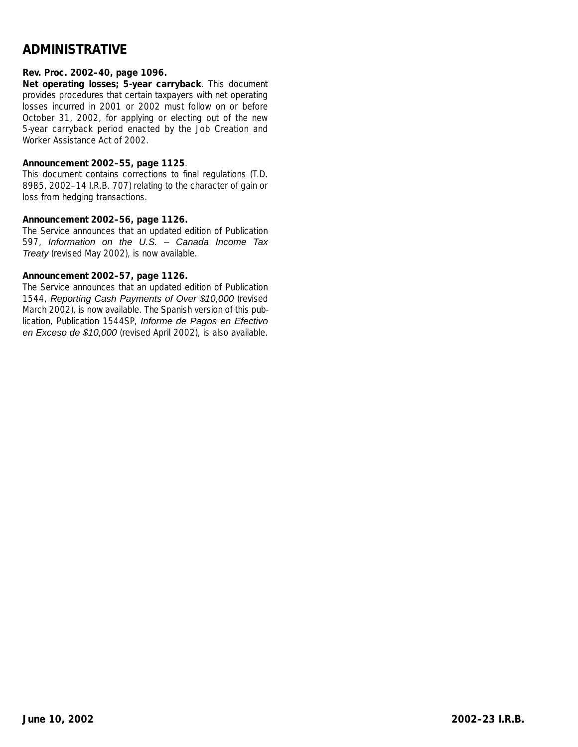# **ADMINISTRATIVE**

## **Rev. Proc. 2002–40, page 1096.**

**Net operating losses; 5-year carryback**. This document provides procedures that certain taxpayers with net operating losses incurred in 2001 or 2002 must follow on or before October 31, 2002, for applying or electing out of the new 5-year carryback period enacted by the Job Creation and Worker Assistance Act of 2002.

## **Announcement 2002–55, page 1125**.

This document contains corrections to final regulations (T.D. 8985, 2002–14 I.R.B. 707) relating to the character of gain or loss from hedging transactions.

## **Announcement 2002–56, page 1126.**

The Service announces that an updated edition of Publication 597, Information on the U.S. – Canada Income Tax Treaty (revised May 2002), is now available.

## **Announcement 2002–57, page 1126.**

The Service announces that an updated edition of Publication 1544, Reporting Cash Payments of Over \$10,000 (revised March 2002), is now available. The Spanish version of this publication, Publication 1544SP, Informe de Pagos en Efectivo en Exceso de \$10,000 (revised April 2002), is also available.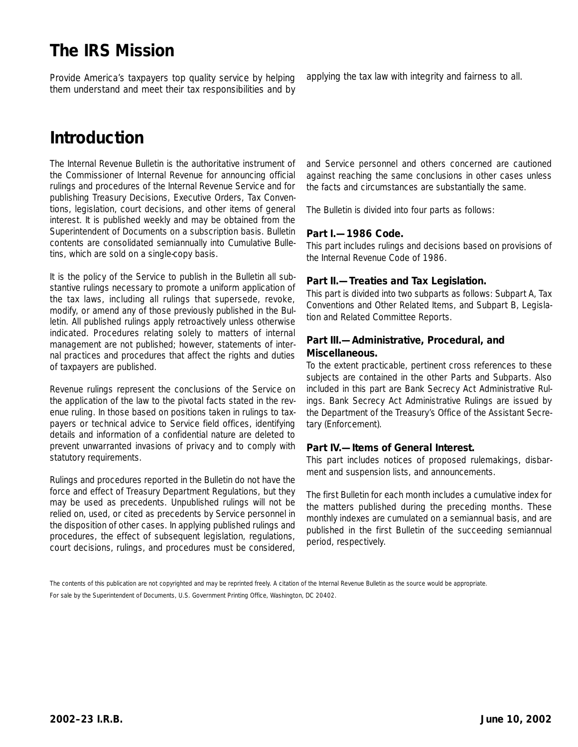# **The IRS Mission**

Provide America's taxpayers top quality service by helping them understand and meet their tax responsibilities and by

# **Introduction**

The Internal Revenue Bulletin is the authoritative instrument of the Commissioner of Internal Revenue for announcing official rulings and procedures of the Internal Revenue Service and for publishing Treasury Decisions, Executive Orders, Tax Conventions, legislation, court decisions, and other items of general interest. It is published weekly and may be obtained from the Superintendent of Documents on a subscription basis. Bulletin contents are consolidated semiannually into Cumulative Bulletins, which are sold on a single-copy basis.

It is the policy of the Service to publish in the Bulletin all substantive rulings necessary to promote a uniform application of the tax laws, including all rulings that supersede, revoke, modify, or amend any of those previously published in the Bulletin. All published rulings apply retroactively unless otherwise indicated. Procedures relating solely to matters of internal management are not published; however, statements of internal practices and procedures that affect the rights and duties of taxpayers are published.

Revenue rulings represent the conclusions of the Service on the application of the law to the pivotal facts stated in the revenue ruling. In those based on positions taken in rulings to taxpayers or technical advice to Service field offices, identifying details and information of a confidential nature are deleted to prevent unwarranted invasions of privacy and to comply with statutory requirements.

Rulings and procedures reported in the Bulletin do not have the force and effect of Treasury Department Regulations, but they may be used as precedents. Unpublished rulings will not be relied on, used, or cited as precedents by Service personnel in the disposition of other cases. In applying published rulings and procedures, the effect of subsequent legislation, regulations, court decisions, rulings, and procedures must be considered,

applying the tax law with integrity and fairness to all.

and Service personnel and others concerned are cautioned against reaching the same conclusions in other cases unless the facts and circumstances are substantially the same.

The Bulletin is divided into four parts as follows:

## **Part I.—1986 Code.**

This part includes rulings and decisions based on provisions of the Internal Revenue Code of 1986.

## **Part II.—Treaties and Tax Legislation.**

This part is divided into two subparts as follows: Subpart A, Tax Conventions and Other Related Items, and Subpart B, Legislation and Related Committee Reports.

## **Part III.—Administrative, Procedural, and Miscellaneous.**

To the extent practicable, pertinent cross references to these subjects are contained in the other Parts and Subparts. Also included in this part are Bank Secrecy Act Administrative Rulings. Bank Secrecy Act Administrative Rulings are issued by the Department of the Treasury's Office of the Assistant Secretary (Enforcement).

## **Part IV.—Items of General Interest.**

This part includes notices of proposed rulemakings, disbarment and suspension lists, and announcements.

The first Bulletin for each month includes a cumulative index for the matters published during the preceding months. These monthly indexes are cumulated on a semiannual basis, and are published in the first Bulletin of the succeeding semiannual period, respectively.

For sale by the Superintendent of Documents, U.S. Government Printing Office, Washington, DC 20402.

The contents of this publication are not copyrighted and may be reprinted freely. A citation of the Internal Revenue Bulletin as the source would be appropriate.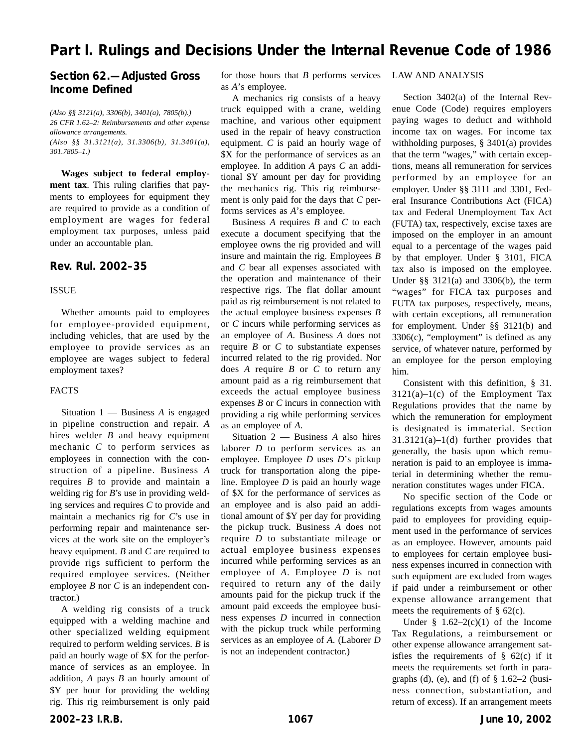# **Part I. Rulings and Decisions Under the Internal Revenue Code of 1986**

# **Section 62.—Adjusted Gross Income Defined**

*(Also §§ 3121(a), 3306(b), 3401(a), 7805(b).) 26 CFR 1.62–2: Reimbursements and other expense allowance arrangements. (Also §§ 31.3121(a), 31.3306(b), 31.3401(a), 301.7805–1.)*

**Wages subject to federal employment tax**. This ruling clarifies that payments to employees for equipment they are required to provide as a condition of employment are wages for federal employment tax purposes, unless paid under an accountable plan.

## **Rev. Rul. 2002–35**

#### ISSUE

Whether amounts paid to employees for employee-provided equipment, including vehicles, that are used by the employee to provide services as an employee are wages subject to federal employment taxes?

#### FACTS

Situation 1 — Business *A* is engaged in pipeline construction and repair. *A* hires welder *B* and heavy equipment mechanic *C* to perform services as employees in connection with the construction of a pipeline. Business *A* requires *B* to provide and maintain a welding rig for *B*'s use in providing welding services and requires *C* to provide and maintain a mechanics rig for *C*'s use in performing repair and maintenance services at the work site on the employer's heavy equipment. *B* and *C* are required to provide rigs sufficient to perform the required employee services. (Neither employee *B* nor *C* is an independent contractor.)

A welding rig consists of a truck equipped with a welding machine and other specialized welding equipment required to perform welding services. *B* is paid an hourly wage of \$X for the performance of services as an employee. In addition, *A* pays *B* an hourly amount of \$Y per hour for providing the welding rig. This rig reimbursement is only paid

for those hours that *B* performs services as *A*'s employee.

A mechanics rig consists of a heavy truck equipped with a crane, welding machine, and various other equipment used in the repair of heavy construction equipment. *C* is paid an hourly wage of \$X for the performance of services as an employee. In addition *A* pays *C* an additional \$Y amount per day for providing the mechanics rig. This rig reimbursement is only paid for the days that *C* performs services as *A*'s employee.

Business *A* requires *B* and *C* to each execute a document specifying that the employee owns the rig provided and will insure and maintain the rig. Employees *B* and *C* bear all expenses associated with the operation and maintenance of their respective rigs. The flat dollar amount paid as rig reimbursement is not related to the actual employee business expenses *B* or *C* incurs while performing services as an employee of *A*. Business *A* does not require *B* or *C* to substantiate expenses incurred related to the rig provided. Nor does *A* require *B* or *C* to return any amount paid as a rig reimbursement that exceeds the actual employee business expenses *B* or *C* incurs in connection with providing a rig while performing services as an employee of *A*.

Situation 2 — Business *A* also hires laborer *D* to perform services as an employee. Employee *D* uses *D*'s pickup truck for transportation along the pipeline. Employee *D* is paid an hourly wage of \$X for the performance of services as an employee and is also paid an additional amount of \$Y per day for providing the pickup truck. Business *A* does not require *D* to substantiate mileage or actual employee business expenses incurred while performing services as an employee of *A*. Employee *D* is not required to return any of the daily amounts paid for the pickup truck if the amount paid exceeds the employee business expenses *D* incurred in connection with the pickup truck while performing services as an employee of *A*. (Laborer *D* is not an independent contractor.)

#### LAW AND ANALYSIS

Section 3402(a) of the Internal Revenue Code (Code) requires employers paying wages to deduct and withhold income tax on wages. For income tax withholding purposes, § 3401(a) provides that the term "wages," with certain exceptions, means all remuneration for services performed by an employee for an employer. Under §§ 3111 and 3301, Federal Insurance Contributions Act (FICA) tax and Federal Unemployment Tax Act (FUTA) tax, respectively, excise taxes are imposed on the employer in an amount equal to a percentage of the wages paid by that employer. Under § 3101, FICA tax also is imposed on the employee. Under §§ 3121(a) and 3306(b), the term "wages" for FICA tax purposes and FUTA tax purposes, respectively, means, with certain exceptions, all remuneration for employment. Under §§ 3121(b) and 3306(c), "employment" is defined as any service, of whatever nature, performed by an employee for the person employing him.

Consistent with this definition, § 31.  $3121(a)-1(c)$  of the Employment Tax Regulations provides that the name by which the remuneration for employment is designated is immaterial. Section 31.3121(a)–1(d) further provides that generally, the basis upon which remuneration is paid to an employee is immaterial in determining whether the remuneration constitutes wages under FICA.

No specific section of the Code or regulations excepts from wages amounts paid to employees for providing equipment used in the performance of services as an employee. However, amounts paid to employees for certain employee business expenses incurred in connection with such equipment are excluded from wages if paid under a reimbursement or other expense allowance arrangement that meets the requirements of  $\S$  62(c).

Under  $§$  1.62–2(c)(1) of the Income Tax Regulations, a reimbursement or other expense allowance arrangement satisfies the requirements of  $\S$  62(c) if it meets the requirements set forth in paragraphs (d), (e), and (f) of  $\S$  1.62–2 (business connection, substantiation, and return of excess). If an arrangement meets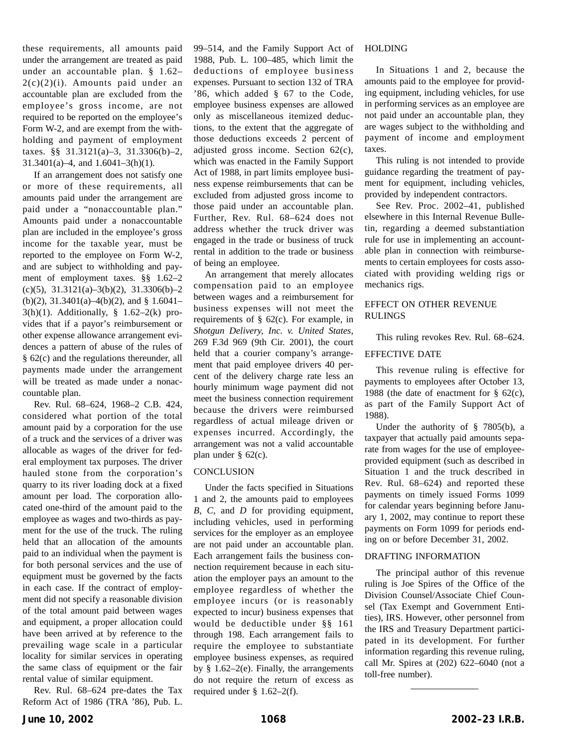these requirements, all amounts paid under the arrangement are treated as paid under an accountable plan. § 1.62– 2(c)(2)(i). Amounts paid under an accountable plan are excluded from the employee's gross income, are not required to be reported on the employee's Form W-2, and are exempt from the withholding and payment of employment taxes. §§ 31.3121(a)–3, 31.3306(b)–2, 31.3401(a)–4, and 1.6041–3(h)(1).

If an arrangement does not satisfy one or more of these requirements, all amounts paid under the arrangement are paid under a "nonaccountable plan." Amounts paid under a nonaccountable plan are included in the employee's gross income for the taxable year, must be reported to the employee on Form W-2, and are subject to withholding and payment of employment taxes. §§ 1.62–2 (c)(5), 31.3121(a)–3(b)(2), 31.3306(b)–2 (b)(2), 31.3401(a)–4(b)(2), and § 1.6041–  $3(h)(1)$ . Additionally, § 1.62–2(k) provides that if a payor's reimbursement or other expense allowance arrangement evidences a pattern of abuse of the rules of § 62(c) and the regulations thereunder, all payments made under the arrangement will be treated as made under a nonaccountable plan.

Rev. Rul. 68–624, 1968–2 C.B. 424, considered what portion of the total amount paid by a corporation for the use of a truck and the services of a driver was allocable as wages of the driver for federal employment tax purposes. The driver hauled stone from the corporation's quarry to its river loading dock at a fixed amount per load. The corporation allocated one-third of the amount paid to the employee as wages and two-thirds as payment for the use of the truck. The ruling held that an allocation of the amounts paid to an individual when the payment is for both personal services and the use of equipment must be governed by the facts in each case. If the contract of employment did not specify a reasonable division of the total amount paid between wages and equipment, a proper allocation could have been arrived at by reference to the prevailing wage scale in a particular locality for similar services in operating the same class of equipment or the fair rental value of similar equipment.

Rev. Rul. 68–624 pre-dates the Tax Reform Act of 1986 (TRA '86), Pub. L.

99–514, and the Family Support Act of 1988, Pub. L. 100–485, which limit the deductions of employee business expenses. Pursuant to section 132 of TRA '86, which added § 67 to the Code, employee business expenses are allowed only as miscellaneous itemized deductions, to the extent that the aggregate of those deductions exceeds 2 percent of adjusted gross income. Section 62(c), which was enacted in the Family Support Act of 1988, in part limits employee business expense reimbursements that can be excluded from adjusted gross income to those paid under an accountable plan. Further, Rev. Rul. 68–624 does not address whether the truck driver was engaged in the trade or business of truck rental in addition to the trade or business of being an employee.

An arrangement that merely allocates compensation paid to an employee between wages and a reimbursement for business expenses will not meet the requirements of § 62(c). For example, in *Shotgun Delivery, Inc. v. United States*, 269 F.3d 969 (9th Cir. 2001), the court held that a courier company's arrangement that paid employee drivers 40 percent of the delivery charge rate less an hourly minimum wage payment did not meet the business connection requirement because the drivers were reimbursed regardless of actual mileage driven or expenses incurred. Accordingly, the arrangement was not a valid accountable plan under § 62(c).

## **CONCLUSION**

Under the facts specified in Situations 1 and 2, the amounts paid to employees *B*, *C*, and *D* for providing equipment, including vehicles, used in performing services for the employer as an employee are not paid under an accountable plan. Each arrangement fails the business connection requirement because in each situation the employer pays an amount to the employee regardless of whether the employee incurs (or is reasonably expected to incur) business expenses that would be deductible under §§ 161 through 198. Each arrangement fails to require the employee to substantiate employee business expenses, as required by § 1.62–2(e). Finally, the arrangements do not require the return of excess as required under § 1.62–2(f).

#### HOLDING

In Situations 1 and 2, because the amounts paid to the employee for providing equipment, including vehicles, for use in performing services as an employee are not paid under an accountable plan, they are wages subject to the withholding and payment of income and employment taxes.

This ruling is not intended to provide guidance regarding the treatment of payment for equipment, including vehicles, provided by independent contractors.

See Rev. Proc. 2002–41, published elsewhere in this Internal Revenue Bulletin, regarding a deemed substantiation rule for use in implementing an accountable plan in connection with reimbursements to certain employees for costs associated with providing welding rigs or mechanics rigs.

## EFFECT ON OTHER REVENUE RULINGS

This ruling revokes Rev. Rul. 68–624.

## EFFECTIVE DATE

This revenue ruling is effective for payments to employees after October 13, 1988 (the date of enactment for  $\S$  62(c), as part of the Family Support Act of 1988).

Under the authority of § 7805(b), a taxpayer that actually paid amounts separate from wages for the use of employeeprovided equipment (such as described in Situation 1 and the truck described in Rev. Rul. 68–624) and reported these payments on timely issued Forms 1099 for calendar years beginning before January 1, 2002, may continue to report these payments on Form 1099 for periods ending on or before December 31, 2002.

## DRAFTING INFORMATION

The principal author of this revenue ruling is Joe Spires of the Office of the Division Counsel/Associate Chief Counsel (Tax Exempt and Government Entities), IRS. However, other personnel from the IRS and Treasury Department participated in its development. For further information regarding this revenue ruling, call Mr. Spires at (202) 622–6040 (not a toll-free number).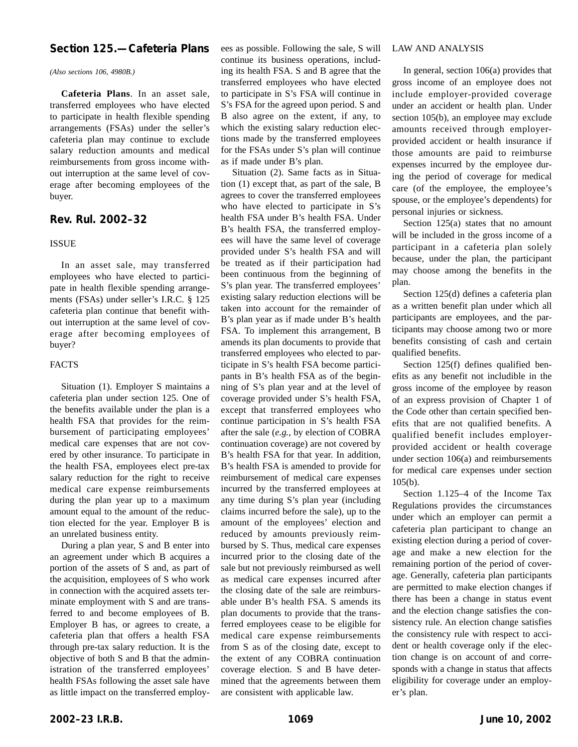# **Section 125.—Cafeteria Plans**

#### *(Also sections 106, 4980B.)*

**Cafeteria Plans**. In an asset sale, transferred employees who have elected to participate in health flexible spending arrangements (FSAs) under the seller's cafeteria plan may continue to exclude salary reduction amounts and medical reimbursements from gross income without interruption at the same level of coverage after becoming employees of the buyer.

## **Rev. Rul. 2002–32**

#### ISSUE

In an asset sale, may transferred employees who have elected to participate in health flexible spending arrangements (FSAs) under seller's I.R.C. § 125 cafeteria plan continue that benefit without interruption at the same level of coverage after becoming employees of buyer?

## FACTS

Situation (1). Employer S maintains a cafeteria plan under section 125. One of the benefits available under the plan is a health FSA that provides for the reimbursement of participating employees' medical care expenses that are not covered by other insurance. To participate in the health FSA, employees elect pre-tax salary reduction for the right to receive medical care expense reimbursements during the plan year up to a maximum amount equal to the amount of the reduction elected for the year. Employer B is an unrelated business entity.

During a plan year, S and B enter into an agreement under which B acquires a portion of the assets of S and, as part of the acquisition, employees of S who work in connection with the acquired assets terminate employment with S and are transferred to and become employees of B. Employer B has, or agrees to create, a cafeteria plan that offers a health FSA through pre-tax salary reduction. It is the objective of both S and B that the administration of the transferred employees' health FSAs following the asset sale have as little impact on the transferred employees as possible. Following the sale, S will continue its business operations, including its health FSA. S and B agree that the transferred employees who have elected to participate in S's FSA will continue in S's FSA for the agreed upon period. S and B also agree on the extent, if any, to which the existing salary reduction elections made by the transferred employees for the FSAs under S's plan will continue as if made under B's plan.

Situation (2). Same facts as in Situation (1) except that, as part of the sale, B agrees to cover the transferred employees who have elected to participate in S's health FSA under B's health FSA. Under B's health FSA, the transferred employees will have the same level of coverage provided under S's health FSA and will be treated as if their participation had been continuous from the beginning of S's plan year. The transferred employees' existing salary reduction elections will be taken into account for the remainder of B's plan year as if made under B's health FSA. To implement this arrangement, B amends its plan documents to provide that transferred employees who elected to participate in S's health FSA become participants in B's health FSA as of the beginning of S's plan year and at the level of coverage provided under S's health FSA, except that transferred employees who continue participation in S's health FSA after the sale (*e.g.*, by election of COBRA continuation coverage) are not covered by B's health FSA for that year. In addition, B's health FSA is amended to provide for reimbursement of medical care expenses incurred by the transferred employees at any time during S's plan year (including claims incurred before the sale), up to the amount of the employees' election and reduced by amounts previously reimbursed by S. Thus, medical care expenses incurred prior to the closing date of the sale but not previously reimbursed as well as medical care expenses incurred after the closing date of the sale are reimbursable under B's health FSA. S amends its plan documents to provide that the transferred employees cease to be eligible for medical care expense reimbursements from S as of the closing date, except to the extent of any COBRA continuation coverage election. S and B have determined that the agreements between them are consistent with applicable law.

#### LAW AND ANALYSIS

In general, section 106(a) provides that gross income of an employee does not include employer-provided coverage under an accident or health plan. Under section 105(b), an employee may exclude amounts received through employerprovided accident or health insurance if those amounts are paid to reimburse expenses incurred by the employee during the period of coverage for medical care (of the employee, the employee's spouse, or the employee's dependents) for personal injuries or sickness.

Section 125(a) states that no amount will be included in the gross income of a participant in a cafeteria plan solely because, under the plan, the participant may choose among the benefits in the plan.

Section 125(d) defines a cafeteria plan as a written benefit plan under which all participants are employees, and the participants may choose among two or more benefits consisting of cash and certain qualified benefits.

Section 125(f) defines qualified benefits as any benefit not includible in the gross income of the employee by reason of an express provision of Chapter 1 of the Code other than certain specified benefits that are not qualified benefits. A qualified benefit includes employerprovided accident or health coverage under section 106(a) and reimbursements for medical care expenses under section  $105(b)$ .

Section 1.125–4 of the Income Tax Regulations provides the circumstances under which an employer can permit a cafeteria plan participant to change an existing election during a period of coverage and make a new election for the remaining portion of the period of coverage. Generally, cafeteria plan participants are permitted to make election changes if there has been a change in status event and the election change satisfies the consistency rule. An election change satisfies the consistency rule with respect to accident or health coverage only if the election change is on account of and corresponds with a change in status that affects eligibility for coverage under an employer's plan.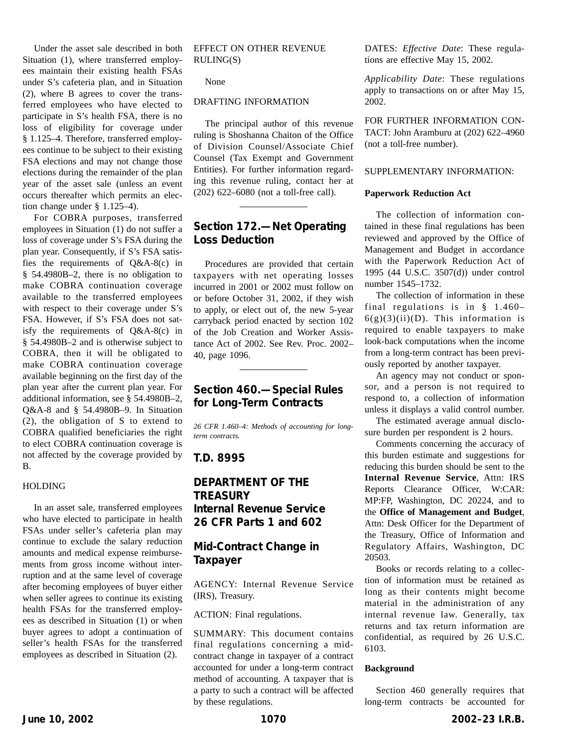Under the asset sale described in both Situation (1), where transferred employees maintain their existing health FSAs under S's cafeteria plan, and in Situation (2), where B agrees to cover the transferred employees who have elected to participate in S's health FSA, there is no loss of eligibility for coverage under § 1.125–4. Therefore, transferred employees continue to be subject to their existing FSA elections and may not change those elections during the remainder of the plan year of the asset sale (unless an event occurs thereafter which permits an election change under § 1.125–4).

For COBRA purposes, transferred employees in Situation (1) do not suffer a loss of coverage under S's FSA during the plan year. Consequently, if S's FSA satisfies the requirements of Q&A-8(c) in § 54.4980B–2, there is no obligation to make COBRA continuation coverage available to the transferred employees with respect to their coverage under S's FSA. However, if S's FSA does not satisfy the requirements of Q&A-8(c) in § 54.4980B–2 and is otherwise subject to COBRA, then it will be obligated to make COBRA continuation coverage available beginning on the first day of the plan year after the current plan year. For additional information, see § 54.4980B–2, Q&A-8 and § 54.4980B–9. In Situation (2), the obligation of S to extend to COBRA qualified beneficiaries the right to elect COBRA continuation coverage is not affected by the coverage provided by B.

#### HOLDING

In an asset sale, transferred employees who have elected to participate in health FSAs under seller's cafeteria plan may continue to exclude the salary reduction amounts and medical expense reimbursements from gross income without interruption and at the same level of coverage after becoming employees of buyer either when seller agrees to continue its existing health FSAs for the transferred employees as described in Situation (1) or when buyer agrees to adopt a continuation of seller's health FSAs for the transferred employees as described in Situation (2).

EFFECT ON OTHER REVENUE RULING(S)

None

#### DRAFTING INFORMATION

The principal author of this revenue ruling is Shoshanna Chaiton of the Office of Division Counsel/Associate Chief Counsel (Tax Exempt and Government Entities). For further information regarding this revenue ruling, contact her at (202) 622–6080 (not a toll-free call).

## **Section 172.—Net Operating Loss Deduction**

Procedures are provided that certain taxpayers with net operating losses incurred in 2001 or 2002 must follow on or before October 31, 2002, if they wish to apply, or elect out of, the new 5-year carryback period enacted by section 102 of the Job Creation and Worker Assistance Act of 2002. See Rev. Proc. 2002– 40, page 1096.

# **Section 460.—Special Rules for Long-Term Contracts**

*26 CFR 1.460–4: Methods of accounting for longterm contracts.*

## **T.D. 8995**

# **DEPARTMENT OF THE TREASURY Internal Revenue Service 26 CFR Parts 1 and 602**

# **Mid-Contract Change in Taxpayer**

AGENCY: Internal Revenue Service (IRS), Treasury.

ACTION: Final regulations.

SUMMARY: This document contains final regulations concerning a midcontract change in taxpayer of a contract accounted for under a long-term contract method of accounting. A taxpayer that is a party to such a contract will be affected by these regulations.

DATES: *Effective Date*: These regulations are effective May 15, 2002.

*Applicability Date*: These regulations apply to transactions on or after May 15, 2002.

FOR FURTHER INFORMATION CON-TACT: John Aramburu at (202) 622–4960 (not a toll-free number).

#### SUPPLEMENTARY INFORMATION:

#### **Paperwork Reduction Act**

The collection of information contained in these final regulations has been reviewed and approved by the Office of Management and Budget in accordance with the Paperwork Reduction Act of 1995 (44 U.S.C. 3507(d)) under control number 1545–1732.

The collection of information in these final regulations is in § 1.460–  $6(g)(3)(ii)(D)$ . This information is required to enable taxpayers to make look-back computations when the income from a long-term contract has been previously reported by another taxpayer.

An agency may not conduct or sponsor, and a person is not required to respond to, a collection of information unless it displays a valid control number.

The estimated average annual disclosure burden per respondent is 2 hours.

Comments concerning the accuracy of this burden estimate and suggestions for reducing this burden should be sent to the **Internal Revenue Service**, Attn: IRS Reports Clearance Officer, W:CAR: MP:FP, Washington, DC 20224, and to the **Office of Management and Budget**, Attn: Desk Officer for the Department of the Treasury, Office of Information and Regulatory Affairs, Washington, DC 20503.

Books or records relating to a collection of information must be retained as long as their contents might become material in the administration of any internal revenue law. Generally, tax returns and tax return information are confidential, as required by 26 U.S.C. 6103.

#### **Background**

Section 460 generally requires that long-term contracts be accounted for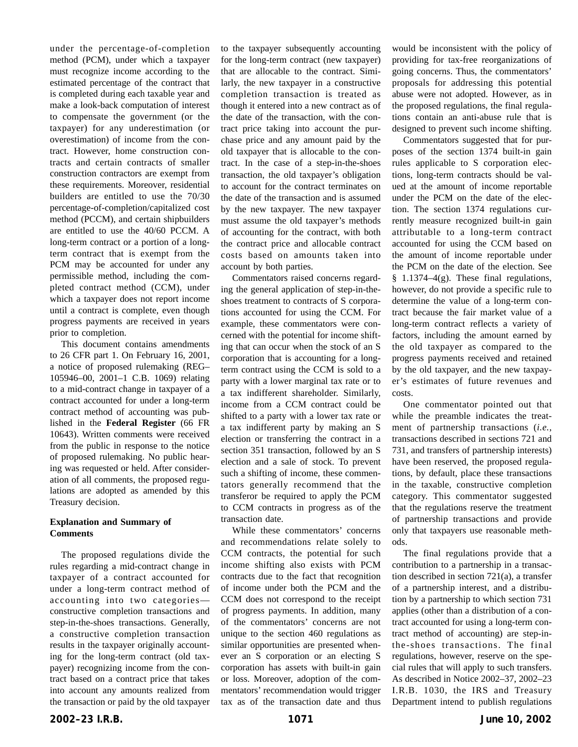under the percentage-of-completion method (PCM), under which a taxpayer must recognize income according to the estimated percentage of the contract that is completed during each taxable year and make a look-back computation of interest to compensate the government (or the taxpayer) for any underestimation (or overestimation) of income from the contract. However, home construction contracts and certain contracts of smaller construction contractors are exempt from these requirements. Moreover, residential builders are entitled to use the 70/30 percentage-of-completion/capitalized cost method (PCCM), and certain shipbuilders are entitled to use the 40/60 PCCM. A long-term contract or a portion of a longterm contract that is exempt from the PCM may be accounted for under any permissible method, including the completed contract method (CCM), under which a taxpayer does not report income until a contract is complete, even though progress payments are received in years prior to completion.

This document contains amendments to 26 CFR part 1. On February 16, 2001, a notice of proposed rulemaking (REG– 105946–00, 2001–1 C.B. 1069) relating to a mid-contract change in taxpayer of a contract accounted for under a long-term contract method of accounting was published in the **Federal Register** (66 FR 10643). Written comments were received from the public in response to the notice of proposed rulemaking. No public hearing was requested or held. After consideration of all comments, the proposed regulations are adopted as amended by this Treasury decision.

## **Explanation and Summary of Comments**

The proposed regulations divide the rules regarding a mid-contract change in taxpayer of a contract accounted for under a long-term contract method of accounting into two categories constructive completion transactions and step-in-the-shoes transactions. Generally, a constructive completion transaction results in the taxpayer originally accounting for the long-term contract (old taxpayer) recognizing income from the contract based on a contract price that takes into account any amounts realized from the transaction or paid by the old taxpayer

to the taxpayer subsequently accounting for the long-term contract (new taxpayer) that are allocable to the contract. Similarly, the new taxpayer in a constructive completion transaction is treated as though it entered into a new contract as of the date of the transaction, with the contract price taking into account the purchase price and any amount paid by the old taxpayer that is allocable to the contract. In the case of a step-in-the-shoes transaction, the old taxpayer's obligation to account for the contract terminates on the date of the transaction and is assumed by the new taxpayer. The new taxpayer must assume the old taxpayer's methods of accounting for the contract, with both the contract price and allocable contract costs based on amounts taken into account by both parties.

Commentators raised concerns regarding the general application of step-in-theshoes treatment to contracts of S corporations accounted for using the CCM. For example, these commentators were concerned with the potential for income shifting that can occur when the stock of an S corporation that is accounting for a longterm contract using the CCM is sold to a party with a lower marginal tax rate or to a tax indifferent shareholder. Similarly, income from a CCM contract could be shifted to a party with a lower tax rate or a tax indifferent party by making an S election or transferring the contract in a section 351 transaction, followed by an S election and a sale of stock. To prevent such a shifting of income, these commentators generally recommend that the transferor be required to apply the PCM to CCM contracts in progress as of the transaction date.

While these commentators' concerns and recommendations relate solely to CCM contracts, the potential for such income shifting also exists with PCM contracts due to the fact that recognition of income under both the PCM and the CCM does not correspond to the receipt of progress payments. In addition, many of the commentators' concerns are not unique to the section 460 regulations as similar opportunities are presented whenever an S corporation or an electing S corporation has assets with built-in gain or loss. Moreover, adoption of the commentators' recommendation would trigger tax as of the transaction date and thus would be inconsistent with the policy of providing for tax-free reorganizations of going concerns. Thus, the commentators' proposals for addressing this potential abuse were not adopted. However, as in the proposed regulations, the final regulations contain an anti-abuse rule that is designed to prevent such income shifting.

Commentators suggested that for purposes of the section 1374 built-in gain rules applicable to S corporation elections, long-term contracts should be valued at the amount of income reportable under the PCM on the date of the election. The section 1374 regulations currently measure recognized built-in gain attributable to a long-term contract accounted for using the CCM based on the amount of income reportable under the PCM on the date of the election. See § 1.1374–4(g). These final regulations, however, do not provide a specific rule to determine the value of a long-term contract because the fair market value of a long-term contract reflects a variety of factors, including the amount earned by the old taxpayer as compared to the progress payments received and retained by the old taxpayer, and the new taxpayer's estimates of future revenues and costs.

One commentator pointed out that while the preamble indicates the treatment of partnership transactions (*i.e.*, transactions described in sections 721 and 731, and transfers of partnership interests) have been reserved, the proposed regulations, by default, place these transactions in the taxable, constructive completion category. This commentator suggested that the regulations reserve the treatment of partnership transactions and provide only that taxpayers use reasonable methods.

The final regulations provide that a contribution to a partnership in a transaction described in section 721(a), a transfer of a partnership interest, and a distribution by a partnership to which section 731 applies (other than a distribution of a contract accounted for using a long-term contract method of accounting) are step-inthe-shoes transactions. The final regulations, however, reserve on the special rules that will apply to such transfers. As described in Notice 2002–37, 2002–23 I.R.B. 1030, the IRS and Treasury Department intend to publish regulations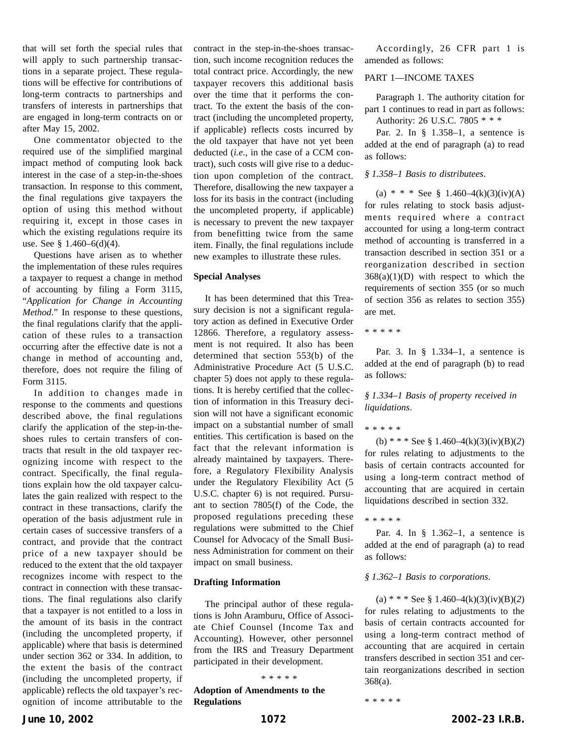that will set forth the special rules that will apply to such partnership transactions in a separate project. These regulations will be effective for contributions of long-term contracts to partnerships and transfers of interests in partnerships that are engaged in long-term contracts on or after May 15, 2002.

One commentator objected to the required use of the simplified marginal impact method of computing look back interest in the case of a step-in-the-shoes transaction. In response to this comment, the final regulations give taxpayers the option of using this method without requiring it, except in those cases in which the existing regulations require its use. See § 1.460–6(d)(4).

Questions have arisen as to whether the implementation of these rules requires a taxpayer to request a change in method of accounting by filing a Form 3115, "*Application for Change in Accounting Method*." In response to these questions, the final regulations clarify that the application of these rules to a transaction occurring after the effective date is not a change in method of accounting and, therefore, does not require the filing of Form 3115.

In addition to changes made in response to the comments and questions described above, the final regulations clarify the application of the step-in-theshoes rules to certain transfers of contracts that result in the old taxpayer recognizing income with respect to the contract. Specifically, the final regulations explain how the old taxpayer calculates the gain realized with respect to the contract in these transactions, clarify the operation of the basis adjustment rule in certain cases of successive transfers of a contract, and provide that the contract price of a new taxpayer should be reduced to the extent that the old taxpayer recognizes income with respect to the contract in connection with these transactions. The final regulations also clarify that a taxpayer is not entitled to a loss in the amount of its basis in the contract (including the uncompleted property, if applicable) where that basis is determined under section 362 or 334. In addition, to the extent the basis of the contract (including the uncompleted property, if applicable) reflects the old taxpayer's recognition of income attributable to the

contract in the step-in-the-shoes transaction, such income recognition reduces the total contract price. Accordingly, the new taxpayer recovers this additional basis over the time that it performs the contract. To the extent the basis of the contract (including the uncompleted property, if applicable) reflects costs incurred by the old taxpayer that have not yet been deducted (*i.e.*, in the case of a CCM contract), such costs will give rise to a deduction upon completion of the contract. Therefore, disallowing the new taxpayer a loss for its basis in the contract (including the uncompleted property, if applicable) is necessary to prevent the new taxpayer from benefitting twice from the same item. Finally, the final regulations include new examples to illustrate these rules.

#### **Special Analyses**

It has been determined that this Treasury decision is not a significant regulatory action as defined in Executive Order 12866. Therefore, a regulatory assessment is not required. It also has been determined that section 553(b) of the Administrative Procedure Act (5 U.S.C. chapter 5) does not apply to these regulations. It is hereby certified that the collection of information in this Treasury decision will not have a significant economic impact on a substantial number of small entities. This certification is based on the fact that the relevant information is already maintained by taxpayers. Therefore, a Regulatory Flexibility Analysis under the Regulatory Flexibility Act (5 U.S.C. chapter 6) is not required. Pursuant to section 7805(f) of the Code, the proposed regulations preceding these regulations were submitted to the Chief Counsel for Advocacy of the Small Business Administration for comment on their impact on small business.

#### **Drafting Information**

The principal author of these regulations is John Aramburu, Office of Associate Chief Counsel (Income Tax and Accounting). However, other personnel from the IRS and Treasury Department participated in their development.

**Adoption of Amendments to the Regulations**

Accordingly, 26 CFR part 1 is amended as follows:

## PART 1—INCOME TAXES

Paragraph 1. The authority citation for part 1 continues to read in part as follows: Authority: 26 U.S.C. 7805 \* \* \*

Par. 2. In § 1.358–1, a sentence is added at the end of paragraph (a) to read as follows:

#### *§ 1.358–1 Basis to distributees*.

(a) \* \* \* See § 1.460–4(k)(3)(iv)(A) for rules relating to stock basis adjustments required where a contract accounted for using a long-term contract method of accounting is transferred in a transaction described in section 351 or a reorganization described in section  $368(a)(1)(D)$  with respect to which the requirements of section 355 (or so much of section 356 as relates to section 355) are met.

\*\*\*\*\*

Par. 3. In § 1.334–1, a sentence is added at the end of paragraph (b) to read as follows:

*§ 1.334–1 Basis of property received in liquidations*.

\*\*\*\*\*

(b) \* \* \* See § 1.460–4(k)(3)(iv)(B)(*2*) for rules relating to adjustments to the basis of certain contracts accounted for using a long-term contract method of accounting that are acquired in certain liquidations described in section 332.

\*\*\*\*\*

Par. 4. In § 1.362–1, a sentence is added at the end of paragraph (a) to read as follows:

#### *§ 1.362–1 Basis to corporations*.

(a) \* \* \* See § 1.460–4(k)(3)(iv)(B)(*2*) for rules relating to adjustments to the basis of certain contracts accounted for using a long-term contract method of accounting that are acquired in certain transfers described in section 351 and certain reorganizations described in section 368(a).

\*\*\*\*\*

\*\*\*\*\*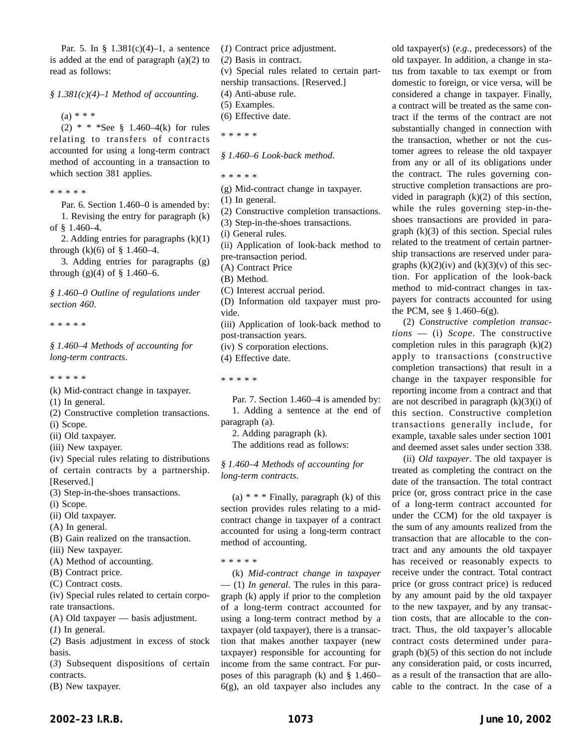Par. 5. In § 1.381(c)(4)–1, a sentence is added at the end of paragraph (a)(2) to read as follows:

*§ 1.381(c)(4)–1 Method of accounting*.

 $(a) * * * *$ 

(2) \* \* \*See § 1.460–4(k) for rules relating to transfers of contracts accounted for using a long-term contract method of accounting in a transaction to which section 381 applies.

\*\*\*\*\*

Par. 6. Section 1.460–0 is amended by: 1. Revising the entry for paragraph (k) of § 1.460–4.

2. Adding entries for paragraphs  $(k)(1)$ through  $(k)(6)$  of  $\S 1.460-4$ .

3. Adding entries for paragraphs (g) through  $(g)(4)$  of  $\S 1.460-6$ .

*§ 1.460–0 Outline of regulations under section 460*.

\*\*\*\*\*

*§ 1.460–4 Methods of accounting for long-term contracts*.

- \*\*\*\*\*
- (k) Mid-contract change in taxpayer.

(1) In general.

- (2) Constructive completion transactions.
- (i) Scope.
- (ii) Old taxpayer.
- (iii) New taxpayer.
- (iv) Special rules relating to distributions of certain contracts by a partnership. [Reserved.]
- (3) Step-in-the-shoes transactions.
- (i) Scope.
- (ii) Old taxpayer.
- (A) In general.
- (B) Gain realized on the transaction.
- (iii) New taxpayer.
- (A) Method of accounting.
- (B) Contract price.
- (C) Contract costs.
- (iv) Special rules related to certain corporate transactions.
- (A) Old taxpayer basis adjustment.
- (*1*) In general.
- (*2*) Basis adjustment in excess of stock basis.

(*3*) Subsequent dispositions of certain contracts.

(B) New taxpayer.

(*1*) Contract price adjustment.

(*2*) Basis in contract.

(v) Special rules related to certain partnership transactions. [Reserved.]

(4) Anti-abuse rule.

(5) Examples.

- (6) Effective date.
- \*\*\*\*\*
- *§ 1.460–6 Look-back method*.
- \*\*\*\*\*
- (g) Mid-contract change in taxpayer.

(1) In general.

- (2) Constructive completion transactions.
- (3) Step-in-the-shoes transactions.

(i) General rules.

- (ii) Application of look-back method to pre-transaction period.
- (A) Contract Price

(B) Method.

- (C) Interest accrual period.
- (D) Information old taxpayer must provide.

(iii) Application of look-back method to post-transaction years.

(iv) S corporation elections.

(4) Effective date.

\*\*\*\*\*

Par. 7. Section 1.460–4 is amended by: 1. Adding a sentence at the end of paragraph (a).

2. Adding paragraph (k). The additions read as follows:

*§ 1.460–4 Methods of accounting for long-term contracts*.

(a)  $* * * Finally$ , paragraph (k) of this section provides rules relating to a midcontract change in taxpayer of a contract accounted for using a long-term contract method of accounting.

\*\*\*\*\*

(k) *Mid-contract change in taxpayer* — (1) *In general*. The rules in this paragraph (k) apply if prior to the completion of a long-term contract accounted for using a long-term contract method by a taxpayer (old taxpayer), there is a transaction that makes another taxpayer (new taxpayer) responsible for accounting for income from the same contract. For purposes of this paragraph (k) and § 1.460– 6(g), an old taxpayer also includes any old taxpayer(s) (*e.g.*, predecessors) of the old taxpayer. In addition, a change in status from taxable to tax exempt or from domestic to foreign, or vice versa, will be considered a change in taxpayer. Finally, a contract will be treated as the same contract if the terms of the contract are not substantially changed in connection with the transaction, whether or not the customer agrees to release the old taxpayer from any or all of its obligations under the contract. The rules governing constructive completion transactions are provided in paragraph (k)(2) of this section, while the rules governing step-in-theshoes transactions are provided in para $graph (k)(3)$  of this section. Special rules related to the treatment of certain partnership transactions are reserved under paragraphs  $(k)(2)(iv)$  and  $(k)(3)(v)$  of this section. For application of the look-back method to mid-contract changes in taxpayers for contracts accounted for using the PCM, see  $\S 1.460-6(g)$ .

(2) *Constructive completion transactions* — (i) *Scope*. The constructive completion rules in this paragraph  $(k)(2)$ apply to transactions (constructive completion transactions) that result in a change in the taxpayer responsible for reporting income from a contract and that are not described in paragraph  $(k)(3)(i)$  of this section. Constructive completion transactions generally include, for example, taxable sales under section 1001 and deemed asset sales under section 338.

(ii) *Old taxpayer*. The old taxpayer is treated as completing the contract on the date of the transaction. The total contract price (or, gross contract price in the case of a long-term contract accounted for under the CCM) for the old taxpayer is the sum of any amounts realized from the transaction that are allocable to the contract and any amounts the old taxpayer has received or reasonably expects to receive under the contract. Total contract price (or gross contract price) is reduced by any amount paid by the old taxpayer to the new taxpayer, and by any transaction costs, that are allocable to the contract. Thus, the old taxpayer's allocable contract costs determined under paragraph (b)(5) of this section do not include any consideration paid, or costs incurred, as a result of the transaction that are allocable to the contract. In the case of a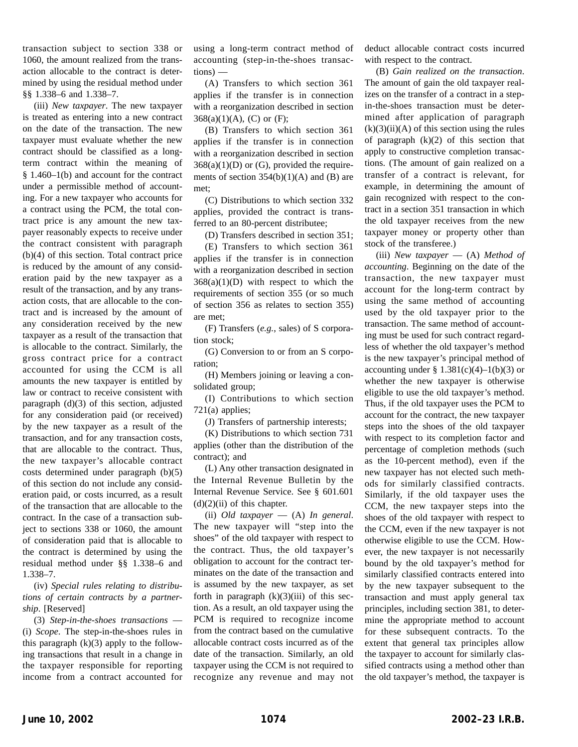transaction subject to section 338 or 1060, the amount realized from the transaction allocable to the contract is determined by using the residual method under §§ 1.338–6 and 1.338–7.

(iii) *New taxpayer*. The new taxpayer is treated as entering into a new contract on the date of the transaction. The new taxpayer must evaluate whether the new contract should be classified as a longterm contract within the meaning of § 1.460–1(b) and account for the contract under a permissible method of accounting. For a new taxpayer who accounts for a contract using the PCM, the total contract price is any amount the new taxpayer reasonably expects to receive under the contract consistent with paragraph (b)(4) of this section. Total contract price is reduced by the amount of any consideration paid by the new taxpayer as a result of the transaction, and by any transaction costs, that are allocable to the contract and is increased by the amount of any consideration received by the new taxpayer as a result of the transaction that is allocable to the contract. Similarly, the gross contract price for a contract accounted for using the CCM is all amounts the new taxpayer is entitled by law or contract to receive consistent with paragraph (d)(3) of this section, adjusted for any consideration paid (or received) by the new taxpayer as a result of the transaction, and for any transaction costs, that are allocable to the contract. Thus, the new taxpayer's allocable contract costs determined under paragraph (b)(5) of this section do not include any consideration paid, or costs incurred, as a result of the transaction that are allocable to the contract. In the case of a transaction subject to sections 338 or 1060, the amount of consideration paid that is allocable to the contract is determined by using the residual method under §§ 1.338–6 and 1.338–7.

(iv) *Special rules relating to distributions of certain contracts by a partnership*. [Reserved]

(3) *Step-in-the-shoes transactions* — (i) *Scope*. The step-in-the-shoes rules in this paragraph  $(k)(3)$  apply to the following transactions that result in a change in the taxpayer responsible for reporting income from a contract accounted for using a long-term contract method of accounting (step-in-the-shoes transactions) —

(A) Transfers to which section 361 applies if the transfer is in connection with a reorganization described in section  $368(a)(1)(A)$ , (C) or (F);

(B) Transfers to which section 361 applies if the transfer is in connection with a reorganization described in section  $368(a)(1)(D)$  or  $(G)$ , provided the requirements of section  $354(b)(1)(A)$  and  $(B)$  are met;

(C) Distributions to which section 332 applies, provided the contract is transferred to an 80-percent distributee;

(D) Transfers described in section 351; (E) Transfers to which section 361 applies if the transfer is in connection with a reorganization described in section  $368(a)(1)(D)$  with respect to which the requirements of section 355 (or so much of section 356 as relates to section 355) are met;

(F) Transfers (*e.g.*, sales) of S corporation stock;

(G) Conversion to or from an S corporation;

(H) Members joining or leaving a consolidated group;

(I) Contributions to which section 721(a) applies;

(J) Transfers of partnership interests;

(K) Distributions to which section 731 applies (other than the distribution of the contract); and

(L) Any other transaction designated in the Internal Revenue Bulletin by the Internal Revenue Service. See § 601.601  $(d)(2)(ii)$  of this chapter.

(ii) *Old taxpayer* — (A) *In general*. The new taxpayer will "step into the shoes" of the old taxpayer with respect to the contract. Thus, the old taxpayer's obligation to account for the contract terminates on the date of the transaction and is assumed by the new taxpayer, as set forth in paragraph  $(k)(3)(iii)$  of this section. As a result, an old taxpayer using the PCM is required to recognize income from the contract based on the cumulative allocable contract costs incurred as of the date of the transaction. Similarly, an old taxpayer using the CCM is not required to recognize any revenue and may not deduct allocable contract costs incurred with respect to the contract.

(B) *Gain realized on the transaction*. The amount of gain the old taxpayer realizes on the transfer of a contract in a stepin-the-shoes transaction must be determined after application of paragraph  $(k)(3)(ii)(A)$  of this section using the rules of paragraph (k)(2) of this section that apply to constructive completion transactions. (The amount of gain realized on a transfer of a contract is relevant, for example, in determining the amount of gain recognized with respect to the contract in a section 351 transaction in which the old taxpayer receives from the new taxpayer money or property other than stock of the transferee.)

(iii) *New taxpayer* — (A) *Method of accounting*. Beginning on the date of the transaction, the new taxpayer must account for the long-term contract by using the same method of accounting used by the old taxpayer prior to the transaction. The same method of accounting must be used for such contract regardless of whether the old taxpayer's method is the new taxpayer's principal method of accounting under §  $1.381(c)(4) - 1(b)(3)$  or whether the new taxpayer is otherwise eligible to use the old taxpayer's method. Thus, if the old taxpayer uses the PCM to account for the contract, the new taxpayer steps into the shoes of the old taxpayer with respect to its completion factor and percentage of completion methods (such as the 10-percent method), even if the new taxpayer has not elected such methods for similarly classified contracts. Similarly, if the old taxpayer uses the CCM, the new taxpayer steps into the shoes of the old taxpayer with respect to the CCM, even if the new taxpayer is not otherwise eligible to use the CCM. However, the new taxpayer is not necessarily bound by the old taxpayer's method for similarly classified contracts entered into by the new taxpayer subsequent to the transaction and must apply general tax principles, including section 381, to determine the appropriate method to account for these subsequent contracts. To the extent that general tax principles allow the taxpayer to account for similarly classified contracts using a method other than the old taxpayer's method, the taxpayer is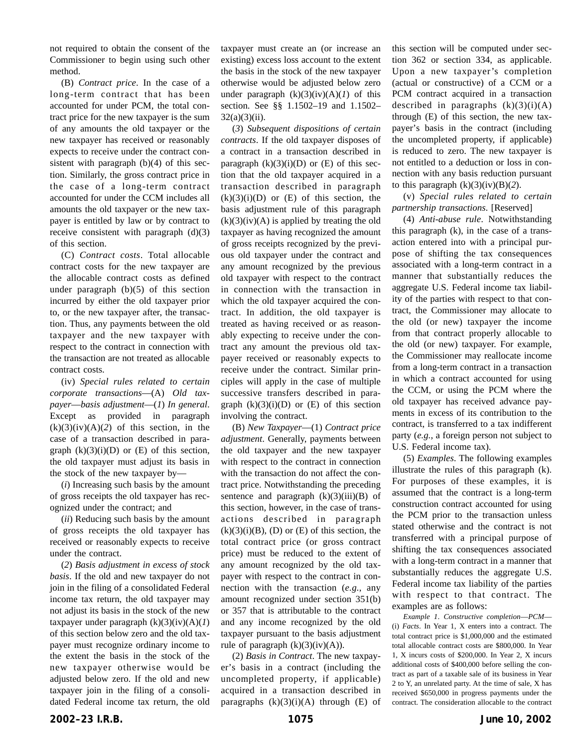not required to obtain the consent of the Commissioner to begin using such other method.

(B) *Contract price*. In the case of a long-term contract that has been accounted for under PCM, the total contract price for the new taxpayer is the sum of any amounts the old taxpayer or the new taxpayer has received or reasonably expects to receive under the contract consistent with paragraph (b)(4) of this section. Similarly, the gross contract price in the case of a long-term contract accounted for under the CCM includes all amounts the old taxpayer or the new taxpayer is entitled by law or by contract to receive consistent with paragraph (d)(3) of this section.

(C) *Contract costs*. Total allocable contract costs for the new taxpayer are the allocable contract costs as defined under paragraph (b)(5) of this section incurred by either the old taxpayer prior to, or the new taxpayer after, the transaction. Thus, any payments between the old taxpayer and the new taxpayer with respect to the contract in connection with the transaction are not treated as allocable contract costs.

(iv) *Special rules related to certain corporate transactions*—(A) *Old taxpayer*—*basis adjustment*—(*1*) *In general*. Except as provided in paragraph  $(k)(3)(iv)(A)(2)$  of this section, in the case of a transaction described in paragraph  $(k)(3)(i)(D)$  or  $(E)$  of this section, the old taxpayer must adjust its basis in the stock of the new taxpayer by—

(*i*) Increasing such basis by the amount of gross receipts the old taxpayer has recognized under the contract; and

(*ii*) Reducing such basis by the amount of gross receipts the old taxpayer has received or reasonably expects to receive under the contract.

(*2*) *Basis adjustment in excess of stock basis*. If the old and new taxpayer do not join in the filing of a consolidated Federal income tax return, the old taxpayer may not adjust its basis in the stock of the new taxpayer under paragraph  $(k)(3)(iv)(A)(I)$ of this section below zero and the old taxpayer must recognize ordinary income to the extent the basis in the stock of the new taxpayer otherwise would be adjusted below zero. If the old and new taxpayer join in the filing of a consolidated Federal income tax return, the old

taxpayer must create an (or increase an existing) excess loss account to the extent the basis in the stock of the new taxpayer otherwise would be adjusted below zero under paragraph  $(k)(3)(iv)(A)(I)$  of this section. See §§ 1.1502–19 and 1.1502–  $32(a)(3)(ii)$ .

(*3*) *Subsequent dispositions of certain contracts*. If the old taxpayer disposes of a contract in a transaction described in paragraph  $(k)(3)(i)(D)$  or  $(E)$  of this section that the old taxpayer acquired in a transaction described in paragraph  $(k)(3)(i)(D)$  or  $(E)$  of this section, the basis adjustment rule of this paragraph  $(k)(3)(iv)(A)$  is applied by treating the old taxpayer as having recognized the amount of gross receipts recognized by the previous old taxpayer under the contract and any amount recognized by the previous old taxpayer with respect to the contract in connection with the transaction in which the old taxpayer acquired the contract. In addition, the old taxpayer is treated as having received or as reasonably expecting to receive under the contract any amount the previous old taxpayer received or reasonably expects to receive under the contract. Similar principles will apply in the case of multiple successive transfers described in paragraph  $(k)(3)(i)(D)$  or  $(E)$  of this section involving the contract.

(B) *New Taxpayer*—(1) *Contract price adjustment*. Generally, payments between the old taxpayer and the new taxpayer with respect to the contract in connection with the transaction do not affect the contract price. Notwithstanding the preceding sentence and paragraph  $(k)(3)(iii)(B)$  of this section, however, in the case of transactions described in paragraph  $(k)(3)(i)(B)$ ,  $(D)$  or  $(E)$  of this section, the total contract price (or gross contract price) must be reduced to the extent of any amount recognized by the old taxpayer with respect to the contract in connection with the transaction (*e.g.*, any amount recognized under section 351(b) or 357 that is attributable to the contract and any income recognized by the old taxpayer pursuant to the basis adjustment rule of paragraph  $(k)(3)(iv)(A)$ ).

(2) *Basis in Contract*. The new taxpayer's basis in a contract (including the uncompleted property, if applicable) acquired in a transaction described in paragraphs  $(k)(3)(i)(A)$  through  $(E)$  of this section will be computed under section 362 or section 334, as applicable. Upon a new taxpayer's completion (actual or constructive) of a CCM or a PCM contract acquired in a transaction described in paragraphs  $(k)(3)(i)(A)$ through (E) of this section, the new taxpayer's basis in the contract (including the uncompleted property, if applicable) is reduced to zero. The new taxpayer is not entitled to a deduction or loss in connection with any basis reduction pursuant to this paragraph  $(k)(3)(iv)(B)(2)$ .

(v) *Special rules related to certain partnership transactions*. [Reserved]

(4) *Anti-abuse rule*. Notwithstanding this paragraph (k), in the case of a transaction entered into with a principal purpose of shifting the tax consequences associated with a long-term contract in a manner that substantially reduces the aggregate U.S. Federal income tax liability of the parties with respect to that contract, the Commissioner may allocate to the old (or new) taxpayer the income from that contract properly allocable to the old (or new) taxpayer. For example, the Commissioner may reallocate income from a long-term contract in a transaction in which a contract accounted for using the CCM, or using the PCM where the old taxpayer has received advance payments in excess of its contribution to the contract, is transferred to a tax indifferent party (*e.g.*, a foreign person not subject to U.S. Federal income tax).

(5) *Examples*. The following examples illustrate the rules of this paragraph (k). For purposes of these examples, it is assumed that the contract is a long-term construction contract accounted for using the PCM prior to the transaction unless stated otherwise and the contract is not transferred with a principal purpose of shifting the tax consequences associated with a long-term contract in a manner that substantially reduces the aggregate U.S. Federal income tax liability of the parties with respect to that contract. The examples are as follows:

*Example 1*. *Constructive completion*—*PCM*— (i) *Facts*. In Year 1, X enters into a contract. The total contract price is \$1,000,000 and the estimated total allocable contract costs are \$800,000. In Year 1, X incurs costs of \$200,000. In Year 2, X incurs additional costs of \$400,000 before selling the contract as part of a taxable sale of its business in Year 2 to Y, an unrelated party. At the time of sale, X has received \$650,000 in progress payments under the contract. The consideration allocable to the contract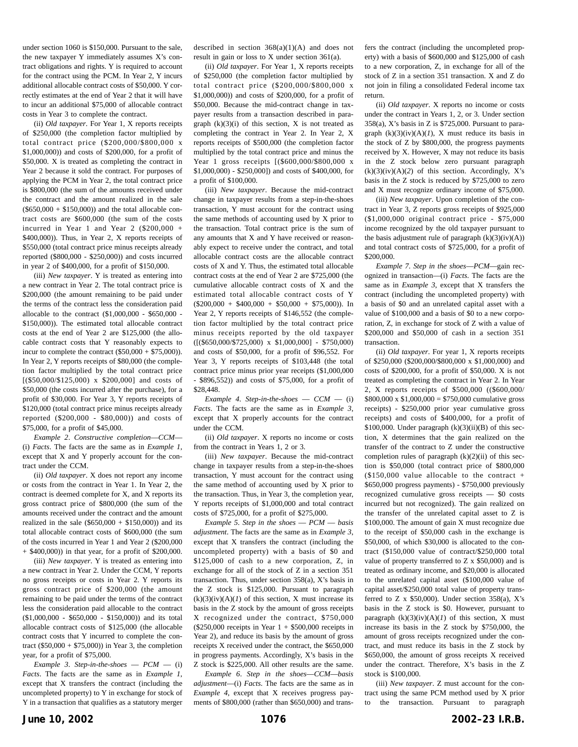under section 1060 is \$150,000. Pursuant to the sale, the new taxpayer Y immediately assumes X's contract obligations and rights. Y is required to account for the contract using the PCM. In Year 2, Y incurs additional allocable contract costs of \$50,000. Y correctly estimates at the end of Year 2 that it will have to incur an additional \$75,000 of allocable contract costs in Year 3 to complete the contract.

(ii) *Old taxpayer*. For Year 1, X reports receipts of \$250,000 (the completion factor multiplied by total contract price (\$200,000/\$800,000 x \$1,000,000)) and costs of \$200,000, for a profit of \$50,000. X is treated as completing the contract in Year 2 because it sold the contract. For purposes of applying the PCM in Year 2, the total contract price is \$800,000 (the sum of the amounts received under the contract and the amount realized in the sale  $(\$650,000 + \$150,000)$  and the total allocable contract costs are \$600,000 (the sum of the costs incurred in Year 1 and Year 2  $(\$200,000 +$ \$400,000)). Thus, in Year 2, X reports receipts of \$550,000 (total contract price minus receipts already reported (\$800,000 - \$250,000)) and costs incurred in year 2 of \$400,000, for a profit of \$150,000.

(iii) *New taxpayer*. Y is treated as entering into a new contract in Year 2. The total contract price is \$200,000 (the amount remaining to be paid under the terms of the contract less the consideration paid allocable to the contract (\$1,000,000 - \$650,000 - \$150,000)). The estimated total allocable contract costs at the end of Year 2 are \$125,000 (the allocable contract costs that Y reasonably expects to incur to complete the contract  $(\$50,000 + \$75,000)$ ). In Year 2, Y reports receipts of \$80,000 (the completion factor multiplied by the total contract price [(\$50,000/\$125,000) x \$200,000] and costs of \$50,000 (the costs incurred after the purchase), for a profit of \$30,000. For Year 3, Y reports receipts of \$120,000 (total contract price minus receipts already reported (\$200,000 - \$80,000)) and costs of \$75,000, for a profit of \$45,000.

*Example 2*. *Constructive completion*—*CCM*— (i) *Facts*. The facts are the same as in *Example 1*, except that X and Y properly account for the contract under the CCM.

(ii) *Old taxpayer*. X does not report any income or costs from the contract in Year 1. In Year 2, the contract is deemed complete for X, and X reports its gross contract price of \$800,000 (the sum of the amounts received under the contract and the amount realized in the sale  $(\$650,000 + \$150,000)$  and its total allocable contract costs of \$600,000 (the sum of the costs incurred in Year 1 and Year 2 (\$200,000 + \$400,000)) in that year, for a profit of \$200,000.

(iii) *New taxpayer*. Y is treated as entering into a new contract in Year 2. Under the CCM, Y reports no gross receipts or costs in Year 2. Y reports its gross contract price of \$200,000 (the amount remaining to be paid under the terms of the contract less the consideration paid allocable to the contract (\$1,000,000 - \$650,000 - \$150,000)) and its total allocable contract costs of \$125,000 (the allocable contract costs that Y incurred to complete the contract (\$50,000 + \$75,000)) in Year 3, the completion year, for a profit of \$75,000.

*Example 3*. *Step-in-the-shoes* — *PCM* — (i) *Facts*. The facts are the same as in *Example 1*, except that X transfers the contract (including the uncompleted property) to Y in exchange for stock of Y in a transaction that qualifies as a statutory merger

described in section  $368(a)(1)(A)$  and does not result in gain or loss to X under section 361(a).

(ii) *Old taxpayer*. For Year 1, X reports receipts of \$250,000 (the completion factor multiplied by total contract price (\$200,000/\$800,000 x \$1,000,000)) and costs of \$200,000, for a profit of \$50,000. Because the mid-contract change in taxpayer results from a transaction described in paragraph  $(k)(3)(i)$  of this section, X is not treated as completing the contract in Year 2. In Year 2, X reports receipts of \$500,000 (the completion factor multiplied by the total contract price and minus the Year 1 gross receipts  $[(\$600,000/\$800,000 \ x$ \$1,000,000) - \$250,000]) and costs of \$400,000, for a profit of \$100,000.

(iii) *New taxpayer*. Because the mid-contract change in taxpayer results from a step-in-the-shoes transaction, Y must account for the contract using the same methods of accounting used by X prior to the transaction. Total contract price is the sum of any amounts that X and Y have received or reasonably expect to receive under the contract, and total allocable contract costs are the allocable contract costs of X and Y. Thus, the estimated total allocable contract costs at the end of Year 2 are \$725,000 (the cumulative allocable contract costs of X and the estimated total allocable contract costs of Y  $(\$200,000 + \$400,000 + \$50,000 + \$75,000)$ ). In Year 2, Y reports receipts of \$146,552 (the completion factor multiplied by the total contract price minus receipts reported by the old taxpayer  $([($650,000/$725,000) \times $1,000,000] - $750,000)$ and costs of \$50,000, for a profit of \$96,552. For Year 3, Y reports receipts of \$103,448 (the total contract price minus prior year receipts (\$1,000,000 - \$896,552)) and costs of \$75,000, for a profit of \$28,448.

 $Example 4. Step-in-the-shoes - CCM - (i)$ *Facts*. The facts are the same as in *Example 3*, except that X properly accounts for the contract under the CCM.

(ii) *Old taxpayer*. X reports no income or costs from the contract in Years 1, 2 or 3.

(iii) *New taxpayer*. Because the mid-contract change in taxpayer results from a step-in-the-shoes transaction, Y must account for the contract using the same method of accounting used by X prior to the transaction. Thus, in Year 3, the completion year, Y reports receipts of \$1,000,000 and total contract costs of \$725,000, for a profit of \$275,000.

*Example 5*. *Step in the shoes* — *PCM* — *basis adjustment*. The facts are the same as in *Example 3*, except that X transfers the contract (including the uncompleted property) with a basis of \$0 and \$125,000 of cash to a new corporation, Z, in exchange for all of the stock of Z in a section 351 transaction. Thus, under section 358(a), X's basis in the Z stock is \$125,000. Pursuant to paragraph  $(k)(3)(iv)(A)(I)$  of this section, X must increase its basis in the Z stock by the amount of gross receipts X recognized under the contract, \$750,000 (\$250,000 receipts in Year 1 + \$500,000 receipts in Year 2), and reduce its basis by the amount of gross receipts X received under the contract, the \$650,000 in progress payments. Accordingly, X's basis in the Z stock is \$225,000. All other results are the same.

*Example 6*. *Step in the shoes*—*CCM*—*basis adjustment*—(i) *Facts*. The facts are the same as in *Example 4*, except that X receives progress payments of \$800,000 (rather than \$650,000) and transfers the contract (including the uncompleted property) with a basis of \$600,000 and \$125,000 of cash to a new corporation, Z, in exchange for all of the stock of Z in a section 351 transaction. X and Z do not join in filing a consolidated Federal income tax return.

(ii) *Old taxpayer*. X reports no income or costs under the contract in Years 1, 2, or 3. Under section 358(a), X's basis in Z is \$725,000. Pursuant to paragraph  $(k)(3)(iv)(A)(I)$ , X must reduce its basis in the stock of Z by \$800,000, the progress payments received by X. However, X may not reduce its basis in the Z stock below zero pursuant paragraph  $(k)(3)(iv)(A)(2)$  of this section. Accordingly, X's basis in the Z stock is reduced by \$725,000 to zero and X must recognize ordinary income of \$75,000.

(iii) *New taxpayer*. Upon completion of the contract in Year 3, Z reports gross receipts of \$925,000 (\$1,000,000 original contract price - \$75,000 income recognized by the old taxpayer pursuant to the basis adjustment rule of paragraph  $(k)(3)(iv)(A))$ and total contract costs of \$725,000, for a profit of \$200,000.

*Example 7*. *Step in the shoes*—*PCM*—gain recognized in transaction—(i) *Facts*. The facts are the same as in *Example 3*, except that X transfers the contract (including the uncompleted property) with a basis of \$0 and an unrelated capital asset with a value of \$100,000 and a basis of \$0 to a new corporation, Z, in exchange for stock of Z with a value of \$200,000 and \$50,000 of cash in a section 351 transaction.

(ii) *Old taxpayer*. For year 1, X reports receipts of \$250,000 (\$200,000/\$800,000 x \$1,000,000) and costs of \$200,000, for a profit of \$50,000. X is not treated as completing the contract in Year 2. In Year 2, X reports receipts of \$500,000 ((\$600,000/  $$800,000 \times $1,000,000 = $750,000$  cumulative gross receipts) - \$250,000 prior year cumulative gross receipts) and costs of \$400,000, for a profit of  $$100,000$ . Under paragraph  $(k)(3)(ii)(B)$  of this section, X determines that the gain realized on the transfer of the contract to Z under the constructive completion rules of paragraph (k)(2)(ii) of this section is \$50,000 (total contract price of \$800,000  $($150,000$  value allocable to the contract + \$650,000 progress payments) - \$750,000 previously recognized cumulative gross receipts — \$0 costs incurred but not recognized). The gain realized on the transfer of the unrelated capital asset to Z is \$100,000. The amount of gain X must recognize due to the receipt of \$50,000 cash in the exchange is \$50,000, of which \$30,000 is allocated to the contract (\$150,000 value of contract/\$250,000 total value of property transferred to Z x \$50,000) and is treated as ordinary income, and \$20,000 is allocated to the unrelated capital asset (\$100,000 value of capital asset/\$250,000 total value of property transferred to  $Z \times $50,000$ . Under section 358(a), X's basis in the Z stock is \$0. However, pursuant to paragraph  $(k)(3)(iv)(A)(I)$  of this section, X must increase its basis in the Z stock by \$750,000, the amount of gross receipts recognized under the contract, and must reduce its basis in the Z stock by \$650,000, the amount of gross receipts X received under the contract. Therefore, X's basis in the Z stock is \$100,000.

(iii) *New taxpayer*. Z must account for the contract using the same PCM method used by X prior to the transaction. Pursuant to paragraph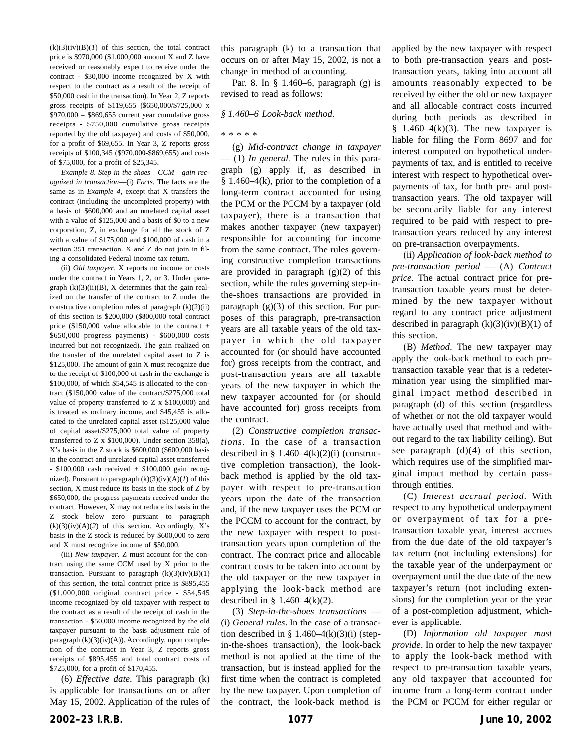$(k)(3)(iv)(B)(I)$  of this section, the total contract price is \$970,000 (\$1,000,000 amount X and Z have received or reasonably expect to receive under the contract - \$30,000 income recognized by X with respect to the contract as a result of the receipt of \$50,000 cash in the transaction). In Year 2, Z reports gross receipts of \$119,655 (\$650,000/\$725,000 x  $$970,000 = $869,655$  current year cumulative gross receipts - \$750,000 cumulative gross receipts reported by the old taxpayer) and costs of \$50,000, for a profit of \$69,655. In Year 3, Z reports gross receipts of \$100,345 (\$970,000-\$869,655) and costs of \$75,000, for a profit of \$25,345.

*Example 8*. *Step in the shoes*—*CCM*—*gain recognized in transaction*—(i) *Facts*. The facts are the same as in *Example 4*, except that X transfers the contract (including the uncompleted property) with a basis of \$600,000 and an unrelated capital asset with a value of \$125,000 and a basis of \$0 to a new corporation, Z, in exchange for all the stock of Z with a value of \$175,000 and \$100,000 of cash in a section 351 transaction. X and Z do not join in filing a consolidated Federal income tax return.

(ii) *Old taxpayer*. X reports no income or costs under the contract in Years 1, 2, or 3. Under paragraph  $(k)(3)(ii)(B)$ , X determines that the gain realized on the transfer of the contract to Z under the constructive completion rules of paragraph  $(k)(2)(ii)$ of this section is \$200,000 (\$800,000 total contract price  $(\$150,000$  value allocable to the contract + \$650,000 progress payments) - \$600,000 costs incurred but not recognized). The gain realized on the transfer of the unrelated capital asset to Z is \$125,000. The amount of gain X must recognize due to the receipt of \$100,000 of cash in the exchange is \$100,000, of which \$54,545 is allocated to the contract (\$150,000 value of the contract/\$275,000 total value of property transferred to Z x \$100,000) and is treated as ordinary income, and \$45,455 is allocated to the unrelated capital asset (\$125,000 value of capital asset/\$275,000 total value of property transferred to Z x \$100,000). Under section 358(a), X's basis in the Z stock is \$600,000 (\$600,000 basis in the contract and unrelated capital asset transferred - \$100,000 cash received + \$100,000 gain recognized). Pursuant to paragraph (k)(3)(iv)(A)(*1*) of this section, X must reduce its basis in the stock of Z by \$650,000, the progress payments received under the contract. However, X may not reduce its basis in the Z stock below zero pursuant to paragraph  $(k)(3)(iv)(A)(2)$  of this section. Accordingly, X's basis in the Z stock is reduced by \$600,000 to zero and X must recognize income of \$50,000.

(iii) *New taxpayer*. Z must account for the contract using the same CCM used by X prior to the transaction. Pursuant to paragraph  $(k)(3)(iv)(B)(1)$ of this section, the total contract price is \$895,455 (\$1,000,000 original contract price - \$54,545 income recognized by old taxpayer with respect to the contract as a result of the receipt of cash in the transaction - \$50,000 income recognized by the old taxpayer pursuant to the basis adjustment rule of paragraph  $(k)(3)(iv)(A)$ ). Accordingly, upon completion of the contract in Year 3, Z reports gross receipts of \$895,455 and total contract costs of \$725,000, for a profit of \$170,455.

(6) *Effective date*. This paragraph (k) is applicable for transactions on or after May 15, 2002. Application of the rules of

this paragraph (k) to a transaction that occurs on or after May 15, 2002, is not a change in method of accounting.

Par. 8. In § 1.460–6, paragraph (g) is revised to read as follows:

#### *§ 1.460–6 Look-back method*.

(g) *Mid-contract change in taxpayer* — (1) *In general*. The rules in this paragraph (g) apply if, as described in  $§ 1.460-4(k)$ , prior to the completion of a long-term contract accounted for using the PCM or the PCCM by a taxpayer (old taxpayer), there is a transaction that makes another taxpayer (new taxpayer) responsible for accounting for income from the same contract. The rules governing constructive completion transactions are provided in paragraph  $(g)(2)$  of this section, while the rules governing step-inthe-shoes transactions are provided in paragraph  $(g)(3)$  of this section. For purposes of this paragraph, pre-transaction years are all taxable years of the old taxpayer in which the old taxpayer accounted for (or should have accounted for) gross receipts from the contract, and post-transaction years are all taxable years of the new taxpayer in which the new taxpayer accounted for (or should have accounted for) gross receipts from the contract.

(2) *Constructive completion transactions*. In the case of a transaction described in §  $1.460-4(k)(2)(i)$  (constructive completion transaction), the lookback method is applied by the old taxpayer with respect to pre-transaction years upon the date of the transaction and, if the new taxpayer uses the PCM or the PCCM to account for the contract, by the new taxpayer with respect to posttransaction years upon completion of the contract. The contract price and allocable contract costs to be taken into account by the old taxpayer or the new taxpayer in applying the look-back method are described in § 1.460–4 $(k)(2)$ .

(3) *Step-in-the-shoes transactions* — (i) *General rules*. In the case of a transaction described in § 1.460–4 $(k)(3)(i)$  (stepin-the-shoes transaction), the look-back method is not applied at the time of the transaction, but is instead applied for the first time when the contract is completed by the new taxpayer. Upon completion of the contract, the look-back method is applied by the new taxpayer with respect to both pre-transaction years and posttransaction years, taking into account all amounts reasonably expected to be received by either the old or new taxpayer and all allocable contract costs incurred during both periods as described in  $§$  1.460–4(k)(3). The new taxpayer is liable for filing the Form 8697 and for interest computed on hypothetical underpayments of tax, and is entitled to receive interest with respect to hypothetical overpayments of tax, for both pre- and posttransaction years. The old taxpayer will be secondarily liable for any interest required to be paid with respect to pretransaction years reduced by any interest on pre-transaction overpayments.

(ii) *Application of look-back method to pre-transaction period* — (A) *Contract price*. The actual contract price for pretransaction taxable years must be determined by the new taxpayer without regard to any contract price adjustment described in paragraph  $(k)(3)(iv)(B)(1)$  of this section.

(B) *Method*. The new taxpayer may apply the look-back method to each pretransaction taxable year that is a redetermination year using the simplified marginal impact method described in paragraph (d) of this section (regardless of whether or not the old taxpayer would have actually used that method and without regard to the tax liability ceiling). But see paragraph  $(d)(4)$  of this section, which requires use of the simplified marginal impact method by certain passthrough entities.

(C) *Interest accrual period*. With respect to any hypothetical underpayment or overpayment of tax for a pretransaction taxable year, interest accrues from the due date of the old taxpayer's tax return (not including extensions) for the taxable year of the underpayment or overpayment until the due date of the new taxpayer's return (not including extensions) for the completion year or the year of a post-completion adjustment, whichever is applicable.

(D) *Information old taxpayer must provide*. In order to help the new taxpayer to apply the look-back method with respect to pre-transaction taxable years, any old taxpayer that accounted for income from a long-term contract under the PCM or PCCM for either regular or

<sup>\*\*\*\*\*</sup>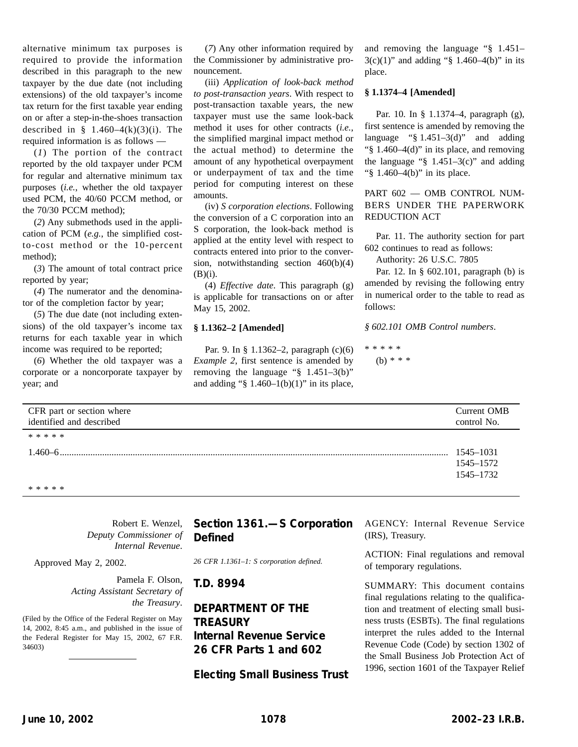alternative minimum tax purposes is required to provide the information described in this paragraph to the new taxpayer by the due date (not including extensions) of the old taxpayer's income tax return for the first taxable year ending on or after a step-in-the-shoes transaction described in  $§$  1.460–4(k)(3)(i). The required information is as follows —

(*1*) The portion of the contract reported by the old taxpayer under PCM for regular and alternative minimum tax purposes (*i.e.*, whether the old taxpayer used PCM, the 40/60 PCCM method, or the 70/30 PCCM method);

(*2*) Any submethods used in the application of PCM (*e.g.*, the simplified costto-cost method or the 10-percent method);

(*3*) The amount of total contract price reported by year;

(*4*) The numerator and the denominator of the completion factor by year;

(*5*) The due date (not including extensions) of the old taxpayer's income tax returns for each taxable year in which income was required to be reported;

(*6*) Whether the old taxpayer was a corporate or a noncorporate taxpayer by year; and

(*7*) Any other information required by the Commissioner by administrative pronouncement.

(iii) *Application of look-back method to post-transaction years*. With respect to post-transaction taxable years, the new taxpayer must use the same look-back method it uses for other contracts (*i.e.*, the simplified marginal impact method or the actual method) to determine the amount of any hypothetical overpayment or underpayment of tax and the time period for computing interest on these amounts.

(iv) *S corporation elections*. Following the conversion of a C corporation into an S corporation, the look-back method is applied at the entity level with respect to contracts entered into prior to the conversion, notwithstanding section 460(b)(4)  $(B)(i)$ .

(4) *Effective date*. This paragraph (g) is applicable for transactions on or after May 15, 2002.

#### **§ 1.1362–2 [Amended]**

Par. 9. In § 1.1362–2, paragraph (c)(6) *Example 2*, first sentence is amended by removing the language "§ 1.451–3(b)" and adding " $$ 1.460-1(b)(1)$ " in its place, and removing the language "§ 1.451–  $3(c)(1)$ " and adding "§ 1.460–4(b)" in its place.

### **§ 1.1374–4 [Amended]**

Par. 10. In § 1.1374–4, paragraph (g), first sentence is amended by removing the language " $§$  1.451–3(d)" and adding "§ 1.460–4(d)" in its place, and removing the language " $§$  1.451–3(c)" and adding "§ 1.460–4(b)" in its place.

PART 602 — OMB CONTROL NUM-BERS UNDER THE PAPERWORK REDUCTION ACT

Par. 11. The authority section for part 602 continues to read as follows:

Authority: 26 U.S.C. 7805

Par. 12. In § 602.101, paragraph (b) is amended by revising the following entry in numerical order to the table to read as follows:

*§ 602.101 OMB Control numbers*.

\*\*\*\*\* (b) \* \* \*

| CFR part or section where | Current OMB |
|---------------------------|-------------|
| identified and described  | control No. |
| * * * * *                 |             |
|                           | 1545-1031   |
|                           | 1545-1572   |
|                           | 1545–1732   |
| * * * * *                 |             |

Robert E. Wenzel, *Deputy Commissioner of Internal Revenue*.

Approved May 2, 2002.

Pamela F. Olson, *Acting Assistant Secretary of the Treasury*.

(Filed by the Office of the Federal Register on May 14, 2002, 8:45 a.m., and published in the issue of the Federal Register for May 15, 2002, 67 F.R. 34603)

# **Section 1361.—S Corporation Defined**

*26 CFR 1.1361–1: S corporation defined.*

**T.D. 8994**

**DEPARTMENT OF THE TREASURY Internal Revenue Service 26 CFR Parts 1 and 602**

**Electing Small Business Trust**

AGENCY: Internal Revenue Service (IRS), Treasury.

ACTION: Final regulations and removal of temporary regulations.

SUMMARY: This document contains final regulations relating to the qualification and treatment of electing small business trusts (ESBTs). The final regulations interpret the rules added to the Internal Revenue Code (Code) by section 1302 of the Small Business Job Protection Act of 1996, section 1601 of the Taxpayer Relief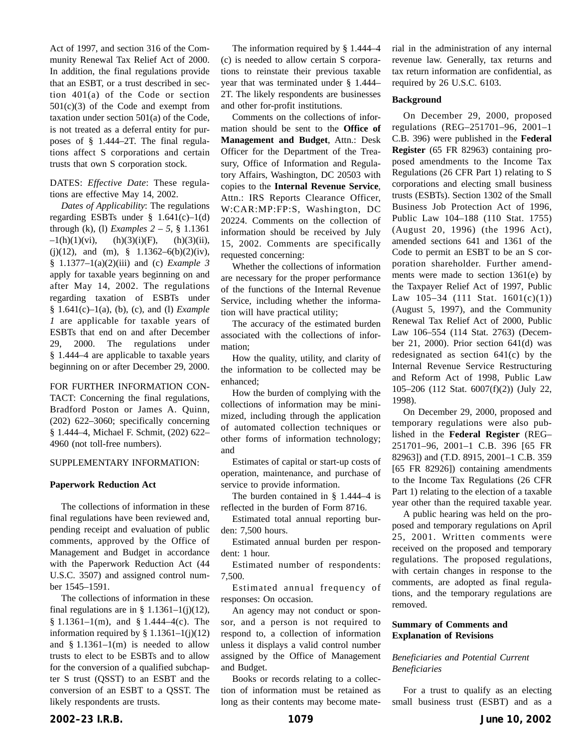Act of 1997, and section 316 of the Community Renewal Tax Relief Act of 2000. In addition, the final regulations provide that an ESBT, or a trust described in section 401(a) of the Code or section  $501(c)(3)$  of the Code and exempt from taxation under section 501(a) of the Code, is not treated as a deferral entity for purposes of § 1.444–2T. The final regulations affect S corporations and certain trusts that own S corporation stock.

DATES: *Effective Date*: These regulations are effective May 14, 2002.

*Dates of Applicability*: The regulations regarding ESBTs under  $§$  1.641(c)-1(d) through (k), (1) *Examples*  $2 - 5$ , § 1.1361  $-1(h)(1)(vi)$ , (h)(3)(i)(F), (h)(3)(ii), (j)(12), and (m), § 1.1362–6(b)(2)(iv), § 1.1377–1(a)(2)(iii) and (c) *Example 3* apply for taxable years beginning on and after May 14, 2002. The regulations regarding taxation of ESBTs under § 1.641(c)–1(a), (b), (c), and (l) *Example 1* are applicable for taxable years of ESBTs that end on and after December 29, 2000. The regulations under § 1.444–4 are applicable to taxable years beginning on or after December 29, 2000.

FOR FURTHER INFORMATION CON-TACT: Concerning the final regulations, Bradford Poston or James A. Quinn, (202) 622–3060; specifically concerning § 1.444–4, Michael F. Schmit, (202) 622– 4960 (not toll-free numbers).

#### SUPPLEMENTARY INFORMATION:

#### **Paperwork Reduction Act**

The collections of information in these final regulations have been reviewed and, pending receipt and evaluation of public comments, approved by the Office of Management and Budget in accordance with the Paperwork Reduction Act (44 U.S.C. 3507) and assigned control number 1545–1591.

The collections of information in these final regulations are in §  $1.1361-1(j)(12)$ , § 1.1361–1(m), and § 1.444–4(c). The information required by  $§ 1.1361-1(j)(12)$ and  $§ 1.1361-1(m)$  is needed to allow trusts to elect to be ESBTs and to allow for the conversion of a qualified subchapter S trust (QSST) to an ESBT and the conversion of an ESBT to a QSST. The likely respondents are trusts.

The information required by § 1.444–4 (c) is needed to allow certain S corporations to reinstate their previous taxable year that was terminated under § 1.444– 2T. The likely respondents are businesses and other for-profit institutions.

Comments on the collections of information should be sent to the **Office of Management and Budget**, Attn.: Desk Officer for the Department of the Treasury, Office of Information and Regulatory Affairs, Washington, DC 20503 with copies to the **Internal Revenue Service**, Attn.: IRS Reports Clearance Officer, W:CAR:MP:FP:S, Washington, DC 20224. Comments on the collection of information should be received by July 15, 2002. Comments are specifically requested concerning:

Whether the collections of information are necessary for the proper performance of the functions of the Internal Revenue Service, including whether the information will have practical utility;

The accuracy of the estimated burden associated with the collections of information;

How the quality, utility, and clarity of the information to be collected may be enhanced;

How the burden of complying with the collections of information may be minimized, including through the application of automated collection techniques or other forms of information technology; and

Estimates of capital or start-up costs of operation, maintenance, and purchase of service to provide information.

The burden contained in § 1.444–4 is reflected in the burden of Form 8716.

Estimated total annual reporting burden: 7,500 hours.

Estimated annual burden per respondent: 1 hour.

Estimated number of respondents: 7,500.

Estimated annual frequency of responses: On occasion.

An agency may not conduct or sponsor, and a person is not required to respond to, a collection of information unless it displays a valid control number assigned by the Office of Management and Budget.

Books or records relating to a collection of information must be retained as long as their contents may become material in the administration of any internal revenue law. Generally, tax returns and tax return information are confidential, as required by 26 U.S.C. 6103.

#### **Background**

On December 29, 2000, proposed regulations (REG–251701–96, 2001–1 C.B. 396) were published in the **Federal Register** (65 FR 82963) containing proposed amendments to the Income Tax Regulations (26 CFR Part 1) relating to S corporations and electing small business trusts (ESBTs). Section 1302 of the Small Business Job Protection Act of 1996, Public Law 104–188 (110 Stat. 1755) (August 20, 1996) (the 1996 Act), amended sections 641 and 1361 of the Code to permit an ESBT to be an S corporation shareholder. Further amendments were made to section 1361(e) by the Taxpayer Relief Act of 1997, Public Law  $105-34$  (111 Stat.  $1601(c)(1)$ ) (August 5, 1997), and the Community Renewal Tax Relief Act of 2000, Public Law 106–554 (114 Stat. 2763) (December 21, 2000). Prior section 641(d) was redesignated as section 641(c) by the Internal Revenue Service Restructuring and Reform Act of 1998, Public Law 105–206 (112 Stat. 6007(f)(2)) (July 22, 1998).

On December 29, 2000, proposed and temporary regulations were also published in the **Federal Register** (REG– 251701–96, 2001–1 C.B. 396 [65 FR 82963]) and (T.D. 8915, 2001–1 C.B. 359 [65 FR 82926]) containing amendments to the Income Tax Regulations (26 CFR Part 1) relating to the election of a taxable year other than the required taxable year.

A public hearing was held on the proposed and temporary regulations on April 25, 2001. Written comments were received on the proposed and temporary regulations. The proposed regulations, with certain changes in response to the comments, are adopted as final regulations, and the temporary regulations are removed.

## **Summary of Comments and Explanation of Revisions**

#### *Beneficiaries and Potential Current Beneficiaries*

For a trust to qualify as an electing small business trust (ESBT) and as a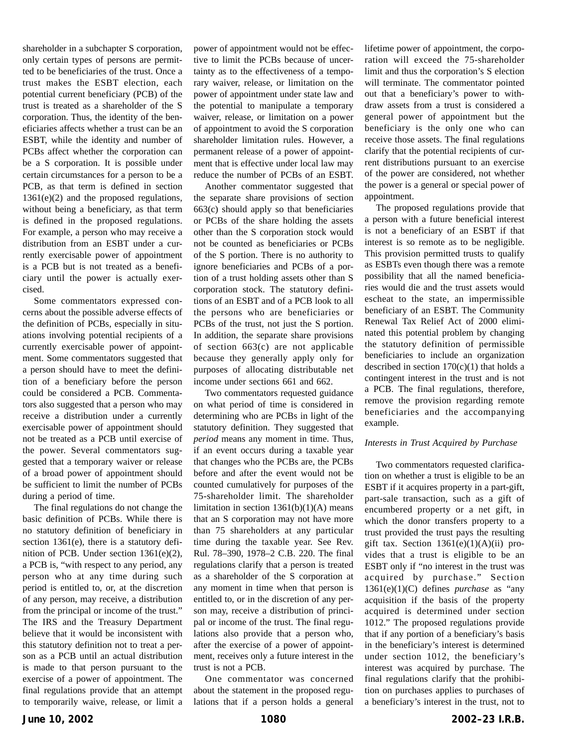shareholder in a subchapter S corporation, only certain types of persons are permitted to be beneficiaries of the trust. Once a trust makes the ESBT election, each potential current beneficiary (PCB) of the trust is treated as a shareholder of the S corporation. Thus, the identity of the beneficiaries affects whether a trust can be an ESBT, while the identity and number of PCBs affect whether the corporation can be a S corporation. It is possible under certain circumstances for a person to be a PCB, as that term is defined in section 1361(e)(2) and the proposed regulations, without being a beneficiary, as that term is defined in the proposed regulations. For example, a person who may receive a distribution from an ESBT under a currently exercisable power of appointment is a PCB but is not treated as a beneficiary until the power is actually exercised.

Some commentators expressed concerns about the possible adverse effects of the definition of PCBs, especially in situations involving potential recipients of a currently exercisable power of appointment. Some commentators suggested that a person should have to meet the definition of a beneficiary before the person could be considered a PCB. Commentators also suggested that a person who may receive a distribution under a currently exercisable power of appointment should not be treated as a PCB until exercise of the power. Several commentators suggested that a temporary waiver or release of a broad power of appointment should be sufficient to limit the number of PCBs during a period of time.

The final regulations do not change the basic definition of PCBs. While there is no statutory definition of beneficiary in section 1361(e), there is a statutory definition of PCB. Under section 1361(e)(2), a PCB is, "with respect to any period, any person who at any time during such period is entitled to, or, at the discretion of any person, may receive, a distribution from the principal or income of the trust." The IRS and the Treasury Department believe that it would be inconsistent with this statutory definition not to treat a person as a PCB until an actual distribution is made to that person pursuant to the exercise of a power of appointment. The final regulations provide that an attempt to temporarily waive, release, or limit a power of appointment would not be effective to limit the PCBs because of uncertainty as to the effectiveness of a temporary waiver, release, or limitation on the power of appointment under state law and the potential to manipulate a temporary waiver, release, or limitation on a power of appointment to avoid the S corporation shareholder limitation rules. However, a permanent release of a power of appointment that is effective under local law may reduce the number of PCBs of an ESBT.

Another commentator suggested that the separate share provisions of section 663(c) should apply so that beneficiaries or PCBs of the share holding the assets other than the S corporation stock would not be counted as beneficiaries or PCBs of the S portion. There is no authority to ignore beneficiaries and PCBs of a portion of a trust holding assets other than S corporation stock. The statutory definitions of an ESBT and of a PCB look to all the persons who are beneficiaries or PCBs of the trust, not just the S portion. In addition, the separate share provisions of section 663(c) are not applicable because they generally apply only for purposes of allocating distributable net income under sections 661 and 662.

Two commentators requested guidance on what period of time is considered in determining who are PCBs in light of the statutory definition. They suggested that *period* means any moment in time. Thus, if an event occurs during a taxable year that changes who the PCBs are, the PCBs before and after the event would not be counted cumulatively for purposes of the 75-shareholder limit. The shareholder limitation in section  $1361(b)(1)(A)$  means that an S corporation may not have more than 75 shareholders at any particular time during the taxable year. See Rev. Rul. 78–390, 1978–2 C.B. 220. The final regulations clarify that a person is treated as a shareholder of the S corporation at any moment in time when that person is entitled to, or in the discretion of any person may, receive a distribution of principal or income of the trust. The final regulations also provide that a person who, after the exercise of a power of appointment, receives only a future interest in the trust is not a PCB.

One commentator was concerned about the statement in the proposed regulations that if a person holds a general lifetime power of appointment, the corporation will exceed the 75-shareholder limit and thus the corporation's S election will terminate. The commentator pointed out that a beneficiary's power to withdraw assets from a trust is considered a general power of appointment but the beneficiary is the only one who can receive those assets. The final regulations clarify that the potential recipients of current distributions pursuant to an exercise of the power are considered, not whether the power is a general or special power of appointment.

The proposed regulations provide that a person with a future beneficial interest is not a beneficiary of an ESBT if that interest is so remote as to be negligible. This provision permitted trusts to qualify as ESBTs even though there was a remote possibility that all the named beneficiaries would die and the trust assets would escheat to the state, an impermissible beneficiary of an ESBT. The Community Renewal Tax Relief Act of 2000 eliminated this potential problem by changing the statutory definition of permissible beneficiaries to include an organization described in section  $170(c)(1)$  that holds a contingent interest in the trust and is not a PCB. The final regulations, therefore, remove the provision regarding remote beneficiaries and the accompanying example.

#### *Interests in Trust Acquired by Purchase*

Two commentators requested clarification on whether a trust is eligible to be an ESBT if it acquires property in a part-gift, part-sale transaction, such as a gift of encumbered property or a net gift, in which the donor transfers property to a trust provided the trust pays the resulting gift tax. Section  $1361(e)(1)(A)(ii)$  provides that a trust is eligible to be an ESBT only if "no interest in the trust was acquired by purchase." Section 1361(e)(1)(C) defines *purchase* as "any acquisition if the basis of the property acquired is determined under section 1012." The proposed regulations provide that if any portion of a beneficiary's basis in the beneficiary's interest is determined under section 1012, the beneficiary's interest was acquired by purchase. The final regulations clarify that the prohibition on purchases applies to purchases of a beneficiary's interest in the trust, not to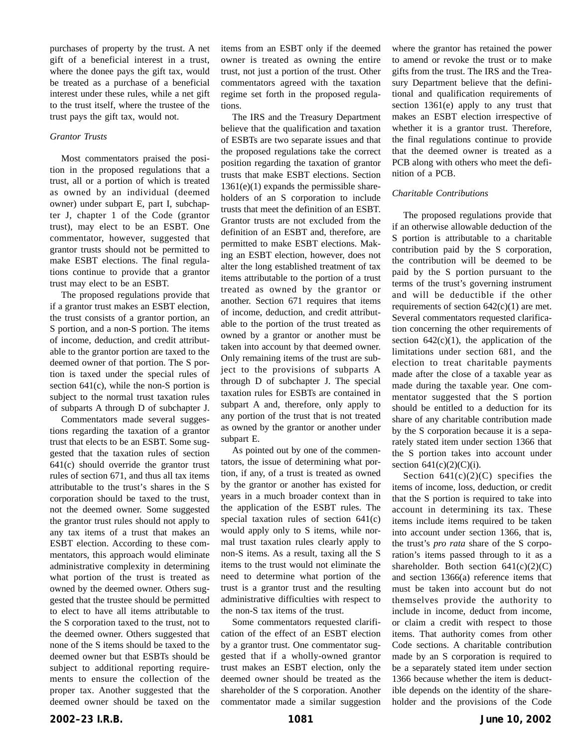purchases of property by the trust. A net gift of a beneficial interest in a trust, where the donee pays the gift tax, would be treated as a purchase of a beneficial interest under these rules, while a net gift to the trust itself, where the trustee of the trust pays the gift tax, would not.

#### *Grantor Trusts*

Most commentators praised the position in the proposed regulations that a trust, all or a portion of which is treated as owned by an individual (deemed owner) under subpart E, part I, subchapter J, chapter 1 of the Code (grantor trust), may elect to be an ESBT. One commentator, however, suggested that grantor trusts should not be permitted to make ESBT elections. The final regulations continue to provide that a grantor trust may elect to be an ESBT.

The proposed regulations provide that if a grantor trust makes an ESBT election, the trust consists of a grantor portion, an S portion, and a non-S portion. The items of income, deduction, and credit attributable to the grantor portion are taxed to the deemed owner of that portion. The S portion is taxed under the special rules of section  $641(c)$ , while the non-S portion is subject to the normal trust taxation rules of subparts A through D of subchapter J.

Commentators made several suggestions regarding the taxation of a grantor trust that elects to be an ESBT. Some suggested that the taxation rules of section 641(c) should override the grantor trust rules of section 671, and thus all tax items attributable to the trust's shares in the S corporation should be taxed to the trust, not the deemed owner. Some suggested the grantor trust rules should not apply to any tax items of a trust that makes an ESBT election. According to these commentators, this approach would eliminate administrative complexity in determining what portion of the trust is treated as owned by the deemed owner. Others suggested that the trustee should be permitted to elect to have all items attributable to the S corporation taxed to the trust, not to the deemed owner. Others suggested that none of the S items should be taxed to the deemed owner but that ESBTs should be subject to additional reporting requirements to ensure the collection of the proper tax. Another suggested that the deemed owner should be taxed on the

items from an ESBT only if the deemed owner is treated as owning the entire trust, not just a portion of the trust. Other commentators agreed with the taxation regime set forth in the proposed regulations.

The IRS and the Treasury Department believe that the qualification and taxation of ESBTs are two separate issues and that the proposed regulations take the correct position regarding the taxation of grantor trusts that make ESBT elections. Section  $1361(e)(1)$  expands the permissible shareholders of an S corporation to include trusts that meet the definition of an ESBT. Grantor trusts are not excluded from the definition of an ESBT and, therefore, are permitted to make ESBT elections. Making an ESBT election, however, does not alter the long established treatment of tax items attributable to the portion of a trust treated as owned by the grantor or another. Section 671 requires that items of income, deduction, and credit attributable to the portion of the trust treated as owned by a grantor or another must be taken into account by that deemed owner. Only remaining items of the trust are subject to the provisions of subparts A through D of subchapter J. The special taxation rules for ESBTs are contained in subpart A and, therefore, only apply to any portion of the trust that is not treated as owned by the grantor or another under subpart E.

As pointed out by one of the commentators, the issue of determining what portion, if any, of a trust is treated as owned by the grantor or another has existed for years in a much broader context than in the application of the ESBT rules. The special taxation rules of section 641(c) would apply only to S items, while normal trust taxation rules clearly apply to non-S items. As a result, taxing all the S items to the trust would not eliminate the need to determine what portion of the trust is a grantor trust and the resulting administrative difficulties with respect to the non-S tax items of the trust.

Some commentators requested clarification of the effect of an ESBT election by a grantor trust. One commentator suggested that if a wholly-owned grantor trust makes an ESBT election, only the deemed owner should be treated as the shareholder of the S corporation. Another commentator made a similar suggestion where the grantor has retained the power to amend or revoke the trust or to make gifts from the trust. The IRS and the Treasury Department believe that the definitional and qualification requirements of section 1361(e) apply to any trust that makes an ESBT election irrespective of whether it is a grantor trust. Therefore, the final regulations continue to provide that the deemed owner is treated as a PCB along with others who meet the definition of a PCB.

#### *Charitable Contributions*

The proposed regulations provide that if an otherwise allowable deduction of the S portion is attributable to a charitable contribution paid by the S corporation, the contribution will be deemed to be paid by the S portion pursuant to the terms of the trust's governing instrument and will be deductible if the other requirements of section 642(c)(1) are met. Several commentators requested clarification concerning the other requirements of section  $642(c)(1)$ , the application of the limitations under section 681, and the election to treat charitable payments made after the close of a taxable year as made during the taxable year. One commentator suggested that the S portion should be entitled to a deduction for its share of any charitable contribution made by the S corporation because it is a separately stated item under section 1366 that the S portion takes into account under section  $641(c)(2)(C)(i)$ .

Section  $641(c)(2)(C)$  specifies the items of income, loss, deduction, or credit that the S portion is required to take into account in determining its tax. These items include items required to be taken into account under section 1366, that is, the trust's *pro rata* share of the S corporation's items passed through to it as a shareholder. Both section  $641(c)(2)(C)$ and section 1366(a) reference items that must be taken into account but do not themselves provide the authority to include in income, deduct from income, or claim a credit with respect to those items. That authority comes from other Code sections. A charitable contribution made by an S corporation is required to be a separately stated item under section 1366 because whether the item is deductible depends on the identity of the shareholder and the provisions of the Code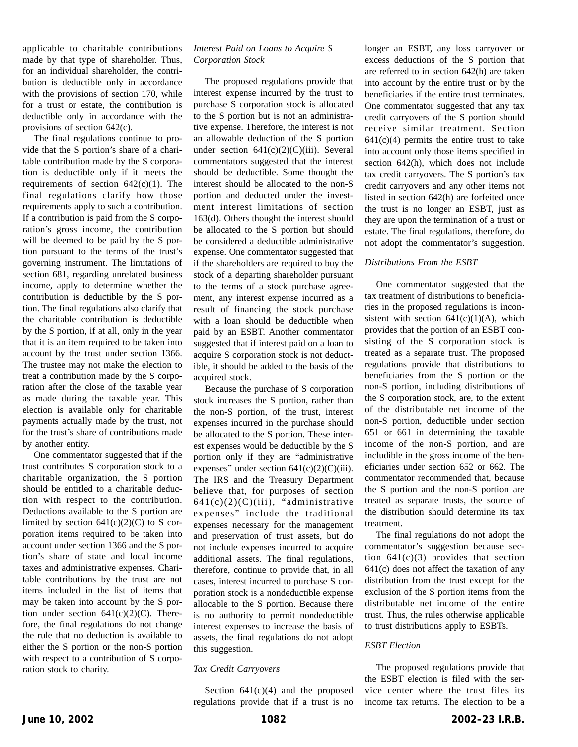applicable to charitable contributions made by that type of shareholder. Thus, for an individual shareholder, the contribution is deductible only in accordance with the provisions of section 170, while for a trust or estate, the contribution is deductible only in accordance with the provisions of section 642(c).

The final regulations continue to provide that the S portion's share of a charitable contribution made by the S corporation is deductible only if it meets the requirements of section  $642(c)(1)$ . The final regulations clarify how those requirements apply to such a contribution. If a contribution is paid from the S corporation's gross income, the contribution will be deemed to be paid by the S portion pursuant to the terms of the trust's governing instrument. The limitations of section 681, regarding unrelated business income, apply to determine whether the contribution is deductible by the S portion. The final regulations also clarify that the charitable contribution is deductible by the S portion, if at all, only in the year that it is an item required to be taken into account by the trust under section 1366. The trustee may not make the election to treat a contribution made by the S corporation after the close of the taxable year as made during the taxable year. This election is available only for charitable payments actually made by the trust, not for the trust's share of contributions made by another entity.

One commentator suggested that if the trust contributes S corporation stock to a charitable organization, the S portion should be entitled to a charitable deduction with respect to the contribution. Deductions available to the S portion are limited by section  $641(c)(2)(C)$  to S corporation items required to be taken into account under section 1366 and the S portion's share of state and local income taxes and administrative expenses. Charitable contributions by the trust are not items included in the list of items that may be taken into account by the S portion under section  $641(c)(2)(C)$ . Therefore, the final regulations do not change the rule that no deduction is available to either the S portion or the non-S portion with respect to a contribution of S corporation stock to charity.

## *Interest Paid on Loans to Acquire S Corporation Stock*

The proposed regulations provide that interest expense incurred by the trust to purchase S corporation stock is allocated to the S portion but is not an administrative expense. Therefore, the interest is not an allowable deduction of the S portion under section  $641(c)(2)(C)(iii)$ . Several commentators suggested that the interest should be deductible. Some thought the interest should be allocated to the non-S portion and deducted under the investment interest limitations of section 163(d). Others thought the interest should be allocated to the S portion but should be considered a deductible administrative expense. One commentator suggested that if the shareholders are required to buy the stock of a departing shareholder pursuant to the terms of a stock purchase agreement, any interest expense incurred as a result of financing the stock purchase with a loan should be deductible when paid by an ESBT. Another commentator suggested that if interest paid on a loan to acquire S corporation stock is not deductible, it should be added to the basis of the acquired stock.

Because the purchase of S corporation stock increases the S portion, rather than the non-S portion, of the trust, interest expenses incurred in the purchase should be allocated to the S portion. These interest expenses would be deductible by the S portion only if they are "administrative expenses" under section  $641(c)(2)(C)(iii)$ . The IRS and the Treasury Department believe that, for purposes of section  $641(c)(2)(C)(iii)$ , "administrative expenses" include the traditional expenses necessary for the management and preservation of trust assets, but do not include expenses incurred to acquire additional assets. The final regulations, therefore, continue to provide that, in all cases, interest incurred to purchase S corporation stock is a nondeductible expense allocable to the S portion. Because there is no authority to permit nondeductible interest expenses to increase the basis of assets, the final regulations do not adopt this suggestion.

#### *Tax Credit Carryovers*

Section  $641(c)(4)$  and the proposed regulations provide that if a trust is no longer an ESBT, any loss carryover or excess deductions of the S portion that are referred to in section 642(h) are taken into account by the entire trust or by the beneficiaries if the entire trust terminates. One commentator suggested that any tax credit carryovers of the S portion should receive similar treatment. Section  $641(c)(4)$  permits the entire trust to take into account only those items specified in section 642(h), which does not include tax credit carryovers. The S portion's tax credit carryovers and any other items not listed in section 642(h) are forfeited once the trust is no longer an ESBT, just as they are upon the termination of a trust or estate. The final regulations, therefore, do not adopt the commentator's suggestion.

#### *Distributions From the ESBT*

One commentator suggested that the tax treatment of distributions to beneficiaries in the proposed regulations is inconsistent with section  $641(c)(1)(A)$ , which provides that the portion of an ESBT consisting of the S corporation stock is treated as a separate trust. The proposed regulations provide that distributions to beneficiaries from the S portion or the non-S portion, including distributions of the S corporation stock, are, to the extent of the distributable net income of the non-S portion, deductible under section 651 or 661 in determining the taxable income of the non-S portion, and are includible in the gross income of the beneficiaries under section 652 or 662. The commentator recommended that, because the S portion and the non-S portion are treated as separate trusts, the source of the distribution should determine its tax treatment.

The final regulations do not adopt the commentator's suggestion because section  $641(c)(3)$  provides that section 641(c) does not affect the taxation of any distribution from the trust except for the exclusion of the S portion items from the distributable net income of the entire trust. Thus, the rules otherwise applicable to trust distributions apply to ESBTs.

#### *ESBT Election*

The proposed regulations provide that the ESBT election is filed with the service center where the trust files its income tax returns. The election to be a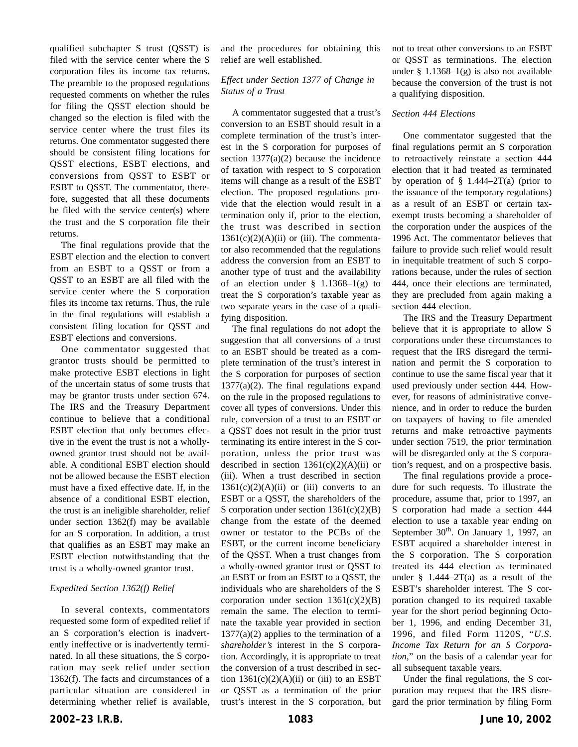qualified subchapter S trust (QSST) is filed with the service center where the S corporation files its income tax returns. The preamble to the proposed regulations requested comments on whether the rules for filing the QSST election should be changed so the election is filed with the service center where the trust files its returns. One commentator suggested there should be consistent filing locations for QSST elections, ESBT elections, and conversions from QSST to ESBT or ESBT to QSST. The commentator, therefore, suggested that all these documents be filed with the service center(s) where the trust and the S corporation file their returns.

The final regulations provide that the ESBT election and the election to convert from an ESBT to a QSST or from a QSST to an ESBT are all filed with the service center where the S corporation files its income tax returns. Thus, the rule in the final regulations will establish a consistent filing location for QSST and ESBT elections and conversions.

One commentator suggested that grantor trusts should be permitted to make protective ESBT elections in light of the uncertain status of some trusts that may be grantor trusts under section 674. The IRS and the Treasury Department continue to believe that a conditional ESBT election that only becomes effective in the event the trust is not a whollyowned grantor trust should not be available. A conditional ESBT election should not be allowed because the ESBT election must have a fixed effective date. If, in the absence of a conditional ESBT election, the trust is an ineligible shareholder, relief under section 1362(f) may be available for an S corporation. In addition, a trust that qualifies as an ESBT may make an ESBT election notwithstanding that the trust is a wholly-owned grantor trust.

#### *Expedited Section 1362(f) Relief*

In several contexts, commentators requested some form of expedited relief if an S corporation's election is inadvertently ineffective or is inadvertently terminated. In all these situations, the S corporation may seek relief under section 1362(f). The facts and circumstances of a particular situation are considered in determining whether relief is available,

and the procedures for obtaining this relief are well established.

## *Effect under Section 1377 of Change in Status of a Trust*

A commentator suggested that a trust's conversion to an ESBT should result in a complete termination of the trust's interest in the S corporation for purposes of section  $1377(a)(2)$  because the incidence of taxation with respect to S corporation items will change as a result of the ESBT election. The proposed regulations provide that the election would result in a termination only if, prior to the election, the trust was described in section  $1361(c)(2)(A)(ii)$  or (iii). The commentator also recommended that the regulations address the conversion from an ESBT to another type of trust and the availability of an election under  $\S$  1.1368–1(g) to treat the S corporation's taxable year as two separate years in the case of a qualifying disposition.

The final regulations do not adopt the suggestion that all conversions of a trust to an ESBT should be treated as a complete termination of the trust's interest in the S corporation for purposes of section  $1377(a)(2)$ . The final regulations expand on the rule in the proposed regulations to cover all types of conversions. Under this rule, conversion of a trust to an ESBT or a QSST does not result in the prior trust terminating its entire interest in the S corporation, unless the prior trust was described in section  $1361(c)(2)(A)(ii)$  or (iii). When a trust described in section  $1361(c)(2)(A)(ii)$  or (iii) converts to an ESBT or a QSST, the shareholders of the S corporation under section 1361(c)(2)(B) change from the estate of the deemed owner or testator to the PCBs of the ESBT, or the current income beneficiary of the QSST. When a trust changes from a wholly-owned grantor trust or QSST to an ESBT or from an ESBT to a QSST, the individuals who are shareholders of the S corporation under section  $1361(c)(2)(B)$ remain the same. The election to terminate the taxable year provided in section  $1377(a)(2)$  applies to the termination of a *shareholder's* interest in the S corporation. Accordingly, it is appropriate to treat the conversion of a trust described in section  $1361(c)(2)(A)(ii)$  or (iii) to an ESBT or QSST as a termination of the prior trust's interest in the S corporation, but not to treat other conversions to an ESBT or QSST as terminations. The election under § 1.1368–1(g) is also not available because the conversion of the trust is not a qualifying disposition.

#### *Section 444 Elections*

One commentator suggested that the final regulations permit an S corporation to retroactively reinstate a section 444 election that it had treated as terminated by operation of  $\S$  1.444–2T(a) (prior to the issuance of the temporary regulations) as a result of an ESBT or certain taxexempt trusts becoming a shareholder of the corporation under the auspices of the 1996 Act. The commentator believes that failure to provide such relief would result in inequitable treatment of such S corporations because, under the rules of section 444, once their elections are terminated, they are precluded from again making a section 444 election.

The IRS and the Treasury Department believe that it is appropriate to allow S corporations under these circumstances to request that the IRS disregard the termination and permit the S corporation to continue to use the same fiscal year that it used previously under section 444. However, for reasons of administrative convenience, and in order to reduce the burden on taxpayers of having to file amended returns and make retroactive payments under section 7519, the prior termination will be disregarded only at the S corporation's request, and on a prospective basis.

The final regulations provide a procedure for such requests. To illustrate the procedure, assume that, prior to 1997, an S corporation had made a section 444 election to use a taxable year ending on September  $30<sup>th</sup>$ . On January 1, 1997, an ESBT acquired a shareholder interest in the S corporation. The S corporation treated its 444 election as terminated under  $\frac{8}{9}$  1.444–2T(a) as a result of the ESBT's shareholder interest. The S corporation changed to its required taxable year for the short period beginning October 1, 1996, and ending December 31, 1996, and filed Form 1120S, "*U.S. Income Tax Return for an S Corporation*," on the basis of a calendar year for all subsequent taxable years.

Under the final regulations, the S corporation may request that the IRS disregard the prior termination by filing Form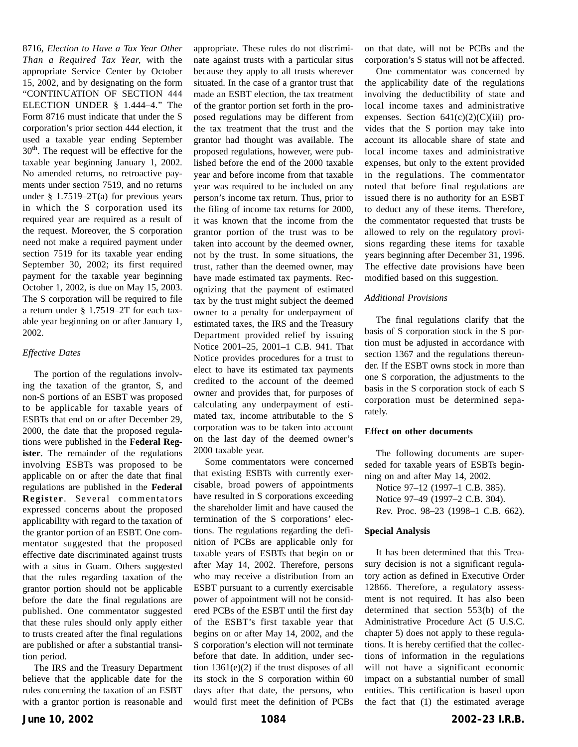8716, *Election to Have a Tax Year Other Than a Required Tax Year,* with the appropriate Service Center by October 15, 2002, and by designating on the form "CONTINUATION OF SECTION 444 ELECTION UNDER § 1.444–4." The Form 8716 must indicate that under the S corporation's prior section 444 election, it used a taxable year ending September 30<sup>th</sup>. The request will be effective for the taxable year beginning January 1, 2002. No amended returns, no retroactive payments under section 7519, and no returns under  $§$  1.7519–2T(a) for previous years in which the S corporation used its required year are required as a result of the request. Moreover, the S corporation need not make a required payment under section 7519 for its taxable year ending September 30, 2002; its first required payment for the taxable year beginning October 1, 2002, is due on May 15, 2003. The S corporation will be required to file a return under § 1.7519–2T for each taxable year beginning on or after January 1, 2002.

#### *Effective Dates*

The portion of the regulations involving the taxation of the grantor, S, and non-S portions of an ESBT was proposed to be applicable for taxable years of ESBTs that end on or after December 29, 2000, the date that the proposed regulations were published in the **Federal Register**. The remainder of the regulations involving ESBTs was proposed to be applicable on or after the date that final regulations are published in the **Federal Register**. Several commentators expressed concerns about the proposed applicability with regard to the taxation of the grantor portion of an ESBT. One commentator suggested that the proposed effective date discriminated against trusts with a situs in Guam. Others suggested that the rules regarding taxation of the grantor portion should not be applicable before the date the final regulations are published. One commentator suggested that these rules should only apply either to trusts created after the final regulations are published or after a substantial transition period.

The IRS and the Treasury Department believe that the applicable date for the rules concerning the taxation of an ESBT with a grantor portion is reasonable and appropriate. These rules do not discriminate against trusts with a particular situs because they apply to all trusts wherever situated. In the case of a grantor trust that made an ESBT election, the tax treatment of the grantor portion set forth in the proposed regulations may be different from the tax treatment that the trust and the grantor had thought was available. The proposed regulations, however, were published before the end of the 2000 taxable year and before income from that taxable year was required to be included on any person's income tax return. Thus, prior to the filing of income tax returns for 2000, it was known that the income from the grantor portion of the trust was to be taken into account by the deemed owner, not by the trust. In some situations, the trust, rather than the deemed owner, may have made estimated tax payments. Recognizing that the payment of estimated tax by the trust might subject the deemed owner to a penalty for underpayment of estimated taxes, the IRS and the Treasury Department provided relief by issuing Notice 2001–25, 2001–1 C.B. 941. That Notice provides procedures for a trust to elect to have its estimated tax payments credited to the account of the deemed owner and provides that, for purposes of calculating any underpayment of estimated tax, income attributable to the S corporation was to be taken into account on the last day of the deemed owner's 2000 taxable year.

Some commentators were concerned that existing ESBTs with currently exercisable, broad powers of appointments have resulted in S corporations exceeding the shareholder limit and have caused the termination of the S corporations' elections. The regulations regarding the definition of PCBs are applicable only for taxable years of ESBTs that begin on or after May 14, 2002. Therefore, persons who may receive a distribution from an ESBT pursuant to a currently exercisable power of appointment will not be considered PCBs of the ESBT until the first day of the ESBT's first taxable year that begins on or after May 14, 2002, and the S corporation's election will not terminate before that date. In addition, under section  $1361(e)(2)$  if the trust disposes of all its stock in the S corporation within 60 days after that date, the persons, who would first meet the definition of PCBs on that date, will not be PCBs and the corporation's S status will not be affected.

One commentator was concerned by the applicability date of the regulations involving the deductibility of state and local income taxes and administrative expenses. Section  $641(c)(2)(C)(iii)$  provides that the S portion may take into account its allocable share of state and local income taxes and administrative expenses, but only to the extent provided in the regulations. The commentator noted that before final regulations are issued there is no authority for an ESBT to deduct any of these items. Therefore, the commentator requested that trusts be allowed to rely on the regulatory provisions regarding these items for taxable years beginning after December 31, 1996. The effective date provisions have been modified based on this suggestion.

## *Additional Provisions*

The final regulations clarify that the basis of S corporation stock in the S portion must be adjusted in accordance with section 1367 and the regulations thereunder. If the ESBT owns stock in more than one S corporation, the adjustments to the basis in the S corporation stock of each S corporation must be determined separately.

#### **Effect on other documents**

The following documents are superseded for taxable years of ESBTs beginning on and after May 14, 2002.

Notice 97–12 (1997–1 C.B. 385). Notice 97–49 (1997–2 C.B. 304). Rev. Proc. 98–23 (1998–1 C.B. 662).

#### **Special Analysis**

It has been determined that this Treasury decision is not a significant regulatory action as defined in Executive Order 12866. Therefore, a regulatory assessment is not required. It has also been determined that section 553(b) of the Administrative Procedure Act (5 U.S.C. chapter 5) does not apply to these regulations. It is hereby certified that the collections of information in the regulations will not have a significant economic impact on a substantial number of small entities. This certification is based upon the fact that (1) the estimated average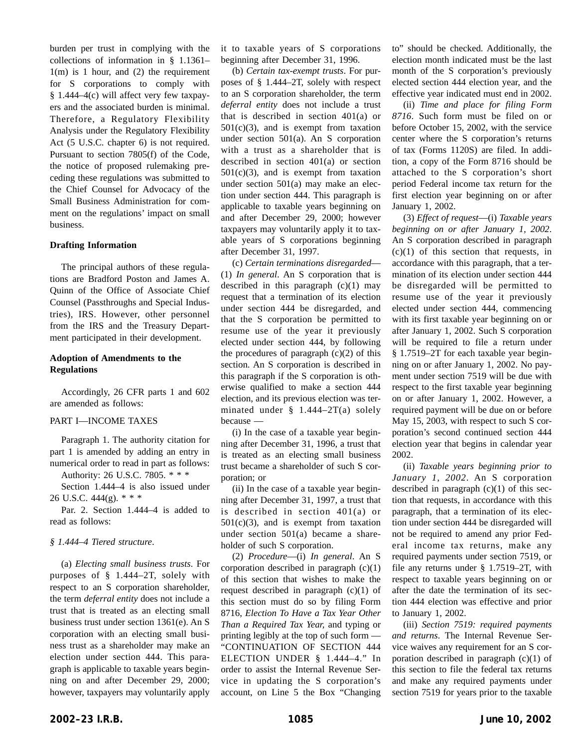burden per trust in complying with the collections of information in § 1.1361– 1(m) is 1 hour, and (2) the requirement for S corporations to comply with § 1.444–4(c) will affect very few taxpayers and the associated burden is minimal. Therefore, a Regulatory Flexibility Analysis under the Regulatory Flexibility Act (5 U.S.C. chapter 6) is not required. Pursuant to section 7805(f) of the Code, the notice of proposed rulemaking preceding these regulations was submitted to the Chief Counsel for Advocacy of the Small Business Administration for comment on the regulations' impact on small business.

#### **Drafting Information**

The principal authors of these regulations are Bradford Poston and James A. Quinn of the Office of Associate Chief Counsel (Passthroughs and Special Industries), IRS. However, other personnel from the IRS and the Treasury Department participated in their development.

#### **Adoption of Amendments to the Regulations**

Accordingly, 26 CFR parts 1 and 602 are amended as follows:

#### PART I—INCOME TAXES

Paragraph 1. The authority citation for part 1 is amended by adding an entry in numerical order to read in part as follows:

Authority: 26 U.S.C. 7805.\*\*\*

Section 1.444–4 is also issued under 26 U.S.C. 444(g).\*\*\*

Par. 2. Section 1.444–4 is added to read as follows:

#### *§ 1.444–4 Tiered structure*.

(a) *Electing small business trusts*. For purposes of § 1.444–2T, solely with respect to an S corporation shareholder, the term *deferral entity* does not include a trust that is treated as an electing small business trust under section 1361(e). An S corporation with an electing small business trust as a shareholder may make an election under section 444. This paragraph is applicable to taxable years beginning on and after December 29, 2000; however, taxpayers may voluntarily apply

it to taxable years of S corporations beginning after December 31, 1996.

(b) *Certain tax-exempt trusts*. For purposes of § 1.444–2T, solely with respect to an S corporation shareholder, the term *deferral entity* does not include a trust that is described in section 401(a) or  $501(c)(3)$ , and is exempt from taxation under section 501(a). An S corporation with a trust as a shareholder that is described in section 401(a) or section  $501(c)(3)$ , and is exempt from taxation under section 501(a) may make an election under section 444. This paragraph is applicable to taxable years beginning on and after December 29, 2000; however taxpayers may voluntarily apply it to taxable years of S corporations beginning after December 31, 1997.

(c) *Certain terminations disregarded*— (1) *In general*. An S corporation that is described in this paragraph  $(c)(1)$  may request that a termination of its election under section 444 be disregarded, and that the S corporation be permitted to resume use of the year it previously elected under section 444, by following the procedures of paragraph  $(c)(2)$  of this section. An S corporation is described in this paragraph if the S corporation is otherwise qualified to make a section 444 election, and its previous election was terminated under § 1.444–2T(a) solely because —

(i) In the case of a taxable year beginning after December 31, 1996, a trust that is treated as an electing small business trust became a shareholder of such S corporation; or

(ii) In the case of a taxable year beginning after December 31, 1997, a trust that is described in section 401(a) or  $501(c)(3)$ , and is exempt from taxation under section 501(a) became a shareholder of such S corporation.

(2) *Procedure*—(i) *In general*. An S corporation described in paragraph  $(c)(1)$ of this section that wishes to make the request described in paragraph (c)(1) of this section must do so by filing Form 8716, *Election To Have a Tax Year Other Than a Required Tax Year,* and typing or printing legibly at the top of such form — "CONTINUATION OF SECTION 444 ELECTION UNDER § 1.444–4." In order to assist the Internal Revenue Service in updating the S corporation's account, on Line 5 the Box "Changing

to" should be checked. Additionally, the election month indicated must be the last month of the S corporation's previously elected section 444 election year, and the effective year indicated must end in 2002.

(ii) *Time and place for filing Form 8716*. Such form must be filed on or before October 15, 2002, with the service center where the S corporation's returns of tax (Forms 1120S) are filed. In addition, a copy of the Form 8716 should be attached to the S corporation's short period Federal income tax return for the first election year beginning on or after January 1, 2002.

(3) *Effect of request*—(i) *Taxable years beginning on or after January 1, 2002*. An S corporation described in paragraph  $(c)(1)$  of this section that requests, in accordance with this paragraph, that a termination of its election under section 444 be disregarded will be permitted to resume use of the year it previously elected under section 444, commencing with its first taxable year beginning on or after January 1, 2002. Such S corporation will be required to file a return under § 1.7519–2T for each taxable year beginning on or after January 1, 2002. No payment under section 7519 will be due with respect to the first taxable year beginning on or after January 1, 2002. However, a required payment will be due on or before May 15, 2003, with respect to such S corporation's second continued section 444 election year that begins in calendar year 2002.

(ii) *Taxable years beginning prior to January 1, 2002*. An S corporation described in paragraph  $(c)(1)$  of this section that requests, in accordance with this paragraph, that a termination of its election under section 444 be disregarded will not be required to amend any prior Federal income tax returns, make any required payments under section 7519, or file any returns under § 1.7519–2T, with respect to taxable years beginning on or after the date the termination of its section 444 election was effective and prior to January 1, 2002.

(iii) *Section 7519: required payments and returns*. The Internal Revenue Service waives any requirement for an S corporation described in paragraph  $(c)(1)$  of this section to file the federal tax returns and make any required payments under section 7519 for years prior to the taxable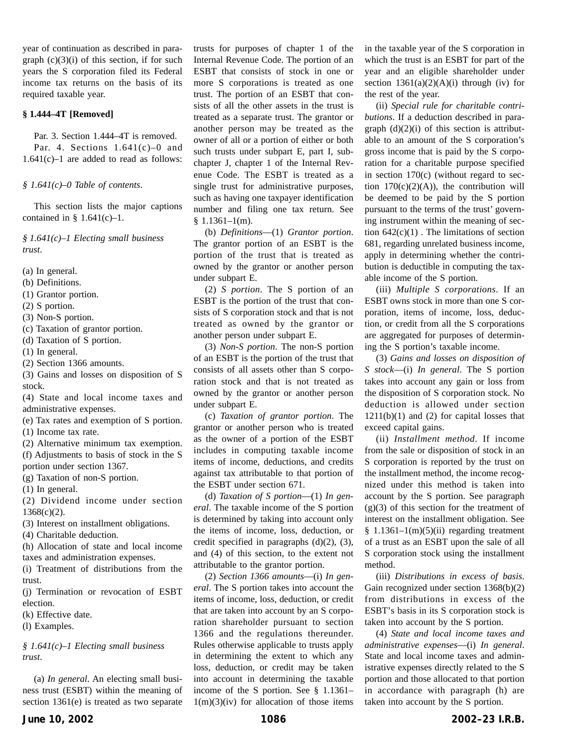year of continuation as described in paragraph  $(c)(3)(i)$  of this section, if for such years the S corporation filed its Federal income tax returns on the basis of its required taxable year.

#### **§ 1.444–4T [Removed]**

Par. 3. Section 1.444–4T is removed. Par. 4. Sections  $1.641(c) - 0$  and 1.641(c)–1 are added to read as follows:

#### *§ 1.641(c)–0 Table of contents*.

This section lists the major captions contained in  $§ 1.641(c) - 1.$ 

*§ 1.641(c)–1 Electing small business trust*.

- (a) In general.
- (b) Definitions.
- (1) Grantor portion.
- (2) S portion.
- (3) Non-S portion.
- (c) Taxation of grantor portion.
- (d) Taxation of S portion.
- (1) In general.
- (2) Section 1366 amounts.

(3) Gains and losses on disposition of S stock.

(4) State and local income taxes and administrative expenses.

(e) Tax rates and exemption of S portion.

(1) Income tax rate.

(2) Alternative minimum tax exemption. (f) Adjustments to basis of stock in the S portion under section 1367.

(g) Taxation of non-S portion.

(1) In general.

(2) Dividend income under section 1368(c)(2).

(3) Interest on installment obligations.

(4) Charitable deduction.

(h) Allocation of state and local income taxes and administration expenses.

(i) Treatment of distributions from the trust.

(j) Termination or revocation of ESBT election.

(k) Effective date.

(l) Examples.

*§ 1.641(c)–1 Electing small business trust*.

(a) *In general*. An electing small business trust (ESBT) within the meaning of section 1361(e) is treated as two separate trusts for purposes of chapter 1 of the Internal Revenue Code. The portion of an ESBT that consists of stock in one or more S corporations is treated as one trust. The portion of an ESBT that consists of all the other assets in the trust is treated as a separate trust. The grantor or another person may be treated as the owner of all or a portion of either or both such trusts under subpart E, part I, subchapter J, chapter 1 of the Internal Revenue Code. The ESBT is treated as a single trust for administrative purposes, such as having one taxpayer identification number and filing one tax return. See  $$1.1361-1(m).$ 

(b) *Definitions*—(1) *Grantor portion*. The grantor portion of an ESBT is the portion of the trust that is treated as owned by the grantor or another person under subpart E.

(2) *S portion*. The S portion of an ESBT is the portion of the trust that consists of S corporation stock and that is not treated as owned by the grantor or another person under subpart E.

(3) *Non-S portion*. The non-S portion of an ESBT is the portion of the trust that consists of all assets other than S corporation stock and that is not treated as owned by the grantor or another person under subpart E.

(c) *Taxation of grantor portion*. The grantor or another person who is treated as the owner of a portion of the ESBT includes in computing taxable income items of income, deductions, and credits against tax attributable to that portion of the ESBT under section 671.

(d) *Taxation of S portion*—(1) *In general*. The taxable income of the S portion is determined by taking into account only the items of income, loss, deduction, or credit specified in paragraphs (d)(2), (3), and (4) of this section, to the extent not attributable to the grantor portion.

(2) *Section 1366 amounts*—(i) *In general*. The S portion takes into account the items of income, loss, deduction, or credit that are taken into account by an S corporation shareholder pursuant to section 1366 and the regulations thereunder. Rules otherwise applicable to trusts apply in determining the extent to which any loss, deduction, or credit may be taken into account in determining the taxable income of the S portion. See § 1.1361–  $1(m)(3)(iv)$  for allocation of those items in the taxable year of the S corporation in which the trust is an ESBT for part of the year and an eligible shareholder under section  $1361(a)(2)(A)(i)$  through (iv) for the rest of the year.

(ii) *Special rule for charitable contributions*. If a deduction described in paragraph  $(d)(2)(i)$  of this section is attributable to an amount of the S corporation's gross income that is paid by the S corporation for a charitable purpose specified in section  $170(c)$  (without regard to section  $170(c)(2)(A)$ , the contribution will be deemed to be paid by the S portion pursuant to the terms of the trust' governing instrument within the meaning of section  $642(c)(1)$ . The limitations of section 681, regarding unrelated business income, apply in determining whether the contribution is deductible in computing the taxable income of the S portion.

(iii) *Multiple S corporations*. If an ESBT owns stock in more than one S corporation, items of income, loss, deduction, or credit from all the S corporations are aggregated for purposes of determining the S portion's taxable income.

(3) *Gains and losses on disposition of S stock*—(i) *In general*. The S portion takes into account any gain or loss from the disposition of S corporation stock. No deduction is allowed under section  $1211(b)(1)$  and  $(2)$  for capital losses that exceed capital gains.

(ii) *Installment method*. If income from the sale or disposition of stock in an S corporation is reported by the trust on the installment method, the income recognized under this method is taken into account by the S portion. See paragraph  $(g)(3)$  of this section for the treatment of interest on the installment obligation. See  $§ 1.1361-1(m)(5)(ii)$  regarding treatment of a trust as an ESBT upon the sale of all S corporation stock using the installment method.

(iii) *Distributions in excess of basis*. Gain recognized under section 1368(b)(2) from distributions in excess of the ESBT's basis in its S corporation stock is taken into account by the S portion.

(4) *State and local income taxes and administrative expenses*—(i) *In general*. State and local income taxes and administrative expenses directly related to the S portion and those allocated to that portion in accordance with paragraph (h) are taken into account by the S portion.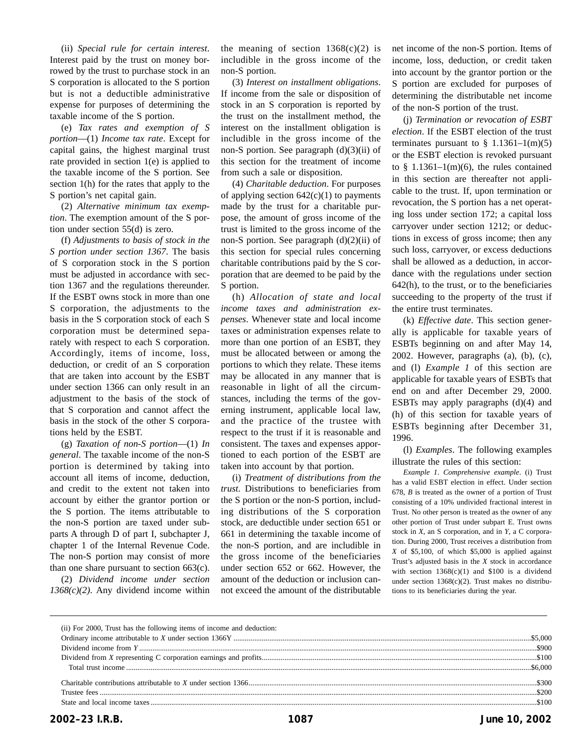(ii) *Special rule for certain interest*. Interest paid by the trust on money borrowed by the trust to purchase stock in an S corporation is allocated to the S portion but is not a deductible administrative expense for purposes of determining the taxable income of the S portion.

(e) *Tax rates and exemption of S portion*—(1) *Income tax rate*. Except for capital gains, the highest marginal trust rate provided in section 1(e) is applied to the taxable income of the S portion. See section 1(h) for the rates that apply to the S portion's net capital gain.

(2) *Alternative minimum tax exemption*. The exemption amount of the S portion under section 55(d) is zero.

(f) *Adjustments to basis of stock in the S portion under section 1367*. The basis of S corporation stock in the S portion must be adjusted in accordance with section 1367 and the regulations thereunder. If the ESBT owns stock in more than one S corporation, the adjustments to the basis in the S corporation stock of each S corporation must be determined separately with respect to each S corporation. Accordingly, items of income, loss, deduction, or credit of an S corporation that are taken into account by the ESBT under section 1366 can only result in an adjustment to the basis of the stock of that S corporation and cannot affect the basis in the stock of the other S corporations held by the ESBT.

(g) *Taxation of non-S portion*—(1) *In general*. The taxable income of the non-S portion is determined by taking into account all items of income, deduction, and credit to the extent not taken into account by either the grantor portion or the S portion. The items attributable to the non-S portion are taxed under subparts A through D of part I, subchapter J, chapter 1 of the Internal Revenue Code. The non-S portion may consist of more than one share pursuant to section 663(c).

(2) *Dividend income under section 1368(c)(2)*. Any dividend income within the meaning of section  $1368(c)(2)$  is includible in the gross income of the non-S portion.

(3) *Interest on installment obligations*. If income from the sale or disposition of stock in an S corporation is reported by the trust on the installment method, the interest on the installment obligation is includible in the gross income of the non-S portion. See paragraph (d)(3)(ii) of this section for the treatment of income from such a sale or disposition.

(4) *Charitable deduction*. For purposes of applying section  $642(c)(1)$  to payments made by the trust for a charitable purpose, the amount of gross income of the trust is limited to the gross income of the non-S portion. See paragraph  $(d)(2)(ii)$  of this section for special rules concerning charitable contributions paid by the S corporation that are deemed to be paid by the S portion.

(h) *Allocation of state and local income taxes and administration expenses*. Whenever state and local income taxes or administration expenses relate to more than one portion of an ESBT, they must be allocated between or among the portions to which they relate. These items may be allocated in any manner that is reasonable in light of all the circumstances, including the terms of the governing instrument, applicable local law, and the practice of the trustee with respect to the trust if it is reasonable and consistent. The taxes and expenses apportioned to each portion of the ESBT are taken into account by that portion.

(i) *Treatment of distributions from the trust*. Distributions to beneficiaries from the S portion or the non-S portion, including distributions of the S corporation stock, are deductible under section 651 or 661 in determining the taxable income of the non-S portion, and are includible in the gross income of the beneficiaries under section 652 or 662. However, the amount of the deduction or inclusion cannot exceed the amount of the distributable net income of the non-S portion. Items of income, loss, deduction, or credit taken into account by the grantor portion or the S portion are excluded for purposes of determining the distributable net income of the non-S portion of the trust.

(j) *Termination or revocation of ESBT election*. If the ESBT election of the trust terminates pursuant to  $\frac{1}{9}$  1.1361–1(m)(5) or the ESBT election is revoked pursuant to  $§$  1.1361–1(m)(6), the rules contained in this section are thereafter not applicable to the trust. If, upon termination or revocation, the S portion has a net operating loss under section 172; a capital loss carryover under section 1212; or deductions in excess of gross income; then any such loss, carryover, or excess deductions shall be allowed as a deduction, in accordance with the regulations under section 642(h), to the trust, or to the beneficiaries succeeding to the property of the trust if the entire trust terminates.

(k) *Effective date*. This section generally is applicable for taxable years of ESBTs beginning on and after May 14, 2002. However, paragraphs (a), (b), (c), and (l) *Example 1* of this section are applicable for taxable years of ESBTs that end on and after December 29, 2000. ESBTs may apply paragraphs (d)(4) and (h) of this section for taxable years of ESBTs beginning after December 31, 1996.

(l) *Examples*. The following examples illustrate the rules of this section:

*Example 1*. *Comprehensive example*. (i) Trust has a valid ESBT election in effect. Under section 678, *B* is treated as the owner of a portion of Trust consisting of a 10% undivided fractional interest in Trust. No other person is treated as the owner of any other portion of Trust under subpart E. Trust owns stock in *X*, an S corporation, and in *Y*, a C corporation. During 2000, Trust receives a distribution from *X* of \$5,100, of which \$5,000 is applied against Trust's adjusted basis in the *X* stock in accordance with section  $1368(c)(1)$  and \$100 is a dividend under section 1368(c)(2). Trust makes no distributions to its beneficiaries during the year.

| (ii) For 2000, Trust has the following items of income and deduction: |  |
|-----------------------------------------------------------------------|--|
|                                                                       |  |
|                                                                       |  |
|                                                                       |  |
|                                                                       |  |
|                                                                       |  |
|                                                                       |  |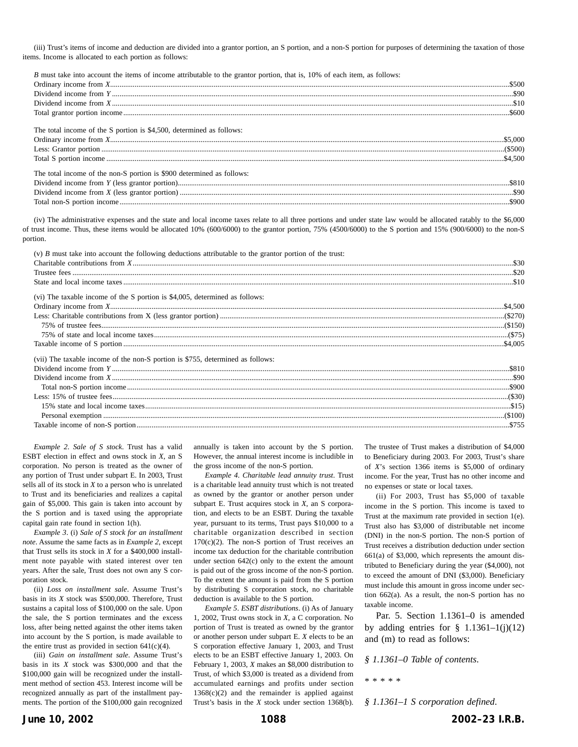(iii) Trust's items of income and deduction are divided into a grantor portion, an S portion, and a non-S portion for purposes of determining the taxation of those items. Income is allocated to each portion as follows:

*B* must take into account the items of income attributable to the grantor portion, that is, 10% of each item, as follows:

| The total income of the S portion is \$4,500, determined as follows:  |  |
|-----------------------------------------------------------------------|--|
|                                                                       |  |
|                                                                       |  |
|                                                                       |  |
| The total income of the non-S portion is \$900 determined as follows: |  |

| Dividend income from $Y^{\prime\prime}$<br>(less<br>grantor |  |
|-------------------------------------------------------------|--|
| Dividend income from $X'$<br>. (less grantor                |  |
| Total non-S<br>tion income                                  |  |

(iv) The administrative expenses and the state and local income taxes relate to all three portions and under state law would be allocated ratably to the \$6,000 of trust income. Thus, these items would be allocated 10% (600/6000) to the grantor portion, 75% (4500/6000) to the S portion and 15% (900/6000) to the non-S portion.

| (v) $B$ must take into account the following deductions attributable to the grantor portion of the trust: |  |
|-----------------------------------------------------------------------------------------------------------|--|
|                                                                                                           |  |
|                                                                                                           |  |
|                                                                                                           |  |
| (vi) The taxable income of the S portion is \$4,005, determined as follows:                               |  |
|                                                                                                           |  |
|                                                                                                           |  |
|                                                                                                           |  |
|                                                                                                           |  |
|                                                                                                           |  |
| (vii) The taxable income of the non-S portion is \$755, determined as follows:                            |  |
|                                                                                                           |  |
|                                                                                                           |  |
|                                                                                                           |  |
|                                                                                                           |  |
|                                                                                                           |  |
|                                                                                                           |  |
|                                                                                                           |  |

*Example 2*. *Sale of S stock*. Trust has a valid ESBT election in effect and owns stock in *X*, an S corporation. No person is treated as the owner of any portion of Trust under subpart E. In 2003, Trust sells all of its stock in *X* to a person who is unrelated to Trust and its beneficiaries and realizes a capital gain of \$5,000. This gain is taken into account by the S portion and is taxed using the appropriate capital gain rate found in section 1(h).

*Example 3*. (i) *Sale of S stock for an installment note*. Assume the same facts as in *Example 2*, except that Trust sells its stock in *X* for a \$400,000 installment note payable with stated interest over ten years. After the sale, Trust does not own any S corporation stock.

(ii) *Loss on installment sale*. Assume Trust's basis in its *X* stock was \$500,000. Therefore, Trust sustains a capital loss of \$100,000 on the sale. Upon the sale, the S portion terminates and the excess loss, after being netted against the other items taken into account by the S portion, is made available to the entire trust as provided in section  $641(c)(4)$ .

(iii) *Gain on installment sale*. Assume Trust's basis in its *X* stock was \$300,000 and that the \$100,000 gain will be recognized under the installment method of section 453. Interest income will be recognized annually as part of the installment payments. The portion of the \$100,000 gain recognized annually is taken into account by the S portion. However, the annual interest income is includible in the gross income of the non-S portion.

*Example 4*. *Charitable lead annuity trust*. Trust is a charitable lead annuity trust which is not treated as owned by the grantor or another person under subpart E. Trust acquires stock in *X*, an S corporation, and elects to be an ESBT. During the taxable year, pursuant to its terms, Trust pays \$10,000 to a charitable organization described in section  $170(c)(2)$ . The non-S portion of Trust receives an income tax deduction for the charitable contribution under section 642(c) only to the extent the amount is paid out of the gross income of the non-S portion. To the extent the amount is paid from the S portion by distributing S corporation stock, no charitable deduction is available to the S portion.

*Example 5*. *ESBT distributions*. (i) As of January 1, 2002, Trust owns stock in *X*, a C corporation. No portion of Trust is treated as owned by the grantor or another person under subpart E. *X* elects to be an S corporation effective January 1, 2003, and Trust elects to be an ESBT effective January 1, 2003. On February 1, 2003, *X* makes an \$8,000 distribution to Trust, of which \$3,000 is treated as a dividend from accumulated earnings and profits under section  $1368(c)(2)$  and the remainder is applied against Trust's basis in the *X* stock under section 1368(b). The trustee of Trust makes a distribution of \$4,000 to Beneficiary during 2003. For 2003, Trust's share of *X*'s section 1366 items is \$5,000 of ordinary income. For the year, Trust has no other income and no expenses or state or local taxes.

(ii) For 2003, Trust has \$5,000 of taxable income in the S portion. This income is taxed to Trust at the maximum rate provided in section 1(e). Trust also has \$3,000 of distributable net income (DNI) in the non-S portion. The non-S portion of Trust receives a distribution deduction under section 661(a) of \$3,000, which represents the amount distributed to Beneficiary during the year (\$4,000), not to exceed the amount of DNI (\$3,000). Beneficiary must include this amount in gross income under section 662(a). As a result, the non-S portion has no taxable income.

Par. 5. Section 1.1361–0 is amended by adding entries for  $\S$  1.1361–1(j)(12) and (m) to read as follows:

*§ 1.1361–0 Table of contents*.

\*\*\*\*\*

*§ 1.1361–1 S corporation defined*.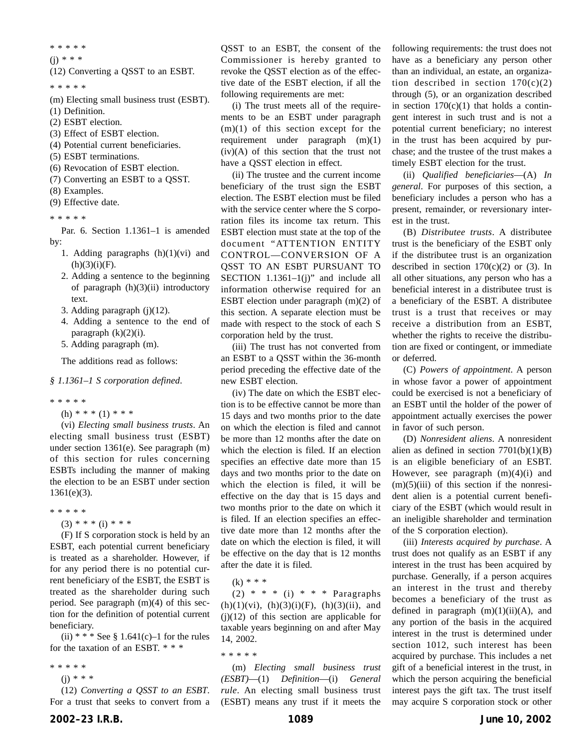\*\*\*\*\*

 $(i) * * * *$ 

(12) Converting a QSST to an ESBT.

\*\*\*\*\*

- (m) Electing small business trust (ESBT).
- (1) Definition.
- (2) ESBT election.
- (3) Effect of ESBT election.
- (4) Potential current beneficiaries.
- (5) ESBT terminations.
- (6) Revocation of ESBT election.
- (7) Converting an ESBT to a QSST.
- (8) Examples.
- (9) Effective date.

\*\*\*\*\*

Par. 6. Section 1.1361–1 is amended by:

- 1. Adding paragraphs  $(h)(1)(vi)$  and  $(h)(3)(i)(F)$ .
- 2. Adding a sentence to the beginning of paragraph (h)(3)(ii) introductory text.
- 3. Adding paragraph (j)(12).
- 4. Adding a sentence to the end of paragraph  $(k)(2)(i)$ .
- 5. Adding paragraph (m).

The additions read as follows:

#### *§ 1.1361–1 S corporation defined*.

\*\*\*\*\*

 $(h)$  \* \* \*  $(1)$  \* \* \*

(vi) *Electing small business trusts*. An electing small business trust (ESBT) under section 1361(e). See paragraph (m) of this section for rules concerning ESBTs including the manner of making the election to be an ESBT under section 1361(e)(3).

- \*\*\*\*\*
	- $(3)$  \* \* \* (i) \* \* \*

(F) If S corporation stock is held by an ESBT, each potential current beneficiary is treated as a shareholder. However, if for any period there is no potential current beneficiary of the ESBT, the ESBT is treated as the shareholder during such period. See paragraph (m)(4) of this section for the definition of potential current beneficiary.

(ii)  $* * * See § 1.641(c) - 1$  for the rules for the taxation of an ESBT.\*\*\*

- \*\*\*\*\*
	- $(i) * * *$

(12) *Converting a QSST to an ESBT*. For a trust that seeks to convert from a

QSST to an ESBT, the consent of the Commissioner is hereby granted to revoke the QSST election as of the effective date of the ESBT election, if all the following requirements are met:

(i) The trust meets all of the requirements to be an ESBT under paragraph  $(m)(1)$  of this section except for the requirement under paragraph (m)(1)  $(iv)(A)$  of this section that the trust not have a QSST election in effect.

(ii) The trustee and the current income beneficiary of the trust sign the ESBT election. The ESBT election must be filed with the service center where the S corporation files its income tax return. This ESBT election must state at the top of the document "ATTENTION ENTITY CONTROL—CONVERSION OF A QSST TO AN ESBT PURSUANT TO SECTION  $1.1361-1(j)$ " and include all information otherwise required for an ESBT election under paragraph (m)(2) of this section. A separate election must be made with respect to the stock of each S corporation held by the trust.

(iii) The trust has not converted from an ESBT to a QSST within the 36-month period preceding the effective date of the new ESBT election.

(iv) The date on which the ESBT election is to be effective cannot be more than 15 days and two months prior to the date on which the election is filed and cannot be more than 12 months after the date on which the election is filed. If an election specifies an effective date more than 15 days and two months prior to the date on which the election is filed, it will be effective on the day that is 15 days and two months prior to the date on which it is filed. If an election specifies an effective date more than 12 months after the date on which the election is filed, it will be effective on the day that is 12 months after the date it is filed.

 $(k) * * *$ 

 $(2)$  \* \* \* (i) \* \* \* Paragraphs  $(h)(1)(vi)$ ,  $(h)(3)(i)(F)$ ,  $(h)(3)(ii)$ , and (j)(12) of this section are applicable for taxable years beginning on and after May 14, 2002.

\*\*\*\*\*

(m) *Electing small business trust (ESBT)*—(1) *Definition*—(i) *General rule*. An electing small business trust (ESBT) means any trust if it meets the following requirements: the trust does not have as a beneficiary any person other than an individual, an estate, an organization described in section  $170(c)(2)$ through (5), or an organization described in section  $170(c)(1)$  that holds a contingent interest in such trust and is not a potential current beneficiary; no interest in the trust has been acquired by purchase; and the trustee of the trust makes a timely ESBT election for the trust.

(ii) *Qualified beneficiaries*—(A) *In general*. For purposes of this section, a beneficiary includes a person who has a present, remainder, or reversionary interest in the trust.

(B) *Distributee trusts*. A distributee trust is the beneficiary of the ESBT only if the distributee trust is an organization described in section  $170(c)(2)$  or (3). In all other situations, any person who has a beneficial interest in a distributee trust is a beneficiary of the ESBT. A distributee trust is a trust that receives or may receive a distribution from an ESBT, whether the rights to receive the distribution are fixed or contingent, or immediate or deferred.

(C) *Powers of appointment*. A person in whose favor a power of appointment could be exercised is not a beneficiary of an ESBT until the holder of the power of appointment actually exercises the power in favor of such person.

(D) *Nonresident aliens*. A nonresident alien as defined in section  $7701(b)(1)(B)$ is an eligible beneficiary of an ESBT. However, see paragraph  $(m)(4)(i)$  and  $(m)(5)(iii)$  of this section if the nonresident alien is a potential current beneficiary of the ESBT (which would result in an ineligible shareholder and termination of the S corporation election).

(iii) *Interests acquired by purchase*. A trust does not qualify as an ESBT if any interest in the trust has been acquired by purchase. Generally, if a person acquires an interest in the trust and thereby becomes a beneficiary of the trust as defined in paragraph  $(m)(1)(ii)(A)$ , and any portion of the basis in the acquired interest in the trust is determined under section 1012, such interest has been acquired by purchase. This includes a net gift of a beneficial interest in the trust, in which the person acquiring the beneficial interest pays the gift tax. The trust itself may acquire S corporation stock or other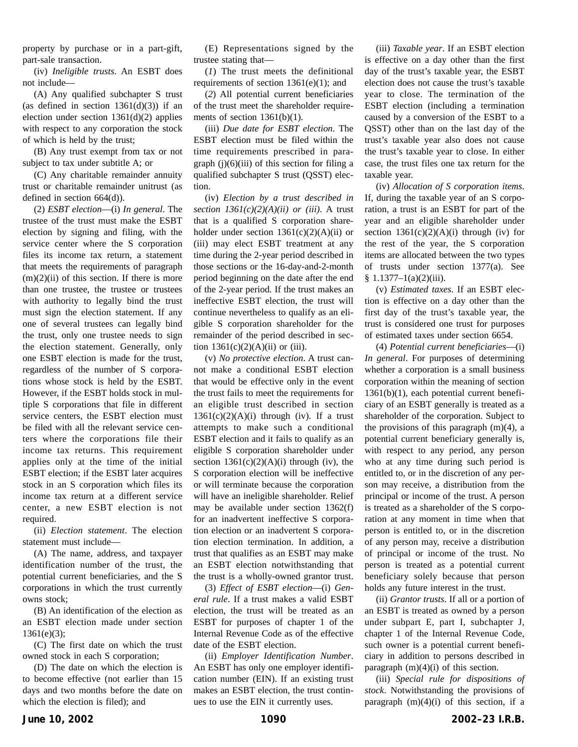property by purchase or in a part-gift, part-sale transaction.

(iv) *Ineligible trusts*. An ESBT does not include—

(A) Any qualified subchapter S trust (as defined in section  $1361(d)(3)$ ) if an election under section 1361(d)(2) applies with respect to any corporation the stock of which is held by the trust;

(B) Any trust exempt from tax or not subject to tax under subtitle A; or

(C) Any charitable remainder annuity trust or charitable remainder unitrust (as defined in section 664(d)).

(2) *ESBT election*—(i) *In general*. The trustee of the trust must make the ESBT election by signing and filing, with the service center where the S corporation files its income tax return, a statement that meets the requirements of paragraph  $(m)(2)(ii)$  of this section. If there is more than one trustee, the trustee or trustees with authority to legally bind the trust must sign the election statement. If any one of several trustees can legally bind the trust, only one trustee needs to sign the election statement. Generally, only one ESBT election is made for the trust, regardless of the number of S corporations whose stock is held by the ESBT. However, if the ESBT holds stock in multiple S corporations that file in different service centers, the ESBT election must be filed with all the relevant service centers where the corporations file their income tax returns. This requirement applies only at the time of the initial ESBT election; if the ESBT later acquires stock in an S corporation which files its income tax return at a different service center, a new ESBT election is not required.

(ii) *Election statement*. The election statement must include—

(A) The name, address, and taxpayer identification number of the trust, the potential current beneficiaries, and the S corporations in which the trust currently owns stock;

(B) An identification of the election as an ESBT election made under section 1361(e)(3);

(C) The first date on which the trust owned stock in each S corporation;

(D) The date on which the election is to become effective (not earlier than 15 days and two months before the date on which the election is filed); and

(E) Representations signed by the trustee stating that—

(*1*) The trust meets the definitional requirements of section 1361(e)(1); and

(*2*) All potential current beneficiaries of the trust meet the shareholder requirements of section  $1361(b)(1)$ .

(iii) *Due date for ESBT election*. The ESBT election must be filed within the time requirements prescribed in paragraph  $(j)(6)(iii)$  of this section for filing a qualified subchapter S trust (QSST) election.

(iv) *Election by a trust described in section 1361(c)(2)(A)(ii) or (iii)*. A trust that is a qualified S corporation shareholder under section  $1361(c)(2)(A)(ii)$  or (iii) may elect ESBT treatment at any time during the 2-year period described in those sections or the 16-day-and-2-month period beginning on the date after the end of the 2-year period. If the trust makes an ineffective ESBT election, the trust will continue nevertheless to qualify as an eligible S corporation shareholder for the remainder of the period described in section  $1361(c)(2)(A)(ii)$  or (iii).

(v) *No protective election*. A trust cannot make a conditional ESBT election that would be effective only in the event the trust fails to meet the requirements for an eligible trust described in section  $1361(c)(2)(A)(i)$  through (iv). If a trust attempts to make such a conditional ESBT election and it fails to qualify as an eligible S corporation shareholder under section  $1361(c)(2)(A)(i)$  through (iv), the S corporation election will be ineffective or will terminate because the corporation will have an ineligible shareholder. Relief may be available under section 1362(f) for an inadvertent ineffective S corporation election or an inadvertent S corporation election termination. In addition, a trust that qualifies as an ESBT may make an ESBT election notwithstanding that the trust is a wholly-owned grantor trust.

(3) *Effect of ESBT election*—(i) *General rule*. If a trust makes a valid ESBT election, the trust will be treated as an ESBT for purposes of chapter 1 of the Internal Revenue Code as of the effective date of the ESBT election.

(ii) *Employer Identification Number*. An ESBT has only one employer identification number (EIN). If an existing trust makes an ESBT election, the trust continues to use the EIN it currently uses.

(iii) *Taxable year*. If an ESBT election is effective on a day other than the first day of the trust's taxable year, the ESBT election does not cause the trust's taxable year to close. The termination of the ESBT election (including a termination caused by a conversion of the ESBT to a QSST) other than on the last day of the trust's taxable year also does not cause the trust's taxable year to close. In either case, the trust files one tax return for the taxable year.

(iv) *Allocation of S corporation items*. If, during the taxable year of an S corporation, a trust is an ESBT for part of the year and an eligible shareholder under section  $1361(c)(2)(A)(i)$  through (iv) for the rest of the year, the S corporation items are allocated between the two types of trusts under section 1377(a). See  $§ 1.1377 - 1(a)(2)(iii).$ 

(v) *Estimated taxes*. If an ESBT election is effective on a day other than the first day of the trust's taxable year, the trust is considered one trust for purposes of estimated taxes under section 6654.

(4) *Potential current beneficiaries*—(i) *In general*. For purposes of determining whether a corporation is a small business corporation within the meaning of section 1361(b)(1), each potential current beneficiary of an ESBT generally is treated as a shareholder of the corporation. Subject to the provisions of this paragraph  $(m)(4)$ , a potential current beneficiary generally is, with respect to any period, any person who at any time during such period is entitled to, or in the discretion of any person may receive, a distribution from the principal or income of the trust. A person is treated as a shareholder of the S corporation at any moment in time when that person is entitled to, or in the discretion of any person may, receive a distribution of principal or income of the trust. No person is treated as a potential current beneficiary solely because that person holds any future interest in the trust.

(ii) *Grantor trusts*. If all or a portion of an ESBT is treated as owned by a person under subpart E, part I, subchapter J, chapter 1 of the Internal Revenue Code, such owner is a potential current beneficiary in addition to persons described in paragraph  $(m)(4)(i)$  of this section.

(iii) *Special rule for dispositions of stock*. Notwithstanding the provisions of paragraph  $(m)(4)(i)$  of this section, if a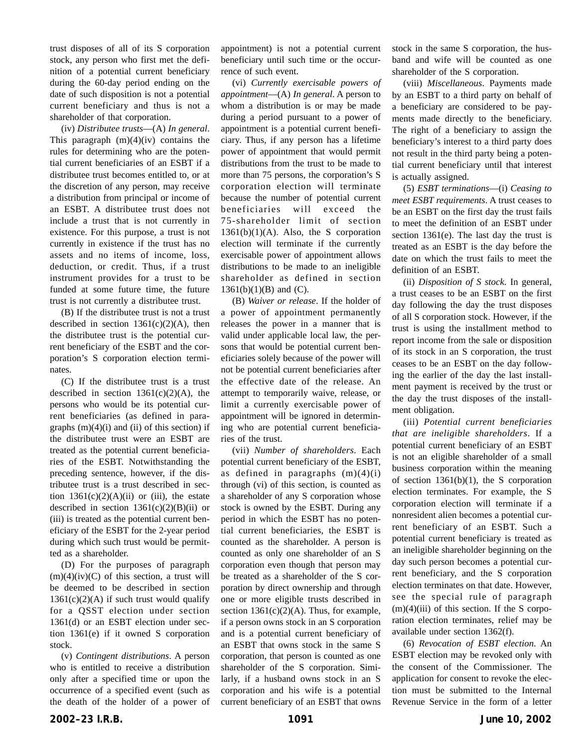trust disposes of all of its S corporation stock, any person who first met the definition of a potential current beneficiary during the 60-day period ending on the date of such disposition is not a potential current beneficiary and thus is not a shareholder of that corporation.

(iv) *Distributee trusts*—(A) *In general*. This paragraph  $(m)(4)(iv)$  contains the rules for determining who are the potential current beneficiaries of an ESBT if a distributee trust becomes entitled to, or at the discretion of any person, may receive a distribution from principal or income of an ESBT. A distributee trust does not include a trust that is not currently in existence. For this purpose, a trust is not currently in existence if the trust has no assets and no items of income, loss, deduction, or credit. Thus, if a trust instrument provides for a trust to be funded at some future time, the future trust is not currently a distributee trust.

(B) If the distributee trust is not a trust described in section  $1361(c)(2)(A)$ , then the distributee trust is the potential current beneficiary of the ESBT and the corporation's S corporation election terminates.

(C) If the distributee trust is a trust described in section  $1361(c)(2)(A)$ , the persons who would be its potential current beneficiaries (as defined in paragraphs  $(m)(4)(i)$  and  $(ii)$  of this section) if the distributee trust were an ESBT are treated as the potential current beneficiaries of the ESBT. Notwithstanding the preceding sentence, however, if the distributee trust is a trust described in section  $1361(c)(2)(A)(ii)$  or (iii), the estate described in section  $1361(c)(2)(B)(ii)$  or (iii) is treated as the potential current beneficiary of the ESBT for the 2-year period during which such trust would be permitted as a shareholder.

(D) For the purposes of paragraph  $(m)(4)(iv)(C)$  of this section, a trust will be deemed to be described in section  $1361(c)(2)(A)$  if such trust would qualify for a QSST election under section 1361(d) or an ESBT election under section 1361(e) if it owned S corporation stock.

(v) *Contingent distributions*. A person who is entitled to receive a distribution only after a specified time or upon the occurrence of a specified event (such as the death of the holder of a power of

appointment) is not a potential current beneficiary until such time or the occurrence of such event.

(vi) *Currently exercisable powers of appointment*—(A) *In general*. A person to whom a distribution is or may be made during a period pursuant to a power of appointment is a potential current beneficiary. Thus, if any person has a lifetime power of appointment that would permit distributions from the trust to be made to more than 75 persons, the corporation's S corporation election will terminate because the number of potential current beneficiaries will exceed the 75-shareholder limit of section  $1361(b)(1)(A)$ . Also, the S corporation election will terminate if the currently exercisable power of appointment allows distributions to be made to an ineligible shareholder as defined in section  $1361(b)(1)(B)$  and (C).

(B) *Waiver or release*. If the holder of a power of appointment permanently releases the power in a manner that is valid under applicable local law, the persons that would be potential current beneficiaries solely because of the power will not be potential current beneficiaries after the effective date of the release. An attempt to temporarily waive, release, or limit a currently exercisable power of appointment will be ignored in determining who are potential current beneficiaries of the trust.

(vii) *Number of shareholders*. Each potential current beneficiary of the ESBT, as defined in paragraphs  $(m)(4)(i)$ through (vi) of this section, is counted as a shareholder of any S corporation whose stock is owned by the ESBT. During any period in which the ESBT has no potential current beneficiaries, the ESBT is counted as the shareholder. A person is counted as only one shareholder of an S corporation even though that person may be treated as a shareholder of the S corporation by direct ownership and through one or more eligible trusts described in section  $1361(c)(2)(A)$ . Thus, for example, if a person owns stock in an S corporation and is a potential current beneficiary of an ESBT that owns stock in the same S corporation, that person is counted as one shareholder of the S corporation. Similarly, if a husband owns stock in an S corporation and his wife is a potential current beneficiary of an ESBT that owns stock in the same S corporation, the husband and wife will be counted as one shareholder of the S corporation.

(viii) *Miscellaneous*. Payments made by an ESBT to a third party on behalf of a beneficiary are considered to be payments made directly to the beneficiary. The right of a beneficiary to assign the beneficiary's interest to a third party does not result in the third party being a potential current beneficiary until that interest is actually assigned.

(5) *ESBT terminations*—(i) *Ceasing to meet ESBT requirements*. A trust ceases to be an ESBT on the first day the trust fails to meet the definition of an ESBT under section 1361(e). The last day the trust is treated as an ESBT is the day before the date on which the trust fails to meet the definition of an ESBT.

(ii) *Disposition of S stock*. In general, a trust ceases to be an ESBT on the first day following the day the trust disposes of all S corporation stock. However, if the trust is using the installment method to report income from the sale or disposition of its stock in an S corporation, the trust ceases to be an ESBT on the day following the earlier of the day the last installment payment is received by the trust or the day the trust disposes of the installment obligation.

(iii) *Potential current beneficiaries that are ineligible shareholders*. If a potential current beneficiary of an ESBT is not an eligible shareholder of a small business corporation within the meaning of section 1361(b)(1), the S corporation election terminates. For example, the S corporation election will terminate if a nonresident alien becomes a potential current beneficiary of an ESBT. Such a potential current beneficiary is treated as an ineligible shareholder beginning on the day such person becomes a potential current beneficiary, and the S corporation election terminates on that date. However, see the special rule of paragraph  $(m)(4)(iii)$  of this section. If the S corporation election terminates, relief may be available under section 1362(f).

(6) *Revocation of ESBT election*. An ESBT election may be revoked only with the consent of the Commissioner. The application for consent to revoke the election must be submitted to the Internal Revenue Service in the form of a letter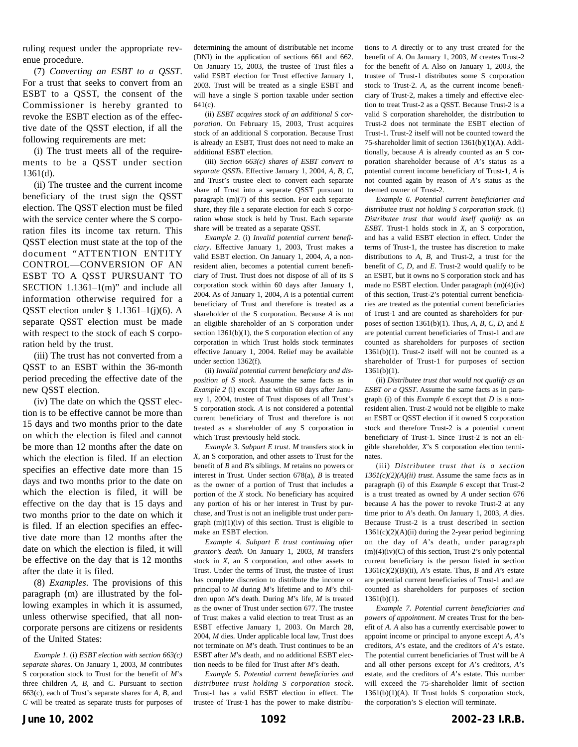ruling request under the appropriate revenue procedure.

(7) *Converting an ESBT to a QSST*. For a trust that seeks to convert from an ESBT to a QSST, the consent of the Commissioner is hereby granted to revoke the ESBT election as of the effective date of the QSST election, if all the following requirements are met:

(i) The trust meets all of the requirements to be a QSST under section 1361(d).

(ii) The trustee and the current income beneficiary of the trust sign the QSST election. The QSST election must be filed with the service center where the S corporation files its income tax return. This QSST election must state at the top of the document "ATTENTION ENTITY CONTROL—CONVERSION OF AN ESBT TO A QSST PURSUANT TO SECTION  $1.1361-1(m)$ " and include all information otherwise required for a QSST election under § 1.1361–1(j)(6). A separate QSST election must be made with respect to the stock of each S corporation held by the trust.

(iii) The trust has not converted from a QSST to an ESBT within the 36-month period preceding the effective date of the new QSST election.

(iv) The date on which the QSST election is to be effective cannot be more than 15 days and two months prior to the date on which the election is filed and cannot be more than 12 months after the date on which the election is filed. If an election specifies an effective date more than 15 days and two months prior to the date on which the election is filed, it will be effective on the day that is 15 days and two months prior to the date on which it is filed. If an election specifies an effective date more than 12 months after the date on which the election is filed, it will be effective on the day that is 12 months after the date it is filed.

(8) *Examples*. The provisions of this paragraph (m) are illustrated by the following examples in which it is assumed, unless otherwise specified, that all noncorporate persons are citizens or residents of the United States:

*Example 1*. (i) *ESBT election with section 663(c) separate shares*. On January 1, 2003, *M* contributes S corporation stock to Trust for the benefit of *M*'s three children *A*, *B*, and *C*. Pursuant to section 663(c), each of Trust's separate shares for *A*, *B*, and *C* will be treated as separate trusts for purposes of determining the amount of distributable net income (DNI) in the application of sections 661 and 662. On January 15, 2003, the trustee of Trust files a valid ESBT election for Trust effective January 1, 2003. Trust will be treated as a single ESBT and will have a single S portion taxable under section 641(c).

(ii) *ESBT acquires stock of an additional S corporation*. On February 15, 2003, Trust acquires stock of an additional S corporation. Because Trust is already an ESBT, Trust does not need to make an additional ESBT election.

(iii) *Section 663(c) shares of ESBT convert to separate QSSTs*. Effective January 1, 2004, *A*, *B*, *C*, and Trust's trustee elect to convert each separate share of Trust into a separate QSST pursuant to paragraph (m)(7) of this section. For each separate share, they file a separate election for each S corporation whose stock is held by Trust. Each separate share will be treated as a separate QSST.

*Example 2*. (i) *Invalid potential current beneficiary*. Effective January 1, 2003, Trust makes a valid ESBT election. On January 1, 2004, *A*, a nonresident alien, becomes a potential current beneficiary of Trust. Trust does not dispose of all of its S corporation stock within 60 days after January 1, 2004. As of January 1, 2004, *A* is a potential current beneficiary of Trust and therefore is treated as a shareholder of the S corporation. Because *A* is not an eligible shareholder of an S corporation under section  $1361(b)(1)$ , the S corporation election of any corporation in which Trust holds stock terminates effective January 1, 2004. Relief may be available under section 1362(f).

(ii) *Invalid potential current beneficiary and disposition of S stock*. Assume the same facts as in *Example 2* (i) except that within 60 days after January 1, 2004, trustee of Trust disposes of all Trust's S corporation stock. *A* is not considered a potential current beneficiary of Trust and therefore is not treated as a shareholder of any S corporation in which Trust previously held stock.

*Example 3*. *Subpart E trust*. *M* transfers stock in *X*, an S corporation, and other assets to Trust for the benefit of *B* and *B*'s siblings. *M* retains no powers or interest in Trust. Under section 678(a), *B* is treated as the owner of a portion of Trust that includes a portion of the *X* stock. No beneficiary has acquired any portion of his or her interest in Trust by purchase, and Trust is not an ineligible trust under paragraph  $(m)(1)(iv)$  of this section. Trust is eligible to make an ESBT election.

*Example 4*. *Subpart E trust continuing after grantor's death*. On January 1, 2003, *M* transfers stock in *X*, an S corporation, and other assets to Trust. Under the terms of Trust, the trustee of Trust has complete discretion to distribute the income or principal to *M* during *M*'s lifetime and to *M*'s children upon *M*'s death. During *M*'s life, *M* is treated as the owner of Trust under section 677. The trustee of Trust makes a valid election to treat Trust as an ESBT effective January 1, 2003. On March 28, 2004, *M* dies. Under applicable local law, Trust does not terminate on *M*'s death. Trust continues to be an ESBT after *M*'s death, and no additional ESBT election needs to be filed for Trust after *M*'s death.

*Example 5*. *Potential current beneficiaries and distributee trust holding S corporation stock*. Trust-1 has a valid ESBT election in effect. The trustee of Trust-1 has the power to make distributions to *A* directly or to any trust created for the benefit of *A*. On January 1, 2003, *M* creates Trust-2 for the benefit of *A*. Also on January 1, 2003, the trustee of Trust-1 distributes some S corporation stock to Trust-2. *A*, as the current income beneficiary of Trust-2, makes a timely and effective election to treat Trust-2 as a QSST. Because Trust-2 is a valid S corporation shareholder, the distribution to Trust-2 does not terminate the ESBT election of Trust-1. Trust-2 itself will not be counted toward the 75-shareholder limit of section 1361(b)(1)(A). Additionally, because *A* is already counted as an S corporation shareholder because of *A*'s status as a potential current income beneficiary of Trust-1, *A* is not counted again by reason of *A*'s status as the deemed owner of Trust-2.

*Example 6*. *Potential current beneficiaries and distributee trust not holding S corporation stock*. (i) *Distributee trust that would itself qualify as an ESBT*. Trust-1 holds stock in *X*, an S corporation, and has a valid ESBT election in effect. Under the terms of Trust-1, the trustee has discretion to make distributions to *A*, *B*, and Trust-2, a trust for the benefit of *C*, *D*, and *E*. Trust-2 would qualify to be an ESBT, but it owns no S corporation stock and has made no ESBT election. Under paragraph (m)(4)(iv) of this section, Trust-2's potential current beneficiaries are treated as the potential current beneficiaries of Trust-1 and are counted as shareholders for purposes of section 1361(b)(1). Thus, *A*, *B*, *C*, *D*, and *E* are potential current beneficiaries of Trust-1 and are counted as shareholders for purposes of section 1361(b)(1). Trust-2 itself will not be counted as a shareholder of Trust-1 for purposes of section  $1361(b)(1)$ .

(ii) *Distributee trust that would not qualify as an ESBT or a QSST*. Assume the same facts as in paragraph (i) of this *Example 6* except that *D* is a nonresident alien. Trust-2 would not be eligible to make an ESBT or QSST election if it owned S corporation stock and therefore Trust-2 is a potential current beneficiary of Trust-1. Since Trust-2 is not an eligible shareholder, *X*'s S corporation election terminates.

(iii) *Distributee trust that is a section 1361(c)(2)(A)(ii) trust*. Assume the same facts as in paragraph (i) of this *Example 6* except that Trust-2 is a trust treated as owned by *A* under section 676 because *A* has the power to revoke Trust-2 at any time prior to *A*'s death. On January 1, 2003, *A* dies. Because Trust-2 is a trust described in section  $1361(c)(2)(A)(ii)$  during the 2-year period beginning on the day of *A*'s death, under paragraph  $(m)(4)(iv)(C)$  of this section, Trust-2's only potential current beneficiary is the person listed in section  $1361(c)(2)(B)(ii)$ , *A*'s estate. Thus, *B* and *A*'s estate are potential current beneficiaries of Trust-1 and are counted as shareholders for purposes of section 1361(b)(1).

*Example 7*. *Potential current beneficiaries and powers of appointment*. *M* creates Trust for the benefit of *A*. *A* also has a currently exercisable power to appoint income or principal to anyone except *A*, *A*'s creditors, *A*'s estate, and the creditors of *A*'s estate. The potential current beneficiaries of Trust will be *A* and all other persons except for *A*'s creditors, *A*'s estate, and the creditors of *A*'s estate. This number will exceed the 75-shareholder limit of section 1361(b)(1)(A). If Trust holds S corporation stock, the corporation's S election will terminate.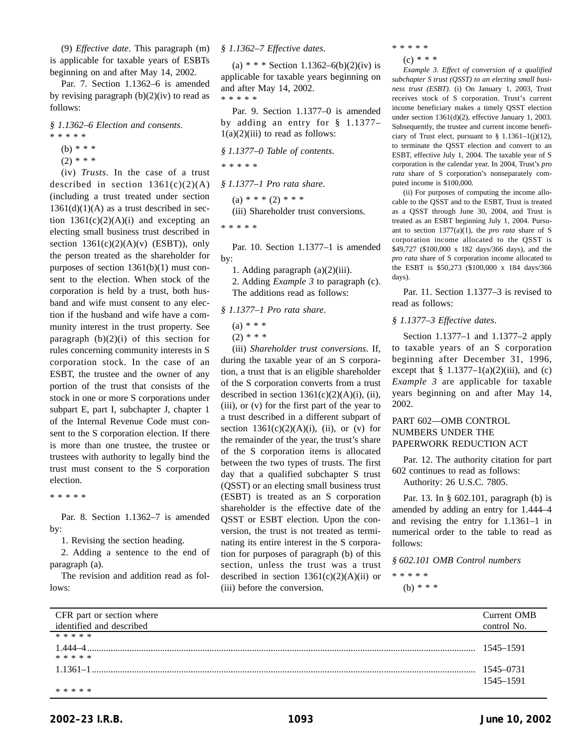(9) *Effective date*. This paragraph (m) is applicable for taxable years of ESBTs beginning on and after May 14, 2002.

Par. 7. Section 1.1362–6 is amended by revising paragraph  $(b)(2)(iv)$  to read as follows:

*§ 1.1362–6 Election and consents*.

- \*\*\*\*\*
	- (b) \* \* \*
	- $(2)$  \* \* \*

(iv) *Trusts*. In the case of a trust described in section  $1361(c)(2)(A)$ (including a trust treated under section  $1361(d)(1)(A)$  as a trust described in section  $1361(c)(2)(A)(i)$  and excepting an electing small business trust described in section  $1361(c)(2)(A)(v)$  (ESBT)), only the person treated as the shareholder for purposes of section 1361(b)(1) must consent to the election. When stock of the corporation is held by a trust, both husband and wife must consent to any election if the husband and wife have a community interest in the trust property. See paragraph  $(b)(2)(i)$  of this section for rules concerning community interests in S corporation stock. In the case of an ESBT, the trustee and the owner of any portion of the trust that consists of the stock in one or more S corporations under subpart E, part I, subchapter J, chapter 1 of the Internal Revenue Code must consent to the S corporation election. If there is more than one trustee, the trustee or trustees with authority to legally bind the trust must consent to the S corporation election.

\*\*\*\*\*

Par. 8. Section 1.1362–7 is amended by:

1. Revising the section heading.

2. Adding a sentence to the end of paragraph (a).

The revision and addition read as follows:

## *§ 1.1362–7 Effective dates*.

(a) \* \* \* Section 1.1362–6(b)(2)(iv) is applicable for taxable years beginning on and after May 14, 2002. \*\*\*\*\*

Par. 9. Section 1.1377–0 is amended by adding an entry for § 1.1377–  $1(a)(2)(iii)$  to read as follows:

*§ 1.1377–0 Table of contents*.

*\*\*\*\*\**

*§ 1.1377–1 Pro rata share*.

 $(a) * * * (2) * * *$ (iii) Shareholder trust conversions.

\*\*\*\*\*

Par. 10. Section 1.1377–1 is amended by:

1. Adding paragraph (a)(2)(iii).

2. Adding *Example 3* to paragraph (c). The additions read as follows:

*§ 1.1377–1 Pro rata share*.

```
(a) * * *
```
 $(2)$  \* \* \*

(iii) *Shareholder trust conversions*. If, during the taxable year of an S corporation, a trust that is an eligible shareholder of the S corporation converts from a trust described in section  $1361(c)(2)(A)(i)$ , (ii), (iii), or (v) for the first part of the year to a trust described in a different subpart of section  $1361(c)(2)(A)(i)$ , (ii), or (v) for the remainder of the year, the trust's share of the S corporation items is allocated between the two types of trusts. The first day that a qualified subchapter S trust (QSST) or an electing small business trust (ESBT) is treated as an S corporation shareholder is the effective date of the QSST or ESBT election. Upon the conversion, the trust is not treated as terminating its entire interest in the S corporation for purposes of paragraph (b) of this section, unless the trust was a trust described in section  $1361(c)(2)(A)(ii)$  or (iii) before the conversion.

\*\*\*\*\*

```
(c) * * *
```
*Example 3*. *Effect of conversion of a qualified subchapter S trust (QSST) to an electing small business trust (ESBT)*. (i) On January 1, 2003, Trust receives stock of S corporation. Trust's current income beneficiary makes a timely QSST election under section 1361(d)(2), effective January 1, 2003. Subsequently, the trustee and current income beneficiary of Trust elect, pursuant to  $\S$  1.1361–1(j)(12), to terminate the QSST election and convert to an ESBT, effective July 1, 2004. The taxable year of S corporation is the calendar year. In 2004, Trust's *pro rata* share of S corporation's nonseparately computed income is \$100,000.

(ii) For purposes of computing the income allocable to the QSST and to the ESBT, Trust is treated as a QSST through June 30, 2004, and Trust is treated as an ESBT beginning July 1, 2004. Pursuant to section 1377(a)(1), the *pro rata* share of S corporation income allocated to the QSST is \$49,727 (\$100,000 x 182 days/366 days), and the *pro rata* share of S corporation income allocated to the ESBT is \$50,273 (\$100,000 x 184 days/366 days).

Par. 11. Section 1.1377–3 is revised to read as follows:

## *§ 1.1377–3 Effective dates*.

Section 1.1377–1 and 1.1377–2 apply to taxable years of an S corporation beginning after December 31, 1996, except that  $\S$  1.1377–1(a)(2)(iii), and (c) *Example 3* are applicable for taxable years beginning on and after May 14, 2002.

## PART 602—OMB CONTROL NUMBERS UNDER THE PAPERWORK REDUCTION ACT

Par. 12. The authority citation for part 602 continues to read as follows:

Authority: 26 U.S.C. 7805.

Par. 13. In § 602.101, paragraph (b) is amended by adding an entry for 1.444–4 and revising the entry for 1.1361–1 in numerical order to the table to read as follows:

*§ 602.101 OMB Control numbers*

\*\*\*\*\*

(b) \* \* \*

| CFR part or section where | Current OMB |
|---------------------------|-------------|
| identified and described  | control No. |
| * * * * *                 |             |
| 1.444-4                   | 1545–1591   |
| * * * * *                 |             |
| $1.1361 - 1$              | 1545-0731   |
|                           | 1545-1591   |
| * * * * *                 |             |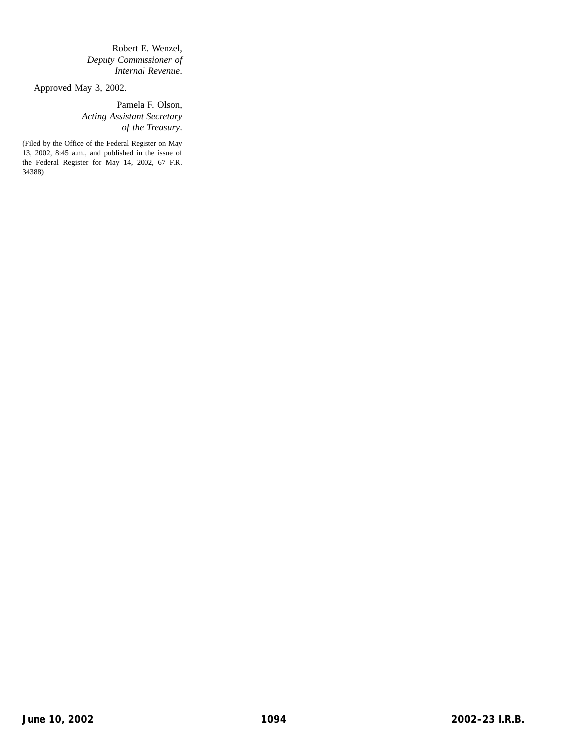Robert E. Wenzel, *Deputy Commissioner of Internal Revenue*.

Approved May 3, 2002.

Pamela F. Olson, *Acting Assistant Secretary of the Treasury*.

(Filed by the Office of the Federal Register on May 13, 2002, 8:45 a.m., and published in the issue of the Federal Register for May 14, 2002, 67 F.R. 34388)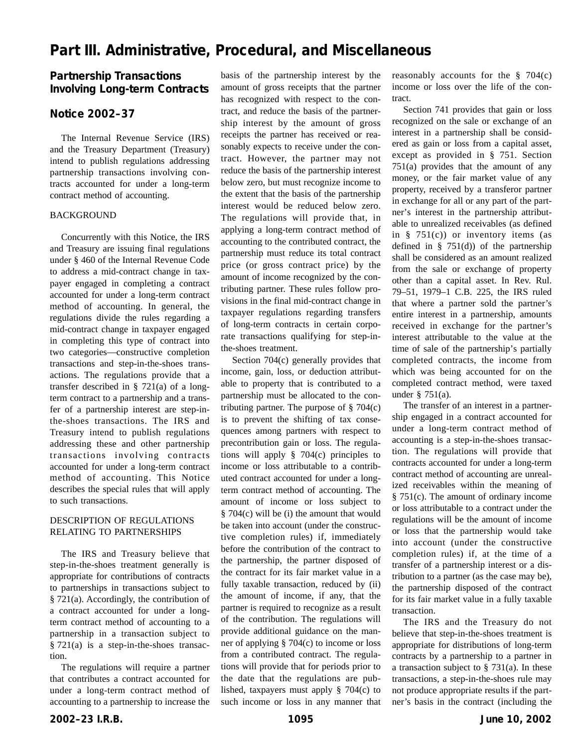# **Part III. Administrative, Procedural, and Miscellaneous**

# **Partnership Transactions Involving Long-term Contracts**

## **Notice 2002–37**

The Internal Revenue Service (IRS) and the Treasury Department (Treasury) intend to publish regulations addressing partnership transactions involving contracts accounted for under a long-term contract method of accounting.

#### BACKGROUND

Concurrently with this Notice, the IRS and Treasury are issuing final regulations under § 460 of the Internal Revenue Code to address a mid-contract change in taxpayer engaged in completing a contract accounted for under a long-term contract method of accounting. In general, the regulations divide the rules regarding a mid-contract change in taxpayer engaged in completing this type of contract into two categories—constructive completion transactions and step-in-the-shoes transactions. The regulations provide that a transfer described in § 721(a) of a longterm contract to a partnership and a transfer of a partnership interest are step-inthe-shoes transactions. The IRS and Treasury intend to publish regulations addressing these and other partnership transactions involving contracts accounted for under a long-term contract method of accounting. This Notice describes the special rules that will apply to such transactions.

## DESCRIPTION OF REGULATIONS RELATING TO PARTNERSHIPS

The IRS and Treasury believe that step-in-the-shoes treatment generally is appropriate for contributions of contracts to partnerships in transactions subject to § 721(a). Accordingly, the contribution of a contract accounted for under a longterm contract method of accounting to a partnership in a transaction subject to § 721(a) is a step-in-the-shoes transaction.

The regulations will require a partner that contributes a contract accounted for under a long-term contract method of accounting to a partnership to increase the

basis of the partnership interest by the amount of gross receipts that the partner has recognized with respect to the contract, and reduce the basis of the partnership interest by the amount of gross receipts the partner has received or reasonably expects to receive under the contract. However, the partner may not reduce the basis of the partnership interest below zero, but must recognize income to the extent that the basis of the partnership interest would be reduced below zero. The regulations will provide that, in applying a long-term contract method of accounting to the contributed contract, the partnership must reduce its total contract price (or gross contract price) by the amount of income recognized by the contributing partner. These rules follow provisions in the final mid-contract change in taxpayer regulations regarding transfers of long-term contracts in certain corporate transactions qualifying for step-inthe-shoes treatment.

Section 704(c) generally provides that income, gain, loss, or deduction attributable to property that is contributed to a partnership must be allocated to the contributing partner. The purpose of  $\S$  704(c) is to prevent the shifting of tax consequences among partners with respect to precontribution gain or loss. The regulations will apply § 704(c) principles to income or loss attributable to a contributed contract accounted for under a longterm contract method of accounting. The amount of income or loss subject to § 704(c) will be (i) the amount that would be taken into account (under the constructive completion rules) if, immediately before the contribution of the contract to the partnership, the partner disposed of the contract for its fair market value in a fully taxable transaction, reduced by (ii) the amount of income, if any, that the partner is required to recognize as a result of the contribution. The regulations will provide additional guidance on the manner of applying § 704(c) to income or loss from a contributed contract. The regulations will provide that for periods prior to the date that the regulations are published, taxpayers must apply § 704(c) to such income or loss in any manner that reasonably accounts for the  $\S$  704(c) income or loss over the life of the contract.

Section 741 provides that gain or loss recognized on the sale or exchange of an interest in a partnership shall be considered as gain or loss from a capital asset, except as provided in § 751. Section 751(a) provides that the amount of any money, or the fair market value of any property, received by a transferor partner in exchange for all or any part of the partner's interest in the partnership attributable to unrealized receivables (as defined in § 751(c)) or inventory items (as defined in  $\S$  751(d)) of the partnership shall be considered as an amount realized from the sale or exchange of property other than a capital asset. In Rev. Rul. 79–51, 1979–1 C.B. 225, the IRS ruled that where a partner sold the partner's entire interest in a partnership, amounts received in exchange for the partner's interest attributable to the value at the time of sale of the partnership's partially completed contracts, the income from which was being accounted for on the completed contract method, were taxed under § 751(a).

The transfer of an interest in a partnership engaged in a contract accounted for under a long-term contract method of accounting is a step-in-the-shoes transaction. The regulations will provide that contracts accounted for under a long-term contract method of accounting are unrealized receivables within the meaning of § 751(c). The amount of ordinary income or loss attributable to a contract under the regulations will be the amount of income or loss that the partnership would take into account (under the constructive completion rules) if, at the time of a transfer of a partnership interest or a distribution to a partner (as the case may be), the partnership disposed of the contract for its fair market value in a fully taxable transaction.

The IRS and the Treasury do not believe that step-in-the-shoes treatment is appropriate for distributions of long-term contracts by a partnership to a partner in a transaction subject to  $\S$  731(a). In these transactions, a step-in-the-shoes rule may not produce appropriate results if the partner's basis in the contract (including the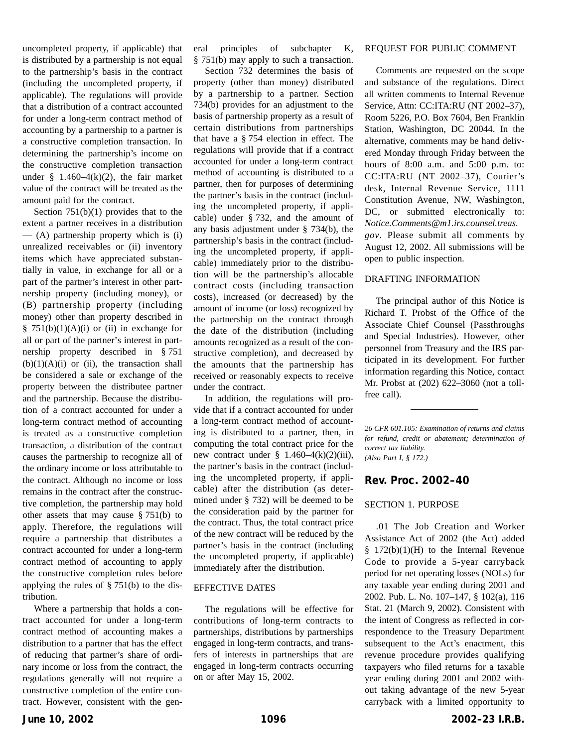uncompleted property, if applicable) that is distributed by a partnership is not equal to the partnership's basis in the contract (including the uncompleted property, if applicable). The regulations will provide that a distribution of a contract accounted for under a long-term contract method of accounting by a partnership to a partner is a constructive completion transaction. In determining the partnership's income on the constructive completion transaction under § 1.460–4 $(k)(2)$ , the fair market value of the contract will be treated as the amount paid for the contract.

Section  $751(b)(1)$  provides that to the extent a partner receives in a distribution  $-$  (A) partnership property which is (i) unrealized receivables or (ii) inventory items which have appreciated substantially in value, in exchange for all or a part of the partner's interest in other partnership property (including money), or (B) partnership property (including money) other than property described in  $§ 751(b)(1)(A)(i)$  or (ii) in exchange for all or part of the partner's interest in partnership property described in § 751  $(b)(1)(A)(i)$  or (ii), the transaction shall be considered a sale or exchange of the property between the distributee partner and the partnership. Because the distribution of a contract accounted for under a long-term contract method of accounting is treated as a constructive completion transaction, a distribution of the contract causes the partnership to recognize all of the ordinary income or loss attributable to the contract. Although no income or loss remains in the contract after the constructive completion, the partnership may hold other assets that may cause § 751(b) to apply. Therefore, the regulations will require a partnership that distributes a contract accounted for under a long-term contract method of accounting to apply the constructive completion rules before applying the rules of § 751(b) to the distribution.

Where a partnership that holds a contract accounted for under a long-term contract method of accounting makes a distribution to a partner that has the effect of reducing that partner's share of ordinary income or loss from the contract, the regulations generally will not require a constructive completion of the entire contract. However, consistent with the general principles of subchapter K, § 751(b) may apply to such a transaction.

Section 732 determines the basis of property (other than money) distributed by a partnership to a partner. Section 734(b) provides for an adjustment to the basis of partnership property as a result of certain distributions from partnerships that have a § 754 election in effect. The regulations will provide that if a contract accounted for under a long-term contract method of accounting is distributed to a partner, then for purposes of determining the partner's basis in the contract (including the uncompleted property, if applicable) under § 732, and the amount of any basis adjustment under § 734(b), the partnership's basis in the contract (including the uncompleted property, if applicable) immediately prior to the distribution will be the partnership's allocable contract costs (including transaction costs), increased (or decreased) by the amount of income (or loss) recognized by the partnership on the contract through the date of the distribution (including amounts recognized as a result of the constructive completion), and decreased by the amounts that the partnership has received or reasonably expects to receive under the contract.

In addition, the regulations will provide that if a contract accounted for under a long-term contract method of accounting is distributed to a partner, then, in computing the total contract price for the new contract under  $\S$  1.460–4(k)(2)(iii), the partner's basis in the contract (including the uncompleted property, if applicable) after the distribution (as determined under § 732) will be deemed to be the consideration paid by the partner for the contract. Thus, the total contract price of the new contract will be reduced by the partner's basis in the contract (including the uncompleted property, if applicable) immediately after the distribution.

#### EFFECTIVE DATES

The regulations will be effective for contributions of long-term contracts to partnerships, distributions by partnerships engaged in long-term contracts, and transfers of interests in partnerships that are engaged in long-term contracts occurring on or after May 15, 2002.

#### REQUEST FOR PUBLIC COMMENT

Comments are requested on the scope and substance of the regulations. Direct all written comments to Internal Revenue Service, Attn: CC:ITA:RU (NT 2002–37), Room 5226, P.O. Box 7604, Ben Franklin Station, Washington, DC 20044. In the alternative, comments may be hand delivered Monday through Friday between the hours of 8:00 a.m. and 5:00 p.m. to: CC:ITA:RU (NT 2002–37), Courier's desk, Internal Revenue Service, 1111 Constitution Avenue, NW, Washington, DC, or submitted electronically to: *Notice.Comments@m1.irs.counsel.treas. gov*. Please submit all comments by August 12, 2002. All submissions will be open to public inspection.

### DRAFTING INFORMATION

The principal author of this Notice is Richard T. Probst of the Office of the Associate Chief Counsel (Passthroughs and Special Industries). However, other personnel from Treasury and the IRS participated in its development. For further information regarding this Notice, contact Mr. Probst at (202) 622–3060 (not a tollfree call).

## **Rev. Proc. 2002–40**

#### SECTION 1. PURPOSE

.01 The Job Creation and Worker Assistance Act of 2002 (the Act) added § 172(b)(1)(H) to the Internal Revenue Code to provide a 5-year carryback period for net operating losses (NOLs) for any taxable year ending during 2001 and 2002. Pub. L. No. 107–147, § 102(a), 116 Stat. 21 (March 9, 2002). Consistent with the intent of Congress as reflected in correspondence to the Treasury Department subsequent to the Act's enactment, this revenue procedure provides qualifying taxpayers who filed returns for a taxable year ending during 2001 and 2002 without taking advantage of the new 5-year carryback with a limited opportunity to

*<sup>26</sup> CFR 601.105: Examination of returns and claims for refund, credit or abatement; determination of correct tax liability. (Also Part I, § 172.)*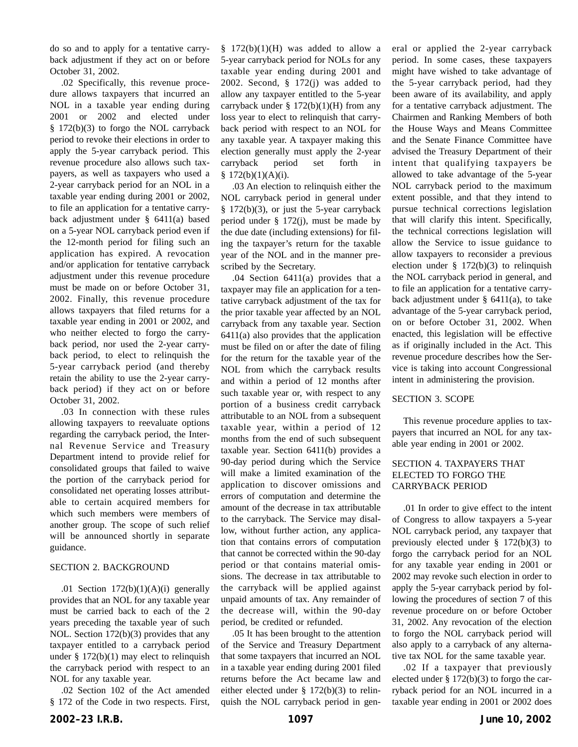do so and to apply for a tentative carryback adjustment if they act on or before October 31, 2002.

.02 Specifically, this revenue procedure allows taxpayers that incurred an NOL in a taxable year ending during 2001 or 2002 and elected under § 172(b)(3) to forgo the NOL carryback period to revoke their elections in order to apply the 5-year carryback period. This revenue procedure also allows such taxpayers, as well as taxpayers who used a 2-year carryback period for an NOL in a taxable year ending during 2001 or 2002, to file an application for a tentative carryback adjustment under § 6411(a) based on a 5-year NOL carryback period even if the 12-month period for filing such an application has expired. A revocation and/or application for tentative carryback adjustment under this revenue procedure must be made on or before October 31, 2002. Finally, this revenue procedure allows taxpayers that filed returns for a taxable year ending in 2001 or 2002, and who neither elected to forgo the carryback period, nor used the 2-year carryback period, to elect to relinquish the 5-year carryback period (and thereby retain the ability to use the 2-year carryback period) if they act on or before October 31, 2002.

.03 In connection with these rules allowing taxpayers to reevaluate options regarding the carryback period, the Internal Revenue Service and Treasury Department intend to provide relief for consolidated groups that failed to waive the portion of the carryback period for consolidated net operating losses attributable to certain acquired members for which such members were members of another group. The scope of such relief will be announced shortly in separate guidance.

## SECTION 2. BACKGROUND

.01 Section  $172(b)(1)(A)(i)$  generally provides that an NOL for any taxable year must be carried back to each of the 2 years preceding the taxable year of such NOL. Section 172(b)(3) provides that any taxpayer entitled to a carryback period under  $\S 172(b)(1)$  may elect to relinquish the carryback period with respect to an NOL for any taxable year.

.02 Section 102 of the Act amended § 172 of the Code in two respects. First,

 $§$  172(b)(1)(H) was added to allow a 5-year carryback period for NOLs for any taxable year ending during 2001 and 2002. Second, § 172(j) was added to allow any taxpayer entitled to the 5-year carryback under  $\S$  172(b)(1)(H) from any loss year to elect to relinquish that carryback period with respect to an NOL for any taxable year. A taxpayer making this election generally must apply the 2-year carryback period set forth in  $$172(b)(1)(A)(i).$ 

.03 An election to relinquish either the NOL carryback period in general under  $§$  172(b)(3), or just the 5-year carryback period under § 172(j), must be made by the due date (including extensions) for filing the taxpayer's return for the taxable year of the NOL and in the manner prescribed by the Secretary.

.04 Section 6411(a) provides that a taxpayer may file an application for a tentative carryback adjustment of the tax for the prior taxable year affected by an NOL carryback from any taxable year. Section 6411(a) also provides that the application must be filed on or after the date of filing for the return for the taxable year of the NOL from which the carryback results and within a period of 12 months after such taxable year or, with respect to any portion of a business credit carryback attributable to an NOL from a subsequent taxable year, within a period of 12 months from the end of such subsequent taxable year. Section 6411(b) provides a 90-day period during which the Service will make a limited examination of the application to discover omissions and errors of computation and determine the amount of the decrease in tax attributable to the carryback. The Service may disallow, without further action, any application that contains errors of computation that cannot be corrected within the 90-day period or that contains material omissions. The decrease in tax attributable to the carryback will be applied against unpaid amounts of tax. Any remainder of the decrease will, within the 90-day period, be credited or refunded.

.05 It has been brought to the attention of the Service and Treasury Department that some taxpayers that incurred an NOL in a taxable year ending during 2001 filed returns before the Act became law and either elected under § 172(b)(3) to relinquish the NOL carryback period in general or applied the 2-year carryback period. In some cases, these taxpayers might have wished to take advantage of the 5-year carryback period, had they been aware of its availability, and apply for a tentative carryback adjustment. The Chairmen and Ranking Members of both the House Ways and Means Committee and the Senate Finance Committee have advised the Treasury Department of their intent that qualifying taxpayers be allowed to take advantage of the 5-year NOL carryback period to the maximum extent possible, and that they intend to pursue technical corrections legislation that will clarify this intent. Specifically, the technical corrections legislation will allow the Service to issue guidance to allow taxpayers to reconsider a previous election under  $\S$  172(b)(3) to relinquish the NOL carryback period in general, and to file an application for a tentative carryback adjustment under  $\S$  6411(a), to take advantage of the 5-year carryback period, on or before October 31, 2002. When enacted, this legislation will be effective as if originally included in the Act. This revenue procedure describes how the Service is taking into account Congressional intent in administering the provision.

## SECTION 3. SCOPE

This revenue procedure applies to taxpayers that incurred an NOL for any taxable year ending in 2001 or 2002.

## SECTION 4. TAXPAYERS THAT ELECTED TO FORGO THE CARRYBACK PERIOD

.01 In order to give effect to the intent of Congress to allow taxpayers a 5-year NOL carryback period, any taxpayer that previously elected under § 172(b)(3) to forgo the carryback period for an NOL for any taxable year ending in 2001 or 2002 may revoke such election in order to apply the 5-year carryback period by following the procedures of section 7 of this revenue procedure on or before October 31, 2002. Any revocation of the election to forgo the NOL carryback period will also apply to a carryback of any alternative tax NOL for the same taxable year.

.02 If a taxpayer that previously elected under § 172(b)(3) to forgo the carryback period for an NOL incurred in a taxable year ending in 2001 or 2002 does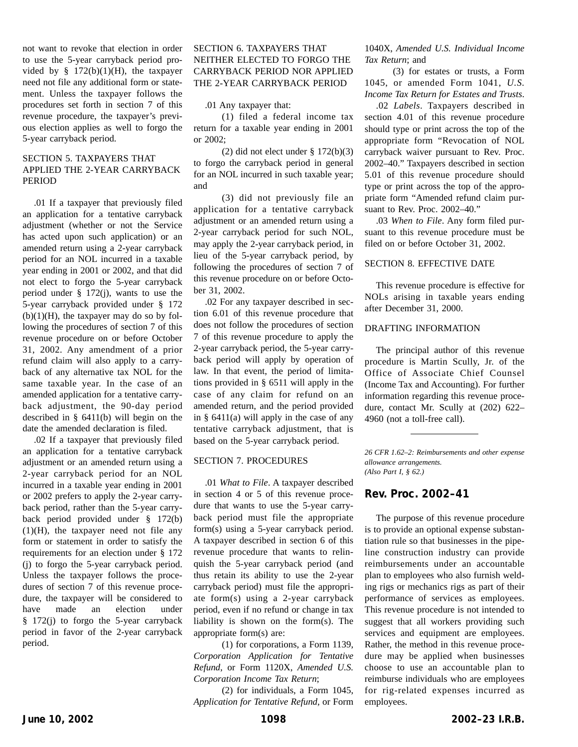not want to revoke that election in order to use the 5-year carryback period provided by  $§$  172(b)(1)(H), the taxpayer need not file any additional form or statement. Unless the taxpayer follows the procedures set forth in section 7 of this revenue procedure, the taxpayer's previous election applies as well to forgo the 5-year carryback period.

## SECTION 5. TAXPAYERS THAT APPLIED THE 2-YEAR CARRYBACK PERIOD

.01 If a taxpayer that previously filed an application for a tentative carryback adjustment (whether or not the Service has acted upon such application) or an amended return using a 2-year carryback period for an NOL incurred in a taxable year ending in 2001 or 2002, and that did not elect to forgo the 5-year carryback period under § 172(j), wants to use the 5-year carryback provided under § 172  $(b)(1)(H)$ , the taxpayer may do so by following the procedures of section 7 of this revenue procedure on or before October 31, 2002. Any amendment of a prior refund claim will also apply to a carryback of any alternative tax NOL for the same taxable year. In the case of an amended application for a tentative carryback adjustment, the 90-day period described in § 6411(b) will begin on the date the amended declaration is filed.

.02 If a taxpayer that previously filed an application for a tentative carryback adjustment or an amended return using a 2-year carryback period for an NOL incurred in a taxable year ending in 2001 or 2002 prefers to apply the 2-year carryback period, rather than the 5-year carryback period provided under § 172(b)  $(1)(H)$ , the taxpayer need not file any form or statement in order to satisfy the requirements for an election under § 172 (j) to forgo the 5-year carryback period. Unless the taxpayer follows the procedures of section 7 of this revenue procedure, the taxpayer will be considered to have made an election under § 172(j) to forgo the 5-year carryback period in favor of the 2-year carryback period.

## SECTION 6. TAXPAYERS THAT NEITHER ELECTED TO FORGO THE CARRYBACK PERIOD NOR APPLIED THE 2-YEAR CARRYBACK PERIOD

.01 Any taxpayer that:

(1) filed a federal income tax return for a taxable year ending in 2001 or 2002;

(2) did not elect under  $\S 172(b)(3)$ to forgo the carryback period in general for an NOL incurred in such taxable year; and

(3) did not previously file an application for a tentative carryback adjustment or an amended return using a 2-year carryback period for such NOL, may apply the 2-year carryback period, in lieu of the 5-year carryback period, by following the procedures of section 7 of this revenue procedure on or before October 31, 2002.

.02 For any taxpayer described in section 6.01 of this revenue procedure that does not follow the procedures of section 7 of this revenue procedure to apply the 2-year carryback period, the 5-year carryback period will apply by operation of law. In that event, the period of limitations provided in § 6511 will apply in the case of any claim for refund on an amended return, and the period provided in § 6411(a) will apply in the case of any tentative carryback adjustment, that is based on the 5-year carryback period.

## SECTION 7. PROCEDURES

.01 *What to File*. A taxpayer described in section 4 or 5 of this revenue procedure that wants to use the 5-year carryback period must file the appropriate form(s) using a 5-year carryback period. A taxpayer described in section 6 of this revenue procedure that wants to relinquish the 5-year carryback period (and thus retain its ability to use the 2-year carryback period) must file the appropriate form(s) using a 2-year carryback period, even if no refund or change in tax liability is shown on the form(s). The appropriate form(s) are:

(1) for corporations, a Form 1139, *Corporation Application for Tentative Refund*, or Form 1120X, *Amended U.S. Corporation Income Tax Return*;

(2) for individuals, a Form 1045, *Application for Tentative Refund*, or Form 1040X, *Amended U.S. Individual Income Tax Return*; and

(3) for estates or trusts, a Form 1045, or amended Form 1041, *U.S. Income Tax Return for Estates and Trusts*.

.02 *Labels*. Taxpayers described in section 4.01 of this revenue procedure should type or print across the top of the appropriate form "Revocation of NOL carryback waiver pursuant to Rev. Proc. 2002–40." Taxpayers described in section 5.01 of this revenue procedure should type or print across the top of the appropriate form "Amended refund claim pursuant to Rev. Proc. 2002–40."

.03 *When to File*. Any form filed pursuant to this revenue procedure must be filed on or before October 31, 2002.

## SECTION 8. EFFECTIVE DATE

This revenue procedure is effective for NOLs arising in taxable years ending after December 31, 2000.

#### DRAFTING INFORMATION

The principal author of this revenue procedure is Martin Scully, Jr. of the Office of Associate Chief Counsel (Income Tax and Accounting). For further information regarding this revenue procedure, contact Mr. Scully at (202) 622– 4960 (not a toll-free call).

*26 CFR 1.62–2: Reimbursements and other expense allowance arrangements. (Also Part I, § 62.)*

## **Rev. Proc. 2002–41**

The purpose of this revenue procedure is to provide an optional expense substantiation rule so that businesses in the pipeline construction industry can provide reimbursements under an accountable plan to employees who also furnish welding rigs or mechanics rigs as part of their performance of services as employees. This revenue procedure is not intended to suggest that all workers providing such services and equipment are employees. Rather, the method in this revenue procedure may be applied when businesses choose to use an accountable plan to reimburse individuals who are employees for rig-related expenses incurred as employees.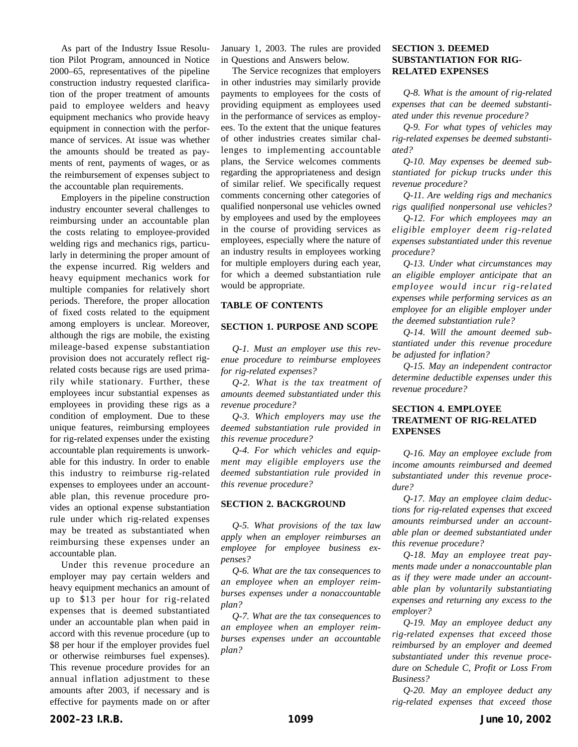As part of the Industry Issue Resolution Pilot Program, announced in Notice 2000–65, representatives of the pipeline construction industry requested clarification of the proper treatment of amounts paid to employee welders and heavy equipment mechanics who provide heavy equipment in connection with the performance of services. At issue was whether the amounts should be treated as payments of rent, payments of wages, or as the reimbursement of expenses subject to the accountable plan requirements.

Employers in the pipeline construction industry encounter several challenges to reimbursing under an accountable plan the costs relating to employee-provided welding rigs and mechanics rigs, particularly in determining the proper amount of the expense incurred. Rig welders and heavy equipment mechanics work for multiple companies for relatively short periods. Therefore, the proper allocation of fixed costs related to the equipment among employers is unclear. Moreover, although the rigs are mobile, the existing mileage-based expense substantiation provision does not accurately reflect rigrelated costs because rigs are used primarily while stationary. Further, these employees incur substantial expenses as employees in providing these rigs as a condition of employment. Due to these unique features, reimbursing employees for rig-related expenses under the existing accountable plan requirements is unworkable for this industry. In order to enable this industry to reimburse rig-related expenses to employees under an accountable plan, this revenue procedure provides an optional expense substantiation rule under which rig-related expenses may be treated as substantiated when reimbursing these expenses under an accountable plan.

Under this revenue procedure an employer may pay certain welders and heavy equipment mechanics an amount of up to \$13 per hour for rig-related expenses that is deemed substantiated under an accountable plan when paid in accord with this revenue procedure (up to \$8 per hour if the employer provides fuel or otherwise reimburses fuel expenses). This revenue procedure provides for an annual inflation adjustment to these amounts after 2003, if necessary and is effective for payments made on or after

January 1, 2003. The rules are provided in Questions and Answers below.

The Service recognizes that employers in other industries may similarly provide payments to employees for the costs of providing equipment as employees used in the performance of services as employees. To the extent that the unique features of other industries creates similar challenges to implementing accountable plans, the Service welcomes comments regarding the appropriateness and design of similar relief. We specifically request comments concerning other categories of qualified nonpersonal use vehicles owned by employees and used by the employees in the course of providing services as employees, especially where the nature of an industry results in employees working for multiple employers during each year, for which a deemed substantiation rule would be appropriate.

#### **TABLE OF CONTENTS**

## **SECTION 1. PURPOSE AND SCOPE**

*Q-1. Must an employer use this revenue procedure to reimburse employees for rig-related expenses?*

*Q-2. What is the tax treatment of amounts deemed substantiated under this revenue procedure?*

*Q-3. Which employers may use the deemed substantiation rule provided in this revenue procedure?*

*Q-4. For which vehicles and equipment may eligible employers use the deemed substantiation rule provided in this revenue procedure?*

#### **SECTION 2. BACKGROUND**

*Q-5. What provisions of the tax law apply when an employer reimburses an employee for employee business expenses?*

*Q-6. What are the tax consequences to an employee when an employer reimburses expenses under a nonaccountable plan?*

*Q-7. What are the tax consequences to an employee when an employer reimburses expenses under an accountable plan?*

## **SECTION 3. DEEMED SUBSTANTIATION FOR RIG-RELATED EXPENSES**

*Q-8. What is the amount of rig-related expenses that can be deemed substantiated under this revenue procedure?*

*Q-9. For what types of vehicles may rig-related expenses be deemed substantiated?*

*Q-10. May expenses be deemed substantiated for pickup trucks under this revenue procedure?*

*Q-11. Are welding rigs and mechanics rigs qualified nonpersonal use vehicles?*

*Q-12. For which employees may an eligible employer deem rig-related expenses substantiated under this revenue procedure?*

*Q-13. Under what circumstances may an eligible employer anticipate that an employee would incur rig-related expenses while performing services as an employee for an eligible employer under the deemed substantiation rule?*

*Q-14. Will the amount deemed substantiated under this revenue procedure be adjusted for inflation?*

*Q-15. May an independent contractor determine deductible expenses under this revenue procedure?*

## **SECTION 4. EMPLOYEE TREATMENT OF RIG-RELATED EXPENSES**

*Q-16. May an employee exclude from income amounts reimbursed and deemed substantiated under this revenue procedure?*

*Q-17. May an employee claim deductions for rig-related expenses that exceed amounts reimbursed under an accountable plan or deemed substantiated under this revenue procedure?*

*Q-18. May an employee treat payments made under a nonaccountable plan as if they were made under an accountable plan by voluntarily substantiating expenses and returning any excess to the employer?*

*Q-19. May an employee deduct any rig-related expenses that exceed those reimbursed by an employer and deemed substantiated under this revenue procedure on Schedule C, Profit or Loss From Business?*

*Q-20. May an employee deduct any rig-related expenses that exceed those*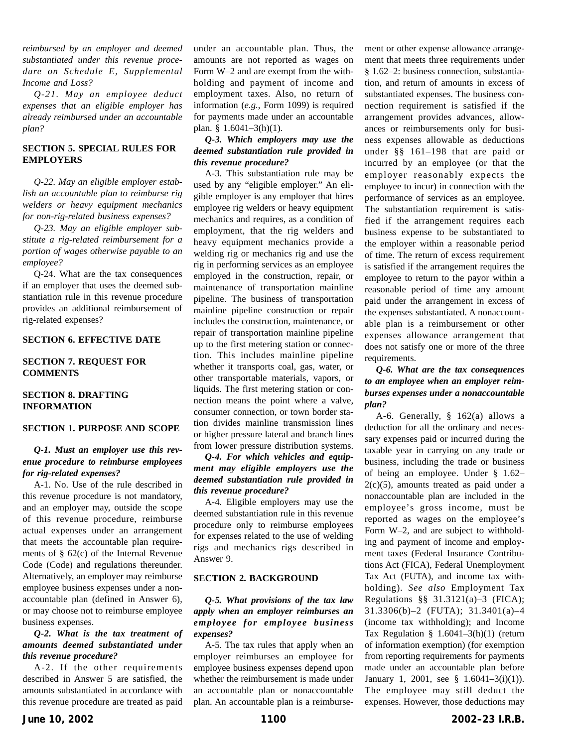*reimbursed by an employer and deemed substantiated under this revenue procedure on Schedule E, Supplemental Income and Loss?*

*Q-21. May an employee deduct expenses that an eligible employer has already reimbursed under an accountable plan?*

## **SECTION 5. SPECIAL RULES FOR EMPLOYERS**

*Q-22. May an eligible employer establish an accountable plan to reimburse rig welders or heavy equipment mechanics for non-rig-related business expenses?*

*Q-23. May an eligible employer substitute a rig-related reimbursement for a portion of wages otherwise payable to an employee?*

Q-24. What are the tax consequences if an employer that uses the deemed substantiation rule in this revenue procedure provides an additional reimbursement of rig-related expenses?

#### **SECTION 6. EFFECTIVE DATE**

## **SECTION 7. REQUEST FOR COMMENTS**

## **SECTION 8. DRAFTING INFORMATION**

#### **SECTION 1. PURPOSE AND SCOPE**

#### *Q-1. Must an employer use this revenue procedure to reimburse employees for rig-related expenses?*

A-1. No. Use of the rule described in this revenue procedure is not mandatory, and an employer may, outside the scope of this revenue procedure, reimburse actual expenses under an arrangement that meets the accountable plan requirements of § 62(c) of the Internal Revenue Code (Code) and regulations thereunder. Alternatively, an employer may reimburse employee business expenses under a nonaccountable plan (defined in Answer 6), or may choose not to reimburse employee business expenses.

## *Q-2. What is the tax treatment of amounts deemed substantiated under this revenue procedure?*

A-2. If the other requirements described in Answer 5 are satisfied, the amounts substantiated in accordance with this revenue procedure are treated as paid under an accountable plan. Thus, the amounts are not reported as wages on Form W–2 and are exempt from the withholding and payment of income and employment taxes. Also, no return of information (*e.g.*, Form 1099) is required for payments made under an accountable plan. §  $1.6041 - 3(h)(1)$ .

## *Q-3. Which employers may use the deemed substantiation rule provided in this revenue procedure?*

A-3. This substantiation rule may be used by any "eligible employer." An eligible employer is any employer that hires employee rig welders or heavy equipment mechanics and requires, as a condition of employment, that the rig welders and heavy equipment mechanics provide a welding rig or mechanics rig and use the rig in performing services as an employee employed in the construction, repair, or maintenance of transportation mainline pipeline. The business of transportation mainline pipeline construction or repair includes the construction, maintenance, or repair of transportation mainline pipeline up to the first metering station or connection. This includes mainline pipeline whether it transports coal, gas, water, or other transportable materials, vapors, or liquids. The first metering station or connection means the point where a valve, consumer connection, or town border station divides mainline transmission lines or higher pressure lateral and branch lines from lower pressure distribution systems.

## *Q-4. For which vehicles and equipment may eligible employers use the deemed substantiation rule provided in this revenue procedure?*

A-4. Eligible employers may use the deemed substantiation rule in this revenue procedure only to reimburse employees for expenses related to the use of welding rigs and mechanics rigs described in Answer 9.

## **SECTION 2. BACKGROUND**

## *Q-5. What provisions of the tax law apply when an employer reimburses an employee for employee business expenses?*

A-5. The tax rules that apply when an employer reimburses an employee for employee business expenses depend upon whether the reimbursement is made under an accountable plan or nonaccountable plan. An accountable plan is a reimbursement or other expense allowance arrangement that meets three requirements under § 1.62–2: business connection, substantiation, and return of amounts in excess of substantiated expenses. The business connection requirement is satisfied if the arrangement provides advances, allowances or reimbursements only for business expenses allowable as deductions under §§ 161–198 that are paid or incurred by an employee (or that the employer reasonably expects the employee to incur) in connection with the performance of services as an employee. The substantiation requirement is satisfied if the arrangement requires each business expense to be substantiated to the employer within a reasonable period of time. The return of excess requirement is satisfied if the arrangement requires the employee to return to the payor within a reasonable period of time any amount paid under the arrangement in excess of the expenses substantiated. A nonaccountable plan is a reimbursement or other expenses allowance arrangement that does not satisfy one or more of the three requirements.

## *Q-6. What are the tax consequences to an employee when an employer reimburses expenses under a nonaccountable plan?*

A-6. Generally, § 162(a) allows a deduction for all the ordinary and necessary expenses paid or incurred during the taxable year in carrying on any trade or business, including the trade or business of being an employee. Under § 1.62–  $2(c)(5)$ , amounts treated as paid under a nonaccountable plan are included in the employee's gross income, must be reported as wages on the employee's Form W–2, and are subject to withholding and payment of income and employment taxes (Federal Insurance Contributions Act (FICA), Federal Unemployment Tax Act (FUTA), and income tax withholding). *See also* Employment Tax Regulations §§ 31.3121(a)–3 (FICA); 31.3306(b)–2 (FUTA); 31.3401(a)–4 (income tax withholding); and Income Tax Regulation §  $1.6041-3(h)(1)$  (return of information exemption) (for exemption from reporting requirements for payments made under an accountable plan before January 1, 2001, see § 1.6041–3(i)(1)). The employee may still deduct the expenses. However, those deductions may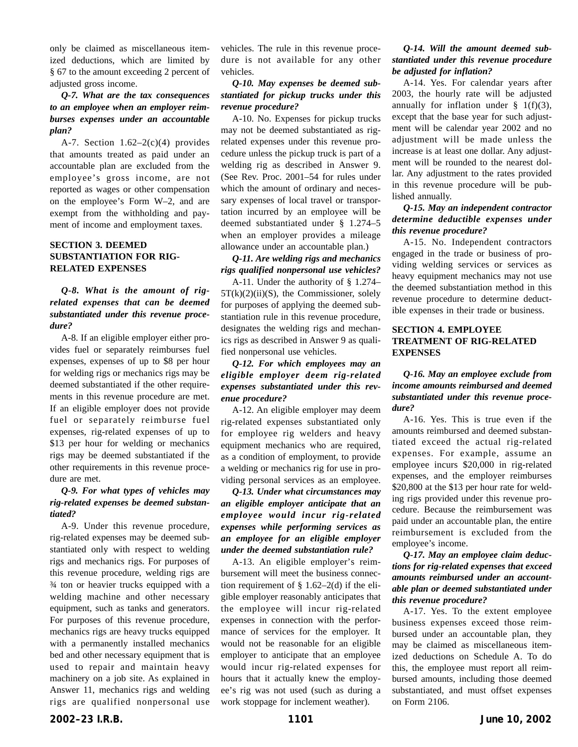only be claimed as miscellaneous itemized deductions, which are limited by § 67 to the amount exceeding 2 percent of adjusted gross income.

## *Q-7. What are the tax consequences to an employee when an employer reimburses expenses under an accountable plan?*

A-7. Section  $1.62-2(c)(4)$  provides that amounts treated as paid under an accountable plan are excluded from the employee's gross income, are not reported as wages or other compensation on the employee's Form W–2, and are exempt from the withholding and payment of income and employment taxes.

## **SECTION 3. DEEMED SUBSTANTIATION FOR RIG-RELATED EXPENSES**

## *Q-8. What is the amount of rigrelated expenses that can be deemed substantiated under this revenue procedure?*

A-8. If an eligible employer either provides fuel or separately reimburses fuel expenses, expenses of up to \$8 per hour for welding rigs or mechanics rigs may be deemed substantiated if the other requirements in this revenue procedure are met. If an eligible employer does not provide fuel or separately reimburse fuel expenses, rig-related expenses of up to \$13 per hour for welding or mechanics rigs may be deemed substantiated if the other requirements in this revenue procedure are met.

## *Q-9. For what types of vehicles may rig-related expenses be deemed substantiated?*

A-9. Under this revenue procedure, rig-related expenses may be deemed substantiated only with respect to welding rigs and mechanics rigs. For purposes of this revenue procedure, welding rigs are ¾ ton or heavier trucks equipped with a welding machine and other necessary equipment, such as tanks and generators. For purposes of this revenue procedure, mechanics rigs are heavy trucks equipped with a permanently installed mechanics bed and other necessary equipment that is used to repair and maintain heavy machinery on a job site. As explained in Answer 11, mechanics rigs and welding rigs are qualified nonpersonal use vehicles. The rule in this revenue procedure is not available for any other vehicles.

## *Q-10. May expenses be deemed substantiated for pickup trucks under this revenue procedure?*

A-10. No. Expenses for pickup trucks may not be deemed substantiated as rigrelated expenses under this revenue procedure unless the pickup truck is part of a welding rig as described in Answer 9. (See Rev. Proc. 2001–54 for rules under which the amount of ordinary and necessary expenses of local travel or transportation incurred by an employee will be deemed substantiated under § 1.274–5 when an employer provides a mileage allowance under an accountable plan.)

## *Q-11. Are welding rigs and mechanics rigs qualified nonpersonal use vehicles?*

A-11. Under the authority of § 1.274–  $5T(k)(2)(ii)(S)$ , the Commissioner, solely for purposes of applying the deemed substantiation rule in this revenue procedure, designates the welding rigs and mechanics rigs as described in Answer 9 as qualified nonpersonal use vehicles.

## *Q-12. For which employees may an eligible employer deem rig-related expenses substantiated under this revenue procedure?*

A-12. An eligible employer may deem rig-related expenses substantiated only for employee rig welders and heavy equipment mechanics who are required, as a condition of employment, to provide a welding or mechanics rig for use in providing personal services as an employee.

## *Q-13. Under what circumstances may an eligible employer anticipate that an employee would incur rig-related expenses while performing services as an employee for an eligible employer under the deemed substantiation rule?*

A-13. An eligible employer's reimbursement will meet the business connection requirement of  $\S$  1.62–2(d) if the eligible employer reasonably anticipates that the employee will incur rig-related expenses in connection with the performance of services for the employer. It would not be reasonable for an eligible employer to anticipate that an employee would incur rig-related expenses for hours that it actually knew the employee's rig was not used (such as during a work stoppage for inclement weather).

## *Q-14. Will the amount deemed substantiated under this revenue procedure be adjusted for inflation?*

A-14. Yes. For calendar years after 2003, the hourly rate will be adjusted annually for inflation under  $\S$  1(f)(3), except that the base year for such adjustment will be calendar year 2002 and no adjustment will be made unless the increase is at least one dollar. Any adjustment will be rounded to the nearest dollar. Any adjustment to the rates provided in this revenue procedure will be published annually.

## *Q-15. May an independent contractor determine deductible expenses under this revenue procedure?*

A-15. No. Independent contractors engaged in the trade or business of providing welding services or services as heavy equipment mechanics may not use the deemed substantiation method in this revenue procedure to determine deductible expenses in their trade or business.

## **SECTION 4. EMPLOYEE TREATMENT OF RIG-RELATED EXPENSES**

*Q-16. May an employee exclude from income amounts reimbursed and deemed substantiated under this revenue procedure?*

A-16. Yes. This is true even if the amounts reimbursed and deemed substantiated exceed the actual rig-related expenses. For example, assume an employee incurs \$20,000 in rig-related expenses, and the employer reimburses \$20,800 at the \$13 per hour rate for welding rigs provided under this revenue procedure. Because the reimbursement was paid under an accountable plan, the entire reimbursement is excluded from the employee's income.

## *Q-17. May an employee claim deductions for rig-related expenses that exceed amounts reimbursed under an accountable plan or deemed substantiated under this revenue procedure?*

A-17. Yes. To the extent employee business expenses exceed those reimbursed under an accountable plan, they may be claimed as miscellaneous itemized deductions on Schedule A. To do this, the employee must report all reimbursed amounts, including those deemed substantiated, and must offset expenses on Form 2106.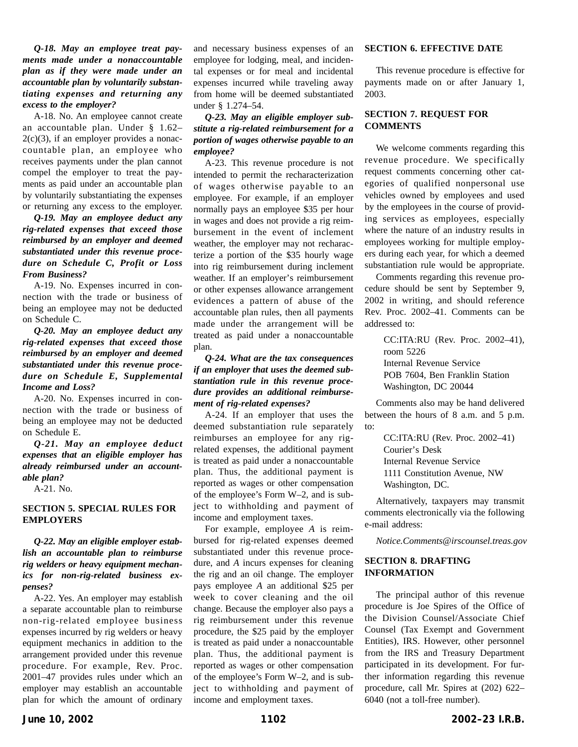## *Q-18. May an employee treat payments made under a nonaccountable plan as if they were made under an accountable plan by voluntarily substantiating expenses and returning any excess to the employer?*

A-18. No. An employee cannot create an accountable plan. Under § 1.62–  $2(c)(3)$ , if an employer provides a nonaccountable plan, an employee who receives payments under the plan cannot compel the employer to treat the payments as paid under an accountable plan by voluntarily substantiating the expenses or returning any excess to the employer.

*Q-19. May an employee deduct any rig-related expenses that exceed those reimbursed by an employer and deemed substantiated under this revenue procedure on Schedule C, Profit or Loss From Business?*

A-19. No. Expenses incurred in connection with the trade or business of being an employee may not be deducted on Schedule C.

*Q-20. May an employee deduct any rig-related expenses that exceed those reimbursed by an employer and deemed substantiated under this revenue procedure on Schedule E, Supplemental Income and Loss?*

A-20. No. Expenses incurred in connection with the trade or business of being an employee may not be deducted on Schedule E.

*Q-21. May an employee deduct expenses that an eligible employer has already reimbursed under an accountable plan?*

A-21. No.

## **SECTION 5. SPECIAL RULES FOR EMPLOYERS**

## *Q-22. May an eligible employer establish an accountable plan to reimburse rig welders or heavy equipment mechanics for non-rig-related business expenses?*

A-22. Yes. An employer may establish a separate accountable plan to reimburse non-rig-related employee business expenses incurred by rig welders or heavy equipment mechanics in addition to the arrangement provided under this revenue procedure. For example, Rev. Proc. 2001–47 provides rules under which an employer may establish an accountable plan for which the amount of ordinary and necessary business expenses of an employee for lodging, meal, and incidental expenses or for meal and incidental expenses incurred while traveling away from home will be deemed substantiated under § 1.274–54.

## *Q-23. May an eligible employer substitute a rig-related reimbursement for a portion of wages otherwise payable to an employee?*

A-23. This revenue procedure is not intended to permit the recharacterization of wages otherwise payable to an employee. For example, if an employer normally pays an employee \$35 per hour in wages and does not provide a rig reimbursement in the event of inclement weather, the employer may not recharacterize a portion of the \$35 hourly wage into rig reimbursement during inclement weather. If an employer's reimbursement or other expenses allowance arrangement evidences a pattern of abuse of the accountable plan rules, then all payments made under the arrangement will be treated as paid under a nonaccountable plan.

## *Q-24. What are the tax consequences if an employer that uses the deemed substantiation rule in this revenue procedure provides an additional reimbursement of rig-related expenses?*

A-24. If an employer that uses the deemed substantiation rule separately reimburses an employee for any rigrelated expenses, the additional payment is treated as paid under a nonaccountable plan. Thus, the additional payment is reported as wages or other compensation of the employee's Form W–2, and is subject to withholding and payment of income and employment taxes.

For example, employee *A* is reimbursed for rig-related expenses deemed substantiated under this revenue procedure, and *A* incurs expenses for cleaning the rig and an oil change. The employer pays employee *A* an additional \$25 per week to cover cleaning and the oil change. Because the employer also pays a rig reimbursement under this revenue procedure, the \$25 paid by the employer is treated as paid under a nonaccountable plan. Thus, the additional payment is reported as wages or other compensation of the employee's Form W–2, and is subject to withholding and payment of income and employment taxes.

#### **SECTION 6. EFFECTIVE DATE**

This revenue procedure is effective for payments made on or after January 1, 2003.

## **SECTION 7. REQUEST FOR COMMENTS**

We welcome comments regarding this revenue procedure. We specifically request comments concerning other categories of qualified nonpersonal use vehicles owned by employees and used by the employees in the course of providing services as employees, especially where the nature of an industry results in employees working for multiple employers during each year, for which a deemed substantiation rule would be appropriate.

Comments regarding this revenue procedure should be sent by September 9, 2002 in writing, and should reference Rev. Proc. 2002–41. Comments can be addressed to:

> CC:ITA:RU (Rev. Proc. 2002–41), room 5226 Internal Revenue Service POB 7604, Ben Franklin Station Washington, DC 20044

Comments also may be hand delivered between the hours of 8 a.m. and 5 p.m. to:

> CC:ITA:RU (Rev. Proc. 2002–41) Courier's Desk Internal Revenue Service 1111 Constitution Avenue, NW Washington, DC.

Alternatively, taxpayers may transmit comments electronically via the following e-mail address:

*Notice.Comments@irscounsel.treas.gov*

## **SECTION 8. DRAFTING INFORMATION**

The principal author of this revenue procedure is Joe Spires of the Office of the Division Counsel/Associate Chief Counsel (Tax Exempt and Government Entities), IRS. However, other personnel from the IRS and Treasury Department participated in its development. For further information regarding this revenue procedure, call Mr. Spires at (202) 622– 6040 (not a toll-free number).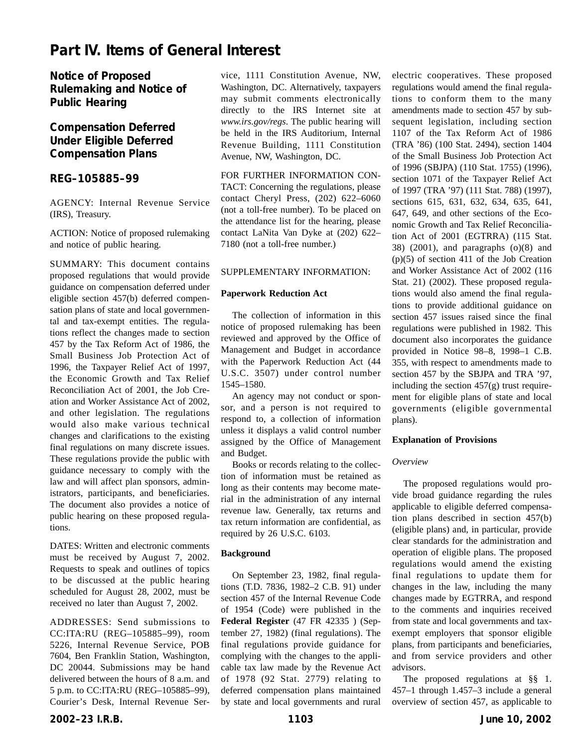# **Part IV. Items of General Interest**

**Notice of Proposed Rulemaking and Notice of Public Hearing**

# **Compensation Deferred Under Eligible Deferred Compensation Plans**

## **REG–105885–99**

AGENCY: Internal Revenue Service (IRS), Treasury.

ACTION: Notice of proposed rulemaking and notice of public hearing.

SUMMARY: This document contains proposed regulations that would provide guidance on compensation deferred under eligible section 457(b) deferred compensation plans of state and local governmental and tax-exempt entities. The regulations reflect the changes made to section 457 by the Tax Reform Act of 1986, the Small Business Job Protection Act of 1996, the Taxpayer Relief Act of 1997, the Economic Growth and Tax Relief Reconciliation Act of 2001, the Job Creation and Worker Assistance Act of 2002, and other legislation. The regulations would also make various technical changes and clarifications to the existing final regulations on many discrete issues. These regulations provide the public with guidance necessary to comply with the law and will affect plan sponsors, administrators, participants, and beneficiaries. The document also provides a notice of public hearing on these proposed regulations.

DATES: Written and electronic comments must be received by August 7, 2002. Requests to speak and outlines of topics to be discussed at the public hearing scheduled for August 28, 2002, must be received no later than August 7, 2002.

ADDRESSES: Send submissions to CC:ITA:RU (REG–105885–99), room 5226, Internal Revenue Service, POB 7604, Ben Franklin Station, Washington, DC 20044. Submissions may be hand delivered between the hours of 8 a.m. and 5 p.m. to CC:ITA:RU (REG–105885–99), Courier's Desk, Internal Revenue Ser-

vice, 1111 Constitution Avenue, NW, Washington, DC. Alternatively, taxpayers may submit comments electronically directly to the IRS Internet site at *www.irs.gov/regs*. The public hearing will be held in the IRS Auditorium, Internal Revenue Building, 1111 Constitution Avenue, NW, Washington, DC.

FOR FURTHER INFORMATION CON-TACT: Concerning the regulations, please contact Cheryl Press, (202) 622–6060 (not a toll-free number). To be placed on the attendance list for the hearing, please contact LaNita Van Dyke at (202) 622– 7180 (not a toll-free number.)

## SUPPLEMENTARY INFORMATION:

#### **Paperwork Reduction Act**

The collection of information in this notice of proposed rulemaking has been reviewed and approved by the Office of Management and Budget in accordance with the Paperwork Reduction Act (44 U.S.C. 3507) under control number 1545–1580.

An agency may not conduct or sponsor, and a person is not required to respond to, a collection of information unless it displays a valid control number assigned by the Office of Management and Budget.

Books or records relating to the collection of information must be retained as long as their contents may become material in the administration of any internal revenue law. Generally, tax returns and tax return information are confidential, as required by 26 U.S.C. 6103.

#### **Background**

On September 23, 1982, final regulations (T.D. 7836, 1982–2 C.B. 91) under section 457 of the Internal Revenue Code of 1954 (Code) were published in the **Federal Register** (47 FR 42335 ) (September 27, 1982) (final regulations). The final regulations provide guidance for complying with the changes to the applicable tax law made by the Revenue Act of 1978 (92 Stat. 2779) relating to deferred compensation plans maintained by state and local governments and rural

electric cooperatives. These proposed regulations would amend the final regulations to conform them to the many amendments made to section 457 by subsequent legislation, including section 1107 of the Tax Reform Act of 1986 (TRA '86) (100 Stat. 2494), section 1404 of the Small Business Job Protection Act of 1996 (SBJPA) (110 Stat. 1755) (1996), section 1071 of the Taxpayer Relief Act of 1997 (TRA '97) (111 Stat. 788) (1997), sections 615, 631, 632, 634, 635, 641, 647, 649, and other sections of the Economic Growth and Tax Relief Reconciliation Act of 2001 (EGTRRA) (115 Stat. 38) (2001), and paragraphs (o)(8) and (p)(5) of section 411 of the Job Creation and Worker Assistance Act of 2002 (116 Stat. 21) (2002). These proposed regulations would also amend the final regulations to provide additional guidance on section 457 issues raised since the final regulations were published in 1982. This document also incorporates the guidance provided in Notice 98–8, 1998–1 C.B. 355, with respect to amendments made to section 457 by the SBJPA and TRA '97, including the section  $457(g)$  trust requirement for eligible plans of state and local governments (eligible governmental plans).

## **Explanation of Provisions**

## *Overview*

The proposed regulations would provide broad guidance regarding the rules applicable to eligible deferred compensation plans described in section 457(b) (eligible plans) and, in particular, provide clear standards for the administration and operation of eligible plans. The proposed regulations would amend the existing final regulations to update them for changes in the law, including the many changes made by EGTRRA, and respond to the comments and inquiries received from state and local governments and taxexempt employers that sponsor eligible plans, from participants and beneficiaries, and from service providers and other advisors.

The proposed regulations at §§ 1. 457–1 through 1.457–3 include a general overview of section 457, as applicable to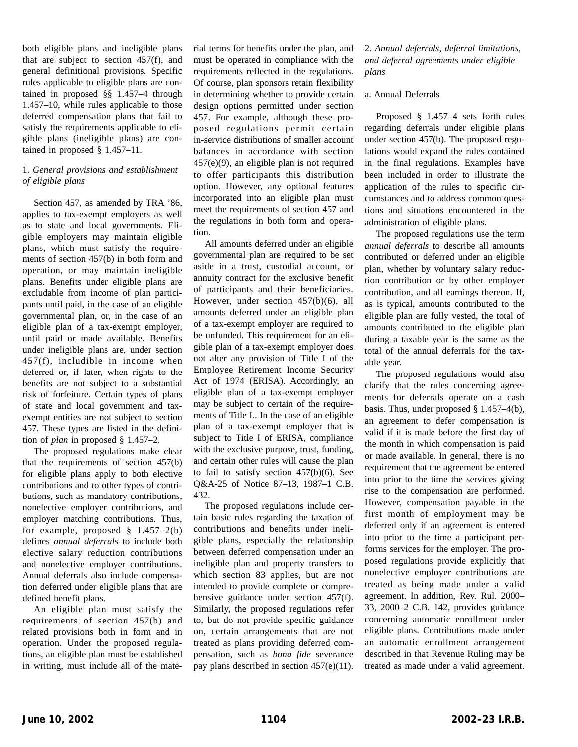both eligible plans and ineligible plans that are subject to section 457(f), and general definitional provisions. Specific rules applicable to eligible plans are contained in proposed §§ 1.457–4 through 1.457–10, while rules applicable to those deferred compensation plans that fail to satisfy the requirements applicable to eligible plans (ineligible plans) are contained in proposed § 1.457–11.

## 1. *General provisions and establishment of eligible plans*

Section 457, as amended by TRA '86, applies to tax-exempt employers as well as to state and local governments. Eligible employers may maintain eligible plans, which must satisfy the requirements of section 457(b) in both form and operation, or may maintain ineligible plans. Benefits under eligible plans are excludable from income of plan participants until paid, in the case of an eligible governmental plan, or, in the case of an eligible plan of a tax-exempt employer, until paid or made available. Benefits under ineligible plans are, under section 457(f), includible in income when deferred or, if later, when rights to the benefits are not subject to a substantial risk of forfeiture. Certain types of plans of state and local government and taxexempt entities are not subject to section 457. These types are listed in the definition of *plan* in proposed § 1.457–2.

The proposed regulations make clear that the requirements of section 457(b) for eligible plans apply to both elective contributions and to other types of contributions, such as mandatory contributions, nonelective employer contributions, and employer matching contributions. Thus, for example, proposed  $§$  1.457–2(b) defines *annual deferrals* to include both elective salary reduction contributions and nonelective employer contributions. Annual deferrals also include compensation deferred under eligible plans that are defined benefit plans.

An eligible plan must satisfy the requirements of section 457(b) and related provisions both in form and in operation. Under the proposed regulations, an eligible plan must be established in writing, must include all of the material terms for benefits under the plan, and must be operated in compliance with the requirements reflected in the regulations. Of course, plan sponsors retain flexibility in determining whether to provide certain design options permitted under section 457. For example, although these proposed regulations permit certain in-service distributions of smaller account balances in accordance with section 457(e)(9), an eligible plan is not required to offer participants this distribution option. However, any optional features incorporated into an eligible plan must meet the requirements of section 457 and the regulations in both form and operation.

All amounts deferred under an eligible governmental plan are required to be set aside in a trust, custodial account, or annuity contract for the exclusive benefit of participants and their beneficiaries. However, under section 457(b)(6), all amounts deferred under an eligible plan of a tax-exempt employer are required to be unfunded. This requirement for an eligible plan of a tax-exempt employer does not alter any provision of Title I of the Employee Retirement Income Security Act of 1974 (ERISA). Accordingly, an eligible plan of a tax-exempt employer may be subject to certain of the requirements of Title I.. In the case of an eligible plan of a tax-exempt employer that is subject to Title I of ERISA, compliance with the exclusive purpose, trust, funding, and certain other rules will cause the plan to fail to satisfy section 457(b)(6). See Q&A-25 of Notice 87–13, 1987–1 C.B. 432.

The proposed regulations include certain basic rules regarding the taxation of contributions and benefits under ineligible plans, especially the relationship between deferred compensation under an ineligible plan and property transfers to which section 83 applies, but are not intended to provide complete or comprehensive guidance under section 457(f). Similarly, the proposed regulations refer to, but do not provide specific guidance on, certain arrangements that are not treated as plans providing deferred compensation, such as *bona fide* severance pay plans described in section 457(e)(11). 2. *Annual deferrals, deferral limitations, and deferral agreements under eligible plans*

#### a. Annual Deferrals

Proposed § 1.457–4 sets forth rules regarding deferrals under eligible plans under section 457(b). The proposed regulations would expand the rules contained in the final regulations. Examples have been included in order to illustrate the application of the rules to specific circumstances and to address common questions and situations encountered in the administration of eligible plans.

The proposed regulations use the term *annual deferrals* to describe all amounts contributed or deferred under an eligible plan, whether by voluntary salary reduction contribution or by other employer contribution, and all earnings thereon. If, as is typical, amounts contributed to the eligible plan are fully vested, the total of amounts contributed to the eligible plan during a taxable year is the same as the total of the annual deferrals for the taxable year.

The proposed regulations would also clarify that the rules concerning agreements for deferrals operate on a cash basis. Thus, under proposed § 1.457–4(b), an agreement to defer compensation is valid if it is made before the first day of the month in which compensation is paid or made available. In general, there is no requirement that the agreement be entered into prior to the time the services giving rise to the compensation are performed. However, compensation payable in the first month of employment may be deferred only if an agreement is entered into prior to the time a participant performs services for the employer. The proposed regulations provide explicitly that nonelective employer contributions are treated as being made under a valid agreement. In addition, Rev. Rul. 2000– 33, 2000–2 C.B. 142, provides guidance concerning automatic enrollment under eligible plans. Contributions made under an automatic enrollment arrangement described in that Revenue Ruling may be treated as made under a valid agreement.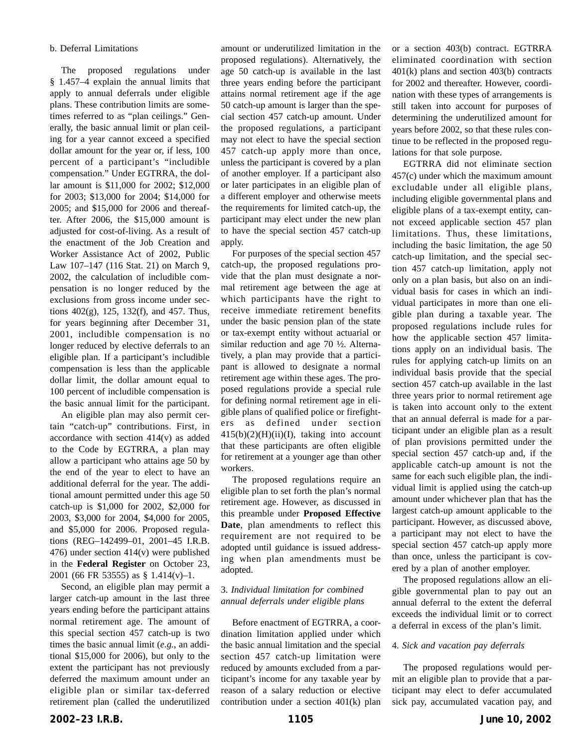#### b. Deferral Limitations

The proposed regulations under § 1.457–4 explain the annual limits that apply to annual deferrals under eligible plans. These contribution limits are sometimes referred to as "plan ceilings." Generally, the basic annual limit or plan ceiling for a year cannot exceed a specified dollar amount for the year or, if less, 100 percent of a participant's "includible compensation." Under EGTRRA, the dollar amount is \$11,000 for 2002; \$12,000 for 2003; \$13,000 for 2004; \$14,000 for 2005; and \$15,000 for 2006 and thereafter. After 2006, the \$15,000 amount is adjusted for cost-of-living. As a result of the enactment of the Job Creation and Worker Assistance Act of 2002, Public Law 107–147 (116 Stat. 21) on March 9, 2002, the calculation of includible compensation is no longer reduced by the exclusions from gross income under sections 402(g), 125, 132(f), and 457. Thus, for years beginning after December 31, 2001, includible compensation is no longer reduced by elective deferrals to an eligible plan. If a participant's includible compensation is less than the applicable dollar limit, the dollar amount equal to 100 percent of includible compensation is the basic annual limit for the participant.

An eligible plan may also permit certain "catch-up" contributions. First, in accordance with section 414(v) as added to the Code by EGTRRA, a plan may allow a participant who attains age 50 by the end of the year to elect to have an additional deferral for the year. The additional amount permitted under this age 50 catch-up is \$1,000 for 2002, \$2,000 for 2003, \$3,000 for 2004, \$4,000 for 2005, and \$5,000 for 2006. Proposed regulations (REG–142499–01, 2001–45 I.R.B. 476) under section 414(v) were published in the **Federal Register** on October 23, 2001 (66 FR 53555) as § 1.414(v)–1.

Second, an eligible plan may permit a larger catch-up amount in the last three years ending before the participant attains normal retirement age. The amount of this special section 457 catch-up is two times the basic annual limit (*e.g.*, an additional \$15,000 for 2006), but only to the extent the participant has not previously deferred the maximum amount under an eligible plan or similar tax-deferred retirement plan (called the underutilized

amount or underutilized limitation in the proposed regulations). Alternatively, the age 50 catch-up is available in the last three years ending before the participant attains normal retirement age if the age 50 catch-up amount is larger than the special section 457 catch-up amount. Under the proposed regulations, a participant may not elect to have the special section 457 catch-up apply more than once, unless the participant is covered by a plan of another employer. If a participant also or later participates in an eligible plan of a different employer and otherwise meets the requirements for limited catch-up, the participant may elect under the new plan to have the special section 457 catch-up apply.

For purposes of the special section 457 catch-up, the proposed regulations provide that the plan must designate a normal retirement age between the age at which participants have the right to receive immediate retirement benefits under the basic pension plan of the state or tax-exempt entity without actuarial or similar reduction and age 70 ½. Alternatively, a plan may provide that a participant is allowed to designate a normal retirement age within these ages. The proposed regulations provide a special rule for defining normal retirement age in eligible plans of qualified police or firefighters as defined under section  $415(b)(2)(H)(ii)(I)$ , taking into account that these participants are often eligible for retirement at a younger age than other workers.

The proposed regulations require an eligible plan to set forth the plan's normal retirement age. However, as discussed in this preamble under **Proposed Effective Date**, plan amendments to reflect this requirement are not required to be adopted until guidance is issued addressing when plan amendments must be adopted.

## 3. *Individual limitation for combined annual deferrals under eligible plans*

Before enactment of EGTRRA, a coordination limitation applied under which the basic annual limitation and the special section 457 catch-up limitation were reduced by amounts excluded from a participant's income for any taxable year by reason of a salary reduction or elective contribution under a section 401(k) plan or a section 403(b) contract. EGTRRA eliminated coordination with section 401(k) plans and section 403(b) contracts for 2002 and thereafter. However, coordination with these types of arrangements is still taken into account for purposes of determining the underutilized amount for years before 2002, so that these rules continue to be reflected in the proposed regulations for that sole purpose.

EGTRRA did not eliminate section 457(c) under which the maximum amount excludable under all eligible plans, including eligible governmental plans and eligible plans of a tax-exempt entity, cannot exceed applicable section 457 plan limitations. Thus, these limitations, including the basic limitation, the age 50 catch-up limitation, and the special section 457 catch-up limitation, apply not only on a plan basis, but also on an individual basis for cases in which an individual participates in more than one eligible plan during a taxable year. The proposed regulations include rules for how the applicable section 457 limitations apply on an individual basis. The rules for applying catch-up limits on an individual basis provide that the special section 457 catch-up available in the last three years prior to normal retirement age is taken into account only to the extent that an annual deferral is made for a participant under an eligible plan as a result of plan provisions permitted under the special section 457 catch-up and, if the applicable catch-up amount is not the same for each such eligible plan, the individual limit is applied using the catch-up amount under whichever plan that has the largest catch-up amount applicable to the participant. However, as discussed above, a participant may not elect to have the special section 457 catch-up apply more than once, unless the participant is covered by a plan of another employer.

The proposed regulations allow an eligible governmental plan to pay out an annual deferral to the extent the deferral exceeds the individual limit or to correct a deferral in excess of the plan's limit.

#### 4. *Sick and vacation pay deferrals*

The proposed regulations would permit an eligible plan to provide that a participant may elect to defer accumulated sick pay, accumulated vacation pay, and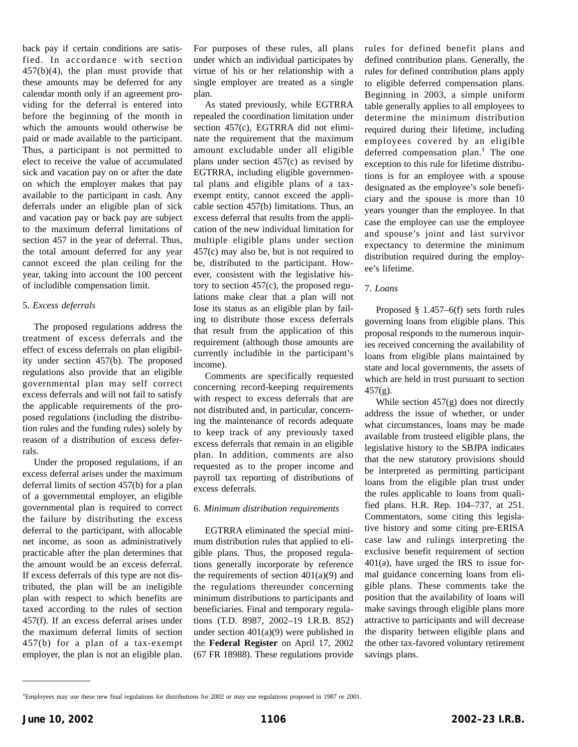back pay if certain conditions are satisfied. In accordance with section 457(b)(4), the plan must provide that these amounts may be deferred for any calendar month only if an agreement providing for the deferral is entered into before the beginning of the month in which the amounts would otherwise be paid or made available to the participant. Thus, a participant is not permitted to elect to receive the value of accumulated sick and vacation pay on or after the date on which the employer makes that pay available to the participant in cash. Any deferrals under an eligible plan of sick and vacation pay or back pay are subject to the maximum deferral limitations of section 457 in the year of deferral. Thus, the total amount deferred for any year cannot exceed the plan ceiling for the year, taking into account the 100 percent of includible compensation limit.

## 5. *Excess deferrals*

The proposed regulations address the treatment of excess deferrals and the effect of excess deferrals on plan eligibility under section 457(b). The proposed regulations also provide that an eligible governmental plan may self correct excess deferrals and will not fail to satisfy the applicable requirements of the proposed regulations (including the distribution rules and the funding rules) solely by reason of a distribution of excess deferrals.

Under the proposed regulations, if an excess deferral arises under the maximum deferral limits of section 457(b) for a plan of a governmental employer, an eligible governmental plan is required to correct the failure by distributing the excess deferral to the participant, with allocable net income, as soon as administratively practicable after the plan determines that the amount would be an excess deferral. If excess deferrals of this type are not distributed, the plan will be an ineligible plan with respect to which benefits are taxed according to the rules of section 457(f). If an excess deferral arises under the maximum deferral limits of section 457(b) for a plan of a tax-exempt employer, the plan is not an eligible plan.

For purposes of these rules, all plans under which an individual participates by virtue of his or her relationship with a single employer are treated as a single plan.

As stated previously, while EGTRRA repealed the coordination limitation under section 457(c), EGTRRA did not eliminate the requirement that the maximum amount excludable under all eligible plans under section 457(c) as revised by EGTRRA, including eligible governmental plans and eligible plans of a taxexempt entity, cannot exceed the applicable section 457(b) limitations. Thus, an excess deferral that results from the application of the new individual limitation for multiple eligible plans under section 457(c) may also be, but is not required to be, distributed to the participant. However, consistent with the legislative history to section 457(c), the proposed regulations make clear that a plan will not lose its status as an eligible plan by failing to distribute those excess deferrals that result from the application of this requirement (although those amounts are currently includible in the participant's income).

Comments are specifically requested concerning record-keeping requirements with respect to excess deferrals that are not distributed and, in particular, concerning the maintenance of records adequate to keep track of any previously taxed excess deferrals that remain in an eligible plan. In addition, comments are also requested as to the proper income and payroll tax reporting of distributions of excess deferrals.

## 6. *Minimum distribution requirements*

EGTRRA eliminated the special minimum distribution rules that applied to eligible plans. Thus, the proposed regulations generally incorporate by reference the requirements of section  $401(a)(9)$  and the regulations thereunder concerning minimum distributions to participants and beneficiaries. Final and temporary regulations (T.D. 8987, 2002–19 I.R.B. 852) under section 401(a)(9) were published in the **Federal Register** on April 17, 2002 (67 FR 18988). These regulations provide rules for defined benefit plans and defined contribution plans. Generally, the rules for defined contribution plans apply to eligible deferred compensation plans. Beginning in 2003, a simple uniform table generally applies to all employees to determine the minimum distribution required during their lifetime, including employees covered by an eligible deferred compensation plan.<sup>1</sup> The one exception to this rule for lifetime distributions is for an employee with a spouse designated as the employee's sole beneficiary and the spouse is more than 10 years younger than the employee. In that case the employee can use the employee and spouse's joint and last survivor expectancy to determine the minimum distribution required during the employee's lifetime.

## 7. *Loans*

Proposed § 1.457–6(f) sets forth rules governing loans from eligible plans. This proposal responds to the numerous inquiries received concerning the availability of loans from eligible plans maintained by state and local governments, the assets of which are held in trust pursuant to section  $457(g)$ .

While section 457(g) does not directly address the issue of whether, or under what circumstances, loans may be made available from trusteed eligible plans, the legislative history to the SBJPA indicates that the new statutory provisions should be interpreted as permitting participant loans from the eligible plan trust under the rules applicable to loans from qualified plans. H.R. Rep. 104–737, at 251. Commentators, some citing this legislative history and some citing pre-ERISA case law and rulings interpreting the exclusive benefit requirement of section 401(a), have urged the IRS to issue formal guidance concerning loans from eligible plans. These comments take the position that the availability of loans will make savings through eligible plans more attractive to participants and will decrease the disparity between eligible plans and the other tax-favored voluntary retirement savings plans.

<sup>1</sup> Employees may use these new final regulations for distributions for 2002 or may use regulations proposed in 1987 or 2001.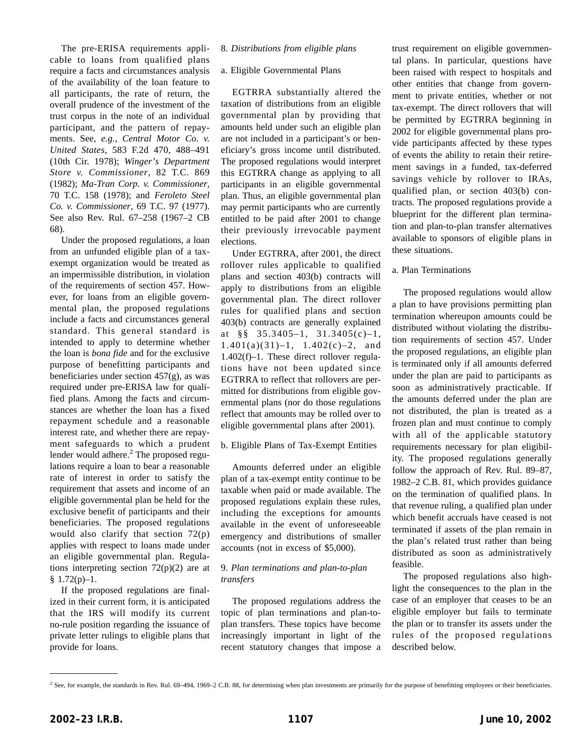The pre-ERISA requirements applicable to loans from qualified plans require a facts and circumstances analysis of the availability of the loan feature to all participants, the rate of return, the overall prudence of the investment of the trust corpus in the note of an individual participant, and the pattern of repayments. See, *e.g.*, *Central Motor Co. v. United States*, 583 F.2d 470, 488–491 (10th Cir. 1978); *Winger's Department Store v. Commissioner*, 82 T.C. 869 (1982); *Ma-Tran Corp. v. Commissioner*, 70 T.C. 158 (1978); and *Feroleto Steel Co. v. Commissioner*, 69 T.C. 97 (1977). See also Rev. Rul. 67–258 (1967–2 CB 68).

Under the proposed regulations, a loan from an unfunded eligible plan of a taxexempt organization would be treated as an impermissible distribution, in violation of the requirements of section 457. However, for loans from an eligible governmental plan, the proposed regulations include a facts and circumstances general standard. This general standard is intended to apply to determine whether the loan is *bona fide* and for the exclusive purpose of benefitting participants and beneficiaries under section 457(g), as was required under pre-ERISA law for qualified plans. Among the facts and circumstances are whether the loan has a fixed repayment schedule and a reasonable interest rate, and whether there are repayment safeguards to which a prudent lender would adhere. $<sup>2</sup>$  The proposed regu-</sup> lations require a loan to bear a reasonable rate of interest in order to satisfy the requirement that assets and income of an eligible governmental plan be held for the exclusive benefit of participants and their beneficiaries. The proposed regulations would also clarify that section 72(p) applies with respect to loans made under an eligible governmental plan. Regulations interpreting section  $72(p)(2)$  are at § 1.72(p)–1.

If the proposed regulations are finalized in their current form, it is anticipated that the IRS will modify its current no-rule position regarding the issuance of private letter rulings to eligible plans that provide for loans.

#### 8. *Distributions from eligible plans*

#### a. Eligible Governmental Plans

EGTRRA substantially altered the taxation of distributions from an eligible governmental plan by providing that amounts held under such an eligible plan are not included in a participant's or beneficiary's gross income until distributed. The proposed regulations would interpret this EGTRRA change as applying to all participants in an eligible governmental plan. Thus, an eligible governmental plan may permit participants who are currently entitled to be paid after 2001 to change their previously irrevocable payment elections.

Under EGTRRA, after 2001, the direct rollover rules applicable to qualified plans and section 403(b) contracts will apply to distributions from an eligible governmental plan. The direct rollover rules for qualified plans and section 403(b) contracts are generally explained at §§ 35.3405–1, 31.3405(c)–1,  $1.401(a)(31)-1$ ,  $1.402(c)-2$ , and 1.402(f)–1. These direct rollover regulations have not been updated since EGTRRA to reflect that rollovers are permitted for distributions from eligible governmental plans (nor do those regulations reflect that amounts may be rolled over to eligible governmental plans after 2001).

#### b. Eligible Plans of Tax-Exempt Entities

Amounts deferred under an eligible plan of a tax-exempt entity continue to be taxable when paid or made available. The proposed regulations explain these rules, including the exceptions for amounts available in the event of unforeseeable emergency and distributions of smaller accounts (not in excess of \$5,000).

#### 9. *Plan terminations and plan-to-plan transfers*

The proposed regulations address the topic of plan terminations and plan-toplan transfers. These topics have become increasingly important in light of the recent statutory changes that impose a trust requirement on eligible governmental plans. In particular, questions have been raised with respect to hospitals and other entities that change from government to private entities, whether or not tax-exempt. The direct rollovers that will be permitted by EGTRRA beginning in 2002 for eligible governmental plans provide participants affected by these types of events the ability to retain their retirement savings in a funded, tax-deferred savings vehicle by rollover to IRAs, qualified plan, or section 403(b) contracts. The proposed regulations provide a blueprint for the different plan termination and plan-to-plan transfer alternatives available to sponsors of eligible plans in these situations.

#### a. Plan Terminations

The proposed regulations would allow a plan to have provisions permitting plan termination whereupon amounts could be distributed without violating the distribution requirements of section 457. Under the proposed regulations, an eligible plan is terminated only if all amounts deferred under the plan are paid to participants as soon as administratively practicable. If the amounts deferred under the plan are not distributed, the plan is treated as a frozen plan and must continue to comply with all of the applicable statutory requirements necessary for plan eligibility. The proposed regulations generally follow the approach of Rev. Rul. 89–87, 1982–2 C.B. 81, which provides guidance on the termination of qualified plans. In that revenue ruling, a qualified plan under which benefit accruals have ceased is not terminated if assets of the plan remain in the plan's related trust rather than being distributed as soon as administratively feasible.

The proposed regulations also highlight the consequences to the plan in the case of an employer that ceases to be an eligible employer but fails to terminate the plan or to transfer its assets under the rules of the proposed regulations described below.

<sup>&</sup>lt;sup>2</sup> See, for example, the standards in Rev. Rul. 69–494, 1969–2 C.B. 88, for determining when plan investments are primarily for the purpose of benefitting employees or their beneficiaries.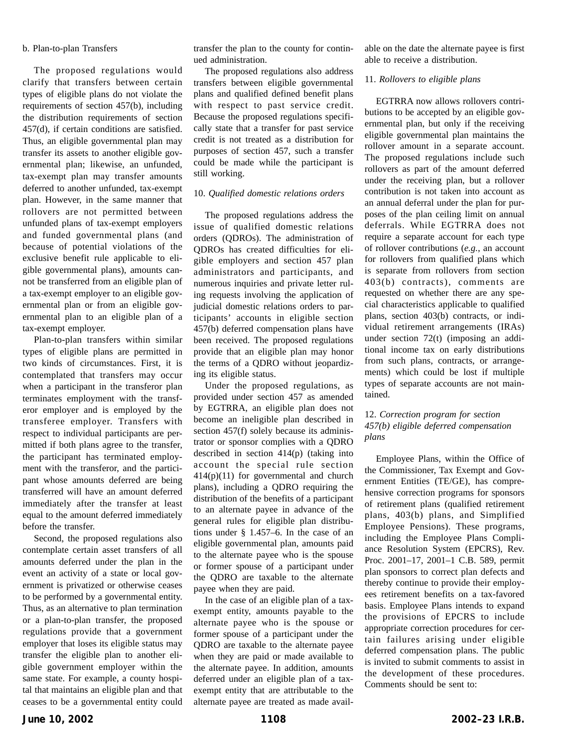#### b. Plan-to-plan Transfers

The proposed regulations would clarify that transfers between certain types of eligible plans do not violate the requirements of section 457(b), including the distribution requirements of section 457(d), if certain conditions are satisfied. Thus, an eligible governmental plan may transfer its assets to another eligible governmental plan; likewise, an unfunded, tax-exempt plan may transfer amounts deferred to another unfunded, tax-exempt plan. However, in the same manner that rollovers are not permitted between unfunded plans of tax-exempt employers and funded governmental plans (and because of potential violations of the exclusive benefit rule applicable to eligible governmental plans), amounts cannot be transferred from an eligible plan of a tax-exempt employer to an eligible governmental plan or from an eligible governmental plan to an eligible plan of a tax-exempt employer.

Plan-to-plan transfers within similar types of eligible plans are permitted in two kinds of circumstances. First, it is contemplated that transfers may occur when a participant in the transferor plan terminates employment with the transferor employer and is employed by the transferee employer. Transfers with respect to individual participants are permitted if both plans agree to the transfer, the participant has terminated employment with the transferor, and the participant whose amounts deferred are being transferred will have an amount deferred immediately after the transfer at least equal to the amount deferred immediately before the transfer.

Second, the proposed regulations also contemplate certain asset transfers of all amounts deferred under the plan in the event an activity of a state or local government is privatized or otherwise ceases to be performed by a governmental entity. Thus, as an alternative to plan termination or a plan-to-plan transfer, the proposed regulations provide that a government employer that loses its eligible status may transfer the eligible plan to another eligible government employer within the same state. For example, a county hospital that maintains an eligible plan and that ceases to be a governmental entity could transfer the plan to the county for continued administration.

The proposed regulations also address transfers between eligible governmental plans and qualified defined benefit plans with respect to past service credit. Because the proposed regulations specifically state that a transfer for past service credit is not treated as a distribution for purposes of section 457, such a transfer could be made while the participant is still working.

#### 10. *Qualified domestic relations orders*

The proposed regulations address the issue of qualified domestic relations orders (QDROs). The administration of QDROs has created difficulties for eligible employers and section 457 plan administrators and participants, and numerous inquiries and private letter ruling requests involving the application of judicial domestic relations orders to participants' accounts in eligible section 457(b) deferred compensation plans have been received. The proposed regulations provide that an eligible plan may honor the terms of a QDRO without jeopardizing its eligible status.

Under the proposed regulations, as provided under section 457 as amended by EGTRRA, an eligible plan does not become an ineligible plan described in section 457(f) solely because its administrator or sponsor complies with a QDRO described in section 414(p) (taking into account the special rule section 414(p)(11) for governmental and church plans), including a QDRO requiring the distribution of the benefits of a participant to an alternate payee in advance of the general rules for eligible plan distributions under § 1.457–6. In the case of an eligible governmental plan, amounts paid to the alternate payee who is the spouse or former spouse of a participant under the QDRO are taxable to the alternate payee when they are paid.

In the case of an eligible plan of a taxexempt entity, amounts payable to the alternate payee who is the spouse or former spouse of a participant under the QDRO are taxable to the alternate payee when they are paid or made available to the alternate payee. In addition, amounts deferred under an eligible plan of a taxexempt entity that are attributable to the alternate payee are treated as made available on the date the alternate payee is first able to receive a distribution.

#### 11. *Rollovers to eligible plans*

EGTRRA now allows rollovers contributions to be accepted by an eligible governmental plan, but only if the receiving eligible governmental plan maintains the rollover amount in a separate account. The proposed regulations include such rollovers as part of the amount deferred under the receiving plan, but a rollover contribution is not taken into account as an annual deferral under the plan for purposes of the plan ceiling limit on annual deferrals. While EGTRRA does not require a separate account for each type of rollover contributions (*e.g.*, an account for rollovers from qualified plans which is separate from rollovers from section 403(b) contracts), comments are requested on whether there are any special characteristics applicable to qualified plans, section 403(b) contracts, or individual retirement arrangements (IRAs) under section 72(t) (imposing an additional income tax on early distributions from such plans, contracts, or arrangements) which could be lost if multiple types of separate accounts are not maintained.

## 12. *Correction program for section 457(b) eligible deferred compensation plans*

Employee Plans, within the Office of the Commissioner, Tax Exempt and Government Entities (TE/GE), has comprehensive correction programs for sponsors of retirement plans (qualified retirement plans, 403(b) plans, and Simplified Employee Pensions). These programs, including the Employee Plans Compliance Resolution System (EPCRS), Rev. Proc. 2001–17, 2001–1 C.B. 589, permit plan sponsors to correct plan defects and thereby continue to provide their employees retirement benefits on a tax-favored basis. Employee Plans intends to expand the provisions of EPCRS to include appropriate correction procedures for certain failures arising under eligible deferred compensation plans. The public is invited to submit comments to assist in the development of these procedures. Comments should be sent to: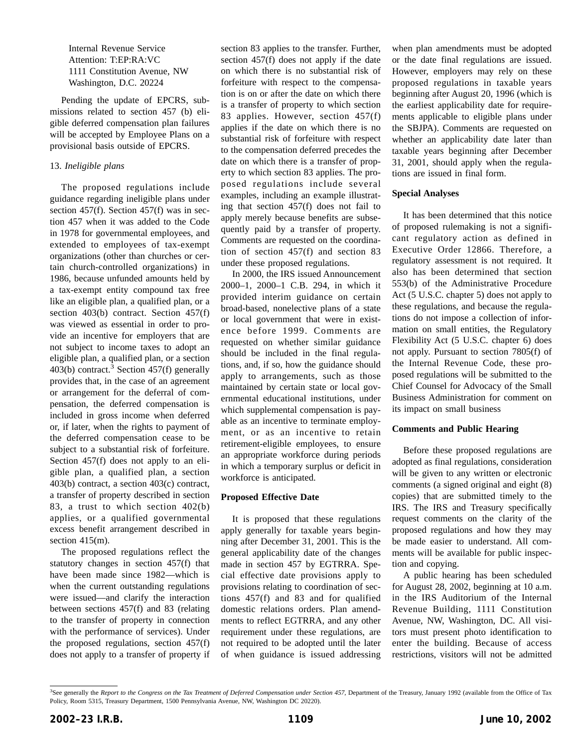Internal Revenue Service Attention: T:EP:RA:VC 1111 Constitution Avenue, NW Washington, D.C. 20224

Pending the update of EPCRS, submissions related to section 457 (b) eligible deferred compensation plan failures will be accepted by Employee Plans on a provisional basis outside of EPCRS.

## 13. *Ineligible plans*

The proposed regulations include guidance regarding ineligible plans under section 457(f). Section 457(f) was in section 457 when it was added to the Code in 1978 for governmental employees, and extended to employees of tax-exempt organizations (other than churches or certain church-controlled organizations) in 1986, because unfunded amounts held by a tax-exempt entity compound tax free like an eligible plan, a qualified plan, or a section 403(b) contract. Section 457(f) was viewed as essential in order to provide an incentive for employers that are not subject to income taxes to adopt an eligible plan, a qualified plan, or a section 403(b) contract.<sup>3</sup> Section 457(f) generally provides that, in the case of an agreement or arrangement for the deferral of compensation, the deferred compensation is included in gross income when deferred or, if later, when the rights to payment of the deferred compensation cease to be subject to a substantial risk of forfeiture. Section 457(f) does not apply to an eligible plan, a qualified plan, a section 403(b) contract, a section 403(c) contract, a transfer of property described in section 83, a trust to which section 402(b) applies, or a qualified governmental excess benefit arrangement described in section 415(m).

The proposed regulations reflect the statutory changes in section 457(f) that have been made since 1982—which is when the current outstanding regulations were issued—and clarify the interaction between sections 457(f) and 83 (relating to the transfer of property in connection with the performance of services). Under the proposed regulations, section 457(f) does not apply to a transfer of property if

section 83 applies to the transfer. Further, section 457(f) does not apply if the date on which there is no substantial risk of forfeiture with respect to the compensation is on or after the date on which there is a transfer of property to which section 83 applies. However, section 457(f) applies if the date on which there is no substantial risk of forfeiture with respect to the compensation deferred precedes the date on which there is a transfer of property to which section 83 applies. The proposed regulations include several examples, including an example illustrating that section 457(f) does not fail to apply merely because benefits are subsequently paid by a transfer of property. Comments are requested on the coordination of section 457(f) and section 83 under these proposed regulations.

In 2000, the IRS issued Announcement 2000–1, 2000–1 C.B. 294, in which it provided interim guidance on certain broad-based, nonelective plans of a state or local government that were in existence before 1999. Comments are requested on whether similar guidance should be included in the final regulations, and, if so, how the guidance should apply to arrangements, such as those maintained by certain state or local governmental educational institutions, under which supplemental compensation is payable as an incentive to terminate employment, or as an incentive to retain retirement-eligible employees, to ensure an appropriate workforce during periods in which a temporary surplus or deficit in workforce is anticipated.

#### **Proposed Effective Date**

It is proposed that these regulations apply generally for taxable years beginning after December 31, 2001. This is the general applicability date of the changes made in section 457 by EGTRRA. Special effective date provisions apply to provisions relating to coordination of sections 457(f) and 83 and for qualified domestic relations orders. Plan amendments to reflect EGTRRA, and any other requirement under these regulations, are not required to be adopted until the later of when guidance is issued addressing when plan amendments must be adopted or the date final regulations are issued. However, employers may rely on these proposed regulations in taxable years beginning after August 20, 1996 (which is the earliest applicability date for requirements applicable to eligible plans under the SBJPA). Comments are requested on whether an applicability date later than taxable years beginning after December 31, 2001, should apply when the regulations are issued in final form.

#### **Special Analyses**

It has been determined that this notice of proposed rulemaking is not a significant regulatory action as defined in Executive Order 12866. Therefore, a regulatory assessment is not required. It also has been determined that section 553(b) of the Administrative Procedure Act (5 U.S.C. chapter 5) does not apply to these regulations, and because the regulations do not impose a collection of information on small entities, the Regulatory Flexibility Act (5 U.S.C. chapter 6) does not apply. Pursuant to section 7805(f) of the Internal Revenue Code, these proposed regulations will be submitted to the Chief Counsel for Advocacy of the Small Business Administration for comment on its impact on small business

#### **Comments and Public Hearing**

Before these proposed regulations are adopted as final regulations, consideration will be given to any written or electronic comments (a signed original and eight (8) copies) that are submitted timely to the IRS. The IRS and Treasury specifically request comments on the clarity of the proposed regulations and how they may be made easier to understand. All comments will be available for public inspection and copying.

A public hearing has been scheduled for August 28, 2002, beginning at 10 a.m. in the IRS Auditorium of the Internal Revenue Building, 1111 Constitution Avenue, NW, Washington, DC. All visitors must present photo identification to enter the building. Because of access restrictions, visitors will not be admitted

<sup>&</sup>lt;sup>3</sup>See generally the *Report to the Congress on the Tax Treatment of Deferred Compensation under Section 457*, Department of the Treasury, January 1992 (available from the Office of Tax Policy, Room 5315, Treasury Department, 1500 Pennsylvania Avenue, NW, Washington DC 20220).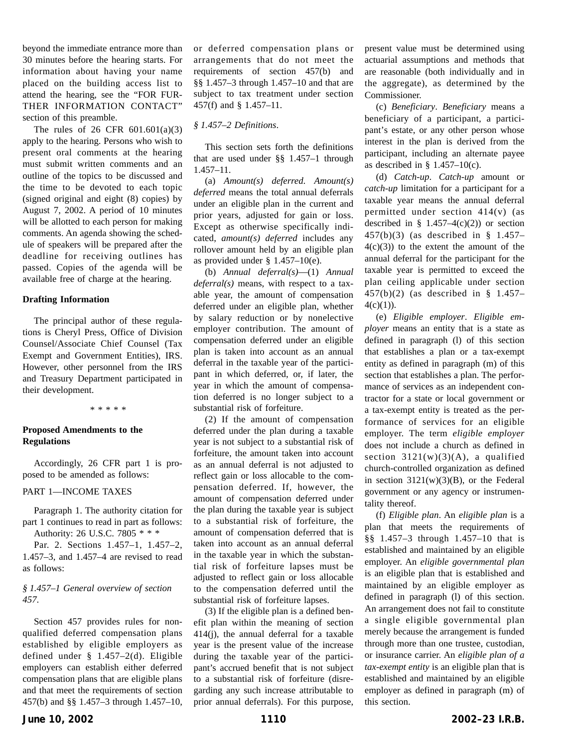beyond the immediate entrance more than 30 minutes before the hearing starts. For information about having your name placed on the building access list to attend the hearing, see the "FOR FUR-THER INFORMATION CONTACT" section of this preamble.

The rules of 26 CFR 601.601(a)(3) apply to the hearing. Persons who wish to present oral comments at the hearing must submit written comments and an outline of the topics to be discussed and the time to be devoted to each topic (signed original and eight (8) copies) by August 7, 2002. A period of 10 minutes will be allotted to each person for making comments. An agenda showing the schedule of speakers will be prepared after the deadline for receiving outlines has passed. Copies of the agenda will be available free of charge at the hearing.

#### **Drafting Information**

The principal author of these regulations is Cheryl Press, Office of Division Counsel/Associate Chief Counsel (Tax Exempt and Government Entities), IRS. However, other personnel from the IRS and Treasury Department participated in their development.

\*\*\*\*\*

## **Proposed Amendments to the Regulations**

Accordingly, 26 CFR part 1 is proposed to be amended as follows:

#### PART 1—INCOME TAXES

Paragraph 1. The authority citation for part 1 continues to read in part as follows: Authority: 26 U.S.C. 7805 \* \* \*

Par. 2. Sections 1.457–1, 1.457–2, 1.457–3, and 1.457–4 are revised to read as follows:

#### *§ 1.457–1 General overview of section 457*.

Section 457 provides rules for nonqualified deferred compensation plans established by eligible employers as defined under § 1.457–2(d). Eligible employers can establish either deferred compensation plans that are eligible plans and that meet the requirements of section 457(b) and §§ 1.457–3 through 1.457–10, or deferred compensation plans or arrangements that do not meet the requirements of section 457(b) and §§ 1.457–3 through 1.457–10 and that are subject to tax treatment under section 457(f) and § 1.457–11.

## *§ 1.457–2 Definitions*.

This section sets forth the definitions that are used under §§ 1.457–1 through 1.457–11.

(a) *Amount(s) deferred*. *Amount(s) deferred* means the total annual deferrals under an eligible plan in the current and prior years, adjusted for gain or loss. Except as otherwise specifically indicated, *amount(s) deferred* includes any rollover amount held by an eligible plan as provided under § 1.457–10(e).

(b) *Annual deferral(s)*—(1) *Annual deferral(s)* means, with respect to a taxable year, the amount of compensation deferred under an eligible plan, whether by salary reduction or by nonelective employer contribution. The amount of compensation deferred under an eligible plan is taken into account as an annual deferral in the taxable year of the participant in which deferred, or, if later, the year in which the amount of compensation deferred is no longer subject to a substantial risk of forfeiture.

(2) If the amount of compensation deferred under the plan during a taxable year is not subject to a substantial risk of forfeiture, the amount taken into account as an annual deferral is not adjusted to reflect gain or loss allocable to the compensation deferred. If, however, the amount of compensation deferred under the plan during the taxable year is subject to a substantial risk of forfeiture, the amount of compensation deferred that is taken into account as an annual deferral in the taxable year in which the substantial risk of forfeiture lapses must be adjusted to reflect gain or loss allocable to the compensation deferred until the substantial risk of forfeiture lapses.

(3) If the eligible plan is a defined benefit plan within the meaning of section 414(j), the annual deferral for a taxable year is the present value of the increase during the taxable year of the participant's accrued benefit that is not subject to a substantial risk of forfeiture (disregarding any such increase attributable to prior annual deferrals). For this purpose, present value must be determined using actuarial assumptions and methods that are reasonable (both individually and in the aggregate), as determined by the Commissioner.

(c) *Beneficiary*. *Beneficiary* means a beneficiary of a participant, a participant's estate, or any other person whose interest in the plan is derived from the participant, including an alternate payee as described in  $\S$  1.457–10(c).

(d) *Catch-up*. *Catch-up* amount or *catch-up* limitation for a participant for a taxable year means the annual deferral permitted under section 414(v) (as described in  $\S$  1.457–4(c)(2)) or section 457(b)(3) (as described in § 1.457–  $4(c)(3)$  to the extent the amount of the annual deferral for the participant for the taxable year is permitted to exceed the plan ceiling applicable under section 457(b)(2) (as described in § 1.457–  $4(c)(1)$ ).

(e) *Eligible employer*. *Eligible employer* means an entity that is a state as defined in paragraph (l) of this section that establishes a plan or a tax-exempt entity as defined in paragraph (m) of this section that establishes a plan. The performance of services as an independent contractor for a state or local government or a tax-exempt entity is treated as the performance of services for an eligible employer. The term *eligible employer* does not include a church as defined in section  $3121(w)(3)(A)$ , a qualified church-controlled organization as defined in section  $3121(w)(3)(B)$ , or the Federal government or any agency or instrumentality thereof.

(f) *Eligible plan*. An *eligible plan* is a plan that meets the requirements of §§ 1.457–3 through 1.457–10 that is established and maintained by an eligible employer. An *eligible governmental plan* is an eligible plan that is established and maintained by an eligible employer as defined in paragraph (l) of this section. An arrangement does not fail to constitute a single eligible governmental plan merely because the arrangement is funded through more than one trustee, custodian, or insurance carrier. An *eligible plan of a tax-exempt entity* is an eligible plan that is established and maintained by an eligible employer as defined in paragraph (m) of this section.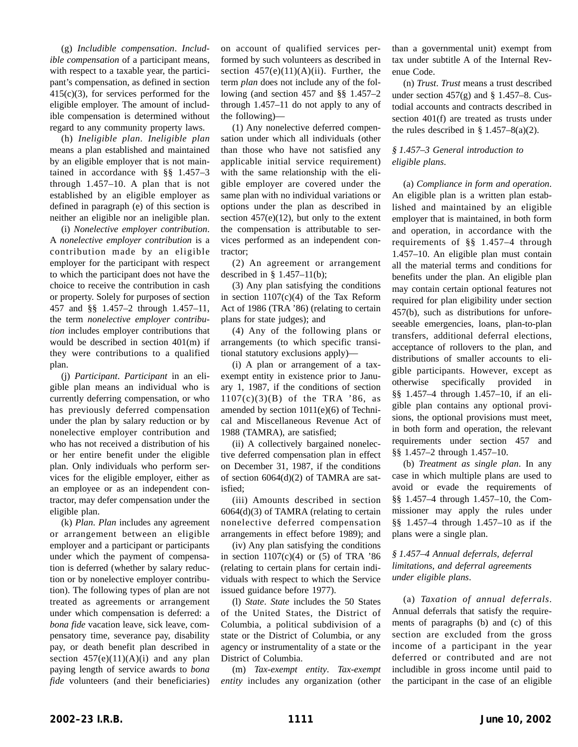(g) *Includible compensation*. *Includible compensation* of a participant means, with respect to a taxable year, the participant's compensation, as defined in section 415(c)(3), for services performed for the eligible employer. The amount of includible compensation is determined without regard to any community property laws.

(h) *Ineligible plan*. *Ineligible plan* means a plan established and maintained by an eligible employer that is not maintained in accordance with §§ 1.457–3 through 1.457–10. A plan that is not established by an eligible employer as defined in paragraph (e) of this section is neither an eligible nor an ineligible plan.

(i) *Nonelective employer contribution*. A *nonelective employer contribution* is a contribution made by an eligible employer for the participant with respect to which the participant does not have the choice to receive the contribution in cash or property. Solely for purposes of section 457 and §§ 1.457–2 through 1.457–11, the term *nonelective employer contribution* includes employer contributions that would be described in section 401(m) if they were contributions to a qualified plan.

(j) *Participant*. *Participant* in an eligible plan means an individual who is currently deferring compensation, or who has previously deferred compensation under the plan by salary reduction or by nonelective employer contribution and who has not received a distribution of his or her entire benefit under the eligible plan. Only individuals who perform services for the eligible employer, either as an employee or as an independent contractor, may defer compensation under the eligible plan.

(k) *Plan*. *Plan* includes any agreement or arrangement between an eligible employer and a participant or participants under which the payment of compensation is deferred (whether by salary reduction or by nonelective employer contribution). The following types of plan are not treated as agreements or arrangement under which compensation is deferred: a *bona fide* vacation leave, sick leave, compensatory time, severance pay, disability pay, or death benefit plan described in section  $457(e)(11)(A)(i)$  and any plan paying length of service awards to *bona fide* volunteers (and their beneficiaries)

on account of qualified services performed by such volunteers as described in section  $457(e)(11)(A)(ii)$ . Further, the term *plan* does not include any of the following (and section 457 and §§ 1.457–2 through 1.457–11 do not apply to any of the following)—

(1) Any nonelective deferred compensation under which all individuals (other than those who have not satisfied any applicable initial service requirement) with the same relationship with the eligible employer are covered under the same plan with no individual variations or options under the plan as described in section  $457(e)(12)$ , but only to the extent the compensation is attributable to services performed as an independent contractor;

(2) An agreement or arrangement described in  $§$  1.457–11(b);

(3) Any plan satisfying the conditions in section  $1107(c)(4)$  of the Tax Reform Act of 1986 (TRA '86) (relating to certain plans for state judges); and

(4) Any of the following plans or arrangements (to which specific transitional statutory exclusions apply)—

(i) A plan or arrangement of a taxexempt entity in existence prior to January 1, 1987, if the conditions of section  $1107(c)(3)(B)$  of the TRA '86, as amended by section 1011(e)(6) of Technical and Miscellaneous Revenue Act of 1988 (TAMRA), are satisfied;

(ii) A collectively bargained nonelective deferred compensation plan in effect on December 31, 1987, if the conditions of section 6064(d)(2) of TAMRA are satisfied;

(iii) Amounts described in section 6064(d)(3) of TAMRA (relating to certain nonelective deferred compensation arrangements in effect before 1989); and

(iv) Any plan satisfying the conditions in section  $1107(c)(4)$  or  $(5)$  of TRA '86 (relating to certain plans for certain individuals with respect to which the Service issued guidance before 1977).

(l) *State*. *State* includes the 50 States of the United States, the District of Columbia, a political subdivision of a state or the District of Columbia, or any agency or instrumentality of a state or the District of Columbia.

(m) *Tax-exempt entity*. *Tax-exempt entity* includes any organization (other than a governmental unit) exempt from tax under subtitle A of the Internal Revenue Code.

(n) *Trust*. *Trust* means a trust described under section  $457(g)$  and § 1.457–8. Custodial accounts and contracts described in section 401(f) are treated as trusts under the rules described in  $\S$  1.457–8(a)(2).

## *§ 1.457–3 General introduction to eligible plans*.

(a) *Compliance in form and operation*. An eligible plan is a written plan established and maintained by an eligible employer that is maintained, in both form and operation, in accordance with the requirements of §§ 1.457–4 through 1.457–10. An eligible plan must contain all the material terms and conditions for benefits under the plan. An eligible plan may contain certain optional features not required for plan eligibility under section 457(b), such as distributions for unforeseeable emergencies, loans, plan-to-plan transfers, additional deferral elections, acceptance of rollovers to the plan, and distributions of smaller accounts to eligible participants. However, except as otherwise specifically provided in §§ 1.457–4 through 1.457–10, if an eligible plan contains any optional provisions, the optional provisions must meet, in both form and operation, the relevant requirements under section 457 and §§ 1.457–2 through 1.457–10.

(b) *Treatment as single plan*. In any case in which multiple plans are used to avoid or evade the requirements of §§ 1.457–4 through 1.457–10, the Commissioner may apply the rules under §§ 1.457–4 through 1.457–10 as if the plans were a single plan.

## *§ 1.457–4 Annual deferrals, deferral limitations, and deferral agreements under eligible plans*.

(a) *Taxation of annual deferrals*. Annual deferrals that satisfy the requirements of paragraphs (b) and (c) of this section are excluded from the gross income of a participant in the year deferred or contributed and are not includible in gross income until paid to the participant in the case of an eligible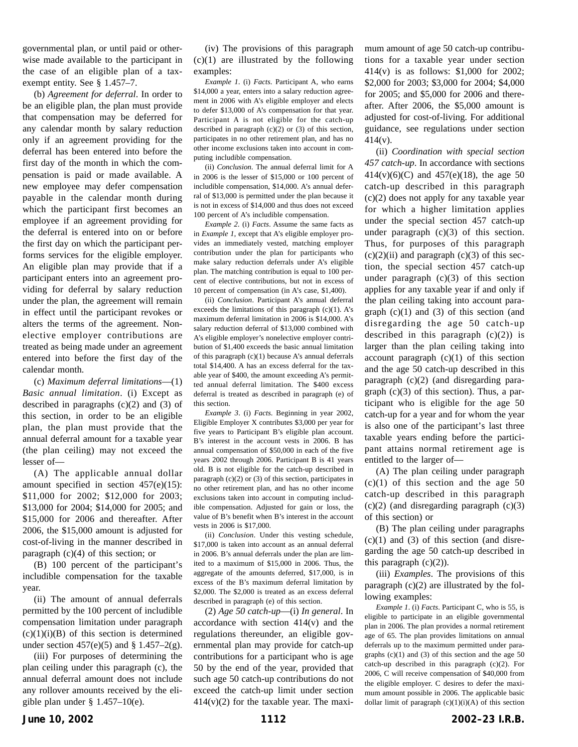governmental plan, or until paid or otherwise made available to the participant in the case of an eligible plan of a taxexempt entity. See § 1.457–7.

(b) *Agreement for deferral*. In order to be an eligible plan, the plan must provide that compensation may be deferred for any calendar month by salary reduction only if an agreement providing for the deferral has been entered into before the first day of the month in which the compensation is paid or made available. A new employee may defer compensation payable in the calendar month during which the participant first becomes an employee if an agreement providing for the deferral is entered into on or before the first day on which the participant performs services for the eligible employer. An eligible plan may provide that if a participant enters into an agreement providing for deferral by salary reduction under the plan, the agreement will remain in effect until the participant revokes or alters the terms of the agreement. Nonelective employer contributions are treated as being made under an agreement entered into before the first day of the calendar month.

(c) *Maximum deferral limitations*—(1) *Basic annual limitation*. (i) Except as described in paragraphs  $(c)(2)$  and  $(3)$  of this section, in order to be an eligible plan, the plan must provide that the annual deferral amount for a taxable year (the plan ceiling) may not exceed the lesser of—

(A) The applicable annual dollar amount specified in section  $457(e)(15)$ : \$11,000 for 2002; \$12,000 for 2003; \$13,000 for 2004; \$14,000 for 2005; and \$15,000 for 2006 and thereafter. After 2006, the \$15,000 amount is adjusted for cost-of-living in the manner described in paragraph (c)(4) of this section; or

(B) 100 percent of the participant's includible compensation for the taxable year.

(ii) The amount of annual deferrals permitted by the 100 percent of includible compensation limitation under paragraph  $(c)(1)(i)(B)$  of this section is determined under section  $457(e)(5)$  and § 1.457–2(g).

(iii) For purposes of determining the plan ceiling under this paragraph (c), the annual deferral amount does not include any rollover amounts received by the eligible plan under  $\S$  1.457–10(e).

(iv) The provisions of this paragraph  $(c)(1)$  are illustrated by the following examples:

*Example 1*. (i) *Facts*. Participant A, who earns \$14,000 a year, enters into a salary reduction agreement in 2006 with A's eligible employer and elects to defer \$13,000 of A's compensation for that year. Participant A is not eligible for the catch-up described in paragraph (c)(2) or (3) of this section, participates in no other retirement plan, and has no other income exclusions taken into account in computing includible compensation.

(ii) *Conclusion*. The annual deferral limit for A in 2006 is the lesser of \$15,000 or 100 percent of includible compensation, \$14,000. A's annual deferral of \$13,000 is permitted under the plan because it is not in excess of \$14,000 and thus does not exceed 100 percent of A's includible compensation.

*Example 2*. (i) *Facts*. Assume the same facts as in *Example 1*, except that A's eligible employer provides an immediately vested, matching employer contribution under the plan for participants who make salary reduction deferrals under A's eligible plan. The matching contribution is equal to 100 percent of elective contributions, but not in excess of 10 percent of compensation (in A's case, \$1,400).

(ii) *Conclusion*. Participant A's annual deferral exceeds the limitations of this paragraph (c)(1). A's maximum deferral limitation in 2006 is \$14,000. A's salary reduction deferral of \$13,000 combined with A's eligible employer's nonelective employer contribution of \$1,400 exceeds the basic annual limitation of this paragraph  $(c)(1)$  because A's annual deferrals total \$14,400. A has an excess deferral for the taxable year of \$400, the amount exceeding A's permitted annual deferral limitation. The \$400 excess deferral is treated as described in paragraph (e) of this section.

*Example 3*. (i) *Facts*. Beginning in year 2002, Eligible Employer X contributes \$3,000 per year for five years to Participant B's eligible plan account. B's interest in the account vests in 2006. B has annual compensation of \$50,000 in each of the five years 2002 through 2006. Participant B is 41 years old. B is not eligible for the catch-up described in paragraph  $(c)(2)$  or  $(3)$  of this section, participates in no other retirement plan, and has no other income exclusions taken into account in computing includible compensation. Adjusted for gain or loss, the value of B's benefit when B's interest in the account vests in 2006 is \$17,000.

(ii) *Conclusion*. Under this vesting schedule, \$17,000 is taken into account as an annual deferral in 2006. B's annual deferrals under the plan are limited to a maximum of \$15,000 in 2006. Thus, the aggregate of the amounts deferred, \$17,000, is in excess of the B's maximum deferral limitation by \$2,000. The \$2,000 is treated as an excess deferral described in paragraph (e) of this section.

(2) *Age 50 catch-up*—(i) *In general*. In accordance with section 414(v) and the regulations thereunder, an eligible governmental plan may provide for catch-up contributions for a participant who is age 50 by the end of the year, provided that such age 50 catch-up contributions do not exceed the catch-up limit under section  $414(v)(2)$  for the taxable year. The maximum amount of age 50 catch-up contributions for a taxable year under section 414(v) is as follows: \$1,000 for 2002; \$2,000 for 2003; \$3,000 for 2004; \$4,000 for 2005; and \$5,000 for 2006 and thereafter. After 2006, the \$5,000 amount is adjusted for cost-of-living. For additional guidance, see regulations under section 414(v).

(ii) *Coordination with special section 457 catch-up*. In accordance with sections 414(v)(6)(C) and 457(e)(18), the age 50 catch-up described in this paragraph (c)(2) does not apply for any taxable year for which a higher limitation applies under the special section 457 catch-up under paragraph  $(c)(3)$  of this section. Thus, for purposes of this paragraph  $(c)(2)(ii)$  and paragraph  $(c)(3)$  of this section, the special section 457 catch-up under paragraph  $(c)(3)$  of this section applies for any taxable year if and only if the plan ceiling taking into account paragraph  $(c)(1)$  and  $(3)$  of this section (and disregarding the age 50 catch-up described in this paragraph  $(c)(2)$  is larger than the plan ceiling taking into account paragraph  $(c)(1)$  of this section and the age 50 catch-up described in this paragraph (c)(2) (and disregarding paragraph  $(c)(3)$  of this section). Thus, a participant who is eligible for the age 50 catch-up for a year and for whom the year is also one of the participant's last three taxable years ending before the participant attains normal retirement age is entitled to the larger of—

(A) The plan ceiling under paragraph  $(c)(1)$  of this section and the age 50 catch-up described in this paragraph  $(c)(2)$  (and disregarding paragraph  $(c)(3)$ of this section) or

(B) The plan ceiling under paragraphs  $(c)(1)$  and  $(3)$  of this section (and disregarding the age 50 catch-up described in this paragraph  $(c)(2)$ ).

(iii) *Examples*. The provisions of this paragraph (c)(2) are illustrated by the following examples:

*Example 1*. (i) *Facts*. Participant C, who is 55, is eligible to participate in an eligible governmental plan in 2006. The plan provides a normal retirement age of 65. The plan provides limitations on annual deferrals up to the maximum permitted under paragraphs  $(c)(1)$  and  $(3)$  of this section and the age 50 catch-up described in this paragraph (c)(2). For 2006, C will receive compensation of \$40,000 from the eligible employer. C desires to defer the maximum amount possible in 2006. The applicable basic dollar limit of paragraph  $(c)(1)(i)(A)$  of this section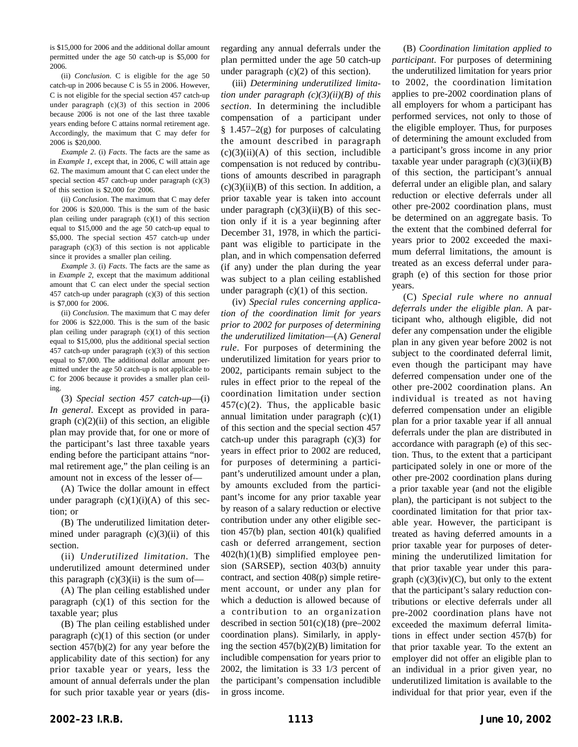is \$15,000 for 2006 and the additional dollar amount permitted under the age 50 catch-up is \$5,000 for 2006.

(ii) *Conclusion*. C is eligible for the age 50 catch-up in 2006 because C is 55 in 2006. However, C is not eligible for the special section 457 catch-up under paragraph (c)(3) of this section in 2006 because 2006 is not one of the last three taxable years ending before C attains normal retirement age. Accordingly, the maximum that C may defer for 2006 is \$20,000.

*Example 2*. (i) *Facts*. The facts are the same as in *Example 1*, except that, in 2006, C will attain age 62. The maximum amount that C can elect under the special section 457 catch-up under paragraph (c)(3) of this section is \$2,000 for 2006.

(ii) *Conclusion*. The maximum that C may defer for 2006 is \$20,000. This is the sum of the basic plan ceiling under paragraph (c)(1) of this section equal to \$15,000 and the age 50 catch-up equal to \$5,000. The special section 457 catch-up under paragraph  $(c)(3)$  of this section is not applicable since it provides a smaller plan ceiling.

*Example 3*. (i) *Facts*. The facts are the same as in *Example 2*, except that the maximum additional amount that C can elect under the special section 457 catch-up under paragraph (c)(3) of this section is \$7,000 for 2006.

(ii) *Conclusion*. The maximum that C may defer for 2006 is \$22,000. This is the sum of the basic plan ceiling under paragraph (c)(1) of this section equal to \$15,000, plus the additional special section 457 catch-up under paragraph (c)(3) of this section equal to \$7,000. The additional dollar amount permitted under the age 50 catch-up is not applicable to C for 2006 because it provides a smaller plan ceiling.

(3) *Special section 457 catch-up*—(i) *In general*. Except as provided in paragraph  $(c)(2)(ii)$  of this section, an eligible plan may provide that, for one or more of the participant's last three taxable years ending before the participant attains "normal retirement age," the plan ceiling is an amount not in excess of the lesser of—

(A) Twice the dollar amount in effect under paragraph  $(c)(1)(i)(A)$  of this section; or

(B) The underutilized limitation determined under paragraph  $(c)(3)(ii)$  of this section.

(ii) *Underutilized limitation*. The underutilized amount determined under this paragraph  $(c)(3)(ii)$  is the sum of-

(A) The plan ceiling established under paragraph  $(c)(1)$  of this section for the taxable year; plus

(B) The plan ceiling established under paragraph  $(c)(1)$  of this section (or under section 457(b)(2) for any year before the applicability date of this section) for any prior taxable year or years, less the amount of annual deferrals under the plan for such prior taxable year or years (disregarding any annual deferrals under the plan permitted under the age 50 catch-up under paragraph  $(c)(2)$  of this section).

(iii) *Determining underutilized limitation under paragraph (c)(3)(ii)(B) of this section*. In determining the includible compensation of a participant under  $§$  1.457–2(g) for purposes of calculating the amount described in paragraph  $(c)(3)(ii)(A)$  of this section, includible compensation is not reduced by contributions of amounts described in paragraph  $(c)(3)(ii)(B)$  of this section. In addition, a prior taxable year is taken into account under paragraph  $(c)(3)(ii)(B)$  of this section only if it is a year beginning after December 31, 1978, in which the participant was eligible to participate in the plan, and in which compensation deferred (if any) under the plan during the year was subject to a plan ceiling established under paragraph  $(c)(1)$  of this section.

(iv) *Special rules concerning application of the coordination limit for years prior to 2002 for purposes of determining the underutilized limitation*—(A) *General rule*. For purposes of determining the underutilized limitation for years prior to 2002, participants remain subject to the rules in effect prior to the repeal of the coordination limitation under section  $457(c)(2)$ . Thus, the applicable basic annual limitation under paragraph (c)(1) of this section and the special section 457 catch-up under this paragraph  $(c)(3)$  for years in effect prior to 2002 are reduced, for purposes of determining a participant's underutilized amount under a plan, by amounts excluded from the participant's income for any prior taxable year by reason of a salary reduction or elective contribution under any other eligible section 457(b) plan, section 401(k) qualified cash or deferred arrangement, section 402(h)(1)(B) simplified employee pension (SARSEP), section 403(b) annuity contract, and section 408(p) simple retirement account, or under any plan for which a deduction is allowed because of a contribution to an organization described in section  $501(c)(18)$  (pre–2002) coordination plans). Similarly, in applying the section 457(b)(2)(B) limitation for includible compensation for years prior to 2002, the limitation is 33 1/3 percent of the participant's compensation includible in gross income.

(B) *Coordination limitation applied to participant*. For purposes of determining the underutilized limitation for years prior to 2002, the coordination limitation applies to pre-2002 coordination plans of all employers for whom a participant has performed services, not only to those of the eligible employer. Thus, for purposes of determining the amount excluded from a participant's gross income in any prior taxable year under paragraph  $(c)(3)(ii)(B)$ of this section, the participant's annual deferral under an eligible plan, and salary reduction or elective deferrals under all other pre-2002 coordination plans, must be determined on an aggregate basis. To the extent that the combined deferral for years prior to 2002 exceeded the maximum deferral limitations, the amount is treated as an excess deferral under paragraph (e) of this section for those prior years.

(C) *Special rule where no annual deferrals under the eligible plan*. A participant who, although eligible, did not defer any compensation under the eligible plan in any given year before 2002 is not subject to the coordinated deferral limit, even though the participant may have deferred compensation under one of the other pre-2002 coordination plans. An individual is treated as not having deferred compensation under an eligible plan for a prior taxable year if all annual deferrals under the plan are distributed in accordance with paragraph (e) of this section. Thus, to the extent that a participant participated solely in one or more of the other pre-2002 coordination plans during a prior taxable year (and not the eligible plan), the participant is not subject to the coordinated limitation for that prior taxable year. However, the participant is treated as having deferred amounts in a prior taxable year for purposes of determining the underutilized limitation for that prior taxable year under this paragraph  $(c)(3)(iv)(C)$ , but only to the extent that the participant's salary reduction contributions or elective deferrals under all pre-2002 coordination plans have not exceeded the maximum deferral limitations in effect under section 457(b) for that prior taxable year. To the extent an employer did not offer an eligible plan to an individual in a prior given year, no underutilized limitation is available to the individual for that prior year, even if the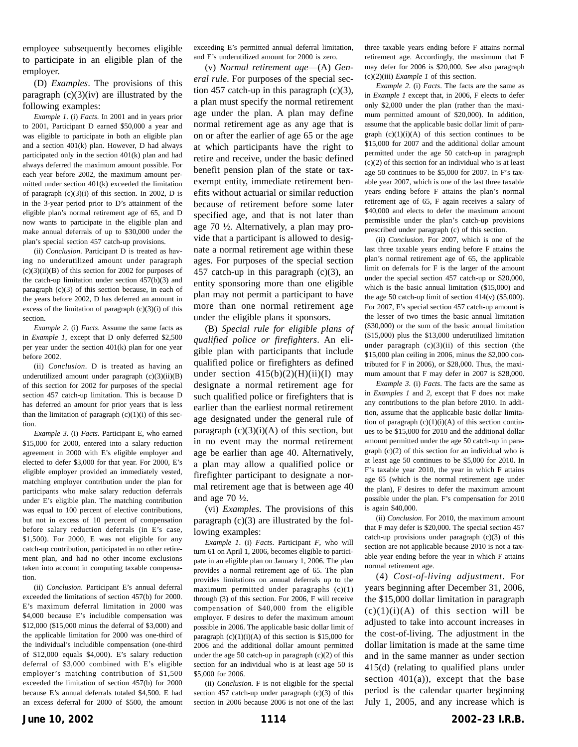employee subsequently becomes eligible to participate in an eligible plan of the employer.

(D) *Examples*. The provisions of this paragraph  $(c)(3)(iv)$  are illustrated by the following examples:

*Example 1*. (i) *Facts*. In 2001 and in years prior to 2001, Participant D earned \$50,000 a year and was eligible to participate in both an eligible plan and a section 401(k) plan. However, D had always participated only in the section 401(k) plan and had always deferred the maximum amount possible. For each year before 2002, the maximum amount permitted under section 401(k) exceeded the limitation of paragraph  $(c)(3)(i)$  of this section. In 2002, D is in the 3-year period prior to D's attainment of the eligible plan's normal retirement age of 65, and D now wants to participate in the eligible plan and make annual deferrals of up to \$30,000 under the plan's special section 457 catch-up provisions.

(ii) *Conclusion*. Participant D is treated as having no underutilized amount under paragraph  $(c)(3)(ii)(B)$  of this section for 2002 for purposes of the catch-up limitation under section 457(b)(3) and paragraph (c)(3) of this section because, in each of the years before 2002, D has deferred an amount in excess of the limitation of paragraph  $(c)(3)(i)$  of this section.

*Example 2*. (i) *Facts*. Assume the same facts as in *Example 1*, except that D only deferred \$2,500 per year under the section 401(k) plan for one year before 2002.

(ii) *Conclusion*. D is treated as having an underutilized amount under paragraph  $(c)(3)(ii)(B)$ of this section for 2002 for purposes of the special section 457 catch-up limitation. This is because D has deferred an amount for prior years that is less than the limitation of paragraph  $(c)(1)(i)$  of this section.

*Example 3*. (i) *Facts*. Participant E, who earned \$15,000 for 2000, entered into a salary reduction agreement in 2000 with E's eligible employer and elected to defer \$3,000 for that year. For 2000, E's eligible employer provided an immediately vested, matching employer contribution under the plan for participants who make salary reduction deferrals under E's eligible plan. The matching contribution was equal to 100 percent of elective contributions, but not in excess of 10 percent of compensation before salary reduction deferrals (in E's case, \$1,500). For 2000, E was not eligible for any catch-up contribution, participated in no other retirement plan, and had no other income exclusions taken into account in computing taxable compensation.

(ii) *Conclusion*. Participant E's annual deferral exceeded the limitations of section 457(b) for 2000. E's maximum deferral limitation in 2000 was \$4,000 because E's includible compensation was \$12,000 (\$15,000 minus the deferral of \$3,000) and the applicable limitation for 2000 was one-third of the individual's includible compensation (one-third of \$12,000 equals \$4,000). E's salary reduction deferral of \$3,000 combined with E's eligible employer's matching contribution of \$1,500 exceeded the limitation of section 457(b) for 2000 because E's annual deferrals totaled \$4,500. E had an excess deferral for 2000 of \$500, the amount exceeding E's permitted annual deferral limitation, and E's underutilized amount for 2000 is zero.

(v) *Normal retirement age*—(A) *General rule*. For purposes of the special section 457 catch-up in this paragraph  $(c)(3)$ , a plan must specify the normal retirement age under the plan. A plan may define normal retirement age as any age that is on or after the earlier of age 65 or the age at which participants have the right to retire and receive, under the basic defined benefit pension plan of the state or taxexempt entity, immediate retirement benefits without actuarial or similar reduction because of retirement before some later specified age, and that is not later than age 70 ½. Alternatively, a plan may provide that a participant is allowed to designate a normal retirement age within these ages. For purposes of the special section 457 catch-up in this paragraph  $(c)(3)$ , an entity sponsoring more than one eligible plan may not permit a participant to have more than one normal retirement age under the eligible plans it sponsors.

(B) *Special rule for eligible plans of qualified police or firefighters*. An eligible plan with participants that include qualified police or firefighters as defined under section  $415(b)(2)(H)(ii)(I)$  may designate a normal retirement age for such qualified police or firefighters that is earlier than the earliest normal retirement age designated under the general rule of paragraph  $(c)(3)(i)(A)$  of this section, but in no event may the normal retirement age be earlier than age 40. Alternatively, a plan may allow a qualified police or firefighter participant to designate a normal retirement age that is between age 40 and age 70 ½.

(vi) *Examples*. The provisions of this paragraph  $(c)(3)$  are illustrated by the following examples:

*Example 1*. (i) *Facts*. Participant *F*, who will turn 61 on April 1, 2006, becomes eligible to participate in an eligible plan on January 1, 2006. The plan provides a normal retirement age of 65. The plan provides limitations on annual deferrals up to the maximum permitted under paragraphs (c)(1) through (3) of this section. For 2006, F will receive compensation of \$40,000 from the eligible employer. F desires to defer the maximum amount possible in 2006. The applicable basic dollar limit of paragraph  $(c)(1)(i)(A)$  of this section is \$15,000 for 2006 and the additional dollar amount permitted under the age 50 catch-up in paragraph  $(c)(2)$  of this section for an individual who is at least age 50 is \$5,000 for 2006.

(ii) *Conclusion*. F is not eligible for the special section 457 catch-up under paragraph (c)(3) of this section in 2006 because 2006 is not one of the last three taxable years ending before F attains normal retirement age. Accordingly, the maximum that F may defer for 2006 is \$20,000. See also paragraph (c)(2)(iii) *Example 1* of this section.

*Example 2*. (i) *Facts*. The facts are the same as in *Example 1* except that, in 2006, F elects to defer only \$2,000 under the plan (rather than the maximum permitted amount of \$20,000). In addition, assume that the applicable basic dollar limit of paragraph  $(c)(1)(i)(A)$  of this section continues to be \$15,000 for 2007 and the additional dollar amount permitted under the age 50 catch-up in paragraph  $(c)(2)$  of this section for an individual who is at least age 50 continues to be \$5,000 for 2007. In F's taxable year 2007, which is one of the last three taxable years ending before F attains the plan's normal retirement age of 65, F again receives a salary of \$40,000 and elects to defer the maximum amount permissible under the plan's catch-up provisions prescribed under paragraph (c) of this section.

(ii) *Conclusion*. For 2007, which is one of the last three taxable years ending before F attains the plan's normal retirement age of 65, the applicable limit on deferrals for F is the larger of the amount under the special section 457 catch-up or \$20,000, which is the basic annual limitation (\$15,000) and the age 50 catch-up limit of section  $414(v)$  (\$5,000). For 2007, F's special section 457 catch-up amount is the lesser of two times the basic annual limitation (\$30,000) or the sum of the basic annual limitation (\$15,000) plus the \$13,000 underutilized limitation under paragraph  $(c)(3)(ii)$  of this section (the \$15,000 plan ceiling in 2006, minus the \$2,000 contributed for F in 2006), or \$28,000. Thus, the maximum amount that F may defer in 2007 is \$28,000.

*Example 3*. (i) *Facts*. The facts are the same as in *Examples 1* and *2*, except that F does not make any contributions to the plan before 2010. In addition, assume that the applicable basic dollar limitation of paragraph  $(c)(1)(i)(A)$  of this section continues to be \$15,000 for 2010 and the additional dollar amount permitted under the age 50 catch-up in paragraph  $(c)(2)$  of this section for an individual who is at least age 50 continues to be \$5,000 for 2010. In F's taxable year 2010, the year in which F attains age 65 (which is the normal retirement age under the plan), F desires to defer the maximum amount possible under the plan. F's compensation for 2010 is again \$40,000.

(ii) *Conclusion*. For 2010, the maximum amount that F may defer is \$20,000. The special section 457 catch-up provisions under paragraph  $(c)(3)$  of this section are not applicable because 2010 is not a taxable year ending before the year in which F attains normal retirement age.

(4) *Cost-of-living adjustment*. For years beginning after December 31, 2006, the \$15,000 dollar limitation in paragraph  $(c)(1)(i)(A)$  of this section will be adjusted to take into account increases in the cost-of-living. The adjustment in the dollar limitation is made at the same time and in the same manner as under section 415(d) (relating to qualified plans under section  $401(a)$ , except that the base period is the calendar quarter beginning July 1, 2005, and any increase which is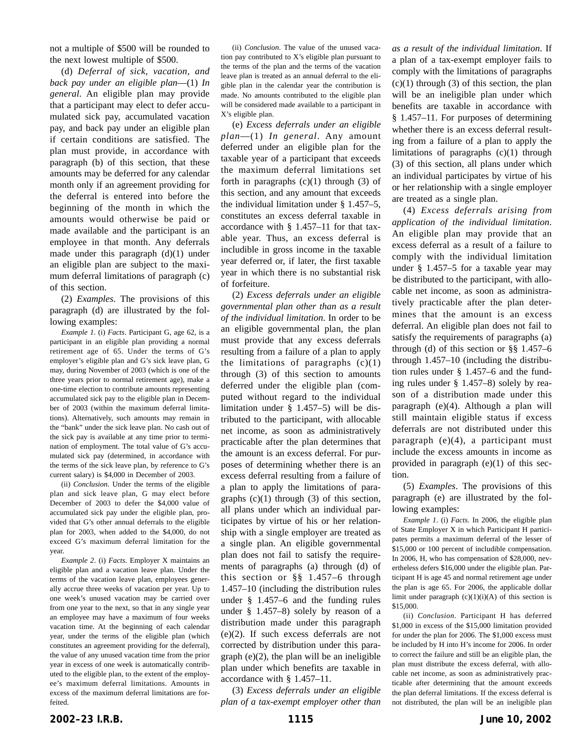not a multiple of \$500 will be rounded to the next lowest multiple of \$500.

(d) *Deferral of sick, vacation, and back pay under an eligible plan*—(1) *In general*. An eligible plan may provide that a participant may elect to defer accumulated sick pay, accumulated vacation pay, and back pay under an eligible plan if certain conditions are satisfied. The plan must provide, in accordance with paragraph (b) of this section, that these amounts may be deferred for any calendar month only if an agreement providing for the deferral is entered into before the beginning of the month in which the amounts would otherwise be paid or made available and the participant is an employee in that month. Any deferrals made under this paragraph (d)(1) under an eligible plan are subject to the maximum deferral limitations of paragraph (c) of this section.

(2) *Examples*. The provisions of this paragraph (d) are illustrated by the following examples:

*Example 1*. (i) *Facts*. Participant G, age 62, is a participant in an eligible plan providing a normal retirement age of 65. Under the terms of G's employer's eligible plan and G's sick leave plan, G may, during November of 2003 (which is one of the three years prior to normal retirement age), make a one-time election to contribute amounts representing accumulated sick pay to the eligible plan in December of 2003 (within the maximum deferral limitations). Alternatively, such amounts may remain in the "bank" under the sick leave plan. No cash out of the sick pay is available at any time prior to termination of employment. The total value of G's accumulated sick pay (determined, in accordance with the terms of the sick leave plan, by reference to G's current salary) is \$4,000 in December of 2003.

(ii) *Conclusion*. Under the terms of the eligible plan and sick leave plan, G may elect before December of 2003 to defer the \$4,000 value of accumulated sick pay under the eligible plan, provided that G's other annual deferrals to the eligible plan for 2003, when added to the \$4,000, do not exceed G's maximum deferral limitation for the year.

*Example 2*. (i) *Facts*. Employer X maintains an eligible plan and a vacation leave plan. Under the terms of the vacation leave plan, employees generally accrue three weeks of vacation per year. Up to one week's unused vacation may be carried over from one year to the next, so that in any single year an employee may have a maximum of four weeks vacation time. At the beginning of each calendar year, under the terms of the eligible plan (which constitutes an agreement providing for the deferral), the value of any unused vacation time from the prior year in excess of one week is automatically contributed to the eligible plan, to the extent of the employee's maximum deferral limitations. Amounts in excess of the maximum deferral limitations are forfeited.

(ii) *Conclusion*. The value of the unused vacation pay contributed to X's eligible plan pursuant to the terms of the plan and the terms of the vacation leave plan is treated as an annual deferral to the eligible plan in the calendar year the contribution is made. No amounts contributed to the eligible plan will be considered made available to a participant in X's eligible plan.

(e) *Excess deferrals under an eligible plan*—(1) *In general*. Any amount deferred under an eligible plan for the taxable year of a participant that exceeds the maximum deferral limitations set forth in paragraphs  $(c)(1)$  through  $(3)$  of this section, and any amount that exceeds the individual limitation under § 1.457–5, constitutes an excess deferral taxable in accordance with § 1.457–11 for that taxable year. Thus, an excess deferral is includible in gross income in the taxable year deferred or, if later, the first taxable year in which there is no substantial risk of forfeiture.

(2) *Excess deferrals under an eligible governmental plan other than as a result of the individual limitation*. In order to be an eligible governmental plan, the plan must provide that any excess deferrals resulting from a failure of a plan to apply the limitations of paragraphs  $(c)(1)$ through (3) of this section to amounts deferred under the eligible plan (computed without regard to the individual limitation under § 1.457–5) will be distributed to the participant, with allocable net income, as soon as administratively practicable after the plan determines that the amount is an excess deferral. For purposes of determining whether there is an excess deferral resulting from a failure of a plan to apply the limitations of paragraphs  $(c)(1)$  through  $(3)$  of this section, all plans under which an individual participates by virtue of his or her relationship with a single employer are treated as a single plan. An eligible governmental plan does not fail to satisfy the requirements of paragraphs (a) through (d) of this section or §§ 1.457–6 through 1.457–10 (including the distribution rules under § 1.457–6 and the funding rules under § 1.457–8) solely by reason of a distribution made under this paragraph (e)(2). If such excess deferrals are not corrected by distribution under this paragraph (e)(2), the plan will be an ineligible plan under which benefits are taxable in accordance with § 1.457–11.

(3) *Excess deferrals under an eligible plan of a tax-exempt employer other than* *as a result of the individual limitation*. If a plan of a tax-exempt employer fails to comply with the limitations of paragraphs  $(c)(1)$  through  $(3)$  of this section, the plan will be an ineligible plan under which benefits are taxable in accordance with § 1.457–11. For purposes of determining whether there is an excess deferral resulting from a failure of a plan to apply the limitations of paragraphs (c)(1) through (3) of this section, all plans under which an individual participates by virtue of his or her relationship with a single employer are treated as a single plan.

(4) *Excess deferrals arising from application of the individual limitation*. An eligible plan may provide that an excess deferral as a result of a failure to comply with the individual limitation under § 1.457–5 for a taxable year may be distributed to the participant, with allocable net income, as soon as administratively practicable after the plan determines that the amount is an excess deferral. An eligible plan does not fail to satisfy the requirements of paragraphs (a) through (d) of this section or §§ 1.457–6 through 1.457–10 (including the distribution rules under § 1.457–6 and the funding rules under § 1.457–8) solely by reason of a distribution made under this paragraph (e)(4). Although a plan will still maintain eligible status if excess deferrals are not distributed under this paragraph (e)(4), a participant must include the excess amounts in income as provided in paragraph (e)(1) of this section.

(5) *Examples*. The provisions of this paragraph (e) are illustrated by the following examples:

*Example 1*. (i) *Facts*. In 2006, the eligible plan of State Employer X in which Participant H participates permits a maximum deferral of the lesser of \$15,000 or 100 percent of includible compensation. In 2006, H, who has compensation of \$28,000, nevertheless defers \$16,000 under the eligible plan. Participant H is age 45 and normal retirement age under the plan is age 65. For 2006, the applicable dollar limit under paragraph  $(c)(1)(i)(A)$  of this section is \$15,000.

(ii) *Conclusion*. Participant H has deferred \$1,000 in excess of the \$15,000 limitation provided for under the plan for 2006. The \$1,000 excess must be included by H into H's income for 2006. In order to correct the failure and still be an eligible plan, the plan must distribute the excess deferral, with allocable net income, as soon as administratively practicable after determining that the amount exceeds the plan deferral limitations. If the excess deferral is not distributed, the plan will be an ineligible plan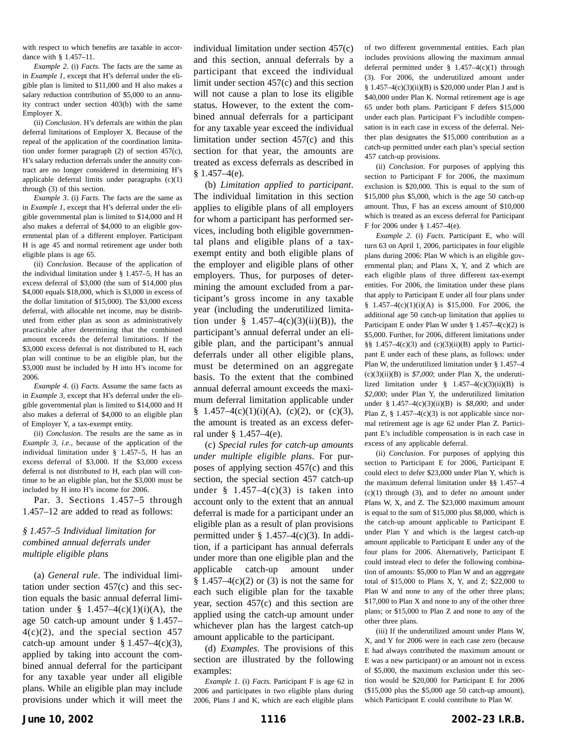with respect to which benefits are taxable in accordance with § 1.457–11.

*Example 2*. (i) *Facts*. The facts are the same as in *Example 1*, except that H's deferral under the eligible plan is limited to \$11,000 and H also makes a salary reduction contribution of \$5,000 to an annuity contract under section 403(b) with the same Employer X.

(ii) *Conclusion*. H's deferrals are within the plan deferral limitations of Employer X. Because of the repeal of the application of the coordination limitation under former paragraph (2) of section 457(c), H's salary reduction deferrals under the annuity contract are no longer considered in determining H's applicable deferral limits under paragraphs (c)(1) through (3) of this section.

*Example 3*. (i) *Facts*. The facts are the same as in *Example 1*, except that H's deferral under the eligible governmental plan is limited to \$14,000 and H also makes a deferral of \$4,000 to an eligible governmental plan of a different employer. Participant H is age 45 and normal retirement age under both eligible plans is age 65.

(ii) *Conclusion*. Because of the application of the individual limitation under § 1.457–5, H has an excess deferral of \$3,000 (the sum of \$14,000 plus \$4,000 equals \$18,000, which is \$3,000 in excess of the dollar limitation of \$15,000). The \$3,000 excess deferral, with allocable net income, may be distributed from either plan as soon as administratively practicable after determining that the combined amount exceeds the deferral limitations. If the \$3,000 excess deferral is not distributed to H, each plan will continue to be an eligible plan, but the \$3,000 must be included by H into H's income for 2006.

*Example 4*. (i) *Facts*. Assume the same facts as in *Example 3*, except that H's deferral under the eligible governmental plan is limited to \$14,000 and H also makes a deferral of \$4,000 to an eligible plan of Employer Y, a tax-exempt entity.

(ii) *Conclusion*. The results are the same as in *Example 3*, *i.e.*, because of the application of the individual limitation under § 1.457–5, H has an excess deferral of \$3,000. If the \$3,000 excess deferral is not distributed to H, each plan will continue to be an eligible plan, but the \$3,000 must be included by H into H's income for 2006.

Par. 3. Sections 1.457–5 through 1.457–12 are added to read as follows:

## *§ 1.457–5 Individual limitation for combined annual deferrals under multiple eligible plans*

(a) *General rule*. The individual limitation under section 457(c) and this section equals the basic annual deferral limitation under § 1.457–4(c)(1)(i)(A), the age 50 catch-up amount under § 1.457–  $4(c)(2)$ , and the special section 457 catch-up amount under  $§$  1.457–4(c)(3), applied by taking into account the combined annual deferral for the participant for any taxable year under all eligible plans. While an eligible plan may include provisions under which it will meet the individual limitation under section 457(c) and this section, annual deferrals by a participant that exceed the individual limit under section 457(c) and this section will not cause a plan to lose its eligible status. However, to the extent the combined annual deferrals for a participant for any taxable year exceed the individual limitation under section 457(c) and this section for that year, the amounts are treated as excess deferrals as described in  $§$  1.457–4(e).

(b) *Limitation applied to participant*. The individual limitation in this section applies to eligible plans of all employers for whom a participant has performed services, including both eligible governmental plans and eligible plans of a taxexempt entity and both eligible plans of the employer and eligible plans of other employers. Thus, for purposes of determining the amount excluded from a participant's gross income in any taxable year (including the underutilized limitation under  $\frac{8}{9}$  1.457–4(c)(3)(ii)(B)), the participant's annual deferral under an eligible plan, and the participant's annual deferrals under all other eligible plans, must be determined on an aggregate basis. To the extent that the combined annual deferral amount exceeds the maximum deferral limitation applicable under § 1.457–4(c)(1)(i)(A), (c)(2), or (c)(3), the amount is treated as an excess deferral under § 1.457–4(e).

(c) *Special rules for catch-up amounts under multiple eligible plans*. For purposes of applying section 457(c) and this section, the special section 457 catch-up under  $\frac{1.457 - 4(c)}{3}$  is taken into account only to the extent that an annual deferral is made for a participant under an eligible plan as a result of plan provisions permitted under  $\S$  1.457–4(c)(3). In addition, if a participant has annual deferrals under more than one eligible plan and the applicable catch-up amount under  $§ 1.457-4(c)(2)$  or (3) is not the same for each such eligible plan for the taxable year, section 457(c) and this section are applied using the catch-up amount under whichever plan has the largest catch-up amount applicable to the participant.

(d) *Examples*. The provisions of this section are illustrated by the following examples:

*Example 1*. (i) *Facts*. Participant F is age 62 in 2006 and participates in two eligible plans during 2006, Plans J and K, which are each eligible plans of two different governmental entities. Each plan includes provisions allowing the maximum annual deferral permitted under  $§$  1.457–4(c)(1) through (3). For 2006, the underutilized amount under  $§ 1.457-4(c)(3)(ii)(B)$  is \$20,000 under Plan J and is \$40,000 under Plan K. Normal retirement age is age 65 under both plans. Participant F defers \$15,000 under each plan. Participant F's includible compensation is in each case in excess of the deferral. Neither plan designates the \$15,000 contribution as a catch-up permitted under each plan's special section 457 catch-up provisions.

(ii) *Conclusion*. For purposes of applying this section to Participant F for 2006, the maximum exclusion is \$20,000. This is equal to the sum of \$15,000 plus \$5,000, which is the age 50 catch-up amount. Thus, F has an excess amount of \$10,000 which is treated as an excess deferral for Participant F for 2006 under § 1.457–4(e).

*Example 2*. (i) *Facts*. Participant E, who will turn 63 on April 1, 2006, participates in four eligible plans during 2006: Plan W which is an eligible governmental plan; and Plans X, Y, and Z which are each eligible plans of three different tax-exempt entities. For 2006, the limitation under these plans that apply to Participant E under all four plans under § 1.457–4(c)(1)(i)(A) is \$15,000. For 2006, the additional age 50 catch-up limitation that applies to Participant E under Plan W under § 1.457–4(c)(2) is \$5,000. Further, for 2006, different limitations under §§ 1.457–4(c)(3) and (c)(3)(ii)(B) apply to Participant E under each of these plans, as follows: under Plan W, the underutilized limitation under § 1.457–4  $(c)(3)(ii)(B)$  is  $$7,000$ ; under Plan X, the underutilized limitation under  $\frac{8}{3}$  1.457–4(c)(3)(ii)(B) is *\$2,000*; under Plan Y, the underutilized limitation under § 1.457–4(c)(3)(ii)(B) is *\$8,000*; and under Plan Z,  $\S$  1.457–4(c)(3) is not applicable since normal retirement age is age 62 under Plan Z. Participant E's includible compensation is in each case in excess of any applicable deferral.

(ii) *Conclusion*. For purposes of applying this section to Participant E for 2006, Participant E could elect to defer \$23,000 under Plan Y, which is the maximum deferral limitation under §§ 1.457–4 (c)(1) through (3), and to defer no amount under Plans W, X, and Z. The \$23,000 maximum amount is equal to the sum of \$15,000 plus \$8,000, which is the catch-up amount applicable to Participant E under Plan Y and which is the largest catch-up amount applicable to Participant E under any of the four plans for 2006. Alternatively, Participant E could instead elect to defer the following combination of amounts: \$5,000 to Plan W and an aggregate total of \$15,000 to Plans X, Y, and Z; \$22,000 to Plan W and none to any of the other three plans; \$17,000 to Plan X and none to any of the other three plans; or \$15,000 to Plan Z and none to any of the other three plans.

(iii) If the underutilized amount under Plans W, X, and Y for 2006 were in each case zero (because E had always contributed the maximum amount or E was a new participant) or an amount not in excess of \$5,000, the maximum exclusion under this section would be \$20,000 for Participant E for 2006 (\$15,000 plus the \$5,000 age 50 catch-up amount), which Participant E could contribute to Plan W.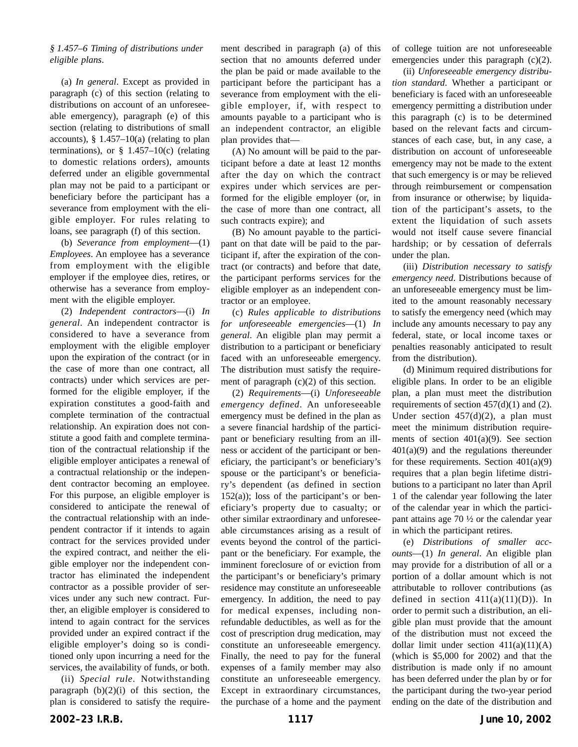## *§ 1.457–6 Timing of distributions under eligible plans*.

(a) *In general*. Except as provided in paragraph (c) of this section (relating to distributions on account of an unforeseeable emergency), paragraph (e) of this section (relating to distributions of small accounts),  $§$  1.457–10(a) (relating to plan terminations), or  $\S$  1.457–10(c) (relating to domestic relations orders), amounts deferred under an eligible governmental plan may not be paid to a participant or beneficiary before the participant has a severance from employment with the eligible employer. For rules relating to loans, see paragraph (f) of this section.

(b) *Severance from employment*—(1) *Employees*. An employee has a severance from employment with the eligible employer if the employee dies, retires, or otherwise has a severance from employment with the eligible employer.

(2) *Independent contractors*—(i) *In general*. An independent contractor is considered to have a severance from employment with the eligible employer upon the expiration of the contract (or in the case of more than one contract, all contracts) under which services are performed for the eligible employer, if the expiration constitutes a good-faith and complete termination of the contractual relationship. An expiration does not constitute a good faith and complete termination of the contractual relationship if the eligible employer anticipates a renewal of a contractual relationship or the independent contractor becoming an employee. For this purpose, an eligible employer is considered to anticipate the renewal of the contractual relationship with an independent contractor if it intends to again contract for the services provided under the expired contract, and neither the eligible employer nor the independent contractor has eliminated the independent contractor as a possible provider of services under any such new contract. Further, an eligible employer is considered to intend to again contract for the services provided under an expired contract if the eligible employer's doing so is conditioned only upon incurring a need for the services, the availability of funds, or both.

(ii) *Special rule*. Notwithstanding paragraph  $(b)(2)(i)$  of this section, the plan is considered to satisfy the requirement described in paragraph (a) of this section that no amounts deferred under the plan be paid or made available to the participant before the participant has a severance from employment with the eligible employer, if, with respect to amounts payable to a participant who is an independent contractor, an eligible plan provides that—

(A) No amount will be paid to the participant before a date at least 12 months after the day on which the contract expires under which services are performed for the eligible employer (or, in the case of more than one contract, all such contracts expire); and

(B) No amount payable to the participant on that date will be paid to the participant if, after the expiration of the contract (or contracts) and before that date, the participant performs services for the eligible employer as an independent contractor or an employee.

(c) *Rules applicable to distributions for unforeseeable emergencies*—(1) *In general*. An eligible plan may permit a distribution to a participant or beneficiary faced with an unforeseeable emergency. The distribution must satisfy the requirement of paragraph  $(c)(2)$  of this section.

(2) *Requirements*—(i) *Unforeseeable emergency defined*. An unforeseeable emergency must be defined in the plan as a severe financial hardship of the participant or beneficiary resulting from an illness or accident of the participant or beneficiary, the participant's or beneficiary's spouse or the participant's or beneficiary's dependent (as defined in section  $152(a)$ ; loss of the participant's or beneficiary's property due to casualty; or other similar extraordinary and unforeseeable circumstances arising as a result of events beyond the control of the participant or the beneficiary. For example, the imminent foreclosure of or eviction from the participant's or beneficiary's primary residence may constitute an unforeseeable emergency. In addition, the need to pay for medical expenses, including nonrefundable deductibles, as well as for the cost of prescription drug medication, may constitute an unforeseeable emergency. Finally, the need to pay for the funeral expenses of a family member may also constitute an unforeseeable emergency. Except in extraordinary circumstances, the purchase of a home and the payment of college tuition are not unforeseeable emergencies under this paragraph (c)(2).

(ii) *Unforeseeable emergency distribution standard*. Whether a participant or beneficiary is faced with an unforeseeable emergency permitting a distribution under this paragraph (c) is to be determined based on the relevant facts and circumstances of each case, but, in any case, a distribution on account of unforeseeable emergency may not be made to the extent that such emergency is or may be relieved through reimbursement or compensation from insurance or otherwise; by liquidation of the participant's assets, to the extent the liquidation of such assets would not itself cause severe financial hardship; or by cessation of deferrals under the plan.

(iii) *Distribution necessary to satisfy emergency need*. Distributions because of an unforeseeable emergency must be limited to the amount reasonably necessary to satisfy the emergency need (which may include any amounts necessary to pay any federal, state, or local income taxes or penalties reasonably anticipated to result from the distribution).

(d) Minimum required distributions for eligible plans. In order to be an eligible plan, a plan must meet the distribution requirements of section  $457(d)(1)$  and (2). Under section  $457(d)(2)$ , a plan must meet the minimum distribution requirements of section 401(a)(9). See section 401(a)(9) and the regulations thereunder for these requirements. Section  $401(a)(9)$ requires that a plan begin lifetime distributions to a participant no later than April 1 of the calendar year following the later of the calendar year in which the participant attains age 70 ½ or the calendar year in which the participant retires.

(e) *Distributions of smaller accounts*—(1) *In general*. An eligible plan may provide for a distribution of all or a portion of a dollar amount which is not attributable to rollover contributions (as defined in section  $411(a)(11)(D)$ . In order to permit such a distribution, an eligible plan must provide that the amount of the distribution must not exceed the dollar limit under section  $411(a)(11)(A)$ (which is \$5,000 for 2002) and that the distribution is made only if no amount has been deferred under the plan by or for the participant during the two-year period ending on the date of the distribution and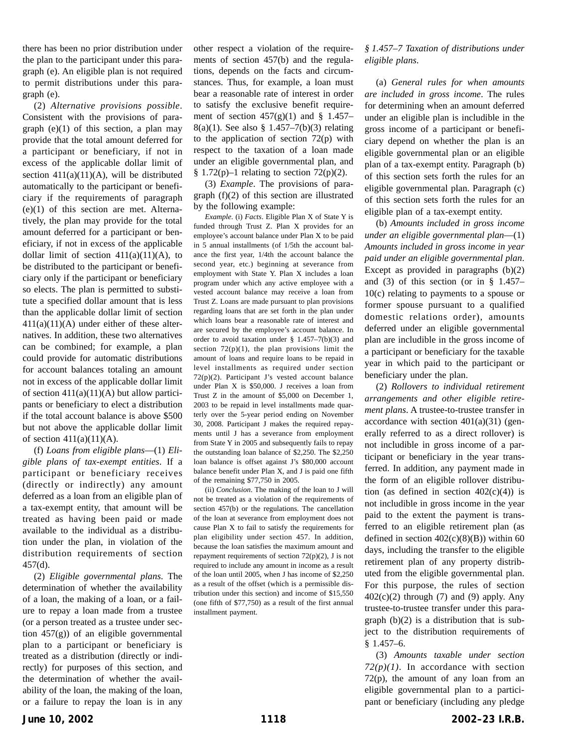there has been no prior distribution under the plan to the participant under this paragraph (e). An eligible plan is not required to permit distributions under this paragraph (e).

(2) *Alternative provisions possible*. Consistent with the provisions of paragraph  $(e)(1)$  of this section, a plan may provide that the total amount deferred for a participant or beneficiary, if not in excess of the applicable dollar limit of section  $411(a)(11)(A)$ , will be distributed automatically to the participant or beneficiary if the requirements of paragraph (e)(1) of this section are met. Alternatively, the plan may provide for the total amount deferred for a participant or beneficiary, if not in excess of the applicable dollar limit of section  $411(a)(11)(A)$ , to be distributed to the participant or beneficiary only if the participant or beneficiary so elects. The plan is permitted to substitute a specified dollar amount that is less than the applicable dollar limit of section  $411(a)(11)(A)$  under either of these alternatives. In addition, these two alternatives can be combined; for example, a plan could provide for automatic distributions for account balances totaling an amount not in excess of the applicable dollar limit of section  $411(a)(11)(A)$  but allow participants or beneficiary to elect a distribution if the total account balance is above \$500 but not above the applicable dollar limit of section  $411(a)(11)(A)$ .

(f) *Loans from eligible plans*—(1) *Eligible plans of tax-exempt entities*. If a participant or beneficiary receives (directly or indirectly) any amount deferred as a loan from an eligible plan of a tax-exempt entity, that amount will be treated as having been paid or made available to the individual as a distribution under the plan, in violation of the distribution requirements of section 457(d).

(2) *Eligible governmental plans*. The determination of whether the availability of a loan, the making of a loan, or a failure to repay a loan made from a trustee (or a person treated as a trustee under section 457(g)) of an eligible governmental plan to a participant or beneficiary is treated as a distribution (directly or indirectly) for purposes of this section, and the determination of whether the availability of the loan, the making of the loan, or a failure to repay the loan is in any other respect a violation of the requirements of section 457(b) and the regulations, depends on the facts and circumstances. Thus, for example, a loan must bear a reasonable rate of interest in order to satisfy the exclusive benefit requirement of section  $457(g)(1)$  and § 1.457– 8(a)(1). See also § 1.457–7(b)(3) relating to the application of section 72(p) with respect to the taxation of a loan made under an eligible governmental plan, and § 1.72(p)-1 relating to section 72(p)(2).

(3) *Example*. The provisions of paragraph (f)(2) of this section are illustrated by the following example:

*Example*. (i) *Facts*. Eligible Plan X of State Y is funded through Trust Z. Plan X provides for an employee's account balance under Plan X to be paid in 5 annual installments (of 1/5th the account balance the first year, 1/4th the account balance the second year, etc.) beginning at severance from employment with State Y. Plan X includes a loan program under which any active employee with a vested account balance may receive a loan from Trust Z. Loans are made pursuant to plan provisions regarding loans that are set forth in the plan under which loans bear a reasonable rate of interest and are secured by the employee's account balance. In order to avoid taxation under  $§$  1.457–7(b)(3) and section  $72(p)(1)$ , the plan provisions limit the amount of loans and require loans to be repaid in level installments as required under section 72(p)(2). Participant J's vested account balance under Plan X is \$50,000. J receives a loan from Trust Z in the amount of \$5,000 on December 1, 2003 to be repaid in level installments made quarterly over the 5-year period ending on November 30, 2008. Participant J makes the required repayments until J has a severance from employment from State Y in 2005 and subsequently fails to repay the outstanding loan balance of \$2,250. The \$2,250 loan balance is offset against J's \$80,000 account balance benefit under Plan X, and J is paid one fifth of the remaining \$77,750 in 2005.

(ii) *Conclusion*. The making of the loan to J will not be treated as a violation of the requirements of section 457(b) or the regulations. The cancellation of the loan at severance from employment does not cause Plan X to fail to satisfy the requirements for plan eligibility under section 457. In addition, because the loan satisfies the maximum amount and repayment requirements of section  $72(p)(2)$ , J is not required to include any amount in income as a result of the loan until 2005, when J has income of \$2,250 as a result of the offset (which is a permissible distribution under this section) and income of \$15,550 (one fifth of \$77,750) as a result of the first annual installment payment.

## *§ 1.457–7 Taxation of distributions under eligible plans*.

(a) *General rules for when amounts are included in gross income*. The rules for determining when an amount deferred under an eligible plan is includible in the gross income of a participant or beneficiary depend on whether the plan is an eligible governmental plan or an eligible plan of a tax-exempt entity. Paragraph (b) of this section sets forth the rules for an eligible governmental plan. Paragraph (c) of this section sets forth the rules for an eligible plan of a tax-exempt entity.

(b) *Amounts included in gross income under an eligible governmental plan*—(1) *Amounts included in gross income in year paid under an eligible governmental plan*. Except as provided in paragraphs (b)(2) and (3) of this section (or in  $\S$  1.457– 10(c) relating to payments to a spouse or former spouse pursuant to a qualified domestic relations order), amounts deferred under an eligible governmental plan are includible in the gross income of a participant or beneficiary for the taxable year in which paid to the participant or beneficiary under the plan.

(2) *Rollovers to individual retirement arrangements and other eligible retirement plans*. A trustee-to-trustee transfer in accordance with section  $401(a)(31)$  (generally referred to as a direct rollover) is not includible in gross income of a participant or beneficiary in the year transferred. In addition, any payment made in the form of an eligible rollover distribution (as defined in section  $402(c)(4)$ ) is not includible in gross income in the year paid to the extent the payment is transferred to an eligible retirement plan (as defined in section  $402(c)(8)(B)$ ) within 60 days, including the transfer to the eligible retirement plan of any property distributed from the eligible governmental plan. For this purpose, the rules of section  $402(c)(2)$  through (7) and (9) apply. Any trustee-to-trustee transfer under this paragraph  $(b)(2)$  is a distribution that is subject to the distribution requirements of § 1.457–6.

(3) *Amounts taxable under section 72(p)(1)*. In accordance with section  $72(p)$ , the amount of any loan from an eligible governmental plan to a participant or beneficiary (including any pledge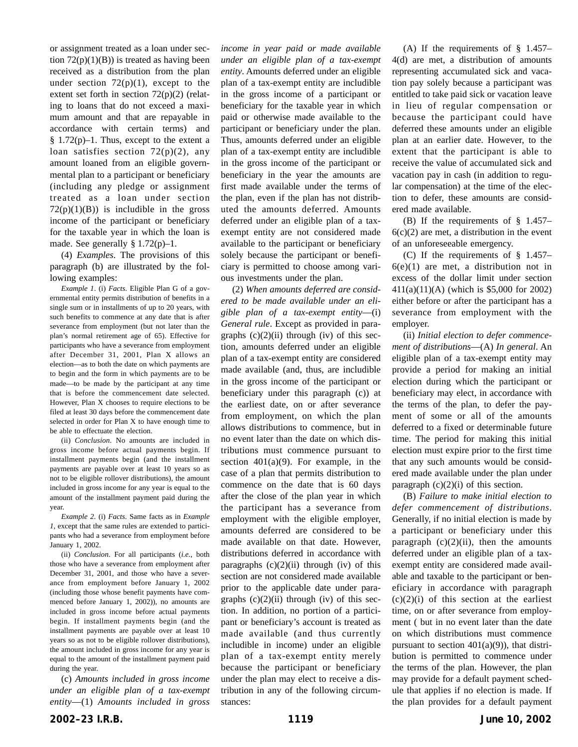or assignment treated as a loan under section  $72(p)(1)(B)$  is treated as having been received as a distribution from the plan under section  $72(p)(1)$ , except to the extent set forth in section 72(p)(2) (relating to loans that do not exceed a maximum amount and that are repayable in accordance with certain terms) and  $§ 1.72(p)-1.$  Thus, except to the extent a loan satisfies section  $72(p)(2)$ , any amount loaned from an eligible governmental plan to a participant or beneficiary (including any pledge or assignment treated as a loan under section  $72(p)(1)(B)$  is includible in the gross income of the participant or beneficiary for the taxable year in which the loan is made. See generally § 1.72(p)–1.

(4) *Examples*. The provisions of this paragraph (b) are illustrated by the following examples:

*Example 1*. (i) *Facts*. Eligible Plan G of a governmental entity permits distribution of benefits in a single sum or in installments of up to 20 years, with such benefits to commence at any date that is after severance from employment (but not later than the plan's normal retirement age of 65). Effective for participants who have a severance from employment after December 31, 2001, Plan X allows an election—as to both the date on which payments are to begin and the form in which payments are to be made—to be made by the participant at any time that is before the commencement date selected. However, Plan X chooses to require elections to be filed at least 30 days before the commencement date selected in order for Plan X to have enough time to be able to effectuate the election.

(ii) *Conclusion*. No amounts are included in gross income before actual payments begin. If installment payments begin (and the installment payments are payable over at least 10 years so as not to be eligible rollover distributions), the amount included in gross income for any year is equal to the amount of the installment payment paid during the year.

*Example 2*. (i) *Facts*. Same facts as in *Example 1*, except that the same rules are extended to participants who had a severance from employment before January 1, 2002.

(ii) *Conclusion*. For all participants (*i.e.*, both those who have a severance from employment after December 31, 2001, and those who have a severance from employment before January 1, 2002 (including those whose benefit payments have commenced before January 1, 2002)), no amounts are included in gross income before actual payments begin. If installment payments begin (and the installment payments are payable over at least 10 years so as not to be eligible rollover distributions), the amount included in gross income for any year is equal to the amount of the installment payment paid during the year.

(c) *Amounts included in gross income under an eligible plan of a tax-exempt entity*—(1) *Amounts included in gross*

*income in year paid or made available under an eligible plan of a tax-exempt entity*. Amounts deferred under an eligible plan of a tax-exempt entity are includible in the gross income of a participant or beneficiary for the taxable year in which paid or otherwise made available to the participant or beneficiary under the plan. Thus, amounts deferred under an eligible plan of a tax-exempt entity are includible in the gross income of the participant or beneficiary in the year the amounts are first made available under the terms of the plan, even if the plan has not distributed the amounts deferred. Amounts deferred under an eligible plan of a taxexempt entity are not considered made available to the participant or beneficiary solely because the participant or beneficiary is permitted to choose among various investments under the plan.

(2) *When amounts deferred are considered to be made available under an eligible plan of a tax-exempt entity*—(i) *General rule*. Except as provided in paragraphs  $(c)(2)(ii)$  through  $(iv)$  of this section, amounts deferred under an eligible plan of a tax-exempt entity are considered made available (and, thus, are includible in the gross income of the participant or beneficiary under this paragraph (c)) at the earliest date, on or after severance from employment, on which the plan allows distributions to commence, but in no event later than the date on which distributions must commence pursuant to section  $401(a)(9)$ . For example, in the case of a plan that permits distribution to commence on the date that is 60 days after the close of the plan year in which the participant has a severance from employment with the eligible employer, amounts deferred are considered to be made available on that date. However, distributions deferred in accordance with paragraphs  $(c)(2)(ii)$  through  $(iv)$  of this section are not considered made available prior to the applicable date under paragraphs  $(c)(2)(ii)$  through  $(iv)$  of this section. In addition, no portion of a participant or beneficiary's account is treated as made available (and thus currently includible in income) under an eligible plan of a tax-exempt entity merely because the participant or beneficiary under the plan may elect to receive a distribution in any of the following circumstances:

(A) If the requirements of § 1.457– 4(d) are met, a distribution of amounts representing accumulated sick and vacation pay solely because a participant was entitled to take paid sick or vacation leave in lieu of regular compensation or because the participant could have deferred these amounts under an eligible plan at an earlier date. However, to the extent that the participant is able to receive the value of accumulated sick and vacation pay in cash (in addition to regular compensation) at the time of the election to defer, these amounts are considered made available.

(B) If the requirements of § 1.457–  $6(c)(2)$  are met, a distribution in the event of an unforeseeable emergency.

(C) If the requirements of § 1.457–  $6(e)(1)$  are met, a distribution not in excess of the dollar limit under section 411(a)(11)(A) (which is \$5,000 for 2002) either before or after the participant has a severance from employment with the employer.

(ii) *Initial election to defer commencement of distributions*—(A) *In general*. An eligible plan of a tax-exempt entity may provide a period for making an initial election during which the participant or beneficiary may elect, in accordance with the terms of the plan, to defer the payment of some or all of the amounts deferred to a fixed or determinable future time. The period for making this initial election must expire prior to the first time that any such amounts would be considered made available under the plan under paragraph  $(c)(2)(i)$  of this section.

(B) *Failure to make initial election to defer commencement of distributions*. Generally, if no initial election is made by a participant or beneficiary under this paragraph  $(c)(2)(ii)$ , then the amounts deferred under an eligible plan of a taxexempt entity are considered made available and taxable to the participant or beneficiary in accordance with paragraph  $(c)(2)(i)$  of this section at the earliest time, on or after severance from employment ( but in no event later than the date on which distributions must commence pursuant to section  $401(a)(9)$ , that distribution is permitted to commence under the terms of the plan. However, the plan may provide for a default payment schedule that applies if no election is made. If the plan provides for a default payment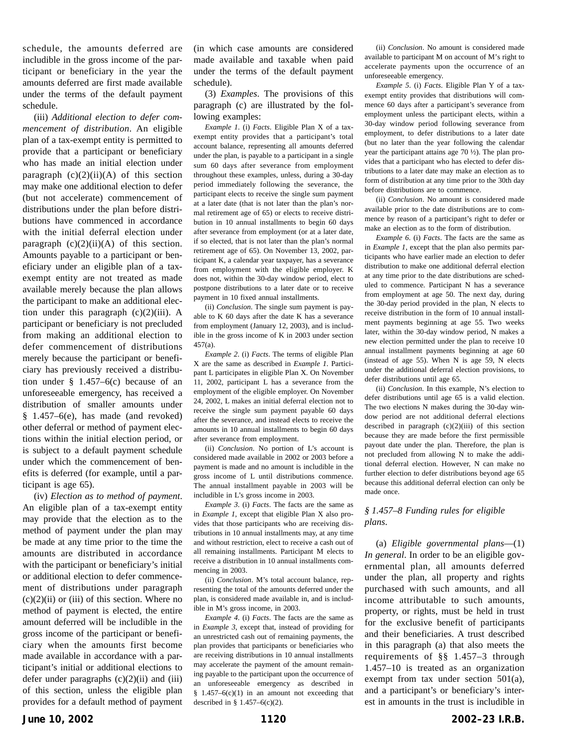schedule, the amounts deferred are includible in the gross income of the participant or beneficiary in the year the amounts deferred are first made available under the terms of the default payment schedule.

(iii) *Additional election to defer commencement of distribution*. An eligible plan of a tax-exempt entity is permitted to provide that a participant or beneficiary who has made an initial election under paragraph  $(c)(2)(ii)(A)$  of this section may make one additional election to defer (but not accelerate) commencement of distributions under the plan before distributions have commenced in accordance with the initial deferral election under paragraph  $(c)(2)(ii)(A)$  of this section. Amounts payable to a participant or beneficiary under an eligible plan of a taxexempt entity are not treated as made available merely because the plan allows the participant to make an additional election under this paragraph  $(c)(2)(iii)$ . A participant or beneficiary is not precluded from making an additional election to defer commencement of distributions merely because the participant or beneficiary has previously received a distribution under  $§$  1.457–6(c) because of an unforeseeable emergency, has received a distribution of smaller amounts under § 1.457–6(e), has made (and revoked) other deferral or method of payment elections within the initial election period, or is subject to a default payment schedule under which the commencement of benefits is deferred (for example, until a participant is age 65).

(iv) *Election as to method of payment*. An eligible plan of a tax-exempt entity may provide that the election as to the method of payment under the plan may be made at any time prior to the time the amounts are distributed in accordance with the participant or beneficiary's initial or additional election to defer commencement of distributions under paragraph  $(c)(2)(ii)$  or (iii) of this section. Where no method of payment is elected, the entire amount deferred will be includible in the gross income of the participant or beneficiary when the amounts first become made available in accordance with a participant's initial or additional elections to defer under paragraphs  $(c)(2)(ii)$  and  $(iii)$ of this section, unless the eligible plan provides for a default method of payment

(in which case amounts are considered made available and taxable when paid under the terms of the default payment schedule).

(3) *Examples*. The provisions of this paragraph (c) are illustrated by the following examples:

*Example 1*. (i) *Facts*. Eligible Plan X of a taxexempt entity provides that a participant's total account balance, representing all amounts deferred under the plan, is payable to a participant in a single sum 60 days after severance from employment throughout these examples, unless, during a 30-day period immediately following the severance, the participant elects to receive the single sum payment at a later date (that is not later than the plan's normal retirement age of 65) or elects to receive distribution in 10 annual installments to begin 60 days after severance from employment (or at a later date, if so elected, that is not later than the plan's normal retirement age of 65). On November 13, 2002, participant K, a calendar year taxpayer, has a severance from employment with the eligible employer. K does not, within the 30-day window period, elect to postpone distributions to a later date or to receive payment in 10 fixed annual installments.

(ii) *Conclusion*. The single sum payment is payable to K 60 days after the date K has a severance from employment (January 12, 2003), and is includible in the gross income of K in 2003 under section 457(a).

*Example 2*. (i) *Facts*. The terms of eligible Plan X are the same as described in *Example 1*. Participant L participates in eligible Plan X. On November 11, 2002, participant L has a severance from the employment of the eligible employer. On November 24, 2002, L makes an initial deferral election not to receive the single sum payment payable 60 days after the severance, and instead elects to receive the amounts in 10 annual installments to begin 60 days after severance from employment.

(ii) *Conclusion*. No portion of L's account is considered made available in 2002 or 2003 before a payment is made and no amount is includible in the gross income of L until distributions commence. The annual installment payable in 2003 will be includible in L's gross income in 2003.

*Example 3*. (i) *Facts*. The facts are the same as in *Example 1*, except that eligible Plan X also provides that those participants who are receiving distributions in 10 annual installments may, at any time and without restriction, elect to receive a cash out of all remaining installments. Participant M elects to receive a distribution in 10 annual installments commencing in 2003.

(ii) *Conclusion*. M's total account balance, representing the total of the amounts deferred under the plan, is considered made available in, and is includible in M's gross income, in 2003.

*Example 4*. (i) *Facts*. The facts are the same as in *Example 3*, except that, instead of providing for an unrestricted cash out of remaining payments, the plan provides that participants or beneficiaries who are receiving distributions in 10 annual installments may accelerate the payment of the amount remaining payable to the participant upon the occurrence of an unforeseeable emergency as described in  $§$  1.457–6(c)(1) in an amount not exceeding that described in §  $1.457-6(c)(2)$ .

(ii) *Conclusion*. No amount is considered made available to participant M on account of M's right to accelerate payments upon the occurrence of an unforeseeable emergency.

*Example 5*. (i) *Facts*. Eligible Plan Y of a taxexempt entity provides that distributions will commence 60 days after a participant's severance from employment unless the participant elects, within a 30-day window period following severance from employment, to defer distributions to a later date (but no later than the year following the calendar year the participant attains age 70 ½). The plan provides that a participant who has elected to defer distributions to a later date may make an election as to form of distribution at any time prior to the 30th day before distributions are to commence.

(ii) *Conclusion*. No amount is considered made available prior to the date distributions are to commence by reason of a participant's right to defer or make an election as to the form of distribution.

*Example 6*. (i) *Facts*. The facts are the same as in *Example 1*, except that the plan also permits participants who have earlier made an election to defer distribution to make one additional deferral election at any time prior to the date distributions are scheduled to commence. Participant N has a severance from employment at age 50. The next day, during the 30-day period provided in the plan, N elects to receive distribution in the form of 10 annual installment payments beginning at age 55. Two weeks later, within the 30-day window period, N makes a new election permitted under the plan to receive 10 annual installment payments beginning at age 60 (instead of age 55). When N is age 59, N elects under the additional deferral election provisions, to defer distributions until age 65.

(ii) *Conclusion*. In this example, N's election to defer distributions until age 65 is a valid election. The two elections N makes during the 30-day window period are not additional deferral elections described in paragraph  $(c)(2)(iii)$  of this section because they are made before the first permissible payout date under the plan. Therefore, the plan is not precluded from allowing N to make the additional deferral election. However, N can make no further election to defer distributions beyond age 65 because this additional deferral election can only be made once.

## *§ 1.457–8 Funding rules for eligible plans*.

(a) *Eligible governmental plans*—(1) *In general*. In order to be an eligible governmental plan, all amounts deferred under the plan, all property and rights purchased with such amounts, and all income attributable to such amounts, property, or rights, must be held in trust for the exclusive benefit of participants and their beneficiaries. A trust described in this paragraph (a) that also meets the requirements of §§ 1.457–3 through 1.457–10 is treated as an organization exempt from tax under section 501(a), and a participant's or beneficiary's interest in amounts in the trust is includible in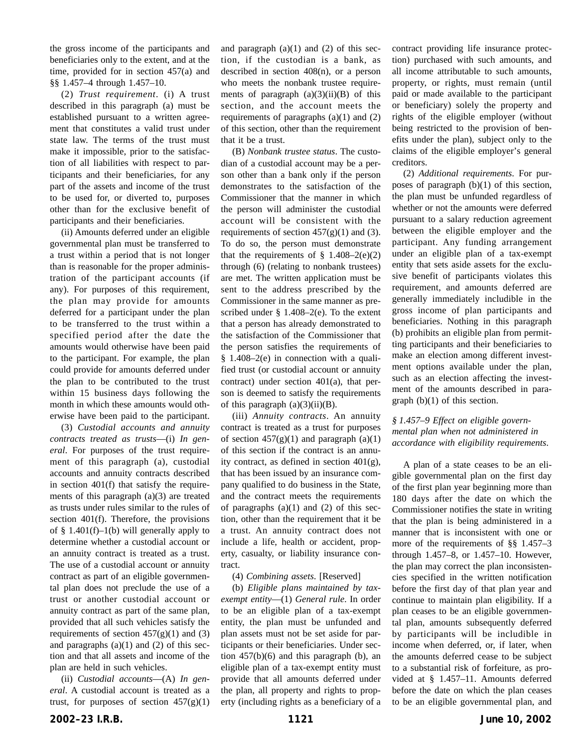the gross income of the participants and beneficiaries only to the extent, and at the time, provided for in section 457(a) and §§ 1.457–4 through 1.457–10.

(2) *Trust requirement*. (i) A trust described in this paragraph (a) must be established pursuant to a written agreement that constitutes a valid trust under state law. The terms of the trust must make it impossible, prior to the satisfaction of all liabilities with respect to participants and their beneficiaries, for any part of the assets and income of the trust to be used for, or diverted to, purposes other than for the exclusive benefit of participants and their beneficiaries.

(ii) Amounts deferred under an eligible governmental plan must be transferred to a trust within a period that is not longer than is reasonable for the proper administration of the participant accounts (if any). For purposes of this requirement, the plan may provide for amounts deferred for a participant under the plan to be transferred to the trust within a specified period after the date the amounts would otherwise have been paid to the participant. For example, the plan could provide for amounts deferred under the plan to be contributed to the trust within 15 business days following the month in which these amounts would otherwise have been paid to the participant.

(3) *Custodial accounts and annuity contracts treated as trusts*—(i) *In general*. For purposes of the trust requirement of this paragraph (a), custodial accounts and annuity contracts described in section 401(f) that satisfy the requirements of this paragraph (a)(3) are treated as trusts under rules similar to the rules of section 401(f). Therefore, the provisions of  $§$  1.401(f)-1(b) will generally apply to determine whether a custodial account or an annuity contract is treated as a trust. The use of a custodial account or annuity contract as part of an eligible governmental plan does not preclude the use of a trust or another custodial account or annuity contract as part of the same plan, provided that all such vehicles satisfy the requirements of section  $457(g)(1)$  and (3) and paragraphs  $(a)(1)$  and  $(2)$  of this section and that all assets and income of the plan are held in such vehicles.

(ii) *Custodial accounts*—(A) *In general*. A custodial account is treated as a trust, for purposes of section  $457(g)(1)$ 

and paragraph  $(a)(1)$  and  $(2)$  of this section, if the custodian is a bank, as described in section 408(n), or a person who meets the nonbank trustee requirements of paragraph  $(a)(3)(ii)(B)$  of this section, and the account meets the requirements of paragraphs  $(a)(1)$  and  $(2)$ of this section, other than the requirement that it be a trust.

(B) *Nonbank trustee status*. The custodian of a custodial account may be a person other than a bank only if the person demonstrates to the satisfaction of the Commissioner that the manner in which the person will administer the custodial account will be consistent with the requirements of section  $457(g)(1)$  and (3). To do so, the person must demonstrate that the requirements of  $\S$  1.408–2(e)(2) through (6) (relating to nonbank trustees) are met. The written application must be sent to the address prescribed by the Commissioner in the same manner as prescribed under  $\S$  1.408–2(e). To the extent that a person has already demonstrated to the satisfaction of the Commissioner that the person satisfies the requirements of  $§$  1.408–2(e) in connection with a qualified trust (or custodial account or annuity contract) under section 401(a), that person is deemed to satisfy the requirements of this paragraph  $(a)(3)(ii)(B)$ .

(iii) *Annuity contracts*. An annuity contract is treated as a trust for purposes of section  $457(g)(1)$  and paragraph  $(a)(1)$ of this section if the contract is an annuity contract, as defined in section 401(g), that has been issued by an insurance company qualified to do business in the State, and the contract meets the requirements of paragraphs  $(a)(1)$  and  $(2)$  of this section, other than the requirement that it be a trust. An annuity contract does not include a life, health or accident, property, casualty, or liability insurance contract.

(4) *Combining assets*. [Reserved]

(b) *Eligible plans maintained by taxexempt entity*—(1) *General rule*. In order to be an eligible plan of a tax-exempt entity, the plan must be unfunded and plan assets must not be set aside for participants or their beneficiaries. Under section  $457(b)(6)$  and this paragraph (b), an eligible plan of a tax-exempt entity must provide that all amounts deferred under the plan, all property and rights to property (including rights as a beneficiary of a contract providing life insurance protection) purchased with such amounts, and all income attributable to such amounts, property, or rights, must remain (until paid or made available to the participant or beneficiary) solely the property and rights of the eligible employer (without being restricted to the provision of benefits under the plan), subject only to the claims of the eligible employer's general creditors.

(2) *Additional requirements*. For purposes of paragraph (b)(1) of this section, the plan must be unfunded regardless of whether or not the amounts were deferred pursuant to a salary reduction agreement between the eligible employer and the participant. Any funding arrangement under an eligible plan of a tax-exempt entity that sets aside assets for the exclusive benefit of participants violates this requirement, and amounts deferred are generally immediately includible in the gross income of plan participants and beneficiaries. Nothing in this paragraph (b) prohibits an eligible plan from permitting participants and their beneficiaries to make an election among different investment options available under the plan, such as an election affecting the investment of the amounts described in paragraph  $(b)(1)$  of this section.

## *§ 1.457–9 Effect on eligible governmental plan when not administered in accordance with eligibility requirements*.

A plan of a state ceases to be an eligible governmental plan on the first day of the first plan year beginning more than 180 days after the date on which the Commissioner notifies the state in writing that the plan is being administered in a manner that is inconsistent with one or more of the requirements of §§ 1.457–3 through 1.457–8, or 1.457–10. However, the plan may correct the plan inconsistencies specified in the written notification before the first day of that plan year and continue to maintain plan eligibility. If a plan ceases to be an eligible governmental plan, amounts subsequently deferred by participants will be includible in income when deferred, or, if later, when the amounts deferred cease to be subject to a substantial risk of forfeiture, as provided at § 1.457–11. Amounts deferred before the date on which the plan ceases to be an eligible governmental plan, and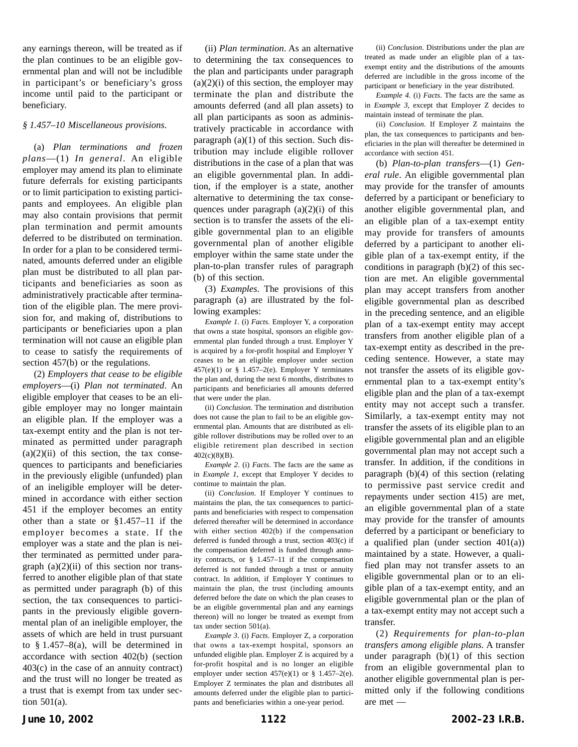any earnings thereon, will be treated as if the plan continues to be an eligible governmental plan and will not be includible in participant's or beneficiary's gross income until paid to the participant or beneficiary.

#### *§ 1.457–10 Miscellaneous provisions*.

(a) *Plan terminations and frozen plans*—(1) *In general*. An eligible employer may amend its plan to eliminate future deferrals for existing participants or to limit participation to existing participants and employees. An eligible plan may also contain provisions that permit plan termination and permit amounts deferred to be distributed on termination. In order for a plan to be considered terminated, amounts deferred under an eligible plan must be distributed to all plan participants and beneficiaries as soon as administratively practicable after termination of the eligible plan. The mere provision for, and making of, distributions to participants or beneficiaries upon a plan termination will not cause an eligible plan to cease to satisfy the requirements of section 457(b) or the regulations.

(2) *Employers that cease to be eligible employers*—(i) *Plan not terminated*. An eligible employer that ceases to be an eligible employer may no longer maintain an eligible plan. If the employer was a tax-exempt entity and the plan is not terminated as permitted under paragraph  $(a)(2)(ii)$  of this section, the tax consequences to participants and beneficiaries in the previously eligible (unfunded) plan of an ineligible employer will be determined in accordance with either section 451 if the employer becomes an entity other than a state or §1.457–11 if the employer becomes a state. If the employer was a state and the plan is neither terminated as permitted under paragraph  $(a)(2)(ii)$  of this section nor transferred to another eligible plan of that state as permitted under paragraph (b) of this section, the tax consequences to participants in the previously eligible governmental plan of an ineligible employer, the assets of which are held in trust pursuant to § 1.457–8(a), will be determined in accordance with section 402(b) (section 403(c) in the case of an annuity contract) and the trust will no longer be treated as a trust that is exempt from tax under section 501(a).

(ii) *Plan termination*. As an alternative to determining the tax consequences to the plan and participants under paragraph  $(a)(2)(i)$  of this section, the employer may terminate the plan and distribute the amounts deferred (and all plan assets) to all plan participants as soon as administratively practicable in accordance with paragraph (a)(1) of this section. Such distribution may include eligible rollover distributions in the case of a plan that was an eligible governmental plan. In addition, if the employer is a state, another alternative to determining the tax consequences under paragraph  $(a)(2)(i)$  of this section is to transfer the assets of the eligible governmental plan to an eligible governmental plan of another eligible employer within the same state under the plan-to-plan transfer rules of paragraph (b) of this section.

(3) *Examples*. The provisions of this paragraph (a) are illustrated by the following examples:

*Example 1*. (i) *Facts*. Employer Y, a corporation that owns a state hospital, sponsors an eligible governmental plan funded through a trust. Employer Y is acquired by a for-profit hospital and Employer Y ceases to be an eligible employer under section  $457(e)(1)$  or § 1.457-2(e). Employer Y terminates the plan and, during the next 6 months, distributes to participants and beneficiaries all amounts deferred that were under the plan.

(ii) *Conclusion*. The termination and distribution does not cause the plan to fail to be an eligible governmental plan. Amounts that are distributed as eligible rollover distributions may be rolled over to an eligible retirement plan described in section 402(c)(8)(B).

*Example 2*. (i) *Facts*. The facts are the same as in *Example 1*, except that Employer Y decides to continue to maintain the plan.

(ii) *Conclusion*. If Employer Y continues to maintains the plan, the tax consequences to participants and beneficiaries with respect to compensation deferred thereafter will be determined in accordance with either section 402(b) if the compensation deferred is funded through a trust, section 403(c) if the compensation deferred is funded through annuity contracts, or § 1.457–11 if the compensation deferred is not funded through a trust or annuity contract. In addition, if Employer Y continues to maintain the plan, the trust (including amounts deferred before the date on which the plan ceases to be an eligible governmental plan and any earnings thereon) will no longer be treated as exempt from tax under section 501(a).

*Example 3*. (i) *Facts*. Employer Z, a corporation that owns a tax-exempt hospital, sponsors an unfunded eligible plan. Employer Z is acquired by a for-profit hospital and is no longer an eligible employer under section  $457(e)(1)$  or § 1.457-2(e). Employer Z terminates the plan and distributes all amounts deferred under the eligible plan to participants and beneficiaries within a one-year period.

(ii) *Conclusion*. Distributions under the plan are treated as made under an eligible plan of a taxexempt entity and the distributions of the amounts deferred are includible in the gross income of the participant or beneficiary in the year distributed.

*Example 4*. (i) *Facts*. The facts are the same as in *Example 3*, except that Employer Z decides to maintain instead of terminate the plan.

(ii) *Conclusion*. If Employer Z maintains the plan, the tax consequences to participants and beneficiaries in the plan will thereafter be determined in accordance with section 451.

(b) *Plan-to-plan transfers*—(1) *General rule*. An eligible governmental plan may provide for the transfer of amounts deferred by a participant or beneficiary to another eligible governmental plan, and an eligible plan of a tax-exempt entity may provide for transfers of amounts deferred by a participant to another eligible plan of a tax-exempt entity, if the conditions in paragraph (b)(2) of this section are met. An eligible governmental plan may accept transfers from another eligible governmental plan as described in the preceding sentence, and an eligible plan of a tax-exempt entity may accept transfers from another eligible plan of a tax-exempt entity as described in the preceding sentence. However, a state may not transfer the assets of its eligible governmental plan to a tax-exempt entity's eligible plan and the plan of a tax-exempt entity may not accept such a transfer. Similarly, a tax-exempt entity may not transfer the assets of its eligible plan to an eligible governmental plan and an eligible governmental plan may not accept such a transfer. In addition, if the conditions in paragraph (b)(4) of this section (relating to permissive past service credit and repayments under section 415) are met, an eligible governmental plan of a state may provide for the transfer of amounts deferred by a participant or beneficiary to a qualified plan (under section  $401(a)$ ) maintained by a state. However, a qualified plan may not transfer assets to an eligible governmental plan or to an eligible plan of a tax-exempt entity, and an eligible governmental plan or the plan of a tax-exempt entity may not accept such a transfer.

(2) *Requirements for plan-to-plan transfers among eligible plans*. A transfer under paragraph  $(b)(1)$  of this section from an eligible governmental plan to another eligible governmental plan is permitted only if the following conditions are met —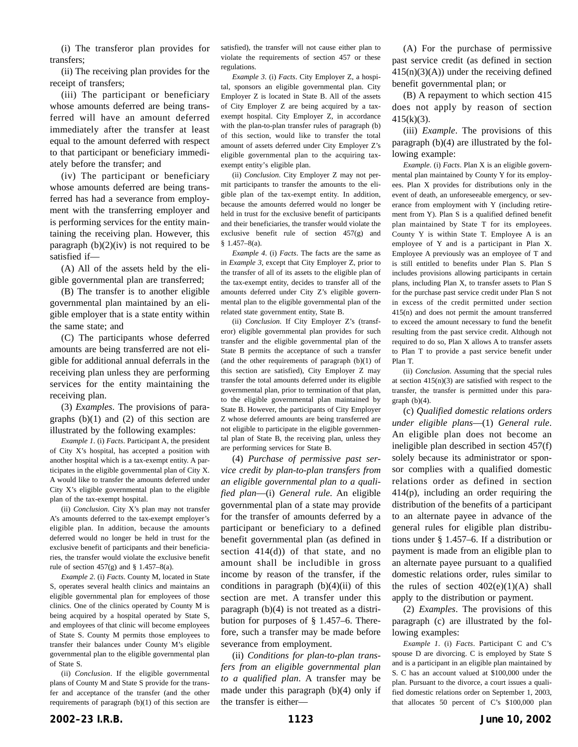(i) The transferor plan provides for transfers;

(ii) The receiving plan provides for the receipt of transfers;

(iii) The participant or beneficiary whose amounts deferred are being transferred will have an amount deferred immediately after the transfer at least equal to the amount deferred with respect to that participant or beneficiary immediately before the transfer; and

(iv) The participant or beneficiary whose amounts deferred are being transferred has had a severance from employment with the transferring employer and is performing services for the entity maintaining the receiving plan. However, this paragraph  $(b)(2)(iv)$  is not required to be satisfied if—

(A) All of the assets held by the eligible governmental plan are transferred;

(B) The transfer is to another eligible governmental plan maintained by an eligible employer that is a state entity within the same state; and

(C) The participants whose deferred amounts are being transferred are not eligible for additional annual deferrals in the receiving plan unless they are performing services for the entity maintaining the receiving plan.

(3) *Examples*. The provisions of paragraphs  $(b)(1)$  and  $(2)$  of this section are illustrated by the following examples:

*Example 1*. (i) *Facts*. Participant A, the president of City X's hospital, has accepted a position with another hospital which is a tax-exempt entity. A participates in the eligible governmental plan of City X. A would like to transfer the amounts deferred under City X's eligible governmental plan to the eligible plan of the tax-exempt hospital.

(ii) *Conclusion*. City X's plan may not transfer A's amounts deferred to the tax-exempt employer's eligible plan. In addition, because the amounts deferred would no longer be held in trust for the exclusive benefit of participants and their beneficiaries, the transfer would violate the exclusive benefit rule of section  $457(g)$  and § 1.457–8(a).

*Example 2*. (i) *Facts*. County M, located in State S, operates several health clinics and maintains an eligible governmental plan for employees of those clinics. One of the clinics operated by County M is being acquired by a hospital operated by State S, and employees of that clinic will become employees of State S. County M permits those employees to transfer their balances under County M's eligible governmental plan to the eligible governmental plan of State S.

(ii) *Conclusion*. If the eligible governmental plans of County M and State S provide for the transfer and acceptance of the transfer (and the other requirements of paragraph (b)(1) of this section are satisfied), the transfer will not cause either plan to violate the requirements of section 457 or these regulations.

*Example 3*. (i) *Facts*. City Employer Z, a hospital, sponsors an eligible governmental plan. City Employer Z is located in State B. All of the assets of City Employer Z are being acquired by a taxexempt hospital. City Employer Z, in accordance with the plan-to-plan transfer rules of paragraph (b) of this section, would like to transfer the total amount of assets deferred under City Employer Z's eligible governmental plan to the acquiring taxexempt entity's eligible plan.

(ii) *Conclusion*. City Employer Z may not permit participants to transfer the amounts to the eligible plan of the tax-exempt entity. In addition, because the amounts deferred would no longer be held in trust for the exclusive benefit of participants and their beneficiaries, the transfer would violate the exclusive benefit rule of section 457(g) and § 1.457–8(a).

*Example 4*. (i) *Facts*. The facts are the same as in *Example 3*, except that City Employer Z, prior to the transfer of all of its assets to the eligible plan of the tax-exempt entity, decides to transfer all of the amounts deferred under City Z's eligible governmental plan to the eligible governmental plan of the related state government entity, State B.

(ii) *Conclusion*. If City Employer Z's (transferor) eligible governmental plan provides for such transfer and the eligible governmental plan of the State B permits the acceptance of such a transfer (and the other requirements of paragraph (b)(1) of this section are satisfied), City Employer Z may transfer the total amounts deferred under its eligible governmental plan, prior to termination of that plan, to the eligible governmental plan maintained by State B. However, the participants of City Employer Z whose deferred amounts are being transferred are not eligible to participate in the eligible governmental plan of State B, the receiving plan, unless they are performing services for State B.

(4) *Purchase of permissive past service credit by plan-to-plan transfers from an eligible governmental plan to a qualified plan*—(i) *General rule*. An eligible governmental plan of a state may provide for the transfer of amounts deferred by a participant or beneficiary to a defined benefit governmental plan (as defined in section  $414(d)$  of that state, and no amount shall be includible in gross income by reason of the transfer, if the conditions in paragraph  $(b)(4)(ii)$  of this section are met. A transfer under this paragraph (b)(4) is not treated as a distribution for purposes of § 1.457–6. Therefore, such a transfer may be made before severance from employment.

(ii) *Conditions for plan-to-plan transfers from an eligible governmental plan to a qualified plan*. A transfer may be made under this paragraph (b)(4) only if the transfer is either—

(A) For the purchase of permissive past service credit (as defined in section  $415(n)(3)(A)$ ) under the receiving defined benefit governmental plan; or

(B) A repayment to which section 415 does not apply by reason of section 415(k)(3).

(iii) *Example*. The provisions of this paragraph (b)(4) are illustrated by the following example:

*Example*. (i) *Facts*. Plan X is an eligible governmental plan maintained by County Y for its employees. Plan X provides for distributions only in the event of death, an unforeseeable emergency, or severance from employment with Y (including retirement from Y). Plan S is a qualified defined benefit plan maintained by State T for its employees. County Y is within State T. Employee A is an employee of Y and is a participant in Plan X. Employee A previously was an employee of T and is still entitled to benefits under Plan S. Plan S includes provisions allowing participants in certain plans, including Plan X, to transfer assets to Plan S for the purchase past service credit under Plan S not in excess of the credit permitted under section 415(n) and does not permit the amount transferred to exceed the amount necessary to fund the benefit resulting from the past service credit. Although not required to do so, Plan X allows A to transfer assets to Plan T to provide a past service benefit under Plan T.

(ii) *Conclusion*. Assuming that the special rules at section  $415(n)(3)$  are satisfied with respect to the transfer, the transfer is permitted under this paragraph (b)(4).

(c) *Qualified domestic relations orders under eligible plans*—(1) *General rule*. An eligible plan does not become an ineligible plan described in section 457(f) solely because its administrator or sponsor complies with a qualified domestic relations order as defined in section 414(p), including an order requiring the distribution of the benefits of a participant to an alternate payee in advance of the general rules for eligible plan distributions under § 1.457–6. If a distribution or payment is made from an eligible plan to an alternate payee pursuant to a qualified domestic relations order, rules similar to the rules of section  $402(e)(1)(A)$  shall apply to the distribution or payment.

(2) *Examples*. The provisions of this paragraph (c) are illustrated by the following examples:

*Example 1*. (i) *Facts*. Participant C and C's spouse D are divorcing. C is employed by State S and is a participant in an eligible plan maintained by S. C has an account valued at \$100,000 under the plan. Pursuant to the divorce, a court issues a qualified domestic relations order on September 1, 2003, that allocates 50 percent of C's \$100,000 plan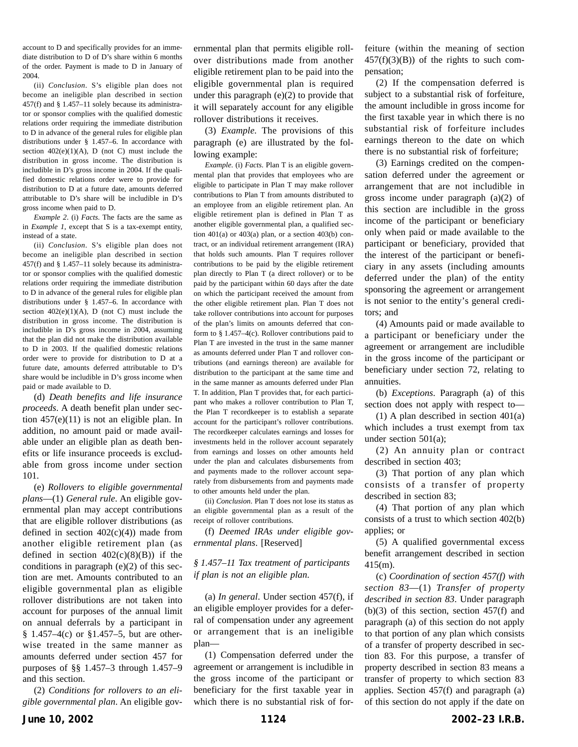account to D and specifically provides for an immediate distribution to D of D's share within 6 months of the order. Payment is made to D in January of 2004.

(ii) *Conclusion*. S's eligible plan does not become an ineligible plan described in section 457(f) and § 1.457–11 solely because its administrator or sponsor complies with the qualified domestic relations order requiring the immediate distribution to D in advance of the general rules for eligible plan distributions under § 1.457–6. In accordance with section  $402(e)(1)(A)$ , D (not C) must include the distribution in gross income. The distribution is includible in D's gross income in 2004. If the qualified domestic relations order were to provide for distribution to D at a future date, amounts deferred attributable to D's share will be includible in D's gross income when paid to D.

*Example 2*. (i) *Facts*. The facts are the same as in *Example 1*, except that S is a tax-exempt entity, instead of a state.

(ii) *Conclusion*. S's eligible plan does not become an ineligible plan described in section 457(f) and § 1.457–11 solely because its administrator or sponsor complies with the qualified domestic relations order requiring the immediate distribution to D in advance of the general rules for eligible plan distributions under § 1.457–6. In accordance with section  $402(e)(1)(A)$ , D (not C) must include the distribution in gross income. The distribution is includible in D's gross income in 2004, assuming that the plan did not make the distribution available to D in 2003. If the qualified domestic relations order were to provide for distribution to D at a future date, amounts deferred attributable to D's share would be includible in D's gross income when paid or made available to D.

(d) *Death benefits and life insurance proceeds*. A death benefit plan under section 457(e)(11) is not an eligible plan. In addition, no amount paid or made available under an eligible plan as death benefits or life insurance proceeds is excludable from gross income under section 101.

(e) *Rollovers to eligible governmental plans*—(1) *General rule*. An eligible governmental plan may accept contributions that are eligible rollover distributions (as defined in section  $402(c)(4)$  made from another eligible retirement plan (as defined in section  $402(c)(8)(B)$  if the conditions in paragraph (e)(2) of this section are met. Amounts contributed to an eligible governmental plan as eligible rollover distributions are not taken into account for purposes of the annual limit on annual deferrals by a participant in  $§ 1.457-4(c)$  or  $§ 1.457-5$ , but are otherwise treated in the same manner as amounts deferred under section 457 for purposes of §§ 1.457–3 through 1.457–9 and this section.

(2) *Conditions for rollovers to an eligible governmental plan*. An eligible governmental plan that permits eligible rollover distributions made from another eligible retirement plan to be paid into the eligible governmental plan is required under this paragraph  $(e)(2)$  to provide that it will separately account for any eligible rollover distributions it receives.

(3) *Example.* The provisions of this paragraph (e) are illustrated by the following example:

*Example*. (i) *Facts*. Plan T is an eligible governmental plan that provides that employees who are eligible to participate in Plan T may make rollover contributions to Plan T from amounts distributed to an employee from an eligible retirement plan. An eligible retirement plan is defined in Plan T as another eligible governmental plan, a qualified section  $401(a)$  or  $403(a)$  plan, or a section  $403(b)$  contract, or an individual retirement arrangement (IRA) that holds such amounts. Plan T requires rollover contributions to be paid by the eligible retirement plan directly to Plan T (a direct rollover) or to be paid by the participant within 60 days after the date on which the participant received the amount from the other eligible retirement plan. Plan T does not take rollover contributions into account for purposes of the plan's limits on amounts deferred that conform to § 1.457–4(c). Rollover contributions paid to Plan T are invested in the trust in the same manner as amounts deferred under Plan T and rollover contributions (and earnings thereon) are available for distribution to the participant at the same time and in the same manner as amounts deferred under Plan T. In addition, Plan T provides that, for each participant who makes a rollover contribution to Plan T, the Plan T recordkeeper is to establish a separate account for the participant's rollover contributions. The recordkeeper calculates earnings and losses for investments held in the rollover account separately from earnings and losses on other amounts held under the plan and calculates disbursements from and payments made to the rollover account separately from disbursements from and payments made to other amounts held under the plan.

(ii) *Conclusion*. Plan T does not lose its status as an eligible governmental plan as a result of the receipt of rollover contributions.

(f) *Deemed IRAs under eligible governmental plans*. [Reserved]

## *§ 1.457–11 Tax treatment of participants if plan is not an eligible plan*.

(a) *In general*. Under section 457(f), if an eligible employer provides for a deferral of compensation under any agreement or arrangement that is an ineligible plan—

(1) Compensation deferred under the agreement or arrangement is includible in the gross income of the participant or beneficiary for the first taxable year in which there is no substantial risk of forfeiture (within the meaning of section  $457(f)(3)(B)$  of the rights to such compensation;

(2) If the compensation deferred is subject to a substantial risk of forfeiture, the amount includible in gross income for the first taxable year in which there is no substantial risk of forfeiture includes earnings thereon to the date on which there is no substantial risk of forfeiture;

(3) Earnings credited on the compensation deferred under the agreement or arrangement that are not includible in gross income under paragraph (a)(2) of this section are includible in the gross income of the participant or beneficiary only when paid or made available to the participant or beneficiary, provided that the interest of the participant or beneficiary in any assets (including amounts deferred under the plan) of the entity sponsoring the agreement or arrangement is not senior to the entity's general creditors; and

(4) Amounts paid or made available to a participant or beneficiary under the agreement or arrangement are includible in the gross income of the participant or beneficiary under section 72, relating to annuities.

(b) *Exceptions*. Paragraph (a) of this section does not apply with respect to—

(1) A plan described in section 401(a) which includes a trust exempt from tax under section 501(a);

(2) An annuity plan or contract described in section 403;

(3) That portion of any plan which consists of a transfer of property described in section 83;

(4) That portion of any plan which consists of a trust to which section 402(b) applies; or

(5) A qualified governmental excess benefit arrangement described in section 415(m).

(c) *Coordination of section 457(f) with section 83*—(1) *Transfer of property described in section 83*. Under paragraph  $(b)(3)$  of this section, section 457(f) and paragraph (a) of this section do not apply to that portion of any plan which consists of a transfer of property described in section 83. For this purpose, a transfer of property described in section 83 means a transfer of property to which section 83 applies. Section 457(f) and paragraph (a) of this section do not apply if the date on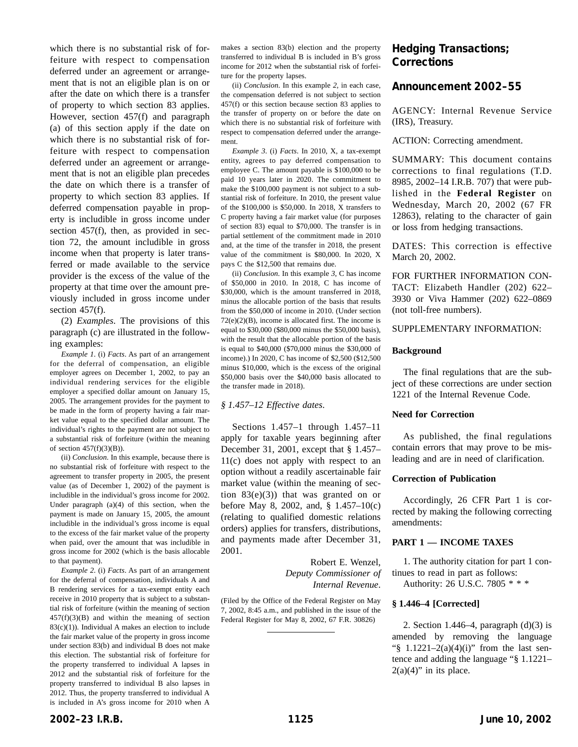which there is no substantial risk of forfeiture with respect to compensation deferred under an agreement or arrangement that is not an eligible plan is on or after the date on which there is a transfer of property to which section 83 applies. However, section 457(f) and paragraph (a) of this section apply if the date on which there is no substantial risk of forfeiture with respect to compensation deferred under an agreement or arrangement that is not an eligible plan precedes the date on which there is a transfer of property to which section 83 applies. If deferred compensation payable in property is includible in gross income under section 457(f), then, as provided in section 72, the amount includible in gross income when that property is later transferred or made available to the service provider is the excess of the value of the property at that time over the amount previously included in gross income under section 457(f).

(2) *Examples*. The provisions of this paragraph (c) are illustrated in the following examples:

*Example 1*. (i) *Facts*. As part of an arrangement for the deferral of compensation, an eligible employer agrees on December 1, 2002, to pay an individual rendering services for the eligible employer a specified dollar amount on January 15, 2005. The arrangement provides for the payment to be made in the form of property having a fair market value equal to the specified dollar amount. The individual's rights to the payment are not subject to a substantial risk of forfeiture (within the meaning of section  $457(f)(3)(B)$ ).

(ii) *Conclusion*. In this example, because there is no substantial risk of forfeiture with respect to the agreement to transfer property in 2005, the present value (as of December 1, 2002) of the payment is includible in the individual's gross income for 2002. Under paragraph (a)(4) of this section, when the payment is made on January 15, 2005, the amount includible in the individual's gross income is equal to the excess of the fair market value of the property when paid, over the amount that was includible in gross income for 2002 (which is the basis allocable to that payment).

*Example 2*. (i) *Facts*. As part of an arrangement for the deferral of compensation, individuals A and B rendering services for a tax-exempt entity each receive in 2010 property that is subject to a substantial risk of forfeiture (within the meaning of section  $457(f)(3)(B)$  and within the meaning of section  $83(c)(1)$ ). Individual A makes an election to include the fair market value of the property in gross income under section 83(b) and individual B does not make this election. The substantial risk of forfeiture for the property transferred to individual A lapses in 2012 and the substantial risk of forfeiture for the property transferred to individual B also lapses in 2012. Thus, the property transferred to individual A is included in A's gross income for 2010 when A

makes a section 83(b) election and the property transferred to individual B is included in B's gross income for 2012 when the substantial risk of forfeiture for the property lapses.

(ii) *Conclusion*. In this example *2*, in each case, the compensation deferred is not subject to section 457(f) or this section because section 83 applies to the transfer of property on or before the date on which there is no substantial risk of forfeiture with respect to compensation deferred under the arrangement.

*Example 3*. (i) *Facts*. In 2010, X, a tax-exempt entity, agrees to pay deferred compensation to employee C. The amount payable is \$100,000 to be paid 10 years later in 2020. The commitment to make the \$100,000 payment is not subject to a substantial risk of forfeiture. In 2010, the present value of the \$100,000 is \$50,000. In 2018, X transfers to C property having a fair market value (for purposes of section 83) equal to \$70,000. The transfer is in partial settlement of the commitment made in 2010 and, at the time of the transfer in 2018, the present value of the commitment is \$80,000. In 2020, X pays C the \$12,500 that remains due.

(ii) *Conclusion*. In this example *3*, C has income of \$50,000 in 2010. In 2018, C has income of \$30,000, which is the amount transferred in 2018, minus the allocable portion of the basis that results from the \$50,000 of income in 2010. (Under section  $72(e)(2)(B)$ , income is allocated first. The income is equal to \$30,000 (\$80,000 minus the \$50,000 basis), with the result that the allocable portion of the basis is equal to \$40,000 (\$70,000 minus the \$30,000 of income).) In 2020, C has income of \$2,500 (\$12,500 minus \$10,000, which is the excess of the original \$50,000 basis over the \$40,000 basis allocated to the transfer made in 2018).

#### *§ 1.457–12 Effective dates*.

Sections 1.457–1 through 1.457–11 apply for taxable years beginning after December 31, 2001, except that § 1.457– 11(c) does not apply with respect to an option without a readily ascertainable fair market value (within the meaning of section  $83(e)(3)$  that was granted on or before May 8, 2002, and, § 1.457–10(c) (relating to qualified domestic relations orders) applies for transfers, distributions, and payments made after December 31, 2001.

> Robert E. Wenzel, *Deputy Commissioner of Internal Revenue*.

(Filed by the Office of the Federal Register on May 7, 2002, 8:45 a.m., and published in the issue of the Federal Register for May 8, 2002, 67 F.R. 30826)

## **Hedging Transactions; Corrections**

## **Announcement 2002–55**

AGENCY: Internal Revenue Service (IRS), Treasury.

ACTION: Correcting amendment.

SUMMARY: This document contains corrections to final regulations (T.D. 8985, 2002–14 I.R.B. 707) that were published in the **Federal Register** on Wednesday, March 20, 2002 (67 FR 12863), relating to the character of gain or loss from hedging transactions.

DATES: This correction is effective March 20, 2002.

FOR FURTHER INFORMATION CON-TACT: Elizabeth Handler (202) 622– 3930 or Viva Hammer (202) 622–0869 (not toll-free numbers).

#### SUPPLEMENTARY INFORMATION:

#### **Background**

The final regulations that are the subject of these corrections are under section 1221 of the Internal Revenue Code.

#### **Need for Correction**

As published, the final regulations contain errors that may prove to be misleading and are in need of clarification.

#### **Correction of Publication**

Accordingly, 26 CFR Part 1 is corrected by making the following correcting amendments:

#### **PART 1 — INCOME TAXES**

1. The authority citation for part 1 continues to read in part as follows: Authority: 26 U.S.C. 7805 \* \* \*

## **§ 1.446–4 [Corrected]**

2. Section 1.446–4, paragraph  $(d)(3)$  is amended by removing the language " $\$  1.1221-2(a)(4)(i)" from the last sentence and adding the language "§ 1.1221–  $2(a)(4)$ " in its place.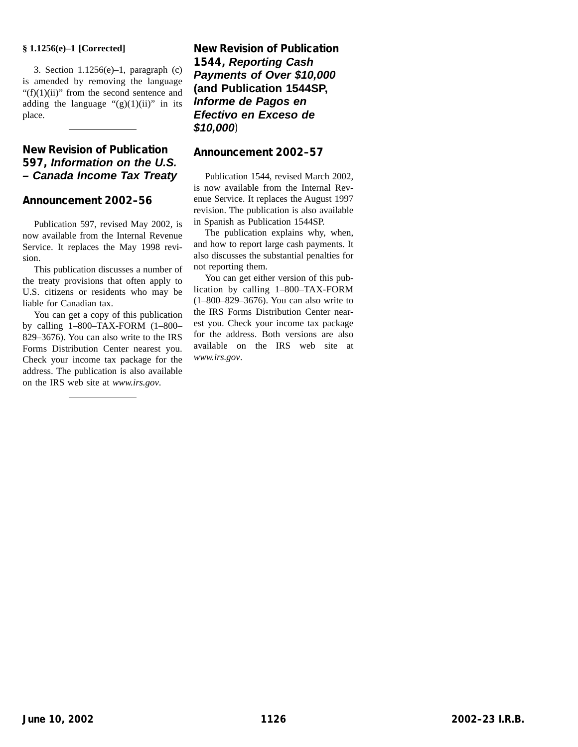## **§ 1.1256(e)–1 [Corrected]**

3. Section  $1.1256(e)-1$ , paragraph (c) is amended by removing the language " $(f)(1)(ii)$ " from the second sentence and adding the language " $(g)(1)(ii)$ " in its place.

# **New Revision of Publication 597, Information on the U.S. – Canada Income Tax Treaty**

## **Announcement 2002–56**

Publication 597, revised May 2002, is now available from the Internal Revenue Service. It replaces the May 1998 revision.

This publication discusses a number of the treaty provisions that often apply to U.S. citizens or residents who may be liable for Canadian tax.

You can get a copy of this publication by calling 1–800–TAX-FORM (1–800– 829–3676). You can also write to the IRS Forms Distribution Center nearest you. Check your income tax package for the address. The publication is also available on the IRS web site at *www.irs.gov*.

**New Revision of Publication 1544, Reporting Cash Payments of Over \$10,000 (and Publication 1544SP, Informe de Pagos en Efectivo en Exceso de \$10,000**)

## **Announcement 2002–57**

Publication 1544, revised March 2002, is now available from the Internal Revenue Service. It replaces the August 1997 revision. The publication is also available in Spanish as Publication 1544SP.

The publication explains why, when, and how to report large cash payments. It also discusses the substantial penalties for not reporting them.

You can get either version of this publication by calling 1–800–TAX-FORM (1–800–829–3676). You can also write to the IRS Forms Distribution Center nearest you. Check your income tax package for the address. Both versions are also available on the IRS web site at *www.irs.gov*.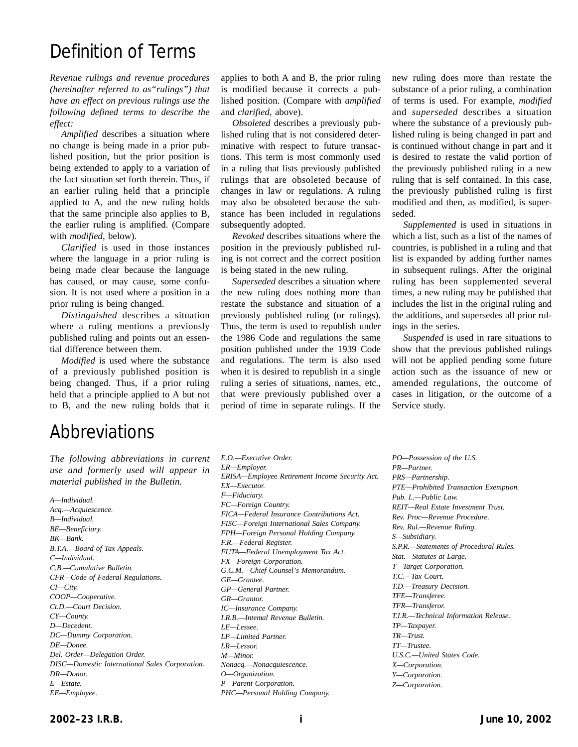# Definition of Terms

*Revenue rulings and revenue procedures (hereinafter referred to as"rulings") that have an effect on previous rulings use the following defined terms to describe the effect:*

*Amplified* describes a situation where no change is being made in a prior published position, but the prior position is being extended to apply to a variation of the fact situation set forth therein. Thus, if an earlier ruling held that a principle applied to A, and the new ruling holds that the same principle also applies to B, the earlier ruling is amplified. (Compare with *modified*, below).

*Clarified* is used in those instances where the language in a prior ruling is being made clear because the language has caused, or may cause, some confusion. It is not used where a position in a prior ruling is being changed.

*Distinguished* describes a situation where a ruling mentions a previously published ruling and points out an essential difference between them.

*Modified* is used where the substance of a previously published position is being changed. Thus, if a prior ruling held that a principle applied to A but not to B, and the new ruling holds that it

# Abbreviations

*The following abbreviations in current use and formerly used will appear in material published in the Bulletin.*

*A—Individual. Acq.—Acquiescence. B—Individual. BE—Beneficiary. BK—Bank. B.T.A.—Board of Tax Appeals. C—Individual. C.B.—Cumulative Bulletin. CFR—Code of Federal Regulations. CI—City. COOP—Cooperative. Ct.D.—Court Decision. CY—County. D—Decedent. DC—Dummy Corporation. DE—Donee. Del. Order—Delegation Order. DISC—Domestic International Sales Corporation. DR—Donor. E—Estate. EE—Employee.*

applies to both A and B, the prior ruling is modified because it corrects a published position. (Compare with *amplified* and *clarified*, above).

*Obsoleted* describes a previously published ruling that is not considered determinative with respect to future transactions. This term is most commonly used in a ruling that lists previously published rulings that are obsoleted because of changes in law or regulations. A ruling may also be obsoleted because the substance has been included in regulations subsequently adopted.

*Revoked* describes situations where the position in the previously published ruling is not correct and the correct position is being stated in the new ruling.

*Superseded* describes a situation where the new ruling does nothing more than restate the substance and situation of a previously published ruling (or rulings). Thus, the term is used to republish under the 1986 Code and regulations the same position published under the 1939 Code and regulations. The term is also used when it is desired to republish in a single ruling a series of situations, names, etc., that were previously published over a period of time in separate rulings. If the new ruling does more than restate the substance of a prior ruling, a combination of terms is used. For example, *modified* and *superseded* describes a situation where the substance of a previously published ruling is being changed in part and is continued without change in part and it is desired to restate the valid portion of the previously published ruling in a new ruling that is self contained. In this case, the previously published ruling is first modified and then, as modified, is superseded.

*Supplemented* is used in situations in which a list, such as a list of the names of countries, is published in a ruling and that list is expanded by adding further names in subsequent rulings. After the original ruling has been supplemented several times, a new ruling may be published that includes the list in the original ruling and the additions, and supersedes all prior rulings in the series.

*Suspended* is used in rare situations to show that the previous published rulings will not be applied pending some future action such as the issuance of new or amended regulations, the outcome of cases in litigation, or the outcome of a Service study.

*E.O.—Executive Order. ER—Employer. ERISA—Employee Retirement Income Security Act. EX—Executor. F—Fiduciary. FC—Foreign Country. FICA—Federal Insurance Contributions Act. FISC—Foreign International Sales Company. FPH—Foreign Personal Holding Company. F.R.—Federal Register. FUTA—Federal Unemployment Tax Act. FX—Foreign Corporation. G.C.M.—Chief Counsel's Memorandum. GE—Grantee. GP—General Partner. GR—Grantor. IC—Insurance Company. I.R.B.—Intemal Revenue Bulletin. LE—Lessee. LP—Limited Partner. LR—Lessor. M—Minor. Nonacq.—Nonacquiescence. O—Organization. P—Parent Corporation. PHC—Personal Holding Company.*

*PO—Possession of the U.S. PR—Partner. PRS—Partnership. PTE—Prohibited Transaction Exemption. Pub. L.—Public Law. REIT—Real Estate Investment Trust. Rev. Proc—Revenue Procedure. Rev. Rul.—Revenue Ruling. S—Subsidiary. S.P.R.—Statements of Procedural Rules. Stat.—Statutes at Large. T—Target Corporation. T.C.—Tax Court. T.D.—Treasury Decision. TFE—Transferee. TFR—Transferor. T.I.R.—Technical Information Release. TP—Taxpayer. TR—Trust. TT—Trustee. U.S.C.—United States Code. X—Corporation. Y—Corporation. Z—Corporation.*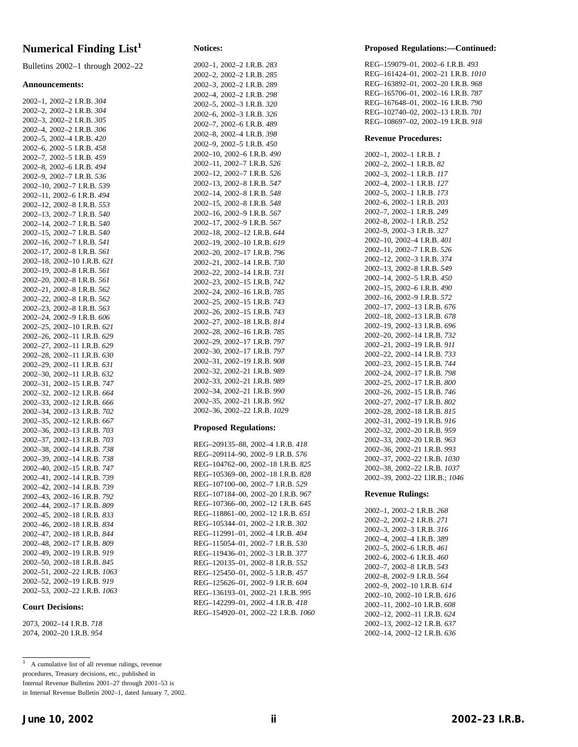# **Numerical Finding List<sup>1</sup>**

Bulletins 2002–1 through 2002–22

#### **Announcements:**

| 2002-1, 2002-2 I.R.B. 304                                  |
|------------------------------------------------------------|
| 2002-2, 2002-2 I.R.B. 304                                  |
| 2002-3, 2002-2 I.R.B. 305                                  |
| 2002-4, 2002-2 I.R.B. 306                                  |
| 2002-5, 2002-4 I.R.B. 420                                  |
| 2002-6, 2002-5 I.R.B. 458                                  |
| 2002-7, 2002-5 I.R.B. 459                                  |
| 2002-8, 2002-6 I.R.B. 494                                  |
| 2002-9, 2002-7 I.R.B. 536                                  |
| 2002-10, 2002-7 I.R.B. 539                                 |
| 2002-11, 2002-6 I.R.B. 494                                 |
| 2002-12, 2002-8 I.R.B. 553                                 |
| 2002-13, 2002-7 I.R.B. 540                                 |
| 2002-14, 2002-7 I.R.B. 540                                 |
|                                                            |
| 2002-15, 2002-7 I.R.B. 540                                 |
| 2002-16, 2002-7 I.R.B. 541                                 |
| 2002-17, 2002-8 I.R.B. 561                                 |
| 2002-18, 2002-10 I.R.B. 621                                |
| 2002-19, 2002-8 I.R.B. 561                                 |
| 2002-20, 2002-8 I.R.B. 561                                 |
| 2002-21, 2002-8 I.R.B. 562                                 |
| 2002-22, 2002-8 I.R.B. 562                                 |
| 2002-23, 2002-8 I.R.B. 563                                 |
| 2002-24, 2002-9 I.R.B. 606<br>2002-25, 2002-10 I.R.B. 621  |
|                                                            |
| 2002-26, 2002-11 I.R.B. 629                                |
| 2002-27, 2002-11 I.R.B. 629<br>2002-28, 2002-11 I.R.B. 630 |
|                                                            |
| 2002-29, 2002-11 I.R.B. 631                                |
| 2002-30, 2002-11 I.R.B. 632<br>2002-31, 2002-15 I.R.B. 747 |
|                                                            |
| 2002-32, 2002-12 I.R.B. 664                                |
|                                                            |
| 2002-33, 2002-12 I.R.B. 666<br>2002-34, 2002-13 I.R.B. 702 |
| 2002-35, 2002-12 I.R.B. 667                                |
|                                                            |
| 2002-36, 2002-13 I.R.B. 703<br>2002-37, 2002-13 I.R.B. 703 |
| 2002-38, 2002-14 I.R.B. 738                                |
|                                                            |
| 2002-39, 2002-14 I.R.B. 738<br>2002-40, 2002-15 I.R.B. 747 |
| 2002-41, 2002-14 I.R.B. 739                                |
|                                                            |
| 2002-42, 2002-14 I.R.B. 739<br>2002-43, 2002-16 I.R.B. 792 |
| 2002-44, 2002-17 I.R.B. 809                                |
|                                                            |
| 2002-45, 2002-18 I.R.B. 833<br>2002-46, 2002-18 I.R.B. 834 |
| 2002-47, 2002-18 I.R.B. 844                                |
|                                                            |
| 2002-48, 2002-17 I.R.B. 809<br>2002-49, 2002-19 I.R.B. 919 |
|                                                            |
| 2002-50, 2002-18 I.R.B. 845                                |
| 2002-51, 2002-22 I.R.B. 1063                               |
| 2002-52, 2002-19 I.R.B. 919                                |
| 2002-53, 2002-22 I.R.B. 1063                               |

#### **Court Decisions:**

2073, 2002–14 I.R.B. *718* 2074, 2002–20 I.R.B. *954*

#### **Notices:**

| 2002-1, 2002-2 I.R.B. 283    |
|------------------------------|
| 2002-2, 2002-2 I.R.B. 285    |
| 2002-3, 2002-2 I.R.B. 289    |
| 2002-4, 2002-2 I.R.B. 298    |
| 2002-5, 2002-3 I.R.B. 320    |
| 2002-6, 2002-3 I.R.B. 326    |
| 2002-7, 2002-6 I.R.B. 489    |
| 2002-8, 2002-4 I.R.B. 398    |
| 2002-9, 2002-5 I.R.B. 450    |
| 2002-10, 2002-6 I.R.B. 490   |
| 2002-11, 2002-7 I.R.B. 526   |
| 2002-12, 2002-7 I.R.B. 526   |
| 2002-13, 2002-8 I.R.B. 547   |
| 2002-14, 2002-8 I.R.B. 548   |
| 2002-15, 2002-8 I.R.B. 548   |
| 2002-16, 2002-9 I.R.B. 567   |
| 2002-17, 2002-9 I.R.B. 567   |
| 2002-18, 2002-12 I.R.B. 644  |
| 2002-19, 2002-10 I.R.B. 619  |
| 2002-20, 2002-17 I.R.B. 796  |
| 2002-21, 2002-14 I.R.B. 730  |
| 2002-22, 2002-14 I.R.B. 731  |
| 2002-23, 2002-15 I.R.B. 742  |
| 2002-24, 2002-16 I.R.B. 785  |
| 2002-25, 2002-15 I.R.B. 743  |
| 2002-26, 2002-15 I.R.B. 743  |
| 2002-27, 2002-18 I.R.B. 814  |
| 2002-28, 2002-16 I.R.B. 785  |
| 2002-29, 2002-17 I.R.B. 797  |
| 2002-30, 2002-17 I.R.B. 797  |
| 2002-31, 2002-19 I.R.B. 908  |
| 2002-32, 2002-21 I.R.B. 989  |
| 2002-33, 2002-21 I.R.B. 989  |
| 2002-34, 2002-21 I.R.B. 990  |
| 2002-35, 2002-21 I.R.B. 992  |
| 2002-36, 2002-22 I.R.B. 1029 |
|                              |

#### **Proposed Regulations:**

REG–209135–88, 2002–4 I.R.B. *418* REG–209114–90, 2002–9 I.R.B. *576* REG–104762–00, 2002–18 I.R.B. *825* REG–105369–00, 2002–18 I.R.B. *828* REG–107100–00, 2002–7 I.R.B. *529* REG–107184–00, 2002–20 I.R.B. *967* REG–107366–00, 2002–12 I.R.B. *645* REG–118861–00, 2002–12 I.R.B. *651* REG–105344–01, 2002–2 I.R.B. *302* REG–112991–01, 2002–4 I.R.B. *404* REG–115054–01, 2002–7 I.R.B. *530* REG–119436–01, 2002–3 I.R.B. *377* REG–120135–01, 2002–8 I.R.B. *552* REG–125450–01, 2002–5 I.R.B. *457* REG–125626–01, 2002–9 I.R.B. *604* REG–136193–01, 2002–21 I.R.B. *995* REG–142299–01, 2002–4 I.R.B. *418* REG–154920–01, 2002–22 I.R.B. *1060*

#### **Proposed Regulations:—Continued:**

REG–159079–01, 2002–6 I.R.B. *493* REG–161424–01, 2002–21 I.R.B. *1010* REG–163892–01, 2002–20 I.R.B. *968* REG–165706–01, 2002–16 I.R.B. *787* REG–167648–01, 2002–16 I.R.B. *790* REG–102740–02, 2002–13 I.R.B. *701* REG–108697–02, 2002–19 I.R.B. *918*

#### **Revenue Procedures:**

2002–1, 2002–1 I.R.B. *1* 2002–2, 2002–1 I.R.B. *82* 2002–3, 2002–1 I.R.B. *117* 2002–4, 2002–1 I.R.B. *127* 2002–5, 2002–1 I.R.B. *173* 2002–6, 2002–1 I.R.B. *203* 2002–7, 2002–1 I.R.B. *249* 2002–8, 2002–1 I.R.B. *252* 2002–9, 2002–3 I.R.B. *327* 2002–10, 2002–4 I.R.B. *401* 2002–11, 2002–7 I.R.B. *526* 2002–12, 2002–3 I.R.B. *374* 2002–13, 2002–8 I.R.B. *549* 2002–14, 2002–5 I.R.B. *450* 2002–15, 2002–6 I.R.B. *490* 2002–16, 2002–9 I.R.B. *572* 2002–17, 2002–13 I.R.B. *676* 2002–18, 2002–13 I.R.B. *678* 2002–19, 2002–13 I.R.B. *696* 2002–20, 2002–14 I.R.B. *732* 2002–21, 2002–19 I.R.B. *911* 2002–22, 2002–14 I.R.B. *733* 2002–23, 2002–15 I.R.B. *744* 2002–24, 2002–17 I.R.B. *798* 2002–25, 2002–17 I.R.B. *800* 2002–26, 2002–15 I.R.B. *746* 2002–27, 2002–17 I.R.B. *802* 2002–28, 2002–18 I.R.B. *815* 2002–31, 2002–19 I.R.B. *916* 2002–32, 2002–20 I.R.B. *959* 2002–33, 2002–20 I.R.B. *963* 2002–36, 2002–21 I.R.B. *993* 2002–37, 2002–22 I.R.B. *1030* 2002–38, 2002–22 I.R.B. *1037* 2002–39, 2002–22 I.lR.B.; *1046*

#### **Revenue Rulings:**

2002–1, 2002–2 I.R.B. *268* 2002–2, 2002–2 I.R.B. *271* 2002–3, 2002–3 I.R.B. *316* 2002–4, 2002–4 I.R.B. *389* 2002–5, 2002–6 I.R.B. *461* 2002–6, 2002–6 I.R.B. *460* 2002–7, 2002–8 I.R.B. *543* 2002–8, 2002–9 I.R.B. *564* 2002–9, 2002–10 I.R.B. *614* 2002–10, 2002–10 I.R.B. *616* 2002–11, 2002–10 I.R.B. *608* 2002–12, 2002–11 I.R.B. *624* 2002–13, 2002–12 I.R.B. *637* 2002–14, 2002–12 I.R.B. *636*

<sup>1</sup> A cumulative list of all revenue rulings, revenue procedures, Treasury decisions, etc., published in Internal Revenue Bulletins 2001–27 through 2001–53 is in Internal Revenue Bulletin 2002–1, dated January 7, 2002.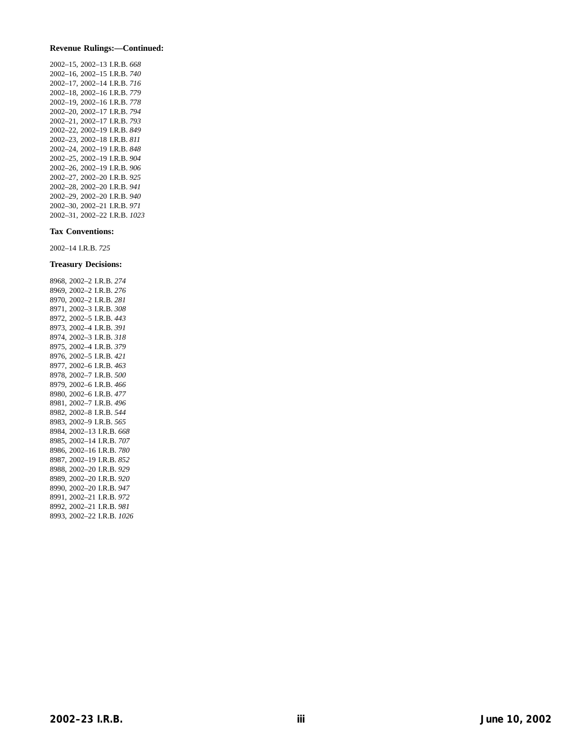#### **Revenue Rulings:—Continued:**

2002–15, 2002–13 I.R.B. *668* 2002–16, 2002–15 I.R.B. *740* 2002–17, 2002–14 I.R.B. *716* 2002–18, 2002–16 I.R.B. *779* 2002–19, 2002–16 I.R.B. *778* 2002–20, 2002–17 I.R.B. *794* 2002–21, 2002–17 I.R.B. *793* 2002–22, 2002–19 I.R.B. *849* 2002–23, 2002–18 I.R.B. *811* 2002–24, 2002–19 I.R.B. *848* 2002–25, 2002–19 I.R.B. *904* 2002–26, 2002–19 I.R.B. *906* 2002–27, 2002–20 I.R.B. *925* 2002–28, 2002–20 I.R.B. *941* 2002–29, 2002–20 I.R.B. *940* 2002–30, 2002–21 I.R.B. *971* 2002–31, 2002–22 I.R.B. *1023*

#### **Tax Conventions:**

2002–14 I.R.B. *725*

#### **Treasury Decisions:**

8968, 2002–2 I.R.B. *274* 8969, 2002–2 I.R.B. *276* 8970, 2002–2 I.R.B. *281* 8971, 2002–3 I.R.B. *308* 8972, 2002–5 I.R.B. *443* 8973, 2002–4 I.R.B. *391* 8974, 2002–3 I.R.B. *318* 8975, 2002–4 I.R.B. *379* 8976, 2002–5 I.R.B. *421* 8977, 2002–6 I.R.B. *463* 8978, 2002–7 I.R.B. *500* 8979, 2002–6 I.R.B. *466* 8980, 2002–6 I.R.B. *477* 8981, 2002–7 I.R.B. *496* 8982, 2002–8 I.R.B. *544* 8983, 2002–9 I.R.B. *565* 8984, 2002–13 I.R.B. *668* 8985, 2002–14 I.R.B. *707* 8986, 2002–16 I.R.B. *780* 8987, 2002–19 I.R.B. *852* 8988, 2002–20 I.R.B. *929* 8989, 2002–20 I.R.B. *920* 8990, 2002–20 I.R.B. *947* 8991, 2002–21 I.R.B. *972* 8992, 2002–21 I.R.B. *981* 8993, 2002–22 I.R.B. *1026*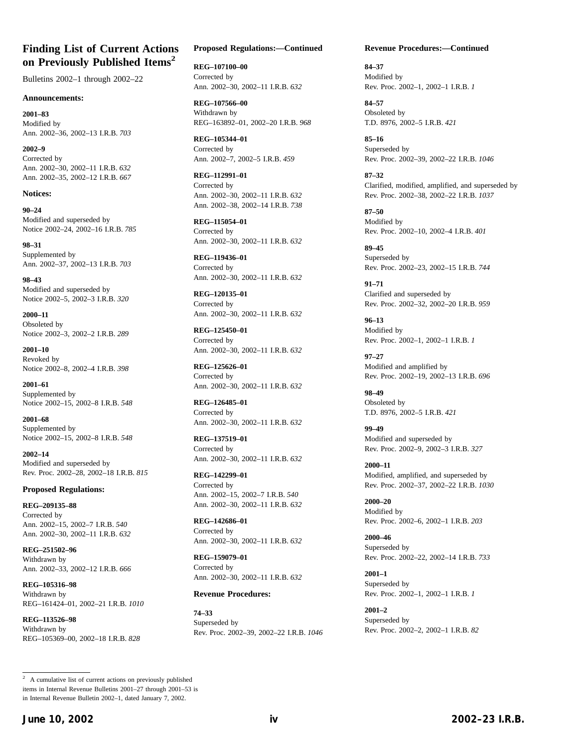## **Finding List of Current Actions on Previously Published Items2**

Bulletins 2002–1 through 2002–22

#### **Announcements:**

**2001–83** Modified by Ann. 2002–36, 2002–13 I.R.B. *703*

**2002–9** Corrected by Ann. 2002–30, 2002–11 I.R.B. *632* Ann. 2002–35, 2002–12 I.R.B. *667*

#### **Notices:**

**90–24** Modified and superseded by Notice 2002–24, 2002–16 I.R.B. *785*

**98–31** Supplemented by Ann. 2002–37, 2002–13 I.R.B. *703*

**98–43** Modified and superseded by Notice 2002–5, 2002–3 I.R.B. *320*

**2000–11** Obsoleted by Notice 2002–3, 2002–2 I.R.B. *289*

**2001–10** Revoked by Notice 2002–8, 2002–4 I.R.B. *398*

**2001–61** Supplemented by Notice 2002–15, 2002–8 I.R.B. *548*

**2001–68** Supplemented by Notice 2002–15, 2002–8 I.R.B. *548*

**2002–14** Modified and superseded by Rev. Proc. 2002–28, 2002–18 I.R.B. *815*

#### **Proposed Regulations:**

**REG–209135–88** Corrected by Ann. 2002–15, 2002–7 I.R.B. *540* Ann. 2002–30, 2002–11 I.R.B. *632*

**REG–251502–96** Withdrawn by Ann. 2002–33, 2002–12 I.R.B. *666*

**REG–105316–98** Withdrawn by REG–161424–01, 2002–21 I.R.B. *1010*

**REG–113526–98** Withdrawn by REG–105369–00, 2002–18 I.R.B. *828*

#### **Proposed Regulations:—Continued**

**REG–107100–00** Corrected by Ann. 2002–30, 2002–11 I.R.B. *632*

**REG–107566–00** Withdrawn by REG–163892–01, 2002–20 I.R.B. *968*

**REG–105344–01** Corrected by Ann. 2002–7, 2002–5 I.R.B. *459*

**REG–112991–01** Corrected by Ann. 2002–30, 2002–11 I.R.B. *632* Ann. 2002–38, 2002–14 I.R.B. *738*

**REG–115054–01** Corrected by Ann. 2002–30, 2002–11 I.R.B. *632*

**REG–119436–01** Corrected by Ann. 2002–30, 2002–11 I.R.B. *632*

**REG–120135–01** Corrected by Ann. 2002–30, 2002–11 I.R.B. *632*

**REG–125450–01** Corrected by Ann. 2002–30, 2002–11 I.R.B. *632*

**REG–125626–01** Corrected by Ann. 2002–30, 2002–11 I.R.B. *632*

**REG–126485–01** Corrected by Ann. 2002–30, 2002–11 I.R.B. *632*

**REG–137519–01** Corrected by Ann. 2002–30, 2002–11 I.R.B. *632*

**REG–142299–01** Corrected by Ann. 2002–15, 2002–7 I.R.B. *540* Ann. 2002–30, 2002–11 I.R.B. *632*

**REG–142686–01** Corrected by Ann. 2002–30, 2002–11 I.R.B. *632*

**REG–159079–01** Corrected by Ann. 2002–30, 2002–11 I.R.B. *632*

#### **Revenue Procedures:**

**74–33** Superseded by Rev. Proc. 2002–39, 2002–22 I.R.B. *1046*

#### **Revenue Procedures:—Continued**

**84–37** Modified by Rev. Proc. 2002–1, 2002–1 I.R.B. *1*

**84–57** Obsoleted by T.D. 8976, 2002–5 I.R.B. *421*

**85–16** Superseded by Rev. Proc. 2002–39, 2002–22 I.R.B. *1046*

**87–32** Clarified, modified, amplified, and superseded by Rev. Proc. 2002–38, 2002–22 I.R.B. *1037*

**87–50** Modified by Rev. Proc. 2002–10, 2002–4 I.R.B. *401*

**89–45** Superseded by Rev. Proc. 2002–23, 2002–15 I.R.B. *744*

**91–71** Clarified and superseded by Rev. Proc. 2002–32, 2002–20 I.R.B. *959*

**96–13** Modified by Rev. Proc. 2002–1, 2002–1 I.R.B. *1*

**97–27** Modified and amplified by Rev. Proc. 2002–19, 2002–13 I.R.B. *696*

**98–49** Obsoleted by T.D. 8976, 2002–5 I.R.B. *421*

**99–49** Modified and superseded by Rev. Proc. 2002–9, 2002–3 I.R.B. *327*

**2000–11** Modified, amplified, and superseded by Rev. Proc. 2002–37, 2002–22 I.R.B. *1030*

**2000–20** Modified by Rev. Proc. 2002–6, 2002–1 I.R.B. *203*

**2000–46** Superseded by Rev. Proc. 2002–22, 2002–14 I.R.B. *733*

**2001–1** Superseded by Rev. Proc. 2002–1, 2002–1 I.R.B. *1*

**2001–2** Superseded by Rev. Proc. 2002–2, 2002–1 I.R.B. *82*

 $\overline{2}$  A cumulative list of current actions on previously published items in Internal Revenue Bulletins 2001–27 through 2001–53 is in Internal Revenue Bulletin 2002–1, dated January 7, 2002.